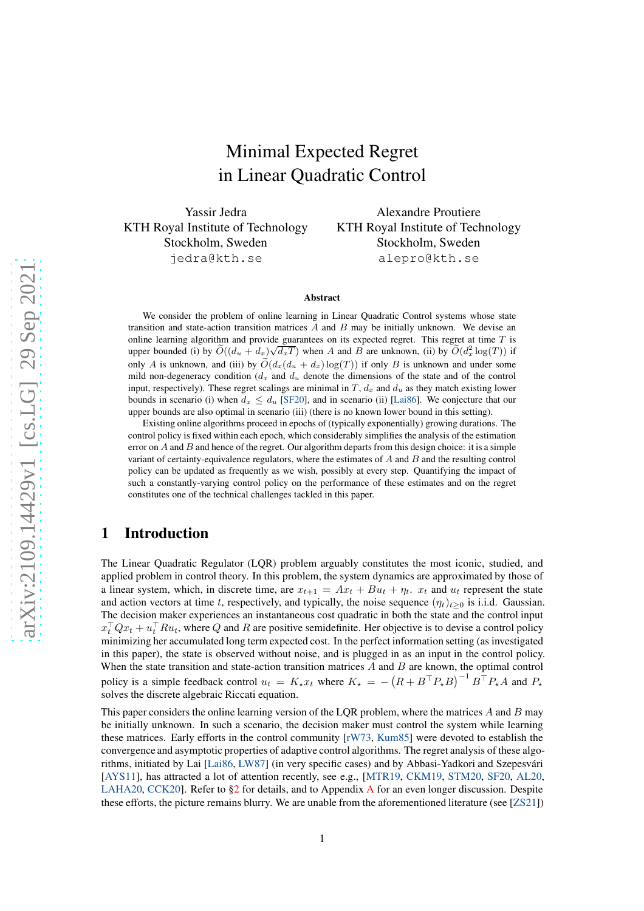# Minimal Expected Regret in Linear Quadratic Control

Yassir Jedra KTH Royal Institute of Technology Stockholm, Sweden jedra@kth.se

Alexandre Proutiere KTH Royal Institute of Technology Stockholm, Sweden alepro@kth.se

#### Abstract

We consider the problem of online learning in Linear Quadratic Control systems whose state transition and state-action transition matrices  $A$  and  $B$  may be initially unknown. We devise an online learning algorithm and provide guarantees on its expected regret. This regret at time  $T$  is upper bounded (i) by  $\widetilde{O}((d_u + d_x)\sqrt{d_xT})$  when A and B are unknown, (ii) by  $\widetilde{O}(d_x^2 \log(T))$  if only A is unknown, and (iii) by  $\tilde{O}(d_x(d_y + d_x) \log(T))$  if only B is unknown and under some mild non-degeneracy condition ( $d_x$  and  $d_y$  denote the dimensions of the state and of the control input, respectively). These regret scalings are minimal in T,  $d_x$  and  $d_y$  as they match existing lower bounds in scenario (i) when  $d_x \leq d_u$  [\[SF20\]](#page-11-0), and in scenario (ii) [\[Lai86\]](#page-11-1). We conjecture that our upper bounds are also optimal in scenario (iii) (there is no known lower bound in this setting).

Existing online algorithms proceed in epochs of (typically exponentially) growing durations. The control policy is fixed within each epoch, which considerably simplifies the analysis of the estimation error on  $A$  and  $B$  and hence of the regret. Our algorithm departs from this design choice: it is a simple variant of certainty-equivalence regulators, where the estimates of  $A$  and  $B$  and the resulting control policy can be updated as frequently as we wish, possibly at every step. Quantifying the impact of such a constantly-varying control policy on the performance of these estimates and on the regret constitutes one of the technical challenges tackled in this paper.

# <span id="page-0-0"></span>1 Introduction

The Linear Quadratic Regulator (LQR) problem arguably constitutes the most iconic, studied, and applied problem in control theory. In this problem, the system dynamics are approximated by those of a linear system, which, in discrete time, are  $x_{t+1} = Ax_t + Bu_t + \eta_t$ .  $x_t$  and  $u_t$  represent the state and action vectors at time t, respectively, and typically, the noise sequence  $(\eta_t)_{t>0}$  is i.i.d. Gaussian. The decision maker experiences an instantaneous cost quadratic in both the state and the control input  $x_t^\top Q x_t + u_t^\top R u_t$ , where Q and R are positive semidefinite. Her objective is to devise a control policy minimizing her accumulated long term expected cost. In the perfect information setting (as investigated in this paper), the state is observed without noise, and is plugged in as an input in the control policy. When the state transition and state-action transition matrices  $A$  and  $B$  are known, the optimal control policy is a simple feedback control  $u_t = K_* x_t$  where  $K_* = -\left(R + B^\top P_* B\right)^{-1} B^\top P_* A$  and  $P_*$ solves the discrete algebraic Riccati equation.

This paper considers the online learning version of the LQR problem, where the matrices  $A$  and  $B$  may be initially unknown. In such a scenario, the decision maker must control the system while learning these matrices. Early efforts in the control community [\[rW73,](#page-11-2) [Kum85\]](#page-11-3) were devoted to establish the convergence and asymptotic properties of adaptive control algorithms. The regret analysis of these algorithms, initiated by Lai [\[Lai86,](#page-11-1) [LW87\]](#page-11-4) (in very specific cases) and by Abbasi-Yadkori and Szepesvári [\[AYS11\]](#page-10-0), has attracted a lot of attention recently, see e.g., [\[MTR19,](#page-11-5) [CKM19,](#page-10-1) [STM20,](#page-11-6) [SF20,](#page-11-0) [AL20,](#page-10-2) [LAHA20,](#page-11-7) [CCK20\]](#page-10-3). Refer to [§2](#page-1-0) for details, and to Appendix [A](#page-15-0) for an even longer discussion. Despite these efforts, the picture remains blurry. We are unable from the aforementioned literature (see [\[ZS21\]](#page-11-8))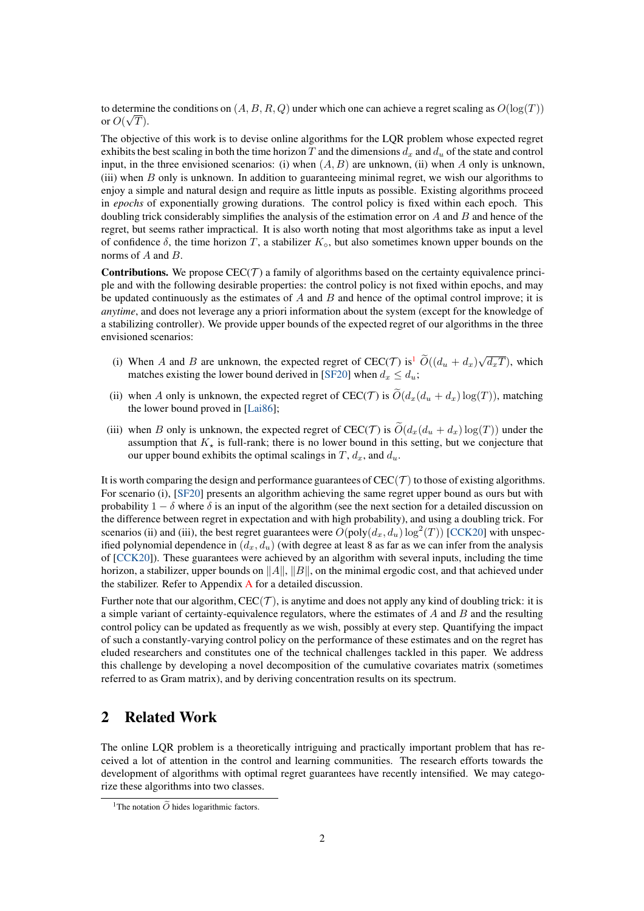to determine the conditions on  $(A, B, R, Q)$  under which one can achieve a regret scaling as  $O(\log(T))$ for  $O(\sqrt{T})$ .

The objective of this work is to devise online algorithms for the LQR problem whose expected regret exhibits the best scaling in both the time horizon T and the dimensions  $d_x$  and  $d_u$  of the state and control input, in the three envisioned scenarios: (i) when  $(A, B)$  are unknown, (ii) when A only is unknown, (iii) when B only is unknown. In addition to guaranteeing minimal regret, we wish our algorithms to enjoy a simple and natural design and require as little inputs as possible. Existing algorithms proceed in *epochs* of exponentially growing durations. The control policy is fixed within each epoch. This doubling trick considerably simplifies the analysis of the estimation error on  $A$  and  $B$  and hence of the regret, but seems rather impractical. It is also worth noting that most algorithms take as input a level of confidence  $\delta$ , the time horizon T, a stabilizer  $K_{\rm o}$ , but also sometimes known upper bounds on the norms of A and B.

**Contributions.** We propose  $\text{CEC}(\mathcal{T})$  a family of algorithms based on the certainty equivalence principle and with the following desirable properties: the control policy is not fixed within epochs, and may be updated continuously as the estimates of  $A$  and  $B$  and hence of the optimal control improve; it is *anytime*, and does not leverage any a priori information about the system (except for the knowledge of a stabilizing controller). We provide upper bounds of the expected regret of our algorithms in the three envisioned scenarios:

- (i) When A and B are unknown, the expected regret of CEC(T) is<sup>[1](#page-1-1)</sup>  $\tilde{O}((d_u + d_x)\sqrt{d_xT})$ , which matches existing the lower bound derived in [\[SF20\]](#page-11-0) when  $d_x \leq d_u$ ;
- (ii) when A only is unknown, the expected regret of CEC(T) is  $\widetilde{O}(d_x(d_u + d_x) \log(T))$ , matching the lower bound proved in [\[Lai86\]](#page-11-1);
- (iii) when B only is unknown, the expected regret of CEC(T) is  $O(d_x(d_u + d_x) \log(T))$  under the assumption that  $K_{\star}$  is full-rank; there is no lower bound in this setting, but we conjecture that our upper bound exhibits the optimal scalings in  $T$ ,  $d_x$ , and  $d_y$ .

It is worth comparing the design and performance guarantees of  $CEC(\mathcal{T})$  to those of existing algorithms. For scenario (i), [\[SF20\]](#page-11-0) presents an algorithm achieving the same regret upper bound as ours but with probability  $1 - \delta$  where  $\delta$  is an input of the algorithm (see the next section for a detailed discussion on the difference between regret in expectation and with high probability), and using a doubling trick. For scenarios (ii) and (iii), the best regret guarantees were  $O(\text{poly}(d_x, d_u) \log^2(T))$  [\[CCK20\]](#page-10-3) with unspecified polynomial dependence in  $(d_x, d_y)$  (with degree at least 8 as far as we can infer from the analysis of [\[CCK20\]](#page-10-3)). These guarantees were achieved by an algorithm with several inputs, including the time horizon, a stabilizer, upper bounds on  $||A||$ ,  $||B||$ , on the minimal ergodic cost, and that achieved under the stabilizer. Refer to Appendix [A](#page-15-0) for a detailed discussion.

Further note that our algorithm,  $CEC(\mathcal{T})$ , is anytime and does not apply any kind of doubling trick: it is a simple variant of certainty-equivalence regulators, where the estimates of  $A$  and  $B$  and the resulting control policy can be updated as frequently as we wish, possibly at every step. Quantifying the impact of such a constantly-varying control policy on the performance of these estimates and on the regret has eluded researchers and constitutes one of the technical challenges tackled in this paper. We address this challenge by developing a novel decomposition of the cumulative covariates matrix (sometimes referred to as Gram matrix), and by deriving concentration results on its spectrum.

# <span id="page-1-0"></span>2 Related Work

The online LQR problem is a theoretically intriguing and practically important problem that has received a lot of attention in the control and learning communities. The research efforts towards the development of algorithms with optimal regret guarantees have recently intensified. We may categorize these algorithms into two classes.

<span id="page-1-1"></span><sup>&</sup>lt;sup>1</sup>The notation  $\tilde{O}$  hides logarithmic factors.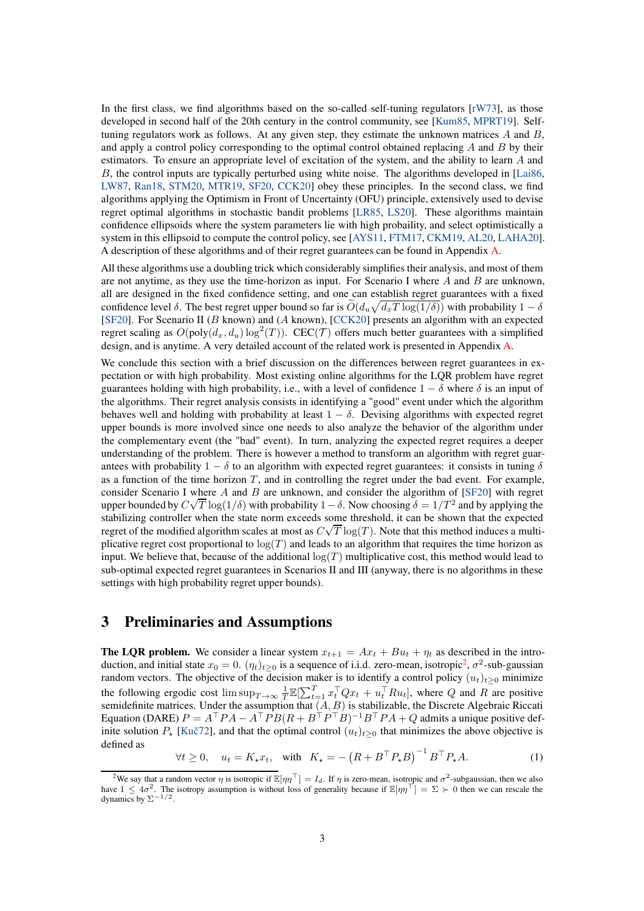In the first class, we find algorithms based on the so-called self-tuning regulators  $\lceil rW73 \rceil$ , as those developed in second half of the 20th century in the control community, see [\[Kum85,](#page-11-3) [MPRT19\]](#page-11-9). Selftuning regulators work as follows. At any given step, they estimate the unknown matrices  $A$  and  $B$ , and apply a control policy corresponding to the optimal control obtained replacing  $A$  and  $B$  by their estimators. To ensure an appropriate level of excitation of the system, and the ability to learn A and B, the control inputs are typically perturbed using white noise. The algorithms developed in [\[Lai86,](#page-11-1)] [LW87,](#page-11-4) [Ran18,](#page-11-10) [STM20,](#page-11-6) [MTR19,](#page-11-5) [SF20,](#page-11-0) [CCK20\]](#page-10-3) obey these principles. In the second class, we find algorithms applying the Optimism in Front of Uncertainty (OFU) principle, extensively used to devise regret optimal algorithms in stochastic bandit problems [\[LR85,](#page-11-11) [LS20\]](#page-11-12). These algorithms maintain confidence ellipsoids where the system parameters lie with high probaility, and select optimistically a system in this ellipsoid to compute the control policy, see [\[AYS11,](#page-10-0) [FTM17,](#page-10-4) [CKM19,](#page-10-1) [AL20,](#page-10-2) [LAHA20\]](#page-11-7). A description of these algorithms and of their regret guarantees can be found in Appendix [A.](#page-15-0)

All these algorithms use a doubling trick which considerably simplifies their analysis, and most of them are not anytime, as they use the time-horizon as input. For Scenario I where  $A$  and  $B$  are unknown, all are designed in the fixed confidence setting, and one can establish regret guarantees with a fixed confidence level  $\delta$ . The best regret upper bound so far is  $\tilde{O}(d_u\sqrt{d_xT \log(1/\delta)})$  with probability  $1-\delta$ [\[SF20\]](#page-11-0). For Scenario II (B known) and (A known), [\[CCK20\]](#page-10-3) presents an algorithm with an expected regret scaling as  $O(\text{poly}(d_x, d_u) \log^2(T))$ . CEC(*T*) offers much better guarantees with a simplified design, and is anytime. A very detailed account of the related work is presented in Appendix [A.](#page-15-0)

We conclude this section with a brief discussion on the differences between regret guarantees in expectation or with high probability. Most existing online algorithms for the LQR problem have regret guarantees holding with high probability, i.e., with a level of confidence  $1 - \delta$  where  $\delta$  is an input of the algorithms. Their regret analysis consists in identifying a "good" event under which the algorithm behaves well and holding with probability at least  $1 - \delta$ . Devising algorithms with expected regret upper bounds is more involved since one needs to also analyze the behavior of the algorithm under the complementary event (the "bad" event). In turn, analyzing the expected regret requires a deeper understanding of the problem. There is however a method to transform an algorithm with regret guarantees with probability  $1 - \delta$  to an algorithm with expected regret guarantees: it consists in tuning  $\delta$ as a function of the time horizon  $T$ , and in controlling the regret under the bad event. For example, consider Scenario I where A and B are unknown, and consider the algorithm of  $[SF20]$  with regret upper bounded by  $C\sqrt{T} \log(1/\delta)$  with probability  $1-\delta$ . Now choosing  $\delta = 1/T^2$  and by applying the stabilizing controller when the state norm exceeds some threshold, it can be shown that the expected regret of the modified algorithm scales at most as  $C\sqrt{T} \log(T)$ . Note that this method induces a multiplicative regret cost proportional to  $log(T)$  and leads to an algorithm that requires the time horizon as input. We believe that, because of the additional  $log(T)$  multiplicative cost, this method would lead to sub-optimal expected regret guarantees in Scenarios II and III (anyway, there is no algorithms in these settings with high probability regret upper bounds).

# <span id="page-2-1"></span>3 Preliminaries and Assumptions

**The LQR problem.** We consider a linear system  $x_{t+1} = Ax_t + Bu_t + \eta_t$  as described in the introduction, and initial state  $x_0 = 0$ .  $(\eta_t)_{t \geq 0}$  is a sequence of i.i.d. zero-mean, isotropic<sup>[2](#page-2-0)</sup>,  $\sigma^2$ -sub-gaussian random vectors. The objective of the decision maker is to identify a control policy  $(u_t)_{t\geq0}$  minimize the following ergodic cost  $\limsup_{T\to\infty} \frac{1}{T} \mathbb{E}[\sum_{t=1}^T x_t^\top Q x_t + u_t^\top R u_t]$ , where Q and R are positive semidefinite matrices. Under the assumption that  $(A, B)$  is stabilizable, the Discrete Algebraic Riccati Equation (DARE)  $P = A^{\top} P A - A^{\top} P B (R + B^{\top} P^{\top} B)^{-1} B^{\top} P A + Q$  admits a unique positive definite solution  $P_{\star}$  [Kuč72], and that the optimal control  $(u_t)_{t>0}$  that minimizes the above objective is defined as

 $\forall t \geq 0, \quad u_t = K_\star x_t, \quad \text{with} \quad K_\star = -\left(R + B^\top P_\star B\right)^{-1} B^\top P_\star A.$  (1)

<span id="page-2-0"></span><sup>&</sup>lt;sup>2</sup>We say that a random vector  $\eta$  is isotropic if  $\mathbb{E}[\eta\eta^\top] = I_d$ . If  $\eta$  is zero-mean, isotropic and  $\sigma^2$ -subgaussian, then we also have  $1 \leq 4\sigma^2$ . The isotropy assumption is without loss of generality because if  $\mathbb{E}[\eta \eta^{\top}] = \Sigma \succ 0$  then we can rescale the dynamics by  $\Sigma^{-1/2}$ .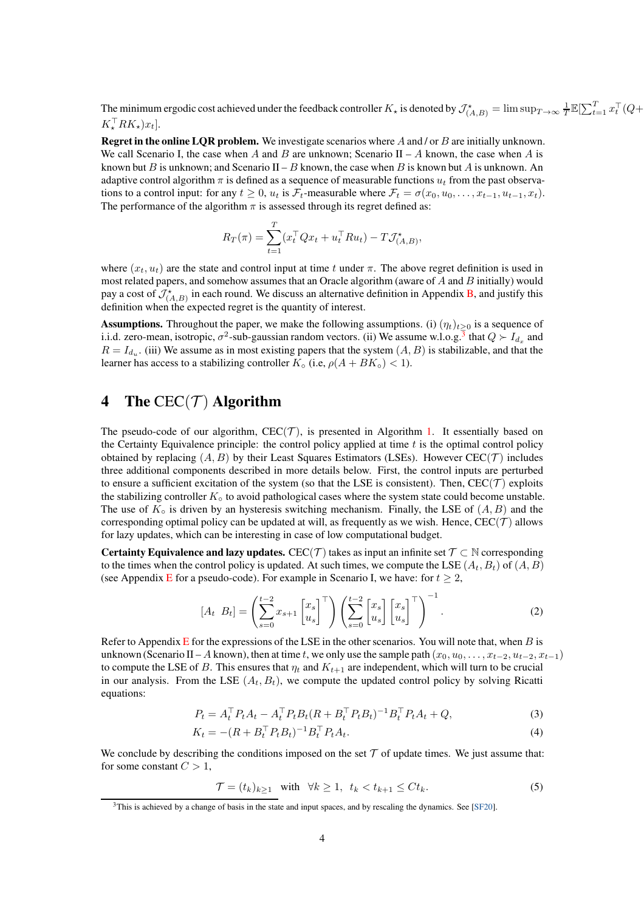The minimum ergodic cost achieved under the feedback controller  $K_{\star}$  is denoted by  $\mathcal{J}^{\star}_{(A,B)} = \limsup_{T \to \infty} \frac{1}{T} \mathbb{E}[\sum_{t=1}^{T} x_t^{\top} (Q +$  $K^{\perp}_\star RK_\star)x_t].$ 

Regret in the online LQR problem. We investigate scenarios where A and / or B are initially unknown. We call Scenario I, the case when A and B are unknown; Scenario II – A known, the case when A is known but B is unknown; and Scenario II – B known, the case when B is known but A is unknown. An adaptive control algorithm  $\pi$  is defined as a sequence of measurable functions  $u_t$  from the past observations to a control input: for any  $t \geq 0$ ,  $u_t$  is  $\mathcal{F}_t$ -measurable where  $\mathcal{F}_t = \sigma(x_0, u_0, \dots, x_{t-1}, u_{t-1}, x_t)$ . The performance of the algorithm  $\pi$  is assessed through its regret defined as:

$$
R_T(\pi) = \sum_{t=1}^T (x_t^\top Q x_t + u_t^\top R u_t) - T \mathcal{J}^\star_{(A,B)},
$$

where  $(x_t, u_t)$  are the state and control input at time t under  $\pi$ . The above regret definition is used in most related papers, and somehow assumes that an Oracle algorithm (aware of  $A$  and  $B$  initially) would pay a cost of  $\mathcal{J}^{\star}_{(A,B)}$  in each round. We discuss an alternative definition in Appendix [B,](#page-19-0) and justify this definition when the expected regret is the quantity of interest.

**Assumptions.** Throughout the paper, we make the following assumptions. (i)  $(\eta_t)_{t\geq0}$  is a sequence of i.i.d. zero-mean, isotropic,  $\sigma^2$ -sub-gaussian random vectors. (ii) We assume w.l.o.g.<sup>[3](#page-3-0)</sup> that  $Q \succ I_{d_x}$  and  $R = I_{d_u}$ . (iii) We assume as in most existing papers that the system  $(A, B)$  is stabilizable, and that the learner has access to a stabilizing controller  $K_0$  (i.e,  $\rho(A + BK_0) < 1$ ).

# <span id="page-3-2"></span>4 The  $CEC(\mathcal{T})$  Algorithm

The pseudo-code of our algorithm,  $CEC(\mathcal{T})$ , is presented in Algorithm [1.](#page-4-0) It essentially based on the Certainty Equivalence principle: the control policy applied at time  $t$  is the optimal control policy obtained by replacing  $(A, B)$  by their Least Squares Estimators (LSEs). However CEC(T) includes three additional components described in more details below. First, the control inputs are perturbed to ensure a sufficient excitation of the system (so that the LSE is consistent). Then,  $CEC(\mathcal{T})$  exploits the stabilizing controller  $K<sub>°</sub>$  to avoid pathological cases where the system state could become unstable. The use of  $K_{\circ}$  is driven by an hysteresis switching mechanism. Finally, the LSE of  $(A, B)$  and the corresponding optimal policy can be updated at will, as frequently as we wish. Hence,  $CEC(\mathcal{T})$  allows for lazy updates, which can be interesting in case of low computational budget.

**Certainty Equivalence and lazy updates.** CEC(T) takes as input an infinite set  $\mathcal{T} \subset \mathbb{N}$  corresponding to the times when the control policy is updated. At such times, we compute the LSE  $(A_t, B_t)$  of  $(A, B)$ (see Appendix [E](#page-46-0) for a pseudo-code). For example in Scenario I, we have: for  $t \geq 2$ ,

$$
\begin{bmatrix} A_t & B_t \end{bmatrix} = \left( \sum_{s=0}^{t-2} x_{s+1} \begin{bmatrix} x_s \\ u_s \end{bmatrix}^\top \right) \left( \sum_{s=0}^{t-2} \begin{bmatrix} x_s \\ u_s \end{bmatrix} \begin{bmatrix} x_s \\ u_s \end{bmatrix}^\top \right)^{-1} . \tag{2}
$$

Refer to Appendix [E](#page-46-0) for the expressions of the LSE in the other scenarios. You will note that, when  $B$  is unknown (Scenario II – A known), then at time t, we only use the sample path  $(x_0, u_0, \ldots, x_{t-2}, u_{t-2}, x_{t-1})$ to compute the LSE of B. This ensures that  $\eta_t$  and  $K_{t+1}$  are independent, which will turn to be crucial in our analysis. From the LSE  $(A_t, B_t)$ , we compute the updated control policy by solving Ricatti equations:

$$
P_t = A_t^\top P_t A_t - A_t^\top P_t B_t (R + B_t^\top P_t B_t)^{-1} B_t^\top P_t A_t + Q,
$$
\n(3)

$$
K_t = -(R + B_t^\top P_t B_t)^{-1} B_t^\top P_t A_t. \tag{4}
$$

We conclude by describing the conditions imposed on the set  $\mathcal T$  of update times. We just assume that: for some constant  $C > 1$ ,

<span id="page-3-1"></span>
$$
\mathcal{T} = (t_k)_{k \ge 1} \quad \text{with} \quad \forall k \ge 1, \ t_k < t_{k+1} \le Ct_k. \tag{5}
$$

<span id="page-3-0"></span><sup>3</sup>This is achieved by a change of basis in the state and input spaces, and by rescaling the dynamics. See [\[SF20\]](#page-11-0).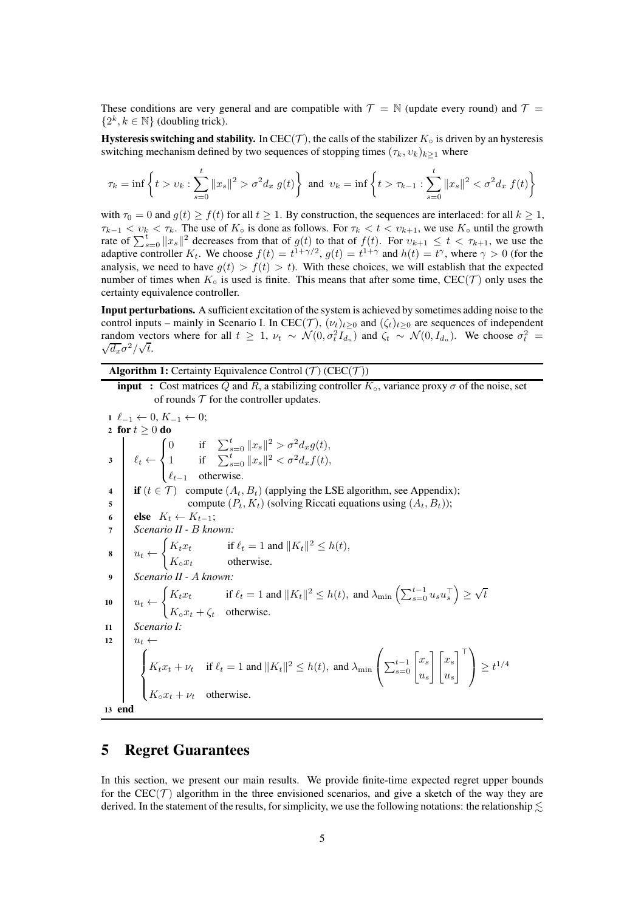These conditions are very general and are compatible with  $\mathcal{T} = \mathbb{N}$  (update every round) and  $\mathcal{T} =$  $\{2^k, k \in \mathbb{N}\}$  (doubling trick).

Hysteresis switching and stability. In CEC(T), the calls of the stabilizer  $K_0$  is driven by an hysteresis switching mechanism defined by two sequences of stopping times  $(\tau_k, v_k)_{k\geq 1}$  where

$$
\tau_k = \inf \left\{ t > v_k : \sum_{s=0}^t \|x_s\|^2 > \sigma^2 d_x \ g(t) \right\} \text{ and } v_k = \inf \left\{ t > \tau_{k-1} : \sum_{s=0}^t \|x_s\|^2 < \sigma^2 d_x \ f(t) \right\}
$$

with  $\tau_0 = 0$  and  $g(t) \ge f(t)$  for all  $t \ge 1$ . By construction, the sequences are interlaced: for all  $k \ge 1$ ,  $\tau_{k-1} < v_k < \tau_k$ . The use of  $K_{\circ}$  is done as follows. For  $\tau_k < t < v_{k+1}$ , we use  $K_{\circ}$  until the growth rate of  $\sum_{s=0}^{t} ||x_s||^2$  decreases from that of  $g(t)$  to that of  $f(t)$ . For  $v_{k+1} \le t < \tau_{k+1}$ , we use the adaptive controller  $K_t$ . We choose  $f(t) = t^{1+\gamma/2}$ ,  $g(t) = t^{1+\gamma}$  and  $h(t) = t^{\gamma}$ , where  $\gamma > 0$  (for the analysis, we need to have  $g(t) > f(t) > t$ ). With these choices, we will establish that the expected number of times when  $K_0$  is used is finite. This means that after some time,  $CEC(\mathcal{T})$  only uses the certainty equivalence controller.

Input perturbations. A sufficient excitation of the system is achieved by sometimes adding noise to the control inputs – mainly in Scenario I. In CEC(T),  $(\nu_t)_{t\geq 0}$  and  $(\zeta_t)_{t\geq 0}$  are sequences of independent random vectors where for all  $t \geq 1$ ,  $\nu_t \sim \mathcal{N}(0, \sigma_t^2 I_{d_u})$  and  $\zeta_t \sim \mathcal{N}(0, I_{d_u})$ . We choose  $\sigma_t^2 = \sqrt{d_t} \sigma_t^2 / \sqrt{t}$  $\frac{d}{dx} \sigma^2 / \sqrt{t}$ .

<span id="page-4-0"></span>Algorithm 1: Certainty Equivalence Control  $(T)$  (CEC $(T)$ )

**input** : Cost matrices Q and R, a stabilizing controller  $K_{\text{o}}$ , variance proxy  $\sigma$  of the noise, set of rounds  $T$  for the controller updates.

1 
$$
\ell_{-1} \leftarrow 0, K_{-1} \leftarrow 0;
$$
  
\n2 for  $t \ge 0$  do  
\n3  $\ell_t \leftarrow \begin{cases} 0 & \text{if } \sum_{s=0}^t ||x_s||^2 > \sigma^2 d_x g(t), \\ 1 & \text{if } \sum_{s=0}^t ||x_s||^2 < \sigma^2 d_x f(t), \end{cases}$   
\n4  $\ell_{t-1}$  otherwise.  
\n5 **if**  $(t \in \mathcal{T})$  compute  $(A_t, B_t)$  (applying the LSE algorithm, see Appendix); compute  $(P_t, K_t)$  (solving Riccati equations using  $(A_t, B_t)$ );  
\n6 **else**  $K_t \leftarrow K_{t-1}$ ;  
\n*Scenario II - B known:*  
\n8  $u_t \leftarrow \begin{cases} K_t x_t & \text{if } \ell_t = 1 \text{ and } ||K_t||^2 \le h(t), \\ K_o x_t & \text{otherwise.} \end{cases}$   
\n*Scenario II - A known:*  
\n10  $u_t \leftarrow \begin{cases} K_t x_t & \text{if } \ell_t = 1 \text{ and } ||K_t||^2 \le h(t), \text{ and } \lambda_{\min} \left( \sum_{s=0}^{t-1} u_s u_s^{\top} \right) \ge \sqrt{t} \\ K_o x_t + \zeta_t & \text{otherwise.} \end{cases}$   
\n*Scenario I:*  
\n11  $u_t \leftarrow$   
\n12  $u_t \leftarrow$   
\n13  $u_t \leftarrow$   
\n14  $\begin{cases} K_t x_t + \nu_t & \text{if } \ell_t = 1 \text{ and } ||K_t||^2 \le h(t), \text{ and } \lambda_{\min} \left( \sum_{s=0}^{t-1} \begin{bmatrix} x_s \\ u_s \end{bmatrix} \begin{bmatrix} x_s \\ u_s \end{bmatrix} \right)^{\top} \ge t^{1/4} \\ K_c x_t + \nu_t & \text{otherwise.} \end{cases}$ 

### <span id="page-4-1"></span>5 Regret Guarantees

In this section, we present our main results. We provide finite-time expected regret upper bounds for the CEC( $T$ ) algorithm in the three envisioned scenarios, and give a sketch of the way they are derived. In the statement of the results, for simplicity, we use the following notations: the relationship  $\leq$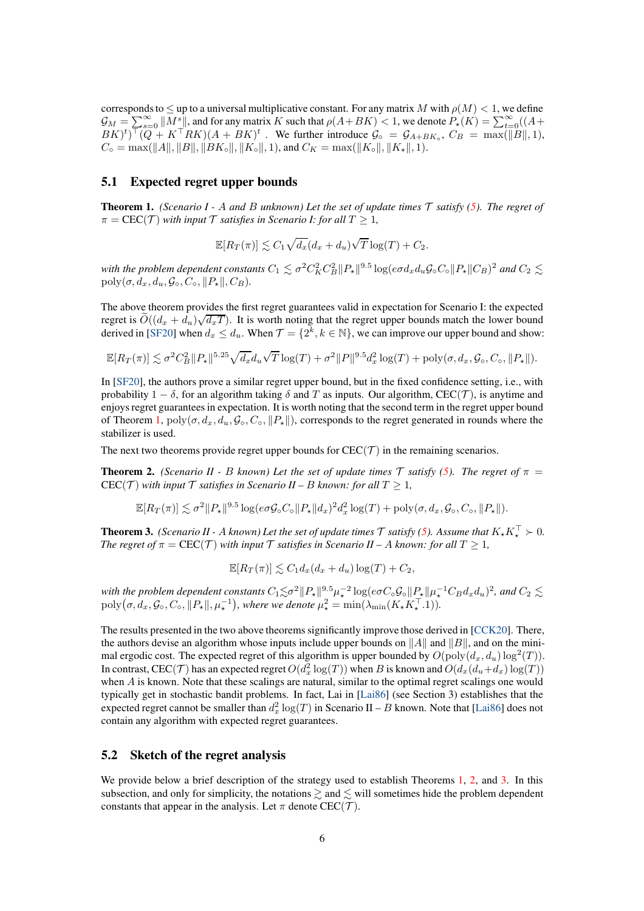corresponds to  $\leq$  up to a universal multiplicative constant. For any matrix M with  $\rho(M) < 1$ , we define  $\mathcal{G}_M = \sum_{k=0}^{\infty} ||M_{\perp}^s||$ , and for any matrix K such that  $\rho(A+BK) < 1$ , we denote  $P_{\star}(K) = \sum_{k=0}^{\infty} ((A+BK))$  $BK)^t$ )<sup>T</sup> $(Q + K^{\top}RK)(A + BK)^t$ . We further introduce  $G_{\circ} = G_{A+BK_{\circ}}, C_B = \max(||B||, 1)$ ,  $C_{\circ} = \max(||A||, ||B||, ||BK_{\circ}||, ||K_{\circ}||, 1),$  and  $C_K = \max(||K_{\circ}||, ||K_{\star}||, 1).$ 

### <span id="page-5-3"></span>5.1 Expected regret upper bounds

<span id="page-5-0"></span>**Theorem 1.** *(Scenario I - A and B unknown) Let the set of update times*  $\mathcal T$  *satisfy* [\(5\)](#page-3-1)*. The regret of*  $\pi = \text{CEC}(\mathcal{T})$  *with input*  $\mathcal{T}$  *satisfies in Scenario I: for all*  $T \geq 1$ *,* 

$$
\mathbb{E}[R_T(\pi)] \lesssim C_1 \sqrt{d_x}(d_x + d_u) \sqrt{T} \log(T) + C_2.
$$

with the problem dependent constants  $C_1 \lesssim \sigma^2 C_K^2 C_B^2 \|P_\star\|^{9.5} \log(e \sigma d_x d_u \mathcal{G}_\circ C_\circ \|P_\star\| C_B)^2$  and  $C_2 \lesssim$  $poly(\sigma, d_x, d_y, \mathcal{G}_0, C_o, ||P_*||, C_B).$ 

The above theorem provides the first regret guarantees valid in expectation for Scenario I: the expected regret is  $\tilde{O}((d_x + d_u)\sqrt{d_xT})$ . It is worth noting that the regret upper bounds match the lower bound derived in [\[SF20\]](#page-11-0) when  $d_x \leq d_u$ . When  $\mathcal{T} = \{2^k, k \in \mathbb{N}\}\,$ , we can improve our upper bound and show:

$$
\mathbb{E}[R_T(\pi)] \lesssim \sigma^2 C_B^2 \|P_\star\|^{5.25} \sqrt{d_x} d_u \sqrt{T} \log(T) + \sigma^2 \|P\|^{9.5} d_x^2 \log(T) + \text{poly}(\sigma, d_x, \mathcal{G}_\circ, C_\circ, \|P_\star\|).
$$

In [\[SF20\]](#page-11-0), the authors prove a similar regret upper bound, but in the fixed confidence setting, i.e., with probability  $1 - \delta$ , for an algorithm taking  $\delta$  and T as inputs. Our algorithm, CEC(T), is anytime and enjoys regret guarantees in expectation. It is worth noting that the second term in the regret upper bound of Theorem [1,](#page-5-0)  $poly(\sigma, d_x, d_u, \mathcal{G}_{\circ}, C_{\circ}, ||P_{\star}||)$ , corresponds to the regret generated in rounds where the stabilizer is used.

The next two theorems provide regret upper bounds for  $CEC(\mathcal{T})$  in the remaining scenarios.

<span id="page-5-1"></span>**Theorem 2.** *(Scenario II - B known) Let the set of update times*  $\mathcal T$  *satisfy [\(5\)](#page-3-1). The regret of*  $\pi$  =  $CEC(\mathcal{T})$  *with input*  $\mathcal{T}$  *satisfies in Scenario II – B known: for all*  $T \geq 1$ *,* 

$$
\mathbb{E}[R_T(\pi)] \lesssim \sigma^2 \|P_{\star}\|^{9.5} \log(e\sigma \mathcal{G}_{\circ} C_{\circ} \|P_{\star}\|d_x)^2 d_x^2 \log(T) + \text{poly}(\sigma, d_x, \mathcal{G}_{\circ}, C_{\circ}, \|P_{\star}\|).
$$

<span id="page-5-2"></span>**Theorem 3.** *(Scenario II - A known) Let the set of update times*  $\mathcal{T}$  *satisfy [\(5\)](#page-3-1). Assume that*  $K_{\star}K_{\star}^{\perp} > 0$ *. The regret of*  $\pi = \text{CEC}(\mathcal{T})$  *with input*  $\mathcal{T}$  *satisfies in Scenario II – A known: for all*  $T \geq 1$ *,* 

$$
\mathbb{E}[R_T(\pi)] \lesssim C_1 d_x (d_x + d_u) \log(T) + C_2,
$$

with the problem dependent constants  $C_1 \lesssim \sigma^2 \|P_\star\|_{\infty}^{9.5} \mu_\star^{-2} \log(e \sigma C_\circ \mathcal{G}_\circ \|P_\star\| \mu_\star^{-1} C_B d_x d_u)^2$ , and  $C_2 \lesssim$  $\text{poly}\big(\sigma, d_x, \mathcal{G}_\circ, C_\circ, \|P_\star\|, \mu_\star^{-1}\big)$ , where we denote  $\mu_\star^2 = \min(\lambda_{\min}(K_\star K_\star^\top.1)).$ 

The results presented in the two above theorems significantly improve those derived in [\[CCK20\]](#page-10-3). There, the authors devise an algorithm whose inputs include upper bounds on  $||A||$  and  $||B||$ , and on the minimal ergodic cost. The expected regret of this algorithm is upper bounded by  $O(\mathrm{poly}(d_x,d_u)\log^2(T)).$ In contrast, CEC(T) has an expected regret  $O(d_x^2 \log(T))$  when B is known and  $O(d_x(d_u+d_x) \log(T))$ when A is known. Note that these scalings are natural, similar to the optimal regret scalings one would typically get in stochastic bandit problems. In fact, Lai in [\[Lai86\]](#page-11-1) (see Section 3) establishes that the expected regret cannot be smaller than  $d_x^2 \log(T)$  in Scenario II – B known. Note that [\[Lai86\]](#page-11-1) does not contain any algorithm with expected regret guarantees.

### <span id="page-5-4"></span>5.2 Sketch of the regret analysis

We provide below a brief description of the strategy used to establish Theorems [1,](#page-5-0) [2,](#page-5-1) and [3.](#page-5-2) In this subsection, and only for simplicity, the notations  $\geq$  and  $\leq$  will sometimes hide the problem dependent constants that appear in the analysis. Let  $\pi$  denote CEC(T).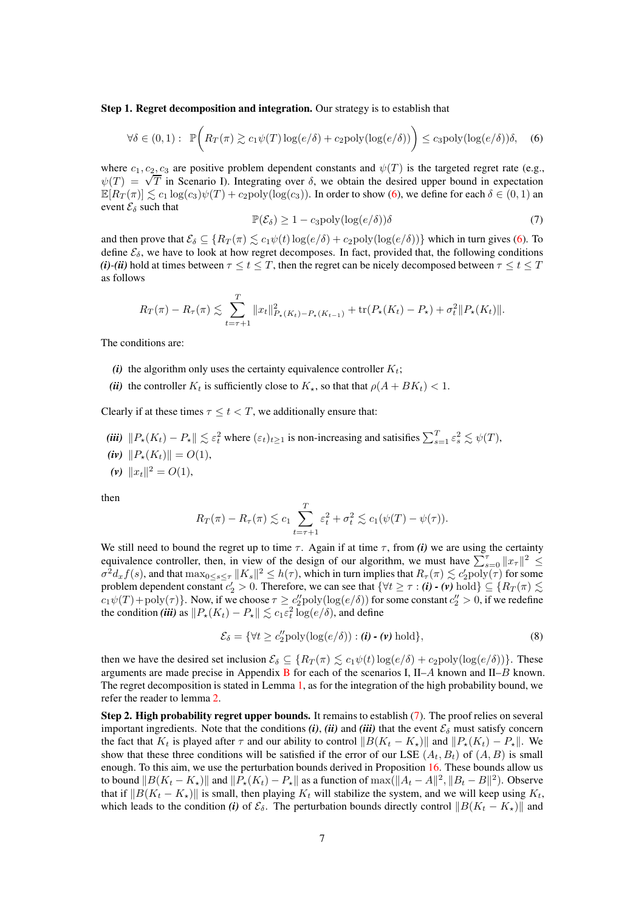Step 1. Regret decomposition and integration. Our strategy is to establish that

<span id="page-6-0"></span>
$$
\forall \delta \in (0,1): \mathbb{P}\bigg(R_T(\pi) \gtrsim c_1 \psi(T) \log(e/\delta) + c_2 \text{poly}(\log(e/\delta))\bigg) \le c_3 \text{poly}(\log(e/\delta))\delta, \quad (6)
$$

where  $c_1, c_2, c_3$  are positive problem dependent constants and  $\psi(T)$  is the targeted regret rate (e.g.,  $\psi(T) = \sqrt{T}$  in Scenario I). Integrating over  $\delta$ , we obtain the desired upper bound in expectation  $\mathbb{E}[R_T(\pi)] \lesssim c_1 \log(c_3)\psi(T) + c_2 \text{poly}(\log(c_3)).$  In order to show [\(6\)](#page-6-0), we define for each  $\delta \in (0,1)$  an event  $\mathcal{E}_{\delta}$  such that

<span id="page-6-1"></span>
$$
\mathbb{P}(\mathcal{E}_{\delta}) \ge 1 - c_3 \text{poly}(\log(e/\delta))\delta \tag{7}
$$

and then prove that  $\mathcal{E}_{\delta} \subseteq \{ R_T(\pi) \leq c_1 \psi(t) \log(e/\delta) + c_2 \text{poly}(\log(e/\delta)) \}$  which in turn gives [\(6\)](#page-6-0). To define  $\mathcal{E}_{\delta}$ , we have to look at how regret decomposes. In fact, provided that, the following conditions *(i)*-*(ii)* hold at times between  $\tau \le t \le T$ , then the regret can be nicely decomposed between  $\tau \le t \le T$ as follows

$$
R_T(\pi) - R_{\tau}(\pi) \lesssim \sum_{t=\tau+1}^T \|x_t\|_{P_{\star}(K_t) - P_{\star}(K_{t-1})}^2 + \text{tr}(P_{\star}(K_t) - P_{\star}) + \sigma_t^2 \|P_{\star}(K_t)\|.
$$

The conditions are:

- *(i)* the algorithm only uses the certainty equivalence controller  $K_t$ ;
- *(ii)* the controller  $K_t$  is sufficiently close to  $K_{\star}$ , so that that  $\rho(A + BK_t) < 1$ .

Clearly if at these times  $\tau \leq t < T$ , we additionally ensure that:

- (*iii*)  $||P_*(K_t) P_*|| \lesssim \varepsilon_t^2$  where  $(\varepsilon_t)_{t \geq 1}$  is non-increasing and satisifies  $\sum_{s=1}^T \varepsilon_s^2 \lesssim \psi(T)$ ,
- *(iv)*  $||P_{\star}(K_t)|| = O(1),$
- (*v*)  $||x_t||^2 = O(1)$ ,

then

$$
R_T(\pi) - R_\tau(\pi) \lesssim c_1 \sum_{t=\tau+1}^T \varepsilon_t^2 + \sigma_t^2 \lesssim c_1(\psi(T) - \psi(\tau)).
$$

We still need to bound the regret up to time  $\tau$ . Again if at time  $\tau$ , from *(i)* we are using the certainty equivalence controller, then, in view of the design of our algorithm, we must have  $\sum_{s=0}^{\tau} ||x_{\tau}||^2 \le$  $\sigma^2 d_x f(s)$ , and that  $\max_{0 \le s \le \tau} ||K_s||^2 \le h(\tau)$ , which in turn implies that  $R_\tau(\pi) \lesssim c_2' \text{poly}(\tau)$  for some problem dependent constant  $c'_2 > 0$ . Therefore, we can see that  $\{\forall t \geq \tau : (\mathbf{i}) \cdot (\mathbf{v}) \text{ hold}\} \subseteq \{R_T(\pi) \lesssim \tau \}$  $c_1\psi(T)+\text{poly}(\tau)$ . Now, if we choose  $\tau \geq c_2^{\prime\prime}\text{poly}(\log(e/\delta))$  for some constant  $c_2^{\prime\prime} > 0$ , if we redefine the condition *(iii)* as  $||P_{\star}(K_t) - P_{\star}|| \lesssim c_1 \varepsilon_t^2 \log(e/\delta)$ , and define

$$
\mathcal{E}_{\delta} = \{ \forall t \ge c_2'' \text{poly}(\log(e/\delta)) : (\mathbf{i}) \cdot (\mathbf{v}) \text{ hold} \},\tag{8}
$$

then we have the desired set inclusion  $\mathcal{E}_{\delta} \subseteq \{R_T(\pi) \leq c_1\psi(t) \log(e/\delta) + c_2 \text{poly}(\log(e/\delta))\}.$  These arguments are made precise in Appendix [B](#page-19-0) for each of the scenarios I,  $II-A$  known and  $II-B$  known. The regret decomposition is stated in Lemma [1,](#page-20-0) as for the integration of the high probability bound, we refer the reader to lemma [2.](#page-21-0)

Step 2. High probability regret upper bounds. It remains to establish [\(7\)](#page-6-1). The proof relies on several important ingredients. Note that the conditions  $(i)$ ,  $(ii)$  and  $(iii)$  that the event  $\mathcal{E}_{\delta}$  must satisfy concern the fact that  $K_t$  is played after  $\tau$  and our ability to control  $||B(K_t - K_{\star})||$  and  $||P_{\star}(K_t) - P_{\star}||$ . We show that these three conditions will be satisfied if the error of our LSE  $(A_t, B_t)$  of  $(A, B)$  is small enough. To this aim, we use the perturbation bounds derived in Proposition [16.](#page-79-0) These bounds allow us to bound  $||B(K_t - K_{\star})||$  and  $||P_{\star}(K_t) - P_{\star}||$  as a function of  $\max(||A_t - A||^2, ||B_t - B||^2)$ . Observe that if  $||B(K_t - K_{\star})||$  is small, then playing K<sub>t</sub> will stabilize the system, and we will keep using K<sub>t</sub>, which leads to the condition *(i)* of  $\mathcal{E}_{\delta}$ . The perturbation bounds directly control  $||B(K_t - K_{\star})||$  and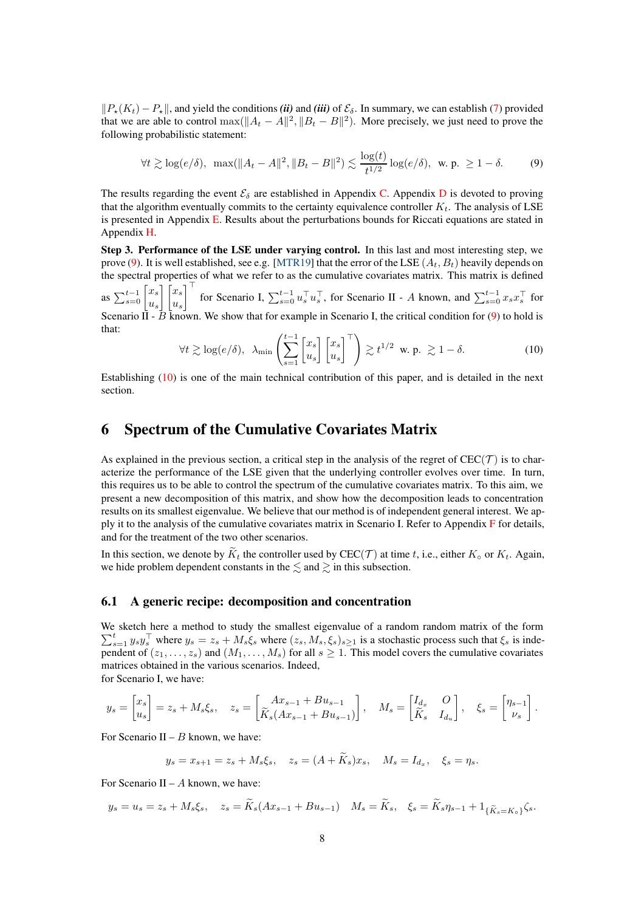$\|P_*(K_t) - P_*\|$ , and yield the conditions *(ii)* and *(iii)* of  $\mathcal{E}_{\delta}$ . In summary, we can establish [\(7\)](#page-6-1) provided that we are able to control  $\max(||A_t - A||^2, ||B_t - B||^2)$ . More precisely, we just need to prove the following probabilistic statement:

<span id="page-7-0"></span>
$$
\forall t \gtrsim \log(e/\delta), \ \max(\|A_t - A\|^2, \|B_t - B\|^2) \lesssim \frac{\log(t)}{t^{1/2}} \log(e/\delta), \ \text{w. p. } \geq 1 - \delta.
$$
 (9)

The results regarding the event  $\mathcal{E}_{\delta}$  are established in Appendix [C.](#page-30-0) Appendix [D](#page-38-0) is devoted to proving that the algorithm eventually commits to the certainty equivalence controller  $K_t$ . The analysis of LSE is presented in Appendix [E.](#page-46-0) Results about the perturbations bounds for Riccati equations are stated in Appendix [H.](#page-78-0)

Step 3. Performance of the LSE under varying control. In this last and most interesting step, we prove [\(9\)](#page-7-0). It is well established, see e.g. [\[MTR19\]](#page-11-5) that the error of the LSE  $(A_t, B_t)$  heavily depends on the spectral properties of what we refer to as the cumulative covariates matrix. This matrix is defined as  $\sum_{s=0}^{t-1} \begin{bmatrix} x_s \\ u_s \end{bmatrix}$  $u_s$  $\lceil x_s \rceil$  $u_s$  $\int_0^1$  for Scenario I,  $\sum_{s=0}^{t-1} u_s^\top u_s^\top$ , for Scenario II - A known, and  $\sum_{s=0}^{t-1} x_s x_s^\top$  for Scenario II -  $\overline{B}$  known. We show that for example in Scenario I, the critical condition for [\(9\)](#page-7-0) to hold is that:

<span id="page-7-1"></span>
$$
\forall t \gtrsim \log(e/\delta), \ \ \lambda_{\min} \left( \sum_{s=1}^{t-1} \begin{bmatrix} x_s \\ u_s \end{bmatrix} \begin{bmatrix} x_s \\ u_s \end{bmatrix}^\top \right) \gtrsim t^{1/2} \ \ \text{w. p.} \ \gtrsim 1 - \delta. \tag{10}
$$

Establishing [\(10\)](#page-7-1) is one of the main technical contribution of this paper, and is detailed in the next section.

## <span id="page-7-2"></span>6 Spectrum of the Cumulative Covariates Matrix

As explained in the previous section, a critical step in the analysis of the regret of  $CEC(\mathcal{T})$  is to characterize the performance of the LSE given that the underlying controller evolves over time. In turn, this requires us to be able to control the spectrum of the cumulative covariates matrix. To this aim, we present a new decomposition of this matrix, and show how the decomposition leads to concentration results on its smallest eigenvalue. We believe that our method is of independent general interest. We apply it to the analysis of the cumulative covariates matrix in Scenario I. Refer to Appendix [F](#page-59-0) for details, and for the treatment of the two other scenarios.

In this section, we denote by  $\widetilde{K}_t$  the controller used by CEC(T) at time t, i.e., either  $K_{\circ}$  or  $K_t$ . Again, we hide problem dependent constants in the  $\leq$  and  $\geq$  in this subsection.

### <span id="page-7-3"></span>6.1 A generic recipe: decomposition and concentration

We sketch here a method to study the smallest eigenvalue of a r andom random matrix of the form  $\sum_{s=1}^t y_s y_s^\top$  where  $y_s = z_s + M_s \xi_s$  where  $(z_s, M_s, \xi_s)_{s \geq 1}$  is a stochastic process such that  $\xi_s$  is independent of  $(z_1, \ldots, z_s)$  and  $(M_1, \ldots, M_s)$  for all  $s \ge 1$ . This model covers the cumulative covariates matrices obtained in the various scenarios. Indeed, for Scenario I, we have:

$$
y_s = \begin{bmatrix} x_s \\ u_s \end{bmatrix} = z_s + M_s \xi_s, \quad z_s = \begin{bmatrix} Ax_{s-1} + Bu_{s-1} \\ \tilde{K}_s (Ax_{s-1} + Bu_{s-1}) \end{bmatrix}, \quad M_s = \begin{bmatrix} I_{d_x} & O \\ \tilde{K}_s & I_{d_u} \end{bmatrix}, \quad \xi_s = \begin{bmatrix} \eta_{s-1} \\ \nu_s \end{bmatrix}.
$$

For Scenario II –  $B$  known, we have:

$$
y_s = x_{s+1} = z_s + M_s \xi_s, \quad z_s = (A + \widetilde{K}_s)x_s, \quad M_s = I_{d_x}, \quad \xi_s = \eta_s.
$$

For Scenario II –  $A$  known, we have:

$$
y_s = u_s = z_s + M_s \xi_s, \quad z_s = \widetilde{K}_s (Ax_{s-1} + Bu_{s-1}) \quad M_s = \widetilde{K}_s, \quad \xi_s = \widetilde{K}_s \eta_{s-1} + \mathbf{1}_{\{\widetilde{K}_s = K_s\}} \zeta_s.
$$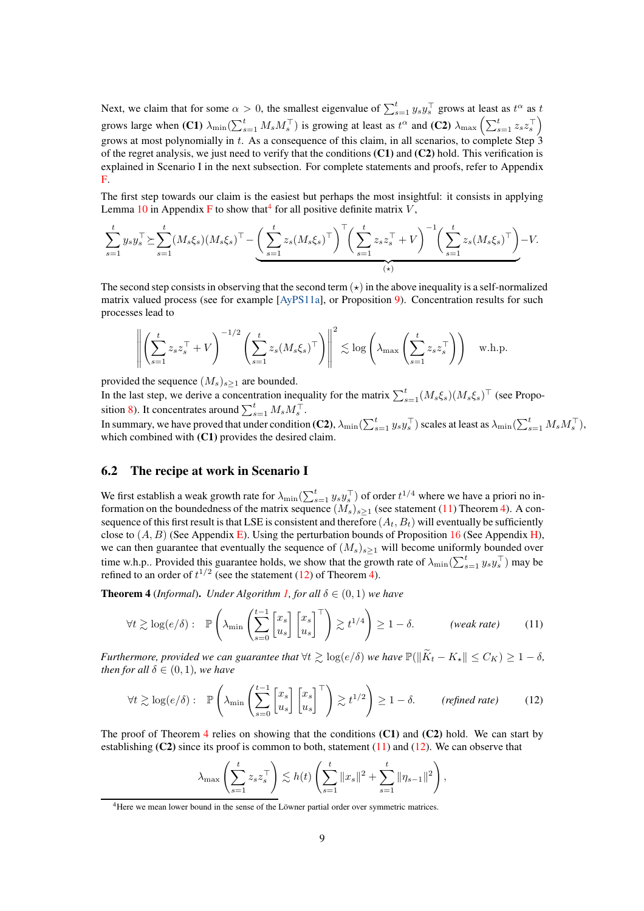Next, we claim that for some  $\alpha > 0$ , the smallest eigenvalue of  $\sum_{s=1}^{t} y_s y_s^\top$  grows at least as  $t^\alpha$  as  $t$ grows large when (C1)  $\lambda_{\min}(\sum_{s=1}^t M_s M_s^{\top})$  is growing at least as  $t^{\alpha}$  and (C2)  $\lambda_{\max}(\sum_{s=1}^t z_s z_s^{\top})$ grows at most polynomially in t. As a consequence of this claim, in all scenarios, to complete Step  $\hat{3}$ of the regret analysis, we just need to verify that the conditions (C1) and (C2) hold. This verification is explained in Scenario I in the next subsection. For complete statements and proofs, refer to Appendix [F.](#page-59-0)

The first step towards our claim is the easiest but perhaps the most insightful: it consists in applying Lemma [10](#page-59-1) in Appendix [F](#page-59-0) to show that  $4$  for all positive definite matrix V,

$$
\sum_{s=1}^t y_s y_s^\top \succeq \sum_{s=1}^t (M_s \xi_s) (M_s \xi_s)^\top - \underbrace{\left(\sum_{s=1}^t z_s (M_s \xi_s)^\top\right)^\top \left(\sum_{s=1}^t z_s z_s^\top + V\right)^{-1} \left(\sum_{s=1}^t z_s (M_s \xi_s)^\top\right)}_{\text{(*)}} - V.
$$

The second step consists in observing that the second term  $(\star)$  in the above inequality is a self-normalized matrix valued process (see for example [\[AyPS11a\]](#page-10-6), or Proposition [9\)](#page-60-0). Concentration results for such processes lead to

$$
\left\| \left( \sum_{s=1}^t z_s z_s^\top + V \right)^{-1/2} \left( \sum_{s=1}^t z_s (M_s \xi_s)^\top \right) \right\|^2 \lesssim \log \left( \lambda_{\max} \left( \sum_{s=1}^t z_s z_s^\top \right) \right) \quad \text{w.h.p.}
$$

provided the sequence  $(M_s)_{s>1}$  are bounded.

In the last step, we derive a concentration inequality for the matrix  $\sum_{s=1}^{t} (M_s \xi_s)(M_s \xi_s)^{\top}$  (see Propo-sition [8\)](#page-59-2). It concentrates around  $\sum_{s=1}^{t} M_s M_s^{\top}$ .

In summary, we have proved that under condition (C2),  $\lambda_{\min}(\sum_{s=1}^t y_s y_s^\top)$  scales at least as  $\lambda_{\min}(\sum_{s=1}^t M_s M_s^\top)$ , which combined with  $(C1)$  provides the desired claim.

### <span id="page-8-4"></span>6.2 The recipe at work in Scenario I

We first establish a weak growth rate for  $\lambda_{\min}(\sum_{s=1}^t y_s y_s^\top)$  of order  $t^{1/4}$  where we have a priori no information on the boundedness of the matrix sequence  $(M_s)_{s\geq 1}$  (see statement [\(11\)](#page-8-1) Theorem [4\)](#page-8-2). A consequence of this first result is that LSE is consistent and therefore  $(A_t, B_t)$  will eventually be sufficiently close to  $(A, B)$  (See Appendix [E\)](#page-46-0). Using the perturbation bounds of Proposition [16](#page-79-0) (See Appendix [H\)](#page-78-0), we can then guarantee that eventually the sequence of  $(M_s)_{s>1}$  will become uniformly bounded over time w.h.p.. Provided this guarantee holds, we show that the growth rate of  $\lambda_{\min}(\sum_{s=1}^t y_s y_s^\top)$  may be refined to an order of  $t^{1/2}$  (see the statement [\(12\)](#page-8-3) of Theorem [4\)](#page-8-2).

<span id="page-8-2"></span>**Theorem 4** (*Informal*). *Under Algorithm [1,](#page-4-0) for all*  $\delta \in (0,1)$  *we have* 

$$
\forall t \gtrsim \log(e/\delta): \mathbb{P}\left(\lambda_{\min}\left(\sum_{s=0}^{t-1} \begin{bmatrix} x_s \\ u_s \end{bmatrix} \begin{bmatrix} x_s \\ u_s \end{bmatrix}^\top\right) \gtrsim t^{1/4}\right) \ge 1 - \delta. \qquad \text{(weak rate)} \tag{11}
$$

*Furthermore, provided we can guarantee that*  $\forall t \geq \log(e/\delta)$  *we have*  $\mathbb{P}(\|\widetilde{K}_t - K_{\star}\| \leq C_K) \geq 1 - \delta$ , *then for all*  $\delta \in (0, 1)$ *, we have* 

$$
\forall t \gtrsim \log(e/\delta): \mathbb{P}\left(\lambda_{\min}\left(\sum_{s=0}^{t-1} \begin{bmatrix} x_s \\ u_s \end{bmatrix} \begin{bmatrix} x_s \\ u_s \end{bmatrix}^\top\right) \gtrsim t^{1/2}\right) \ge 1-\delta. \qquad (\text{refined rate}) \tag{12}
$$

The proof of Theorem [4](#page-8-2) relies on showing that the conditions  $(C1)$  and  $(C2)$  hold. We can start by establishing  $(C2)$  since its proof is common to both, statement  $(11)$  and  $(12)$ . We can observe that

<span id="page-8-3"></span><span id="page-8-1"></span>
$$
\lambda_{\max} \left( \sum_{s=1}^{t} z_s z_s^{\top} \right) \lesssim h(t) \left( \sum_{s=1}^{t} ||x_s||^2 + \sum_{s=1}^{t} ||\eta_{s-1}||^2 \right),
$$

<span id="page-8-0"></span><sup>4</sup>Here we mean lower bound in the sense of the Löwner partial order over symmetric matrices.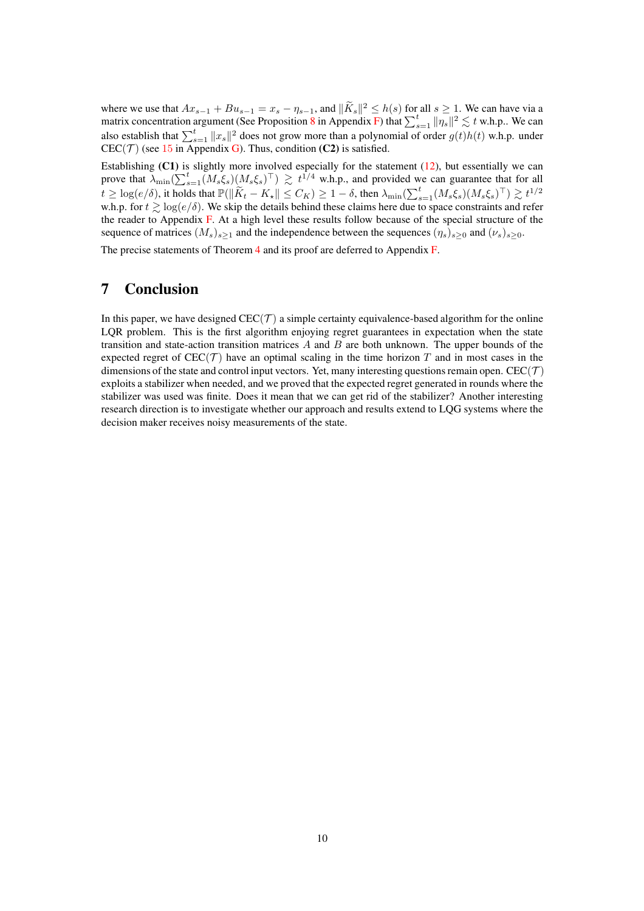where we use that  $Ax_{s-1} + Bu_{s-1} = x_s - \eta_{s-1}$ , and  $\|\tilde{K}_s\|^2 \leq h(s)$  for all  $s \geq 1$ . We can have via a matrix concentration argument (See Proposition [8](#page-59-2) in Appendix [F\)](#page-59-0) that  $\sum_{s=1}^{t} ||\eta_s||^2 \lesssim t$  w.h.p.. We can also establish that  $\sum_{s=1}^{t} ||x_s||^2$  does not grow more than a polynomial of order  $g(t)h(t)$  w.h.p. under  $CEC(\mathcal{T})$  (see [15](#page-76-0) in Appendix [G\)](#page-76-1). Thus, condition (C2) is satisfied.

Establishing  $(C1)$  is slightly more involved especially for the statement  $(12)$ , but essentially we can prove that  $\lambda_{\min}(\sum_{s=1}^t (M_s \xi_s)(M_s \xi_s)^{\top}) \geq t^{1/4}$  w.h.p., and provided we can guarantee that for all  $t \geq \log(e/\delta)$ , it holds that  $\mathbb{P}(\|\widetilde{K}_t - K_{\star}\| \leq C_K) \geq 1 - \delta$ , then  $\lambda_{\min}(\sum_{s=1}^t (M_s \xi_s)(M_s \xi_s)^{\top}) \gtrsim t^{1/2}$ w.h.p. for  $t \gtrsim \log(e/\delta)$ . We skip the details behind these claims here due to space constraints and refer the reader to Appendix [F.](#page-59-0) At a high level these results follow because of the special structure of the sequence of matrices  $(M_s)_{s>1}$  and the independence between the sequences  $(\eta_s)_{s>0}$  and  $(\nu_s)_{s>0}$ . The precise statements of Theorem [4](#page-8-2) and its proof are deferred to Appendix [F.](#page-59-0)

## <span id="page-9-0"></span>7 Conclusion

In this paper, we have designed  $CEC(\mathcal{T})$  a simple certainty equivalence-based algorithm for the online LQR problem. This is the first algorithm enjoying regret guarantees in expectation when the state transition and state-action transition matrices  $A$  and  $B$  are both unknown. The upper bounds of the expected regret of  $CEC(\mathcal{T})$  have an optimal scaling in the time horizon T and in most cases in the dimensions of the state and control input vectors. Yet, many interesting questions remain open. CEC( $\mathcal{T}$ ) exploits a stabilizer when needed, and we proved that the expected regret generated in rounds where the stabilizer was used was finite. Does it mean that we can get rid of the stabilizer? Another interesting research direction is to investigate whether our approach and results extend to LQG systems where the decision maker receives noisy measurements of the state.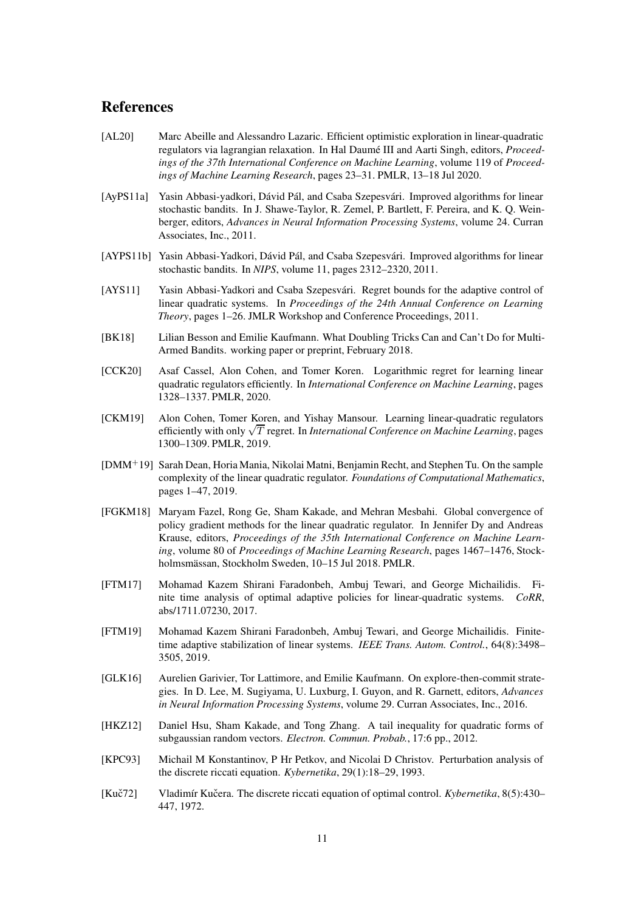### <span id="page-10-7"></span>**References**

- <span id="page-10-2"></span>[AL20] Marc Abeille and Alessandro Lazaric. Efficient optimistic exploration in linear-quadratic regulators via lagrangian relaxation. In Hal Daumé III and Aarti Singh, editors, *Proceedings of the 37th International Conference on Machine Learning*, volume 119 of *Proceedings of Machine Learning Research*, pages 23–31. PMLR, 13–18 Jul 2020.
- <span id="page-10-6"></span>[AyPS11a] Yasin Abbasi-yadkori, Dávid Pál, and Csaba Szepesvári. Improved algorithms for linear stochastic bandits. In J. Shawe-Taylor, R. Zemel, P. Bartlett, F. Pereira, and K. Q. Weinberger, editors, *Advances in Neural Information Processing Systems*, volume 24. Curran Associates, Inc., 2011.
- [AYPS11b] Yasin Abbasi-Yadkori, Dávid Pál, and Csaba Szepesvári. Improved algorithms for linear stochastic bandits. In *NIPS*, volume 11, pages 2312–2320, 2011.
- <span id="page-10-0"></span>[AYS11] Yasin Abbasi-Yadkori and Csaba Szepesvári. Regret bounds for the adaptive control of linear quadratic systems. In *Proceedings of the 24th Annual Conference on Learning Theory*, pages 1–26. JMLR Workshop and Conference Proceedings, 2011.
- <span id="page-10-8"></span>[BK18] Lilian Besson and Emilie Kaufmann. What Doubling Tricks Can and Can't Do for Multi-Armed Bandits. working paper or preprint, February 2018.
- <span id="page-10-3"></span>[CCK20] Asaf Cassel, Alon Cohen, and Tomer Koren. Logarithmic regret for learning linear quadratic regulators efficiently. In *International Conference on Machine Learning*, pages 1328–1337. PMLR, 2020.
- <span id="page-10-1"></span>[CKM19] Alon Cohen, Tomer Koren, and Yishay Mansour. Learning linear-quadratic regulators efficiently with only <sup>√</sup> T regret. In *International Conference on Machine Learning*, pages 1300–1309. PMLR, 2019.
- [DMM<sup>+</sup>19] Sarah Dean, Horia Mania, Nikolai Matni, Benjamin Recht, and Stephen Tu. On the sample complexity of the linear quadratic regulator. *Foundations of Computational Mathematics*, pages 1–47, 2019.
- [FGKM18] Maryam Fazel, Rong Ge, Sham Kakade, and Mehran Mesbahi. Global convergence of policy gradient methods for the linear quadratic regulator. In Jennifer Dy and Andreas Krause, editors, *Proceedings of the 35th International Conference on Machine Learning*, volume 80 of *Proceedings of Machine Learning Research*, pages 1467–1476, Stockholmsmässan, Stockholm Sweden, 10–15 Jul 2018. PMLR.
- <span id="page-10-4"></span>[FTM17] Mohamad Kazem Shirani Faradonbeh, Ambuj Tewari, and George Michailidis. Finite time analysis of optimal adaptive policies for linear-quadratic systems. *CoRR*, abs/1711.07230, 2017.
- <span id="page-10-10"></span>[FTM19] Mohamad Kazem Shirani Faradonbeh, Ambuj Tewari, and George Michailidis. Finitetime adaptive stabilization of linear systems. *IEEE Trans. Autom. Control.*, 64(8):3498– 3505, 2019.
- <span id="page-10-9"></span>[GLK16] Aurelien Garivier, Tor Lattimore, and Emilie Kaufmann. On explore-then-commit strategies. In D. Lee, M. Sugiyama, U. Luxburg, I. Guyon, and R. Garnett, editors, *Advances in Neural Information Processing Systems*, volume 29. Curran Associates, Inc., 2016.
- [HKZ12] Daniel Hsu, Sham Kakade, and Tong Zhang. A tail inequality for quadratic forms of subgaussian random vectors. *Electron. Commun. Probab.*, 17:6 pp., 2012.
- <span id="page-10-11"></span>[KPC93] Michail M Konstantinov, P Hr Petkov, and Nicolai D Christov. Perturbation analysis of the discrete riccati equation. *Kybernetika*, 29(1):18–29, 1993.
- <span id="page-10-5"></span>[Kuč72] Vladimír Kučera. The discrete riccati equation of optimal control. *Kybernetika*, 8(5):430– 447, 1972.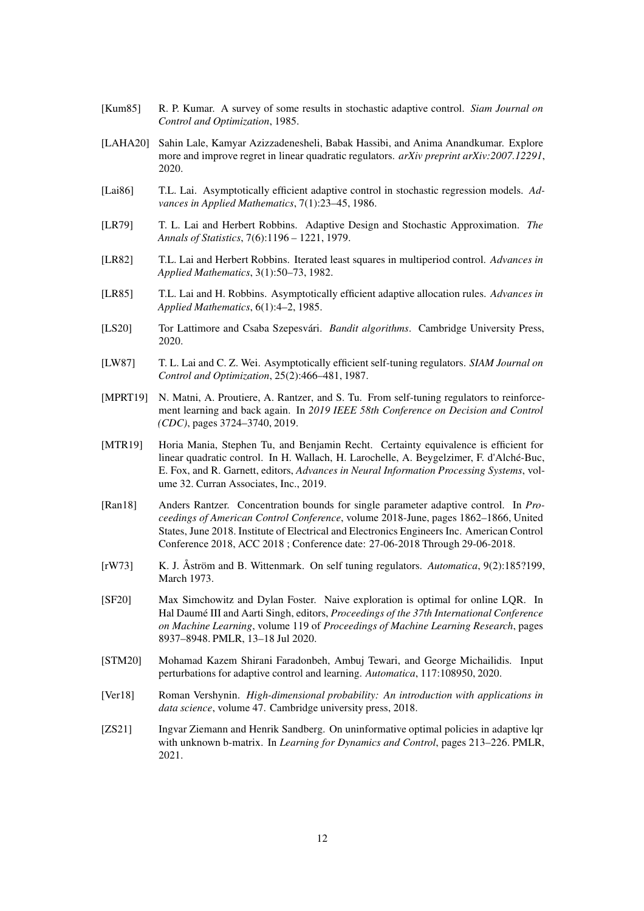- <span id="page-11-3"></span>[Kum85] R. P. Kumar. A survey of some results in stochastic adaptive control. *Siam Journal on Control and Optimization*, 1985.
- <span id="page-11-7"></span>[LAHA20] Sahin Lale, Kamyar Azizzadenesheli, Babak Hassibi, and Anima Anandkumar. Explore more and improve regret in linear quadratic regulators. *arXiv preprint arXiv:2007.12291*, 2020.
- <span id="page-11-1"></span>[Lai86] T.L. Lai. Asymptotically efficient adaptive control in stochastic regression models. *Advances in Applied Mathematics*, 7(1):23–45, 1986.
- <span id="page-11-14"></span>[LR79] T. L. Lai and Herbert Robbins. Adaptive Design and Stochastic Approximation. *The Annals of Statistics*, 7(6):1196 – 1221, 1979.
- <span id="page-11-13"></span>[LR82] T.L. Lai and Herbert Robbins. Iterated least squares in multiperiod control. *Advances in Applied Mathematics*, 3(1):50–73, 1982.
- <span id="page-11-11"></span>[LR85] T.L. Lai and H. Robbins. Asymptotically efficient adaptive allocation rules. *Advances in Applied Mathematics*, 6(1):4–2, 1985.
- <span id="page-11-12"></span>[LS20] Tor Lattimore and Csaba Szepesvári. *Bandit algorithms*. Cambridge University Press, 2020.
- <span id="page-11-4"></span>[LW87] T. L. Lai and C. Z. Wei. Asymptotically efficient self-tuning regulators. *SIAM Journal on Control and Optimization*, 25(2):466–481, 1987.
- <span id="page-11-9"></span>[MPRT19] N. Matni, A. Proutiere, A. Rantzer, and S. Tu. From self-tuning regulators to reinforcement learning and back again. In *2019 IEEE 58th Conference on Decision and Control (CDC)*, pages 3724–3740, 2019.
- <span id="page-11-5"></span>[MTR19] Horia Mania, Stephen Tu, and Benjamin Recht. Certainty equivalence is efficient for linear quadratic control. In H. Wallach, H. Larochelle, A. Beygelzimer, F. d'Alché-Buc, E. Fox, and R. Garnett, editors, *Advances in Neural Information Processing Systems*, volume 32. Curran Associates, Inc., 2019.
- <span id="page-11-10"></span>[Ran18] Anders Rantzer. Concentration bounds for single parameter adaptive control. In *Proceedings of American Control Conference*, volume 2018-June, pages 1862–1866, United States, June 2018. Institute of Electrical and Electronics Engineers Inc. American Control Conference 2018, ACC 2018 ; Conference date: 27-06-2018 Through 29-06-2018.
- <span id="page-11-2"></span>[rW73] K. J. Åström and B. Wittenmark. On self tuning regulators. *Automatica*, 9(2):185?199, March 1973.
- <span id="page-11-0"></span>[SF20] Max Simchowitz and Dylan Foster. Naive exploration is optimal for online LQR. In Hal Daumé III and Aarti Singh, editors, *Proceedings of the 37th International Conference on Machine Learning*, volume 119 of *Proceedings of Machine Learning Research*, pages 8937–8948. PMLR, 13–18 Jul 2020.
- <span id="page-11-6"></span>[STM20] Mohamad Kazem Shirani Faradonbeh, Ambuj Tewari, and George Michailidis. Input perturbations for adaptive control and learning. *Automatica*, 117:108950, 2020.
- [Ver18] Roman Vershynin. *High-dimensional probability: An introduction with applications in data science*, volume 47. Cambridge university press, 2018.
- <span id="page-11-8"></span>[ZS21] Ingvar Ziemann and Henrik Sandberg. On uninformative optimal policies in adaptive lqr with unknown b-matrix. In *Learning for Dynamics and Control*, pages 213–226. PMLR, 2021.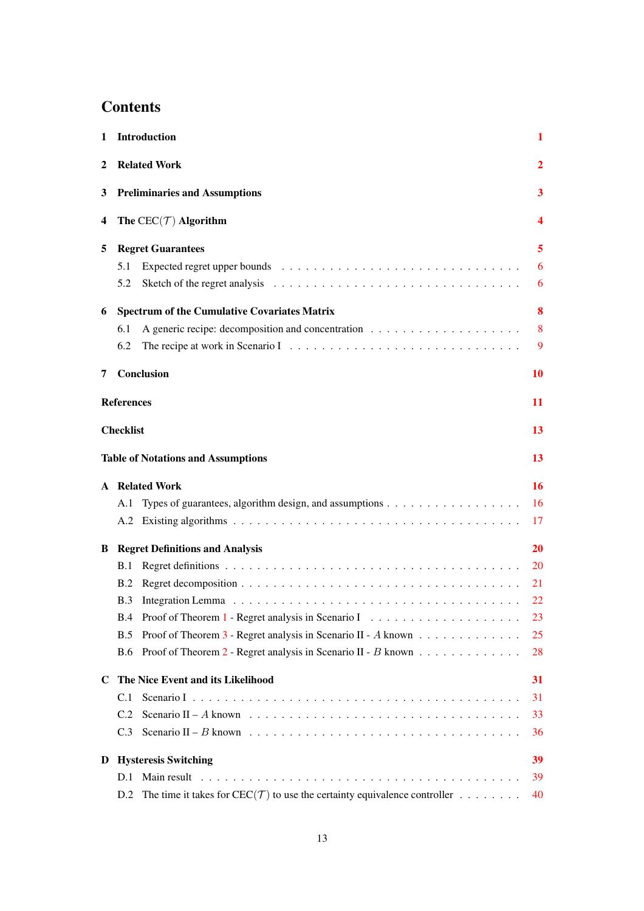# **Contents**

| 1                                     | <b>Introduction</b>                                                                                                                                                                                                                                                                                                                                                                                                                                                                                                                                                          |    |  |  |
|---------------------------------------|------------------------------------------------------------------------------------------------------------------------------------------------------------------------------------------------------------------------------------------------------------------------------------------------------------------------------------------------------------------------------------------------------------------------------------------------------------------------------------------------------------------------------------------------------------------------------|----|--|--|
| 2                                     | <b>Related Work</b>                                                                                                                                                                                                                                                                                                                                                                                                                                                                                                                                                          | 2  |  |  |
| 3                                     | <b>Preliminaries and Assumptions</b>                                                                                                                                                                                                                                                                                                                                                                                                                                                                                                                                         | 3  |  |  |
| The $CEC(\mathcal{T})$ Algorithm<br>4 |                                                                                                                                                                                                                                                                                                                                                                                                                                                                                                                                                                              |    |  |  |
| 5                                     | <b>Regret Guarantees</b>                                                                                                                                                                                                                                                                                                                                                                                                                                                                                                                                                     | 5  |  |  |
|                                       | 5.1                                                                                                                                                                                                                                                                                                                                                                                                                                                                                                                                                                          | 6  |  |  |
|                                       | 5.2                                                                                                                                                                                                                                                                                                                                                                                                                                                                                                                                                                          | 6  |  |  |
| 6                                     | <b>Spectrum of the Cumulative Covariates Matrix</b>                                                                                                                                                                                                                                                                                                                                                                                                                                                                                                                          | 8  |  |  |
|                                       | 6.1                                                                                                                                                                                                                                                                                                                                                                                                                                                                                                                                                                          | 8  |  |  |
|                                       | 6.2                                                                                                                                                                                                                                                                                                                                                                                                                                                                                                                                                                          | 9  |  |  |
| 7                                     | Conclusion                                                                                                                                                                                                                                                                                                                                                                                                                                                                                                                                                                   | 10 |  |  |
|                                       | <b>References</b>                                                                                                                                                                                                                                                                                                                                                                                                                                                                                                                                                            | 11 |  |  |
|                                       | 1<br>$\boldsymbol{4}$<br><b>Checklist</b><br>13<br>13<br>16<br>16<br>A.1<br>17<br>20<br>20<br><b>B.1</b><br>21<br>B.2<br><b>B.3</b><br>22<br>23<br>B.4<br>Proof of Theorem 3 - Regret analysis in Scenario II - A known $\dots \dots \dots \dots \dots$<br>B.5<br>25<br><b>B.6</b><br>28<br>31<br>31<br>C.1<br>Scenario II – A known $\ldots \ldots \ldots \ldots \ldots \ldots \ldots \ldots \ldots \ldots \ldots \ldots$<br>C.2<br>33<br>C.3<br>36<br>39<br>39<br>D.1<br>The time it takes for $\text{CEC}(\mathcal{T})$ to use the certainty equivalence controller<br>40 |    |  |  |
|                                       | <b>Table of Notations and Assumptions</b>                                                                                                                                                                                                                                                                                                                                                                                                                                                                                                                                    |    |  |  |
|                                       | <b>A</b> Related Work                                                                                                                                                                                                                                                                                                                                                                                                                                                                                                                                                        |    |  |  |
|                                       |                                                                                                                                                                                                                                                                                                                                                                                                                                                                                                                                                                              |    |  |  |
|                                       |                                                                                                                                                                                                                                                                                                                                                                                                                                                                                                                                                                              |    |  |  |
| B                                     | <b>Regret Definitions and Analysis</b>                                                                                                                                                                                                                                                                                                                                                                                                                                                                                                                                       |    |  |  |
|                                       |                                                                                                                                                                                                                                                                                                                                                                                                                                                                                                                                                                              |    |  |  |
|                                       |                                                                                                                                                                                                                                                                                                                                                                                                                                                                                                                                                                              |    |  |  |
|                                       |                                                                                                                                                                                                                                                                                                                                                                                                                                                                                                                                                                              |    |  |  |
|                                       |                                                                                                                                                                                                                                                                                                                                                                                                                                                                                                                                                                              |    |  |  |
|                                       |                                                                                                                                                                                                                                                                                                                                                                                                                                                                                                                                                                              |    |  |  |
|                                       |                                                                                                                                                                                                                                                                                                                                                                                                                                                                                                                                                                              |    |  |  |
|                                       | C The Nice Event and its Likelihood                                                                                                                                                                                                                                                                                                                                                                                                                                                                                                                                          |    |  |  |
|                                       |                                                                                                                                                                                                                                                                                                                                                                                                                                                                                                                                                                              |    |  |  |
|                                       |                                                                                                                                                                                                                                                                                                                                                                                                                                                                                                                                                                              |    |  |  |
|                                       |                                                                                                                                                                                                                                                                                                                                                                                                                                                                                                                                                                              |    |  |  |
| D                                     | <b>Hysteresis Switching</b>                                                                                                                                                                                                                                                                                                                                                                                                                                                                                                                                                  |    |  |  |
|                                       |                                                                                                                                                                                                                                                                                                                                                                                                                                                                                                                                                                              |    |  |  |
|                                       | D.2                                                                                                                                                                                                                                                                                                                                                                                                                                                                                                                                                                          |    |  |  |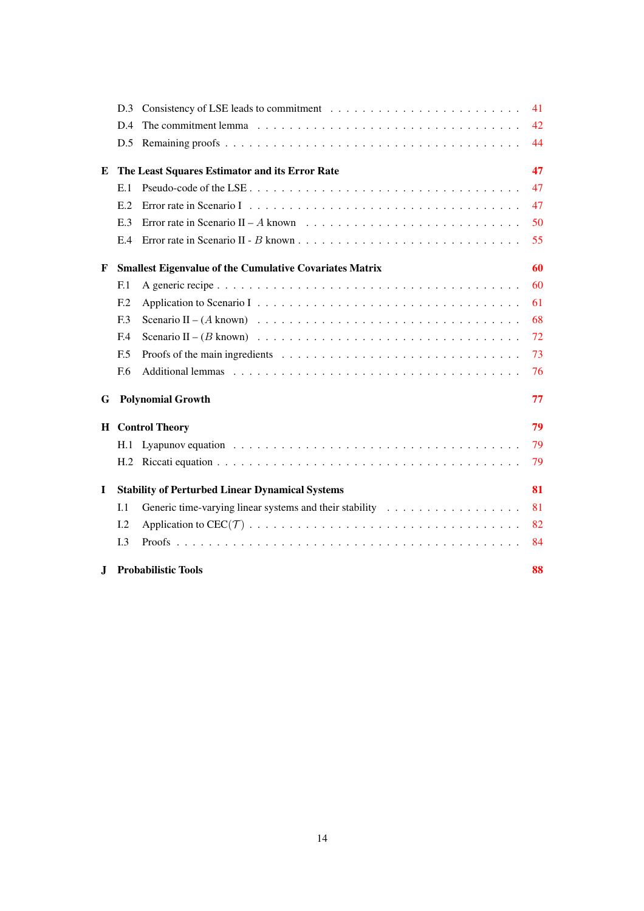|    | D.3                                                                  |                                                                                                          | 41 |  |  |
|----|----------------------------------------------------------------------|----------------------------------------------------------------------------------------------------------|----|--|--|
|    | D.4                                                                  |                                                                                                          | 42 |  |  |
|    | D.5                                                                  |                                                                                                          | 44 |  |  |
| E  | The Least Squares Estimator and its Error Rate                       |                                                                                                          |    |  |  |
|    | E.1                                                                  |                                                                                                          | 47 |  |  |
|    | E.2                                                                  |                                                                                                          | 47 |  |  |
|    | E.3                                                                  | Error rate in Scenario $II - A$ known $\ldots \ldots \ldots \ldots \ldots \ldots \ldots \ldots \ldots$   | 50 |  |  |
|    | E.4                                                                  |                                                                                                          | 55 |  |  |
| F  | 60<br><b>Smallest Eigenvalue of the Cumulative Covariates Matrix</b> |                                                                                                          |    |  |  |
|    | F <sub>1</sub>                                                       |                                                                                                          | 60 |  |  |
|    | E <sub>12</sub>                                                      |                                                                                                          | 61 |  |  |
|    | F <sub>13</sub>                                                      |                                                                                                          | 68 |  |  |
|    | F <sub>4</sub>                                                       |                                                                                                          | 72 |  |  |
|    | E.5                                                                  | Proofs of the main ingredients $\dots \dots \dots \dots \dots \dots \dots \dots \dots \dots \dots \dots$ | 73 |  |  |
|    | F.6                                                                  |                                                                                                          | 76 |  |  |
| G  |                                                                      | <b>Polynomial Growth</b>                                                                                 | 77 |  |  |
|    |                                                                      | <b>H</b> Control Theory                                                                                  | 79 |  |  |
|    | H.1                                                                  |                                                                                                          | 79 |  |  |
|    | H.2                                                                  |                                                                                                          | 79 |  |  |
| L  |                                                                      | <b>Stability of Perturbed Linear Dynamical Systems</b>                                                   | 81 |  |  |
|    | I.1                                                                  |                                                                                                          | 81 |  |  |
|    | I.2                                                                  |                                                                                                          | 82 |  |  |
|    | I.3                                                                  |                                                                                                          | 84 |  |  |
| J. | <b>Probabilistic Tools</b><br>88                                     |                                                                                                          |    |  |  |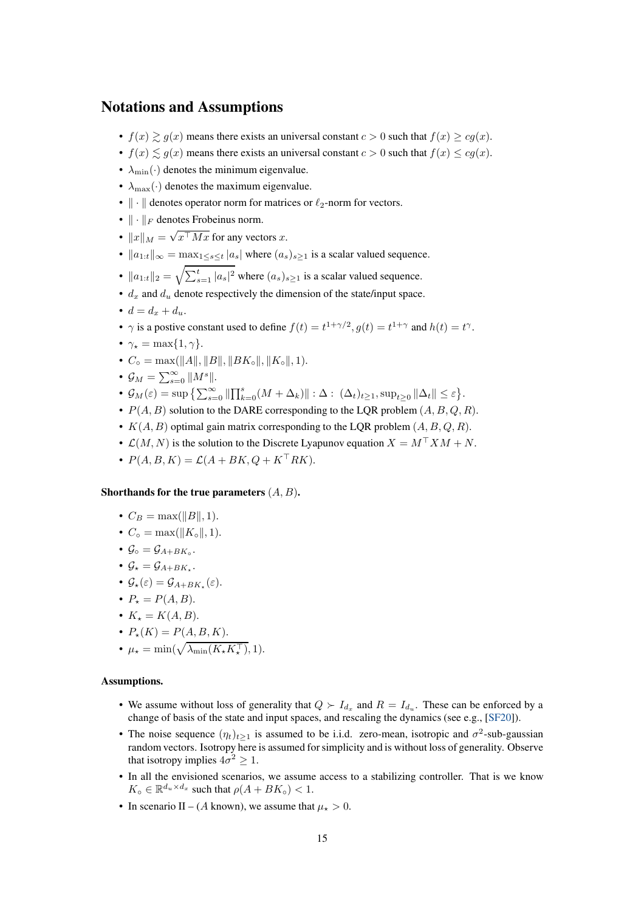## Notations and Assumptions

- $f(x) \geq g(x)$  means there exists an universal constant  $c > 0$  such that  $f(x) \geq cg(x)$ .
- $f(x) \lesssim g(x)$  means there exists an universal constant  $c > 0$  such that  $f(x) \leq cg(x)$ .
- $\lambda_{\min}(\cdot)$  denotes the minimum eigenvalue.
- $\lambda_{\text{max}}(\cdot)$  denotes the maximum eigenvalue.
- $\|\cdot\|$  denotes operator norm for matrices or  $\ell_2$ -norm for vectors.
- $\|\cdot\|_F$  denotes Frobeinus norm.
- $||x||_M = \sqrt{x^{\top} M x}$  for any vectors x.
- $||a_{1:t}||_{\infty} = \max_{1 \leq s \leq t} |a_s|$  where  $(a_s)_{s>1}$  is a scalar valued sequence.
- $||a_{1:t}||_2 = \sqrt{\sum_{s=1}^t |a_s|^2}$  where  $(a_s)_{s\geq 1}$  is a scalar valued sequence.
- $d_x$  and  $d_y$  denote respectively the dimension of the state/input space.
- $d = d_x + d_u$ .
- $\gamma$  is a postive constant used to define  $f(t) = t^{1+\gamma/2}$ ,  $g(t) = t^{1+\gamma}$  and  $h(t) = t^{\gamma}$ .
- $\gamma_{\star} = \max\{1, \gamma\}.$
- $C_{\circ} = \max(||A||, ||B||, ||BK_{\circ}||, ||K_{\circ}||, 1).$
- $\mathcal{G}_M = \sum_{s=0}^{\infty} ||M^s||.$
- $\mathcal{G}_M(\varepsilon) = \sup \left\{ \sum_{s=0}^{\infty} \left\| \prod_{k=0}^s (M + \Delta_k) \right\| : \Delta : (\Delta_t)_{t \geq 1}, \sup_{t \geq 0} \|\Delta_t\| \leq \varepsilon \right\}.$
- $P(A, B)$  solution to the DARE corresponding to the LQR problem  $(A, B, Q, R)$ .
- $K(A, B)$  optimal gain matrix corresponding to the LQR problem  $(A, B, Q, R)$ .
- $\mathcal{L}(M, N)$  is the solution to the Discrete Lyapunov equation  $X = M^{\top} X M + N$ .
- $P(A, B, K) = \mathcal{L}(A + BK, Q + K^{\top}RK).$

### Shorthands for the true parameters  $(A, B)$ .

- $C_B = \max(||B||, 1)$ .
- $C_{\circ} = \max(||K_{\circ}||, 1).$
- $\mathcal{G}_{\circ} = \mathcal{G}_{A+BK_{\circ}}.$
- $\mathcal{G}_* = \mathcal{G}_{A+BK_*}.$
- $\mathcal{G}_{\star}(\varepsilon) = \mathcal{G}_{A+BK_{\star}}(\varepsilon).$
- $P_+ = P(A, B)$ .
- $K_{\star} = K(A, B)$ .
- $P_*(K) = P(A, B, K).$
- $\mu_{\star} = \min(\sqrt{\lambda_{\min}(K_{\star}K_{\star}^{\top})}, 1).$

### Assumptions.

- We assume without loss of generality that  $Q \succ I_{d_x}$  and  $R = I_{d_u}$ . These can be enforced by a change of basis of the state and input spaces, and rescaling the dynamics (see e.g., [\[SF20\]](#page-11-0)).
- The noise sequence  $(\eta_t)_{t\geq 1}$  is assumed to be i.i.d. zero-mean, isotropic and  $\sigma^2$ -sub-gaussian random vectors. Isotropy here is assumed for simplicity and is without loss of generality. Observe that isotropy implies  $4\sigma^2 \geq 1$ .
- In all the envisioned scenarios, we assume access to a stabilizing controller. That is we know  $K_{\circ} \in \mathbb{R}^{d_u \times d_x}$  such that  $\rho(A + BK_{\circ}) < 1$ .
- In scenario II (A known), we assume that  $\mu_{\star} > 0$ .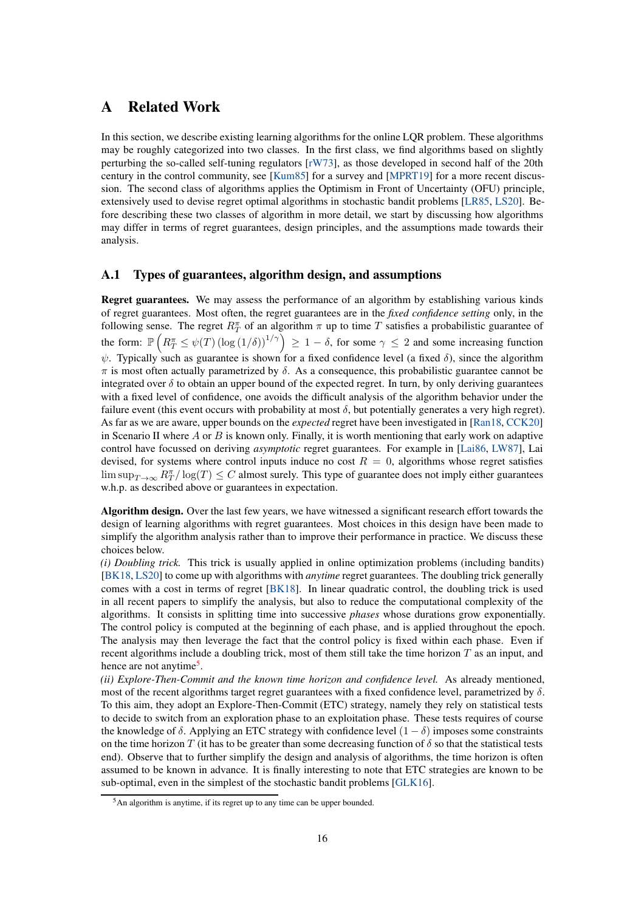# <span id="page-15-0"></span>A Related Work

In this section, we describe existing learning algorithms for the online LQR problem. These algorithms may be roughly categorized into two classes. In the first class, we find algorithms based on slightly perturbing the so-called self-tuning regulators [\[rW73\]](#page-11-2), as those developed in second half of the 20th century in the control community, see [\[Kum85\]](#page-11-3) for a survey and [\[MPRT19\]](#page-11-9) for a more recent discussion. The second class of algorithms applies the Optimism in Front of Uncertainty (OFU) principle, extensively used to devise regret optimal algorithms in stochastic bandit problems [\[LR85,](#page-11-11) [LS20\]](#page-11-12). Before describing these two classes of algorithm in more detail, we start by discussing how algorithms may differ in terms of regret guarantees, design principles, and the assumptions made towards their analysis.

### <span id="page-15-1"></span>A.1 Types of guarantees, algorithm design, and assumptions

Regret guarantees. We may assess the performance of an algorithm by establishing various kinds of regret guarantees. Most often, the regret guarantees are in the *fixed confidence setting* only, in the following sense. The regret  $R_T^{\pi}$  of an algorithm  $\pi$  up to time T satisfies a probabilistic guarantee of the form:  $\mathbb{P}\left(R_T^{\pi} \leq \psi(T) \left(\log(1/\delta)\right)^{1/\gamma}\right) \geq 1 - \delta$ , for some  $\gamma \leq 2$  and some increasing function  $\psi$ . Typically such as guarantee is shown for a fixed confidence level (a fixed  $\delta$ ), since the algorithm  $\pi$  is most often actually parametrized by  $\delta$ . As a consequence, this probabilistic guarantee cannot be integrated over  $\delta$  to obtain an upper bound of the expected regret. In turn, by only deriving guarantees with a fixed level of confidence, one avoids the difficult analysis of the algorithm behavior under the failure event (this event occurs with probability at most  $\delta$ , but potentially generates a very high regret). As far as we are aware, upper bounds on the *expected* regret have been investigated in [\[Ran18,](#page-11-10) [CCK20\]](#page-10-3) in Scenario II where  $A$  or  $B$  is known only. Finally, it is worth mentioning that early work on adaptive control have focussed on deriving *asymptotic* regret guarantees. For example in [\[Lai86,](#page-11-1) [LW87\]](#page-11-4), Lai devised, for systems where control inputs induce no cost  $R = 0$ , algorithms whose regret satisfies  $\limsup_{T\to\infty} R_T^{\pi}/\log(T) \leq C$  almost surely. This type of guarantee does not imply either guarantees w.h.p. as described above or guarantees in expectation.

Algorithm design. Over the last few years, we have witnessed a significant research effort towards the design of learning algorithms with regret guarantees. Most choices in this design have been made to simplify the algorithm analysis rather than to improve their performance in practice. We discuss these choices below.

*(i) Doubling trick.* This trick is usually applied in online optimization problems (including bandits) [\[BK18,](#page-10-8) [LS20\]](#page-11-12) to come up with algorithms with *anytime* regret guarantees. The doubling trick generally comes with a cost in terms of regret [\[BK18\]](#page-10-8). In linear quadratic control, the doubling trick is used in all recent papers to simplify the analysis, but also to reduce the computational complexity of the algorithms. It consists in splitting time into successive *phases* whose durations grow exponentially. The control policy is computed at the beginning of each phase, and is applied throughout the epoch. The analysis may then leverage the fact that the control policy is fixed within each phase. Even if recent algorithms include a doubling trick, most of them still take the time horizon  $T$  as an input, and hence are not anytime<sup>[5](#page-15-2)</sup>.

*(ii) Explore-Then-Commit and the known time horizon and confidence level.* As already mentioned, most of the recent algorithms target regret guarantees with a fixed confidence level, parametrized by  $\delta$ . To this aim, they adopt an Explore-Then-Commit (ETC) strategy, namely they rely on statistical tests to decide to switch from an exploration phase to an exploitation phase. These tests requires of course the knowledge of  $\delta$ . Applying an ETC strategy with confidence level  $(1 - \delta)$  imposes some constraints on the time horizon T (it has to be greater than some decreasing function of  $\delta$  so that the statistical tests end). Observe that to further simplify the design and analysis of algorithms, the time horizon is often assumed to be known in advance. It is finally interesting to note that ETC strategies are known to be sub-optimal, even in the simplest of the stochastic bandit problems [\[GLK16\]](#page-10-9).

<span id="page-15-2"></span><sup>5</sup>An algorithm is anytime, if its regret up to any time can be upper bounded.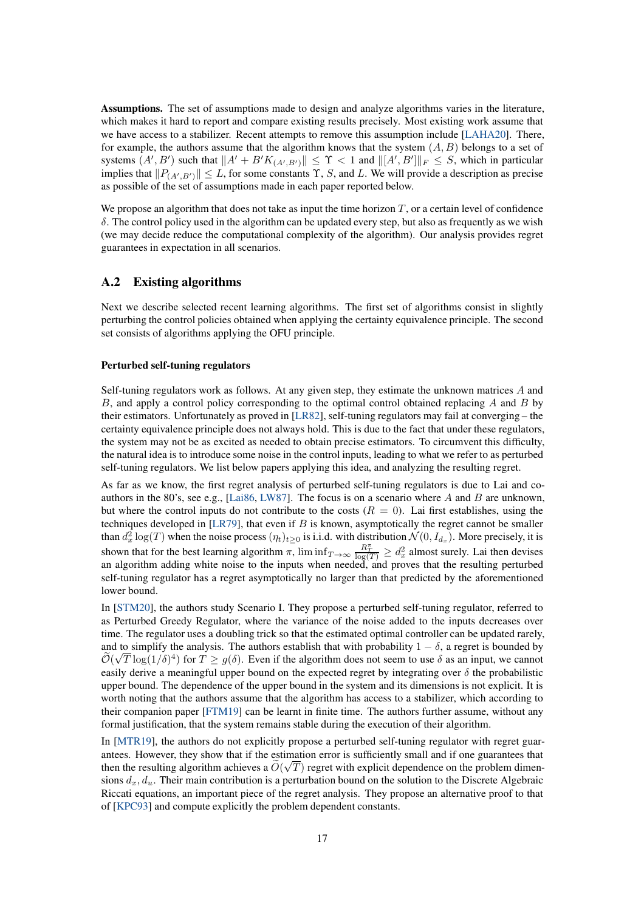Assumptions. The set of assumptions made to design and analyze algorithms varies in the literature, which makes it hard to report and compare existing results precisely. Most existing work assume that we have access to a stabilizer. Recent attempts to remove this assumption include [\[LAHA20\]](#page-11-7). There, for example, the authors assume that the algorithm knows that the system  $(A, B)$  belongs to a set of systems  $(A', B')$  such that  $||A' + B'K_{(A', B')}|| \leq \Upsilon < 1$  and  $||[A', B']||_F \leq S$ , which in particular implies that  $||P_{(A',B')}|| \leq L$ , for some constants  $\Upsilon$ , S, and L. We will provide a description as precise as possible of the set of assumptions made in each paper reported below.

We propose an algorithm that does not take as input the time horizon  $T$ , or a certain level of confidence  $\delta$ . The control policy used in the algorithm can be updated every step, but also as frequently as we wish (we may decide reduce the computational complexity of the algorithm). Our analysis provides regret guarantees in expectation in all scenarios.

### <span id="page-16-0"></span>A.2 Existing algorithms

Next we describe selected recent learning algorithms. The first set of algorithms consist in slightly perturbing the control policies obtained when applying the certainty equivalence principle. The second set consists of algorithms applying the OFU principle.

#### Perturbed self-tuning regulators

Self-tuning regulators work as follows. At any given step, they estimate the unknown matrices A and B, and apply a control policy corresponding to the optimal control obtained replacing A and B by their estimators. Unfortunately as proved in [\[LR82\]](#page-11-13), self-tuning regulators may fail at converging – the certainty equivalence principle does not always hold. This is due to the fact that under these regulators, the system may not be as excited as needed to obtain precise estimators. To circumvent this difficulty, the natural idea is to introduce some noise in the control inputs, leading to what we refer to as perturbed self-tuning regulators. We list below papers applying this idea, and analyzing the resulting regret.

As far as we know, the first regret analysis of perturbed self-tuning regulators is due to Lai and co-authors in the 80's, see e.g., [\[Lai86,](#page-11-1) [LW87\]](#page-11-4). The focus is on a scenario where A and B are unknown, but where the control inputs do not contribute to the costs  $(R = 0)$ . Lai first establishes, using the techniques developed in  $[LR79]$ , that even if B is known, asymptotically the regret cannot be smaller than  $d_x^2 \log(T)$  when the noise process  $(\eta_t)_{t \geq 0}$  is i.i.d. with distribution  $\mathcal{N}(0, I_{d_x})$ . More precisely, it is shown that for the best learning algorithm  $\pi$ ,  $\liminf_{T\to\infty} \frac{R_T^2}{\log(T)} \geq d_x^2$  almost surely. Lai then devises an algorithm adding white noise to the inputs when needed, and proves that the resulting perturbed self-tuning regulator has a regret asymptotically no larger than that predicted by the aforementioned lower bound.

In [\[STM20\]](#page-11-6), the authors study Scenario I. They propose a perturbed self-tuning regulator, referred to as Perturbed Greedy Regulator, where the variance of the noise added to the inputs decreases over time. The regulator uses a doubling trick so that the estimated optimal controller can be updated rarely, and to simplify the analysis. The authors establish that with probability  $1 - \delta$ , a regret is bounded by  $\tilde{\mathcal{O}}(\sqrt{T}\log(1/\delta)^4)$  for  $T \geq g(\delta)$ . Even if the algorithm does not seem to use  $\delta$  as an input, we cannot easily derive a meaningful upper bound on the expected regret by integrating over  $\delta$  the probabilistic upper bound. The dependence of the upper bound in the system and its dimensions is not explicit. It is worth noting that the authors assume that the algorithm has access to a stabilizer, which according to their companion paper [\[FTM19\]](#page-10-10) can be learnt in finite time. The authors further assume, without any formal justification, that the system remains stable during the execution of their algorithm.

In [\[MTR19\]](#page-11-5), the authors do not explicitly propose a perturbed self-tuning regulator with regret guarantees. However, they show that if the estimation error is sufficiently small and if one guarantees that then the resulting algorithm achieves a  $\tilde{O}(\sqrt{T})$  regret with explicit dependence on the problem dimensions  $d_x, d_y$ . Their main contribution is a perturbation bound on the solution to the Discrete Algebraic Riccati equations, an important piece of the regret analysis. They propose an alternative proof to that of [\[KPC93\]](#page-10-11) and compute explicitly the problem dependent constants.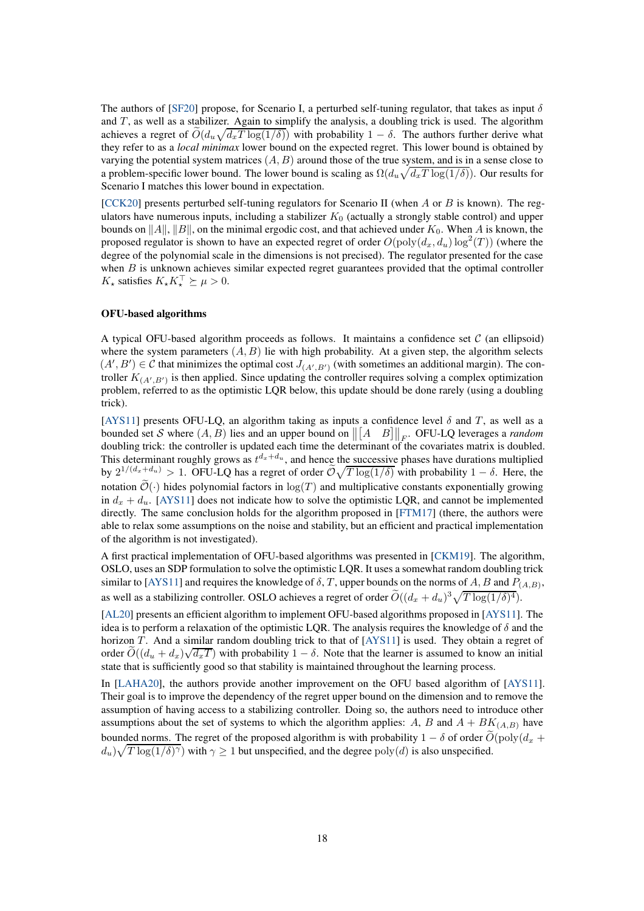The authors of [\[SF20\]](#page-11-0) propose, for Scenario I, a perturbed self-tuning regulator, that takes as input  $\delta$ and  $T$ , as well as a stabilizer. Again to simplify the analysis, a doubling trick is used. The algorithm achieves a regret of  $\tilde{O}(d_u\sqrt{d_xT \log(1/\delta)})$  with probability  $1-\delta$ . The authors further derive what they refer to as a *local minimax* lower bound on the expected regret. This lower bound is obtained by varying the potential system matrices  $(A, B)$  around those of the true system, and is in a sense close to a problem-specific lower bound. The lower bound is scaling as  $\Omega(d_u\sqrt{d_xT\log(1/\delta)})$ . Our results for Scenario I matches this lower bound in expectation.

[\[CCK20\]](#page-10-3) presents perturbed self-tuning regulators for Scenario II (when A or B is known). The regulators have numerous inputs, including a stabilizer  $K_0$  (actually a strongly stable control) and upper bounds on  $||A||$ ,  $||B||$ , on the minimal ergodic cost, and that achieved under  $K_0$ . When A is known, the proposed regulator is shown to have an expected regret of order  $O(\mathrm{poly}(d_x,d_u)\log^2(T))$  (where the degree of the polynomial scale in the dimensions is not precised). The regulator presented for the case when  $B$  is unknown achieves similar expected regret guarantees provided that the optimal controller  $K_{\star}$  satisfies  $K_{\star}K_{\star}^{\perp} \succeq \mu > 0$ .

#### OFU-based algorithms

A typical OFU-based algorithm proceeds as follows. It maintains a confidence set  $\mathcal C$  (an ellipsoid) where the system parameters  $(A, B)$  lie with high probability. At a given step, the algorithm selects  $(A', B') \in \mathcal{C}$  that minimizes the optimal cost  $J_{(A', B')}$  (with sometimes an additional margin). The controller  $K_{(A',B')}$  is then applied. Since updating the controller requires solving a complex optimization problem, referred to as the optimistic LQR below, this update should be done rarely (using a doubling trick).

[\[AYS11\]](#page-10-0) presents OFU-LQ, an algorithm taking as inputs a confidence level  $\delta$  and T, as well as a bounded set S where  $(A, B)$  lies and an upper bound on  $\left\| \begin{bmatrix} A & B \end{bmatrix} \right\|_F$ . OFU-LQ leverages a *random* doubling trick: the controller is updated each time the determinant of the covariates matrix is doubled. This determinant roughly grows as  $t^{d_x+d_u}$ , and hence the successive phases have durations multiplied by  $2^{1/(d_x+d_u)} > 1$ . OFU-LQ has a regret of order  $\tilde{\mathcal{O}}\sqrt{T \log(1/\delta)}$  with probability  $1-\delta$ . Here, the notation  $\mathcal{O}(\cdot)$  hides polynomial factors in  $\log(T)$  and multiplicative constants exponentially growing in  $d_x + d_y$ . [\[AYS11\]](#page-10-0) does not indicate how to solve the optimistic LQR, and cannot be implemented directly. The same conclusion holds for the algorithm proposed in [\[FTM17\]](#page-10-4) (there, the authors were able to relax some assumptions on the noise and stability, but an efficient and practical implementation of the algorithm is not investigated).

A first practical implementation of OFU-based algorithms was presented in [\[CKM19\]](#page-10-1). The algorithm, OSLO, uses an SDP formulation to solve the optimistic LQR. It uses a somewhat random doubling trick similar to [\[AYS11\]](#page-10-0) and requires the knowledge of  $\delta$ , T, upper bounds on the norms of A, B and  $P_{(A,B)}$ , as well as a stabilizing controller. OSLO achieves a regret of order  $\widetilde{O}((d_x + d_u)^3 \sqrt{T \log(1/\delta)^4})$ .

[\[AL20\]](#page-10-2) presents an efficient algorithm to implement OFU-based algorithms proposed in [\[AYS11\]](#page-10-0). The idea is to perform a relaxation of the optimistic LQR. The analysis requires the knowledge of  $\delta$  and the horizon T. And a similar random doubling trick to that of  $[AYS11]$  is used. They obtain a regret of order  $\widetilde{O}((d_u + d_x)\sqrt{d_xT})$  with probability  $1 - \delta$ . Note that the learner is assumed to know an initial state that is sufficiently good so that stability is maintained throughout the learning process.

In [\[LAHA20\]](#page-11-7), the authors provide another improvement on the OFU based algorithm of [\[AYS11\]](#page-10-0). Their goal is to improve the dependency of the regret upper bound on the dimension and to remove the assumption of having access to a stabilizing controller. Doing so, the authors need to introduce other assumptions about the set of systems to which the algorithm applies: A, B and  $A + BK_{(A,B)}$  have bounded norms. The regret of the proposed algorithm is with probability  $1 - \delta$  of order  $\tilde{O}(\text{poly}(d_x +$  $d_u$ )  $\sqrt{T \log(1/\delta)^\gamma}$  with  $\gamma \ge 1$  but unspecified, and the degree  $\text{poly}(d)$  is also unspecified.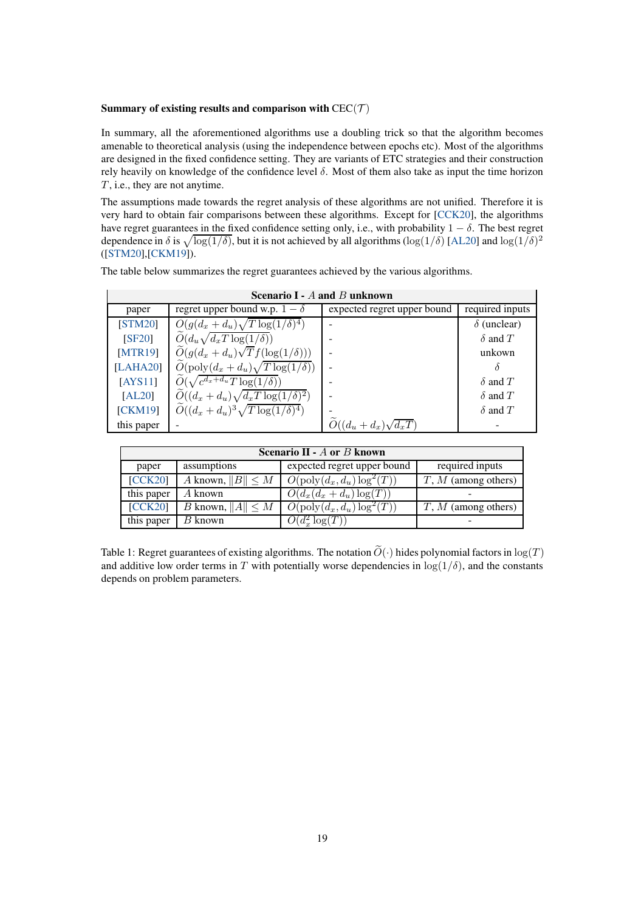#### Summary of existing results and comparison with  $CEC(\mathcal{T})$

In summary, all the aforementioned algorithms use a doubling trick so that the algorithm becomes amenable to theoretical analysis (using the independence between epochs etc). Most of the algorithms are designed in the fixed confidence setting. They are variants of ETC strategies and their construction rely heavily on knowledge of the confidence level  $\delta$ . Most of them also take as input the time horizon  $T$ , i.e., they are not anytime.

The assumptions made towards the regret analysis of these algorithms are not unified. Therefore it is very hard to obtain fair comparisons between these algorithms. Except for [\[CCK20\]](#page-10-3), the algorithms have regret guarantees in the fixed confidence setting only, i.e., with probability  $1 - \delta$ . The best regret dependence in  $\delta$  is  $\sqrt{\log(1/\delta)}$ , but it is not achieved by all algorithms (log(1/ $\delta$ ) [\[AL20\]](#page-10-2) and log(1/ $\delta$ )<sup>2</sup> ([\[STM20\]](#page-11-6),[\[CKM19\]](#page-10-1)).

The table below summarizes the regret guarantees achieved by the various algorithms.

| Scenario I - A and B unknown |                                                    |                             |                    |  |  |  |  |
|------------------------------|----------------------------------------------------|-----------------------------|--------------------|--|--|--|--|
| paper                        | regret upper bound w.p. $1 - \delta$               | expected regret upper bound | required inputs    |  |  |  |  |
| <b>STM20</b>                 | $O(g(d_x+d_u)\sqrt{T\log(1/\delta)^4})$            |                             | $\delta$ (unclear) |  |  |  |  |
| <b>SF20</b>                  | $O(d_u\sqrt{d_xT\log(1/\delta)})$                  |                             | $\delta$ and T     |  |  |  |  |
| MTR19                        | $\tilde{O}(g(d_x+d_u)\sqrt{T}f(\log(1/\delta)))$   |                             | unkown             |  |  |  |  |
| [LAHA20]                     | $O(\text{poly}(d_x + d_u)\sqrt{T \log(1/\delta)})$ |                             |                    |  |  |  |  |
| [AYS11]                      | $\widetilde{O}(\sqrt{c^{d_x+d_u}T\log(1/\delta)})$ |                             | $\delta$ and $T$   |  |  |  |  |
| [AL20]                       | $O((d_x + d_u)\sqrt{d_x T \log(1/\delta)^2})$      |                             | $\delta$ and T     |  |  |  |  |
| [CKM19]                      | $O((d_x + d_u)^3 \sqrt{T \log(1/\delta)^4})$       |                             | $\delta$ and T     |  |  |  |  |
| this paper                   |                                                    | $O((d_u + d_x)\sqrt{d_xT})$ |                    |  |  |  |  |

 $S_{\text{corresponds}}$   $I \quad A \text{ and } B \text{ unless$ 

 $\overline{\mathbf{1}}$ 

| Scenario II - $A$ or $B$ known |                                |                                      |                       |  |  |  |  |
|--------------------------------|--------------------------------|--------------------------------------|-----------------------|--|--|--|--|
| paper                          | assumptions                    | expected regret upper bound          | required inputs       |  |  |  |  |
| [CCK20]                        | A known, $  B   \leq M$        | $O(\text{poly}(d_x, d_u) \log^2(T))$ | $T, M$ (among others) |  |  |  |  |
| this paper                     | A known                        | $O(d_x(d_x+d_u)\log(T))$             |                       |  |  |  |  |
| [CCK20]                        | <i>B</i> known, $  A   \leq M$ | $O(\text{poly}(d_x, d_u) \log^2(T))$ | $T, M$ (among others) |  |  |  |  |
| this paper                     | B known                        | $O(d_x^2 \log(T))$                   |                       |  |  |  |  |

Table 1: Regret guarantees of existing algorithms. The notation  $\widetilde{O}(\cdot)$  hides polynomial factors in  $\log(T)$ and additive low order terms in T with potentially worse dependencies in  $log(1/\delta)$ , and the constants depends on problem parameters.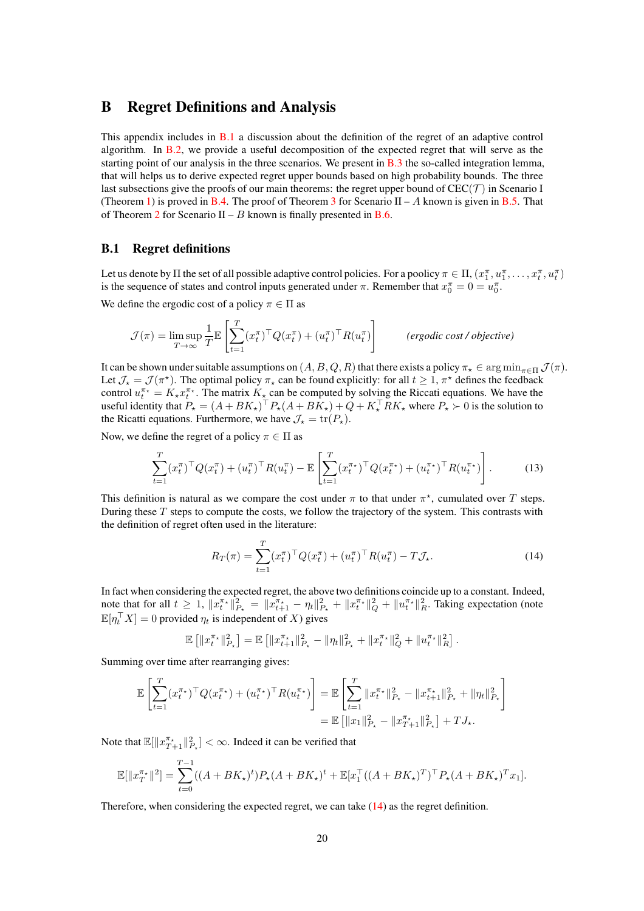### <span id="page-19-0"></span>B Regret Definitions and Analysis

This appendix includes in [B.1](#page-19-1) a discussion about the definition of the regret of an adaptive control algorithm. In [B.2,](#page-20-1) we provide a useful decomposition of the expected regret that will serve as the starting point of our analysis in the three scenarios. We present in  $B.3$  the so-called integration lemma, that will helps us to derive expected regret upper bounds based on high probability bounds. The three last subsections give the proofs of our main theorems: the regret upper bound of  $CEC(\mathcal{T})$  in Scenario I (Theorem [1\)](#page-5-0) is proved in [B.4.](#page-22-0) The proof of Theorem [3](#page-5-2) for Scenario  $II - A$  known is given in [B.5.](#page-24-0) That of Theorem [2](#page-5-1) for Scenario II – B known is finally presented in [B.6.](#page-27-0)

### <span id="page-19-1"></span>B.1 Regret definitions

Let us denote by  $\Pi$  the set of all possible adaptive control policies. For a poolicy  $\pi \in \Pi$ ,  $(x_1^{\pi}, u_1^{\pi}, \ldots, x_t^{\pi}, u_t^{\pi})$ is the sequence of states and control inputs generated under  $\pi$ . Remember that  $x_0^{\pi} = 0 = u_0^{\pi}$ .

We define the ergodic cost of a policy  $\pi \in \Pi$  as

$$
\mathcal{J}(\pi) = \limsup_{T \to \infty} \frac{1}{T} \mathbb{E} \left[ \sum_{t=1}^{T} (x_t^{\pi})^{\top} Q(x_t^{\pi}) + (u_t^{\pi})^{\top} R(u_t^{\pi}) \right]
$$
 (ergodic cost/objective)

It can be shown under suitable assumptions on  $(A, B, Q, R)$  that there exists a policy  $\pi_{\star} \in \arg\min_{\pi \in \Pi} \mathcal{J}(\pi)$ . Let  $\mathcal{J}_\star = \mathcal{J}(\pi^{\star})$ . The optimal policy  $\pi_\star$  can be found explicitly: for all  $t \geq 1$ ,  $\pi^\star$  defines the feedback control  $u_t^{\pi*} = K_{\star} x_t^{\pi*}$ . The matrix  $K_{\star}$  can be computed by solving the Riccati equations. We have the useful identity that  $P_{\star} = (A + BK_{\star})^{\top} P_{\star} (A + BK_{\star}) + Q + K_{\star}^{\top} R K_{\star}$  where  $P_{\star} \succ 0$  is the solution to the Ricatti equations. Furthermore, we have  $\mathcal{J}_{\star} = \text{tr}(P_{\star}).$ 

Now, we define the regret of a policy  $\pi \in \Pi$  as

$$
\sum_{t=1}^{T} (x_t^{\pi})^{\top} Q(x_t^{\pi}) + (u_t^{\pi})^{\top} R(u_t^{\pi}) - \mathbb{E} \left[ \sum_{t=1}^{T} (x_t^{\pi_{\star}})^{\top} Q(x_t^{\pi_{\star}}) + (u_t^{\pi_{\star}})^{\top} R(u_t^{\pi_{\star}}) \right].
$$
 (13)

This definition is natural as we compare the cost under  $\pi$  to that under  $\pi^*$ , cumulated over T steps. During these T steps to compute the costs, we follow the trajectory of the system. This contrasts with the definition of regret often used in the literature:

<span id="page-19-2"></span>
$$
R_T(\pi) = \sum_{t=1}^T (x_t^{\pi})^{\top} Q(x_t^{\pi}) + (u_t^{\pi})^{\top} R(u_t^{\pi}) - T \mathcal{J}_{\star}.
$$
 (14)

In fact when considering the expected regret, the above two definitions coincide up to a constant. Indeed, note that for all  $t \geq 1$ ,  $||x_t^{\pi_\star}||_{P_\star}^2 = ||x_{t+1}^{\pi_\star} - \eta_t||_{P_\star}^2 + ||x_t^{\pi_\star}||_Q^2 + ||u_t^{\pi_\star}||_R^2$ . Taking expectation (note  $\mathbb{E}[\eta_t^\top X] = 0$  provided  $\eta_t$  is independent of X) gives

$$
\mathbb{E}\left[\left\|x_t^{\pi_\star}\right\|_{P_\star}^2\right] = \mathbb{E}\left[\left\|x_{t+1}^{\pi_\star}\right\|_{P_\star}^2 - \|\eta_t\|_{P_\star}^2 + \left\|x_t^{\pi_\star}\right\|_{Q}^2 + \left\|u_t^{\pi_\star}\right\|_{R}^2\right].
$$

Summing over time after rearranging gives:

$$
\mathbb{E}\left[\sum_{t=1}^T (x_t^{\pi_\star})^\top Q (x_t^{\pi_\star}) + (u_t^{\pi_\star})^\top R (u_t^{\pi_\star})\right] = \mathbb{E}\left[\sum_{t=1}^T \|x_t^{\pi_\star}\|_{P_\star}^2 - \|x_{t+1}^{\pi_\star}\|_{P_\star}^2 + \|\eta_t\|_{P_\star}^2\right]
$$
  
= 
$$
\mathbb{E}\left[\|x_1\|_{P_\star}^2 - \|x_{T+1}^{\pi_\star}\|_{P_\star}^2\right] + TJ_{\star}.
$$

Note that  $\mathbb{E}[\|x_{T+1}^{\pi_*}\|_{P_*}^2] < \infty$ . Indeed it can be verified that

$$
\mathbb{E}[\|x_T^{\pi_\star}\|^2] = \sum_{t=0}^{T-1} ((A + BK_\star)^t) P_\star (A + BK_\star)^t + \mathbb{E}[x_1^\top ((A + BK_\star)^T)^\top P_\star (A + BK_\star)^T x_1].
$$

Therefore, when considering the expected regret, we can take [\(14\)](#page-19-2) as the regret definition.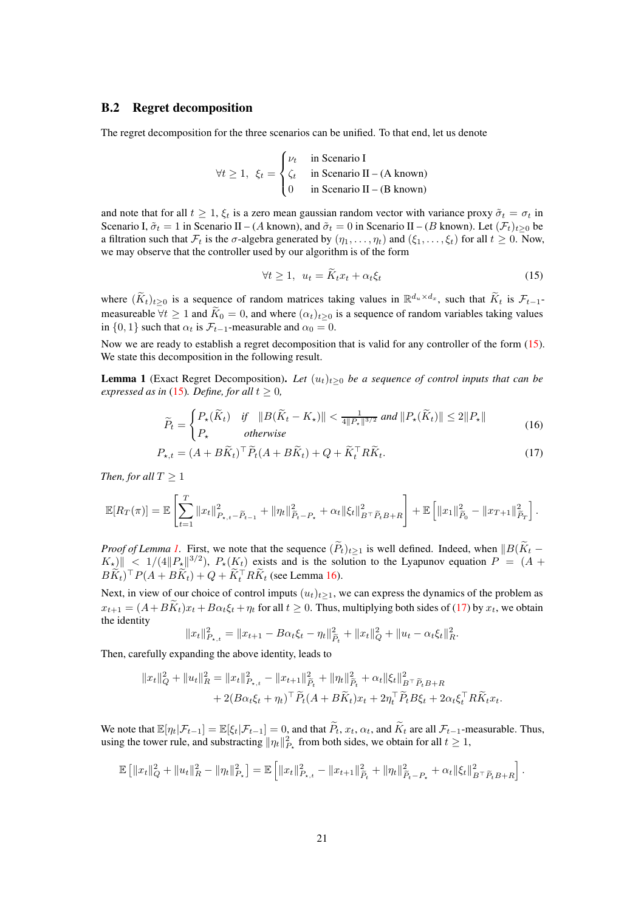#### <span id="page-20-1"></span>B.2 Regret decomposition

The regret decomposition for the three scenarios can be unified. To that end, let us denote

$$
\forall t \ge 1, \ \xi_t = \begin{cases} \nu_t & \text{in Scenario I} \\ \zeta_t & \text{in Scenario II} - (A \text{ known}) \\ 0 & \text{in Scenario II} - (B \text{ known}) \end{cases}
$$

and note that for all  $t \geq 1$ ,  $\xi_t$  is a zero mean gaussian random vector with variance proxy  $\tilde{\sigma}_t = \sigma_t$  in Scenario I,  $\tilde{\sigma}_t = 1$  in Scenario II – (A known), and  $\tilde{\sigma}_t = 0$  in Scenario II – (B known). Let  $(\mathcal{F}_t)_{t>0}$  be a filtration such that  $\mathcal{F}_t$  is the  $\sigma$ -algebra generated by  $(\eta_1, \ldots, \eta_t)$  and  $(\xi_1, \ldots, \xi_t)$  for all  $t \geq 0$ . Now, we may observe that the controller used by our algorithm is of the form

<span id="page-20-3"></span><span id="page-20-2"></span>
$$
\forall t \ge 1, \ u_t = \tilde{K}_t x_t + \alpha_t \xi_t \tag{15}
$$

where  $(\widetilde{K}_t)_{t\geq 0}$  is a sequence of random matrices taking values in  $\mathbb{R}^{d_u \times d_x}$ , such that  $\widetilde{K}_t$  is  $\mathcal{F}_{t-1}$ measureable  $\forall t \geq 1$  and  $\widetilde{K}_0 = 0$ , and where  $(\alpha_t)_{t>0}$  is a sequence of random variables taking values in  $\{0, 1\}$  such that  $\alpha_t$  is  $\mathcal{F}_{t-1}$ -measurable and  $\alpha_0 = 0$ .

Now we are ready to establish a regret decomposition that is valid for any controller of the form [\(15\)](#page-20-2). We state this decomposition in the following result.

<span id="page-20-0"></span>**Lemma 1** (Exact Regret Decomposition). Let  $(u_t)_{t>0}$  be a sequence of control inputs that can be *expressed as in* [\(15\)](#page-20-2)*. Define, for all*  $t \geq 0$ *,* 

$$
\widetilde{P}_t = \begin{cases} P_{\star}(\widetilde{K}_t) & \text{if} \quad \|B(\widetilde{K}_t - K_{\star})\| < \frac{1}{4\|P_{\star}\|^{3/2}} \text{ and } \|P_{\star}(\widetilde{K}_t)\| \le 2\|P_{\star}\| \\ P_{\star} & \text{otherwise} \end{cases} \tag{16}
$$

$$
P_{\star,t} = (A + B\widetilde{K}_t)^\top \widetilde{P}_t (A + B\widetilde{K}_t) + Q + \widetilde{K}_t^\top R \widetilde{K}_t.
$$
\n(17)

*Then, for all*  $T \geq 1$ 

$$
\mathbb{E}[R_T(\pi)] = \mathbb{E}\left[\sum_{t=1}^T \|x_t\|_{P_{\star,t}-\widetilde{P}_{t-1}}^2 + \|\eta_t\|_{\widetilde{P}_t-P_{\star}}^2 + \alpha_t \|\xi_t\|_{B^\top \widetilde{P}_t B + R}^2\right] + \mathbb{E}\left[\|x_1\|_{\widetilde{P}_0}^2 - \|x_{T+1}\|_{\widetilde{P}_T}^2\right].
$$

*Proof of Lemma [1.](#page-20-0)* First, we note that the sequence  $(\widetilde{P}_t)_{t\geq 1}$  is well defined. Indeed, when  $||B(\widetilde{K}_t K_{\star}$ )  $\leq 1/(4\|P_{\star}\|^{3/2})$ ,  $P_{\star}(K_{t})$  exists and is the solution to the Lyapunov equation  $P = (A +$  $BK_t$ <sup>T</sup> $P(A + BK_t) + Q + K_t^{\top}RK_t$  (see Lemma [16\)](#page-81-1).

Next, in view of our choice of control imputs  $(u_t)_{t\geq 1}$ , we can express the dynamics of the problem as  $x_{t+1} = (A+BK_t)x_t + B\alpha_t \xi_t + \eta_t$  for all  $t \ge 0$ . Thus, multiplying both sides of [\(17\)](#page-20-3) by  $x_t$ , we obtain the identity

$$
||x_t||_{P_{\star,t}}^2 = ||x_{t+1} - B\alpha_t \xi_t - \eta_t||_{\widetilde{P}_t}^2 + ||x_t||_Q^2 + ||u_t - \alpha_t \xi_t||_R^2.
$$

Then, carefully expanding the above identity, leads to

$$
||x_t||_Q^2 + ||u_t||_R^2 = ||x_t||_{P_{\star,t}}^2 - ||x_{t+1}||_{\widetilde{P}_t}^2 + ||\eta_t||_{\widetilde{P}_t}^2 + \alpha_t ||\xi_t||_{B^\top \widetilde{P}_t B + R}^2
$$
  
+ 2(B\alpha\_t \xi\_t + \eta\_t)^\top \widetilde{P}\_t (A + B\widetilde{K}\_t) x\_t + 2\eta\_t^\top \widetilde{P}\_t B \xi\_t + 2\alpha\_t \xi\_t^\top R \widetilde{K}\_t x\_t.

We note that  $\mathbb{E}[\eta_t|\mathcal{F}_{t-1}] = \mathbb{E}[\xi_t|\mathcal{F}_{t-1}] = 0$ , and that  $\widetilde{P}_t$ ,  $x_t$ ,  $\alpha_t$ , and  $\widetilde{K}_t$  are all  $\mathcal{F}_{t-1}$ -measurable. Thus, using the tower rule, and substracting  $\|\eta_t\|_{P_{\star}}^2$  from both sides, we obtain for all  $t \ge 1$ ,

$$
\mathbb{E}\left[\|x_t\|_Q^2 + \|u_t\|_R^2 - \|\eta_t\|_{P_\star}^2\right] = \mathbb{E}\left[\|x_t\|_{P_{\star,t}}^2 - \|x_{t+1}\|_{\widetilde{P}_t}^2 + \|\eta_t\|_{\widetilde{P}_t-P_\star}^2 + \alpha_t \|\xi_t\|_{B^\top \widetilde{P}_t B + R}^2\right].
$$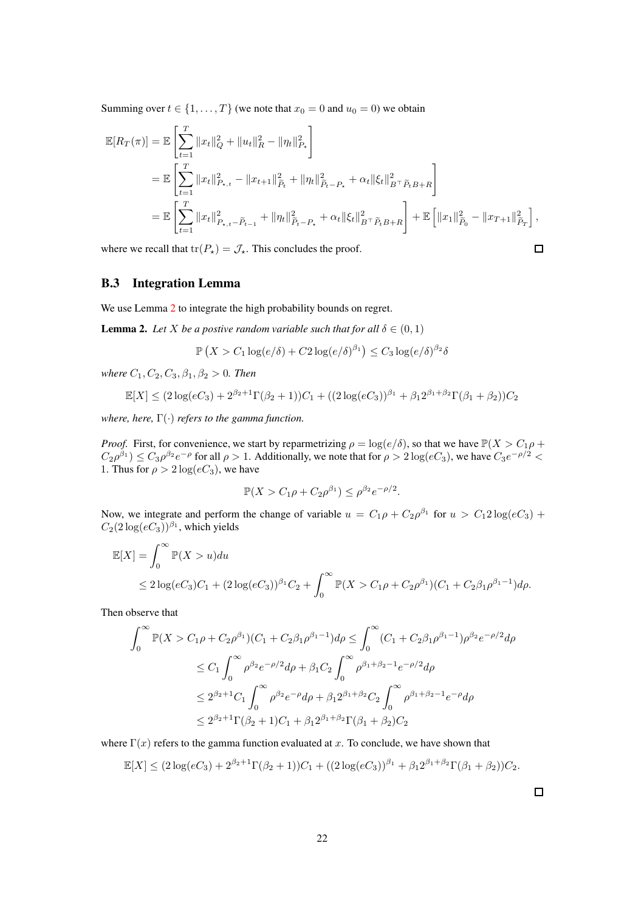Summing over  $t \in \{1, ..., T\}$  (we note that  $x_0 = 0$  and  $u_0 = 0$ ) we obtain

$$
\mathbb{E}[R_T(\pi)] = \mathbb{E}\left[\sum_{t=1}^T \|x_t\|_Q^2 + \|u_t\|_R^2 - \|\eta_t\|_{P_\star}^2\right]
$$
  
\n
$$
= \mathbb{E}\left[\sum_{t=1}^T \|x_t\|_{P_{\star,t}}^2 - \|x_{t+1}\|_{\tilde{P}_t}^2 + \|\eta_t\|_{\tilde{P}_t-P_\star}^2 + \alpha_t \|\xi_t\|_{B^\top \tilde{P}_t B + R}^2\right]
$$
  
\n
$$
= \mathbb{E}\left[\sum_{t=1}^T \|x_t\|_{P_{\star,t}-\tilde{P}_{t-1}}^2 + \|\eta_t\|_{\tilde{P}_t-P_\star}^2 + \alpha_t \|\xi_t\|_{B^\top \tilde{P}_t B + R}^2\right] + \mathbb{E}\left[\|x_1\|_{\tilde{P}_0}^2 - \|x_{T+1}\|_{\tilde{P}_T}^2\right],
$$

<span id="page-21-1"></span>where we recall that  $tr(P_\star) = \mathcal{J}_\star$ . This concludes the proof.

B.3 Integration Lemma

We use Lemma [2](#page-21-0) to integrate the high probability bounds on regret.

<span id="page-21-0"></span>**Lemma 2.** *Let X be a postive random variable such that for all*  $\delta \in (0,1)$ 

$$
\mathbb{P}\left(X > C_1 \log(e/\delta) + C_2 \log(e/\delta)^{\beta_1}\right) \leq C_3 \log(e/\delta)^{\beta_2} \delta
$$

*where*  $C_1, C_2, C_3, \beta_1, \beta_2 > 0$ *. Then* 

$$
\mathbb{E}[X] \le (2\log(eC_3) + 2^{\beta_2+1}\Gamma(\beta_2+1))C_1 + ((2\log(eC_3))^{\beta_1} + \beta_1 2^{\beta_1+\beta_2}\Gamma(\beta_1+\beta_2))C_2
$$

*where, here,* Γ(·) *refers to the gamma function.*

*Proof.* First, for convenience, we start by reparmetrizing  $\rho = \log(e/\delta)$ , so that we have  $\mathbb{P}(X > C_1 \rho +$  $C_2\rho^{\beta_1}$ )  $\leq C_3\rho^{\beta_2}e^{-\rho}$  for all  $\rho > 1$ . Additionally, we note that for  $\rho > 2\log(eC_3)$ , we have  $C_3e^{-\rho/2}$  < 1. Thus for  $\rho > 2 \log(eC_3)$ , we have

$$
\mathbb{P}(X > C_1 \rho + C_2 \rho^{\beta_1}) \le \rho^{\beta_2} e^{-\rho/2}.
$$

Now, we integrate and perform the change of variable  $u = C_1 \rho + C_2 \rho^{\beta_1}$  for  $u > C_1 2 \log(eC_3)$  +  $C_2(2\log(eC_3))^{\beta_1}$ , which yields

$$
\mathbb{E}[X] = \int_0^\infty \mathbb{P}(X > u) du
$$
  
\n
$$
\leq 2 \log(eC_3)C_1 + (2 \log(eC_3))^{\beta_1}C_2 + \int_0^\infty \mathbb{P}(X > C_1\rho + C_2\rho^{\beta_1})(C_1 + C_2\beta_1\rho^{\beta_1 - 1})d\rho.
$$

Then observe that

$$
\int_0^{\infty} \mathbb{P}(X > C_1 \rho + C_2 \rho^{\beta_1})(C_1 + C_2 \beta_1 \rho^{\beta_1 - 1}) d\rho \le \int_0^{\infty} (C_1 + C_2 \beta_1 \rho^{\beta_1 - 1}) \rho^{\beta_2} e^{-\rho/2} d\rho
$$
  
\n
$$
\le C_1 \int_0^{\infty} \rho^{\beta_2} e^{-\rho/2} d\rho + \beta_1 C_2 \int_0^{\infty} \rho^{\beta_1 + \beta_2 - 1} e^{-\rho/2} d\rho
$$
  
\n
$$
\le 2^{\beta_2 + 1} C_1 \int_0^{\infty} \rho^{\beta_2} e^{-\rho} d\rho + \beta_1 2^{\beta_1 + \beta_2} C_2 \int_0^{\infty} \rho^{\beta_1 + \beta_2 - 1} e^{-\rho} d\rho
$$
  
\n
$$
\le 2^{\beta_2 + 1} \Gamma(\beta_2 + 1) C_1 + \beta_1 2^{\beta_1 + \beta_2} \Gamma(\beta_1 + \beta_2) C_2
$$

where  $\Gamma(x)$  refers to the gamma function evaluated at x. To conclude, we have shown that

$$
\mathbb{E}[X] \le (2\log(eC_3) + 2^{\beta_2+1}\Gamma(\beta_2+1))C_1 + ((2\log(eC_3))^{\beta_1} + \beta_1 2^{\beta_1+\beta_2}\Gamma(\beta_1+\beta_2))C_2.
$$

 $\Box$ 

 $\Box$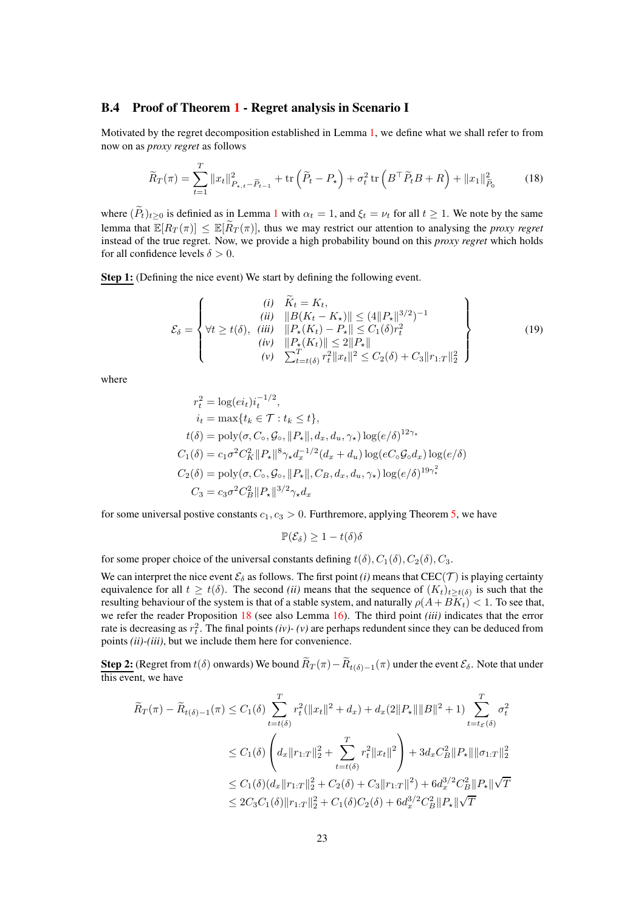### <span id="page-22-0"></span>B.4 Proof of Theorem [1](#page-5-0) - Regret analysis in Scenario I

Motivated by the regret decomposition established in Lemma [1,](#page-20-0) we define what we shall refer to from now on as *proxy regret* as follows

$$
\widetilde{R}_T(\pi) = \sum_{t=1}^T \|x_t\|_{P_{\star,t} - \widetilde{P}_{t-1}}^2 + \text{tr}\left(\widetilde{P}_t - P_{\star}\right) + \sigma_t^2 \text{ tr}\left(B^\top \widetilde{P}_t B + R\right) + \|x_1\|_{\widetilde{P}_0}^2 \tag{18}
$$

where  $(\widetilde{P}_t)_{t>0}$  is definied as in Lemma [1](#page-20-0) with  $\alpha_t = 1$ , and  $\xi_t = \nu_t$  for all  $t \ge 1$ . We note by the same lemma that  $\mathbb{E}[R_T(\pi)] \leq \mathbb{E}[\widetilde{R}_T(\pi)]$ , thus we may restrict our attention to analysing the *proxy regret* instead of the true regret. Now, we provide a high probability bound on this *proxy regret* which holds for all confidence levels  $\delta > 0$ .

Step 1: (Defining the nice event) We start by defining the following event.

$$
\mathcal{E}_{\delta} = \left\{ \begin{aligned} (i) \quad & \widetilde{K}_{t} = K_{t}, \\ (ii) \quad & \|B(K_{t} - K_{\star})\| \leq (4||P_{\star}||^{3/2})^{-1} \\ \forall t \geq t(\delta), \quad (iii) \quad & \|P_{\star}(K_{t}) - P_{\star}\| \leq C_{1}(\delta)r_{t}^{2} \\ (iv) \quad & \|P_{\star}(K_{t})\| \leq 2||P_{\star}|| \\ (v) \quad & \sum_{t=t(\delta)}^{T} r_{t}^{2} ||x_{t}||^{2} \leq C_{2}(\delta) + C_{3}||r_{1:T}||_{2}^{2} \end{aligned} \right\}
$$
(19)

where

$$
r_t^2 = \log(ei_t)i_t^{-1/2},
$$
  
\n
$$
i_t = \max\{t_k \in \mathcal{T} : t_k \le t\},
$$
  
\n
$$
t(\delta) = \text{poly}(\sigma, C_\circ, \mathcal{G}_\circ, ||P_\star||, d_x, d_u, \gamma_\star) \log(e/\delta)^{12\gamma_\star}
$$
  
\n
$$
C_1(\delta) = c_1\sigma^2 C_K^2 ||P_\star||^8 \gamma_\star d_x^{-1/2} (d_x + d_u) \log(eC_\circ \mathcal{G}_\circ d_x) \log(e/\delta)
$$
  
\n
$$
C_2(\delta) = \text{poly}(\sigma, C_\circ, \mathcal{G}_\circ, ||P_\star||, C_B, d_x, d_u, \gamma_\star) \log(e/\delta)^{19\gamma_\star^2}
$$
  
\n
$$
C_3 = c_3\sigma^2 C_B^2 ||P_\star||^{3/2} \gamma_\star d_x
$$

for some universal postive constants  $c_1, c_3 > 0$ . Furthremore, applying Theorem [5,](#page-30-2) we have

$$
\mathbb{P}(\mathcal{E}_{\delta}) \geq 1 - t(\delta)\delta
$$

for some proper choice of the universal constants defining  $t(\delta)$ ,  $C_1(\delta)$ ,  $C_2(\delta)$ ,  $C_3$ .

We can interpret the nice event  $\mathcal{E}_{\delta}$  as follows. The first point *(i)* means that CEC(T) is playing certainty equivalence for all  $t \geq t(\delta)$ . The second *(ii)* means that the sequence of  $(K_t)_{t \geq t(\delta)}$  is such that the resulting behaviour of the system is that of a stable system, and naturally  $\rho(A+B\tilde{K}_t) < 1$ . To see that, we refer the reader Proposition [18](#page-82-0) (see also Lemma [16\)](#page-81-1). The third point *(iii)* indicates that the error rate is decreasing as  $r_t^2$ . The final points *(iv)-(v)* are perhaps redundent since they can be deduced from points *(ii)-(iii)*, but we include them here for convenience.

**Step 2:** (Regret from  $t(\delta)$  onwards) We bound  $R_T(\pi) - R_{t(\delta)-1}(\pi)$  under the event  $\mathcal{E}_{\delta}$ . Note that under this event, we have

$$
\widetilde{R}_{T}(\pi) - \widetilde{R}_{t(\delta)-1}(\pi) \leq C_{1}(\delta) \sum_{t=t(\delta)}^{T} r_{t}^{2}(\|x_{t}\|^{2} + d_{x}) + d_{x}(2\|P_{\star}\|\|B\|^{2} + 1) \sum_{t=t_{\mathcal{E}}(\delta)}^{T} \sigma_{t}^{2}
$$
\n
$$
\leq C_{1}(\delta) \left(d_{x}\|r_{1:T}\|_{2}^{2} + \sum_{t=t(\delta)}^{T} r_{t}^{2}\|x_{t}\|^{2}\right) + 3d_{x}C_{B}^{2}\|P_{\star}\|\|\sigma_{1:T}\|_{2}^{2}
$$
\n
$$
\leq C_{1}(\delta)(d_{x}\|r_{1:T}\|_{2}^{2} + C_{2}(\delta) + C_{3}\|r_{1:T}\|^{2}) + 6d_{x}^{3/2}C_{B}^{2}\|P_{\star}\|\sqrt{T}
$$
\n
$$
\leq 2C_{3}C_{1}(\delta)\|r_{1:T}\|_{2}^{2} + C_{1}(\delta)C_{2}(\delta) + 6d_{x}^{3/2}C_{B}^{2}\|P_{\star}\|\sqrt{T}
$$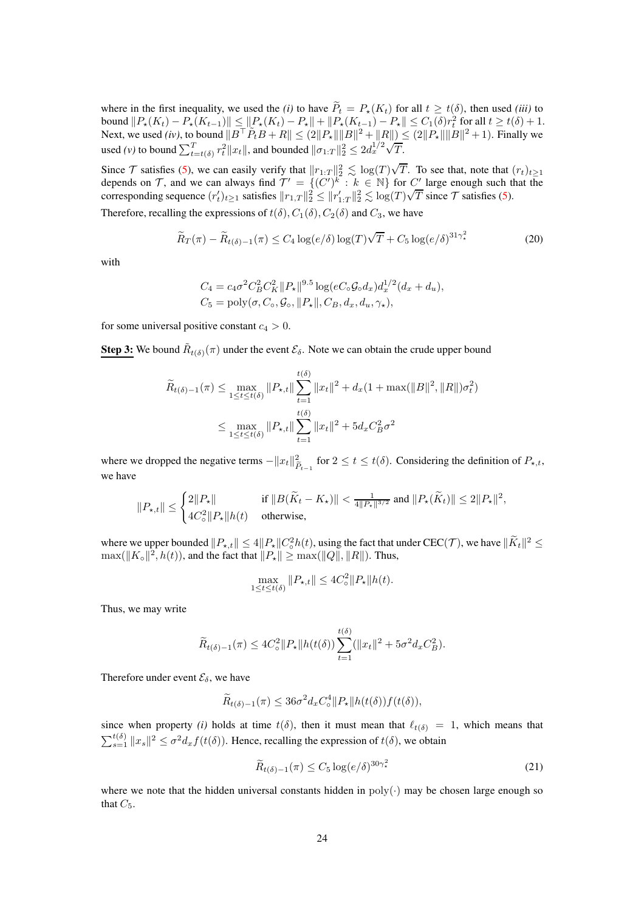where in the first inequality, we used the *(i)* to have  $P_t = P_*(K_t)$  for all  $t \ge t(\delta)$ , then used *(iii)* to bound  $||P_*(K_t) - P_*(K_{t-1})|| \le ||P_*(K_t) - P_*|| + ||P_*(K_{t-1}) - P_*|| \le C_1(\delta) r_t^2$  for all  $t \ge t(\delta) + 1$ . Next, we used *(iv)*, to bound  $||B^{\top}P_tB + R|| \leq (2||P_x|| ||B||^2 + ||R||) ≤ (2||P_x|| ||B||^2 + 1)$ . Finally we used *(v)* to bound  $\sum_{t=t(\delta)}^{T} r_t^2 ||x_t||$ , and bounded  $||\sigma_{1:T}||_2^2 \le 2d_x^{1/2}\sqrt{T}$ .

Since T satisfies [\(5\)](#page-3-1), we can easily verify that  $||r_{1:T}||_2^2 \lesssim \log(T)\sqrt{T}$ . To see that, note that  $(r_t)_{t\geq 1}$ depends on T, and we can always find  $T' = \{(C')^k : k \in \mathbb{N}\}\$  for  $C'$  large enough such that the corresponding sequence  $(r'_t)_{t\geq 1}$  satisfies  $||r_{1,T}||_2^2 \leq ||r'_{1:T}||_2^2 \leq \log(T)\sqrt{T}$  since T satisfies [\(5\)](#page-3-1). Therefore, recalling the expressions of  $t(\delta)$ ,  $C_1(\delta)$ ,  $C_2(\delta)$  and  $C_3$ , we have

$$
\widetilde{R}_T(\pi) - \widetilde{R}_{t(\delta)-1}(\pi) \le C_4 \log(e/\delta) \log(T) \sqrt{T} + C_5 \log(e/\delta)^{31\gamma_\star^2}
$$
\n(20)

with

<span id="page-23-0"></span>
$$
C_4 = c_4 \sigma^2 C_B^2 C_K^2 ||P_*||^{9.5} \log(eC_\circ \mathcal{G}_\circ d_x) d_x^{1/2} (d_x + d_u),
$$
  
\n
$$
C_5 = \text{poly}(\sigma, C_\circ, \mathcal{G}_\circ, ||P_*||, C_B, d_x, d_u, \gamma_\star),
$$

for some universal positive constant  $c_4 > 0$ .

**Step 3:** We bound  $\tilde{R}_{t(\delta)}(\pi)$  under the event  $\mathcal{E}_{\delta}$ . Note we can obtain the crude upper bound

$$
\widetilde{R}_{t(\delta)-1}(\pi) \le \max_{1 \le t \le t(\delta)} \|P_{\star,t}\| \sum_{t=1}^{t(\delta)} \|x_t\|^2 + d_x(1 + \max(\|B\|^2, \|R\|)\sigma_t^2)
$$
\n
$$
\le \max_{1 \le t \le t(\delta)} \|P_{\star,t}\| \sum_{t=1}^{t(\delta)} \|x_t\|^2 + 5d_x C_B^2 \sigma^2
$$

where we dropped the negative terms  $-||x_t||_F^2$  $\sum_{\tilde{P}_{t-1}}^2$  for  $2 \le t \le t(\delta)$ . Considering the definition of  $P_{\star,t}$ , we have

$$
\|P_{\star,t}\| \leq \begin{cases} 2\|P_\star\| & \text{ if } \|B(\tilde K_t-K_\star)\| < \frac{1}{4\|P_\star\|^{3/2}} \text{ and } \|P_\star(\tilde K_t)\| \leq 2\|P_\star\|^2, \\ 4C_\circ^2\|P_\star\|h(t) & \text{ otherwise,} \end{cases}
$$

where we upper bounded  $||P_{\star,t}|| \leq 4||P_{\star}||C_0^2h(t)$ , using the fact that under  $\text{CEC}(\mathcal{T})$ , we have  $||\tilde{K}_t||^2 \leq$  $\max(||K_{\circ}||^2, h(t)),$  and the fact that  $||P_{\star}|| \ge \max(||Q||, ||R||)$ . Thus,

$$
\max_{1 \le t \le t(\delta)} \|P_{\star,t}\| \le 4C_{\circ}^2 \|P_{\star}\| h(t).
$$

Thus, we may write

$$
\widetilde{R}_{t(\delta)-1}(\pi) \le 4C_{\circ}^2 \|P_{\star}\| h(t(\delta)) \sum_{t=1}^{t(\delta)} (\|x_t\|^2 + 5\sigma^2 d_x C_B^2).
$$

Therefore under event  $\mathcal{E}_{\delta}$ , we have

$$
\widetilde{R}_{t(\delta)-1}(\pi) \le 36\sigma^2 d_x C_{\circ}^4 || P_{\star} || h(t(\delta)) f(t(\delta)),
$$

since when property *(i)* holds at time  $t(\delta)$ , then it must mean that  $\ell_{t(\delta)} = 1$ , which means that  $\sum_{s=1}^{t(\delta)} ||x_s||^2 \le \sigma^2 d_x f(t(\delta))$ . Hence, recalling the expression of  $t(\delta)$ , we obtain

<span id="page-23-1"></span>
$$
\widetilde{R}_{t(\delta)-1}(\pi) \le C_5 \log(e/\delta)^{30\gamma_\star^2} \tag{21}
$$

where we note that the hidden universal constants hidden in  $poly(\cdot)$  may be chosen large enough so that  $C_5$ .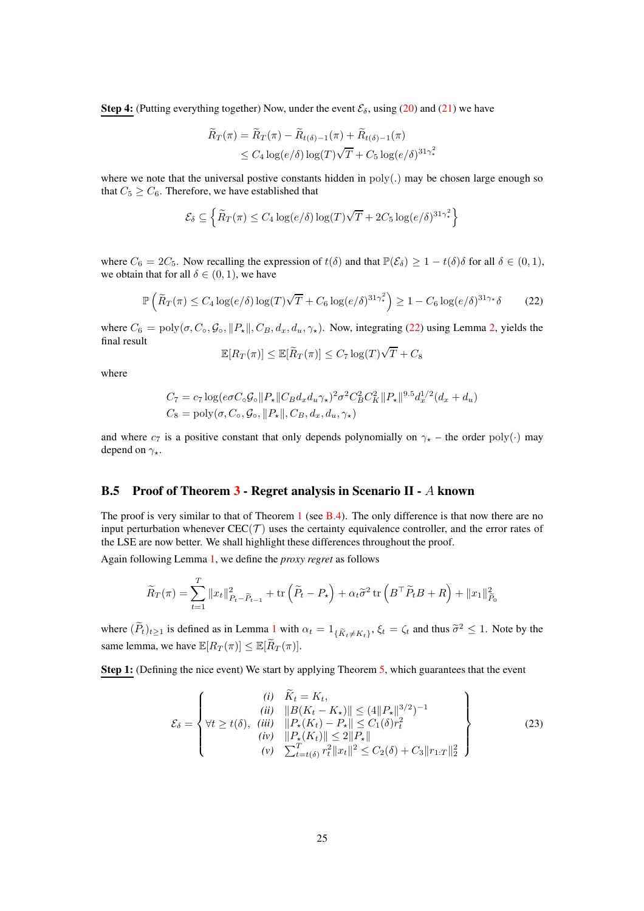Step 4: (Putting everything together) Now, under the event  $\mathcal{E}_{\delta}$ , using [\(20\)](#page-23-0) and [\(21\)](#page-23-1) we have

$$
\widetilde{R}_T(\pi) = \widetilde{R}_T(\pi) - \widetilde{R}_{t(\delta)-1}(\pi) + \widetilde{R}_{t(\delta)-1}(\pi)
$$
\n
$$
\leq C_4 \log(e/\delta) \log(T) \sqrt{T} + C_5 \log(e/\delta)^{31\gamma_\star^2}
$$

where we note that the universal postive constants hidden in  $poly(.)$  may be chosen large enough so that  $C_5 \geq C_6$ . Therefore, we have established that

$$
\mathcal{E}_{\delta} \subseteq \left\{ \widetilde{R}_T(\pi) \leq C_4 \log(e/\delta) \log(T) \sqrt{T} + 2C_5 \log(e/\delta)^{31 \gamma_{\star}^2} \right\}
$$

where  $C_6 = 2C_5$ . Now recalling the expression of  $t(\delta)$  and that  $\mathbb{P}(\mathcal{E}_{\delta}) \geq 1 - t(\delta)\delta$  for all  $\delta \in (0,1)$ , we obtain that for all  $\delta \in (0, 1)$ , we have

$$
\mathbb{P}\left(\widetilde{R}_T(\pi) \le C_4 \log(e/\delta) \log(T) \sqrt{T} + C_6 \log(e/\delta)^{31\gamma_\star^2}\right) \ge 1 - C_6 \log(e/\delta)^{31\gamma_\star} \delta \tag{22}
$$

where  $C_6 = \text{poly}(\sigma, C_0, \mathcal{G}_0, ||P_\star||, C_B, d_x, d_u, \gamma_\star)$ . Now, integrating [\(22\)](#page-24-1) using Lemma [2,](#page-21-0) yields the final result

<span id="page-24-1"></span>
$$
\mathbb{E}[R_T(\pi)] \leq \mathbb{E}[\widetilde{R}_T(\pi)] \leq C_7 \log(T) \sqrt{T} + C_8
$$

where

$$
C_7 = c_7 \log(e \sigma C_0 \mathcal{G}_0 || P_* || C_B d_x d_u \gamma_*)^2 \sigma^2 C_B^2 C_K^2 || P_* ||^{9.5} d_x^{1/2} (d_x + d_u)
$$
  

$$
C_8 = \text{poly}(\sigma, C_0, \mathcal{G}_0, || P_* ||, C_B, d_x, d_u, \gamma_*)
$$

and where  $c_7$  is a positive constant that only depends polynomially on  $\gamma_{\star}$  – the order poly(·) may depend on  $\gamma_{\star}$ .

### <span id="page-24-0"></span>B.5 Proof of Theorem [3](#page-5-2) - Regret analysis in Scenario II - A known

The proof is very similar to that of Theorem [1](#page-5-0) (see [B.4\)](#page-22-0). The only difference is that now there are no input perturbation whenever  $CEC(\mathcal{T})$  uses the certainty equivalence controller, and the error rates of the LSE are now better. We shall highlight these differences throughout the proof.

Again following Lemma [1,](#page-20-0) we define the *proxy regret* as follows

$$
\widetilde{R}_T(\pi) = \sum_{t=1}^T \|x_t\|_{P_t - \widetilde{P}_{t-1}}^2 + \text{tr}\left(\widetilde{P}_t - P_\star\right) + \alpha_t \widetilde{\sigma}^2 \,\text{tr}\left(B^\top \widetilde{P}_t B + R\right) + \|x_1\|_{\widetilde{P}_0}^2
$$

where  $(P_t)_{t\geq 1}$  $(P_t)_{t\geq 1}$  $(P_t)_{t\geq 1}$  is defined as in Lemma 1 with  $\alpha_t = 1_{\{\widetilde{K}_t\neq K_t\}}$ ,  $\xi_t = \zeta_t$  and thus  $\widetilde{\sigma}^2 \leq 1$ . Note by the same lemma, we have  $\mathbb{E}[R_T(\pi)] \leq \mathbb{E}[\widetilde{R}_T(\pi)].$ 

Step 1: (Defining the nice event) We start by applying Theorem [5,](#page-30-2) which guarantees that the event

$$
\mathcal{E}_{\delta} = \left\{ \begin{array}{c} (i) \quad \widetilde{K}_{t} = K_{t}, \\ (ii) \quad \|B(K_{t} - K_{\star})\| \leq (4\|P_{\star}\|^{3/2})^{-1} \\ \forall t \geq t(\delta), \quad (iii) \quad \|P_{\star}(K_{t}) - P_{\star}\| \leq C_{1}(\delta)r_{t}^{2} \\ (iv) \quad \|P_{\star}(K_{t})\| \leq 2\|P_{\star}\| \\ (v) \quad \sum_{t=t(\delta)}^{T} r_{t}^{2} \|x_{t}\|^{2} \leq C_{2}(\delta) + C_{3} \|r_{1:T}\|_{2}^{2} \end{array} \right\}
$$
(23)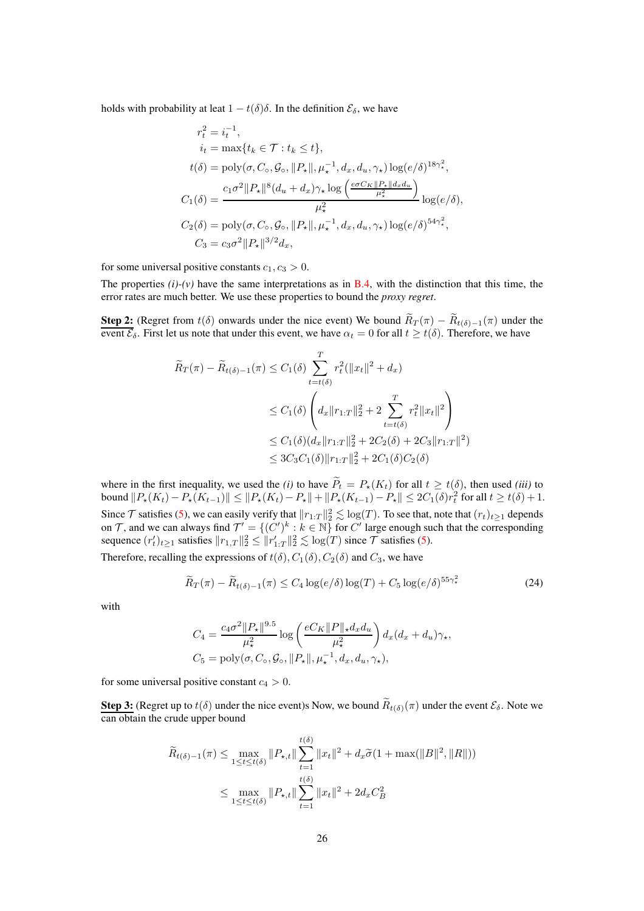holds with probability at leat  $1 - t(\delta)\delta$ . In the definition  $\mathcal{E}_{\delta}$ , we have

$$
r_t^2 = i_t^{-1},
$$
  
\n
$$
i_t = \max\{t_k \in \mathcal{T} : t_k \le t\},
$$
  
\n
$$
t(\delta) = \text{poly}(\sigma, C_\circ, \mathcal{G}_\circ, ||P_\star||, \mu_\star^{-1}, d_x, d_u, \gamma_\star) \log(e/\delta)^{18\gamma_\star^2},
$$
  
\n
$$
C_1(\delta) = \frac{c_1\sigma^2 ||P_\star||^8 (d_u + d_x)\gamma_\star \log\left(\frac{e\sigma C_K ||P_\star|| d_x d_u}{\mu_\star^2}\right)}{\mu_\star^2} \log(e/\delta),
$$
  
\n
$$
C_2(\delta) = \text{poly}(\sigma, C_\circ, \mathcal{G}_\circ, ||P_\star||, \mu_\star^{-1}, d_x, d_u, \gamma_\star) \log(e/\delta)^{54\gamma_\star^2},
$$
  
\n
$$
C_3 = c_3\sigma^2 ||P_\star||^{3/2} d_x,
$$

for some universal positive constants  $c_1, c_3 > 0$ .

The properties  $(i)$ - $(v)$  have the same interpretations as in [B.4,](#page-22-0) with the distinction that this time, the error rates are much better. We use these properties to bound the *proxy regret*.

**Step 2:** (Regret from  $t(\delta)$  onwards under the nice event) We bound  $R_T(\pi) - R_{t(\delta)-1}(\pi)$  under the event  $\mathcal{E}_{\delta}$ . First let us note that under this event, we have  $\alpha_t = 0$  for all  $t \ge t(\delta)$ . Therefore, we have

$$
\widetilde{R}_T(\pi) - \widetilde{R}_{t(\delta)-1}(\pi) \le C_1(\delta) \sum_{t=t(\delta)}^T r_t^2 (\|x_t\|^2 + d_x)
$$
\n
$$
\le C_1(\delta) \left( d_x \|r_{1:T}\|_2^2 + 2 \sum_{t=t(\delta)}^T r_t^2 \|x_t\|^2 \right)
$$
\n
$$
\le C_1(\delta) (d_x \|r_{1:T}\|_2^2 + 2C_2(\delta) + 2C_3 \|r_{1:T}\|^2)
$$
\n
$$
\le 3C_3 C_1(\delta) \|r_{1:T}\|_2^2 + 2C_1(\delta) C_2(\delta)
$$

where in the first inequality, we used the *(i)* to have  $P_t = P_*(K_t)$  for all  $t \ge t(\delta)$ , then used *(iii)* to bound  $||P_*(K_t) - P_*(K_{t-1})|| \le ||P_*(K_t) - P_*|| + ||P_*(K_{t-1}) - P_*|| \le 2C_1(\delta)r_t^2$  for all  $t \ge t(\delta) + 1$ . Since  $\mathcal T$  satisfies [\(5\)](#page-3-1), we can easily verify that  $||r_{1:T}||_2^2 \lesssim \log(T)$ . To see that, note that  $(r_t)_{t\geq 1}$  depends on T, and we can always find  $\mathcal{T}' = \{(C')^k : k \in \mathbb{N}\}$  for C' large enough such that the corresponding sequence  $(r'_t)_{t\geq 1}$  satisfies  $||r_{1,T}||_2^2 \leq ||r'_{1:T}||_2^2 \lesssim \log(T)$  since  $\mathcal T$  satisfies [\(5\)](#page-3-1).

Therefore, recalling the expressions of  $t(\delta)$ ,  $C_1(\delta)$ ,  $C_2(\delta)$  and  $C_3$ , we have

$$
\widetilde{R}_T(\pi) - \widetilde{R}_{t(\delta)-1}(\pi) \le C_4 \log(e/\delta) \log(T) + C_5 \log(e/\delta)^{55\gamma_*^2}
$$
\n(24)

with

<span id="page-25-0"></span>
$$
C_4 = \frac{c_4 \sigma^2 ||P_\star||^{9.5}}{\mu_\star^2} \log \left( \frac{e C_K ||P||_\star d_x d_u}{\mu_\star^2} \right) d_x (d_x + d_u) \gamma_\star,
$$
  
\n
$$
C_5 = \text{poly}(\sigma, C_\circ, \mathcal{G}_\circ, ||P_\star||, \mu_\star^{-1}, d_x, d_u, \gamma_\star),
$$

for some universal positive constant  $c_4 > 0$ .

**Step 3:** (Regret up to  $t(\delta)$  under the nice event)s Now, we bound  $R_{t(\delta)}(\pi)$  under the event  $\mathcal{E}_{\delta}$ . Note we can obtain the crude upper bound

$$
\widetilde{R}_{t(\delta)-1}(\pi) \le \max_{1 \le t \le t(\delta)} \|P_{\star,t}\| \sum_{t=1}^{t(\delta)} \|x_t\|^2 + d_x \widetilde{\sigma}(1 + \max(\|B\|^2, \|R\|))
$$
\n
$$
\le \max_{1 \le t \le t(\delta)} \|P_{\star,t}\| \sum_{t=1}^{t(\delta)} \|x_t\|^2 + 2d_x C_B^2
$$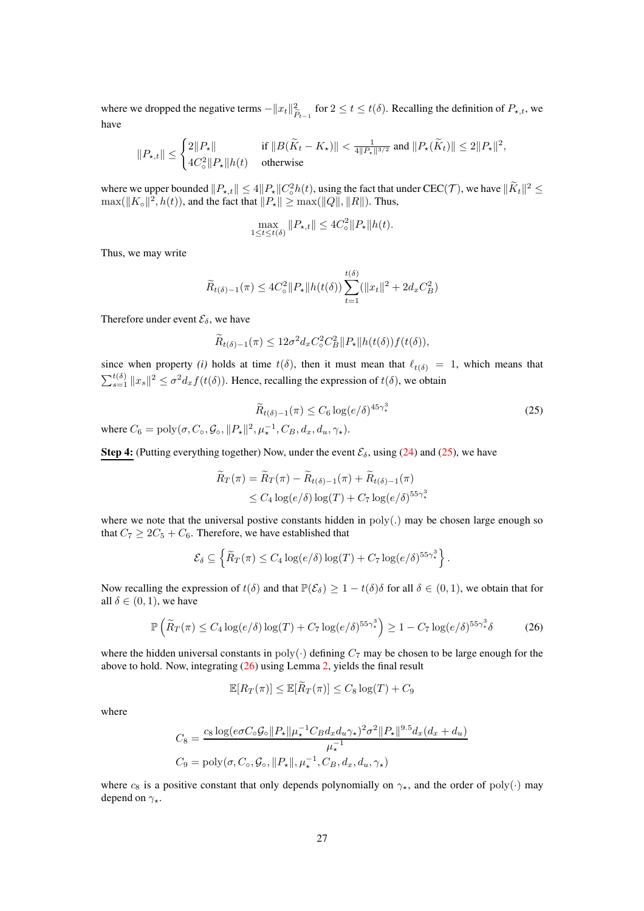where we dropped the negative terms  $-||x_t||_F^2$  $\sum_{\tilde{P}_{t-1}}^2$  for  $2 \le t \le t(\delta)$ . Recalling the definition of  $P_{\star,t}$ , we have

$$
\|P_{\star,t}\| \leq \begin{cases} 2\|P_{\star}\| & \text{ if } \|B(\tilde K_t-K_{\star})\| < \frac{1}{4\|P_{\star}\|^{3/2}} \text{ and } \|P_{\star}(\tilde K_t)\| \leq 2\|P_{\star}\|^2, \\ 4C_{\circ}^2\|P_{\star}\|h(t) & \text{ otherwise } \end{cases}
$$

where we upper bounded  $||P_{\star,t}|| \leq 4||P_{\star}||C_0^2h(t)$ , using the fact that under  $\text{CEC}(\mathcal{T})$ , we have  $||\tilde{K}_t||^2 \leq$  $\max(||K_{\circ}||^2, h(t)),$  and the fact that  $||P_{\star}|| \ge \max(||Q||, ||R||)$ . Thus,

$$
\max_{1 \le t \le t(\delta)} \|P_{\star,t}\| \le 4C_{\circ}^2 \|P_{\star}\| h(t).
$$

Thus, we may write

$$
\widetilde{R}_{t(\delta)-1}(\pi) \le 4C_{\circ}^{2} \|P_{\star}\| h(t(\delta)) \sum_{t=1}^{t(\delta)} (\|x_{t}\|^{2} + 2d_{x}C_{B}^{2})
$$

Therefore under event  $\mathcal{E}_{\delta}$ , we have

$$
\widetilde{R}_{t(\delta)-1}(\pi) \le 12\sigma^2 d_x C_\circ^2 C_B^2 \|P_\star\| h(t(\delta)) f(t(\delta)),
$$

since when property *(i)* holds at time  $t(\delta)$ , then it must mean that  $\ell_{t(\delta)} = 1$ , which means that  $\sum_{s=1}^{t(\delta)} ||x_s||^2 \le \sigma^2 d_x f(t(\delta))$ . Hence, recalling the expression of  $t(\delta)$ , we obtain

<span id="page-26-0"></span>
$$
\widetilde{R}_{t(\delta)-1}(\pi) \le C_6 \log(e/\delta)^{45\gamma_*^3} \tag{25}
$$

where  $C_6 = \text{poly}(\sigma, C_\circ, \mathcal{G}_\circ, ||P_\star||^2, \mu_\star^{-1}, C_B, d_x, d_u, \gamma_\star).$ 

**Step 4:** (Putting everything together) Now, under the event  $\mathcal{E}_{\delta}$ , using [\(24\)](#page-25-0) and [\(25\)](#page-26-0), we have

$$
\widetilde{R}_T(\pi) = \widetilde{R}_T(\pi) - \widetilde{R}_{t(\delta)-1}(\pi) + \widetilde{R}_{t(\delta)-1}(\pi)
$$
  
\n
$$
\leq C_4 \log(e/\delta) \log(T) + C_7 \log(e/\delta)^{55\gamma_*^3}
$$

where we note that the universal postive constants hidden in poly(.) may be chosen large enough so that  $C_7 \geq 2C_5 + C_6$ . Therefore, we have established that

$$
\mathcal{E}_{\delta} \subseteq \left\{ \widetilde{R}_T(\pi) \leq C_4 \log(e/\delta) \log(T) + C_7 \log(e/\delta)^{55\gamma^3_*} \right\}.
$$

Now recalling the expression of  $t(\delta)$  and that  $\mathbb{P}(\mathcal{E}_{\delta}) \geq 1 - t(\delta)\delta$  for all  $\delta \in (0,1)$ , we obtain that for all  $\delta \in (0, 1)$ , we have

$$
\mathbb{P}\left(\widetilde{R}_T(\pi) \le C_4 \log(e/\delta) \log(T) + C_7 \log(e/\delta)^{55\gamma^3}\right) \ge 1 - C_7 \log(e/\delta)^{55\gamma^3} \delta \tag{26}
$$

where the hidden universal constants in poly( $\cdot$ ) defining  $C_7$  may be chosen to be large enough for the above to hold. Now, integrating [\(26\)](#page-26-1) using Lemma [2,](#page-21-0) yields the final result

<span id="page-26-1"></span>
$$
\mathbb{E}[R_T(\pi)] \le \mathbb{E}[\widetilde{R}_T(\pi)] \le C_8 \log(T) + C_9
$$

where

$$
C_8 = \frac{c_8 \log(e\sigma C_\circ \mathcal{G}_\circ || P_\star || \mu_\star^{-1} C_B d_x d_u \gamma_\star)^2 \sigma^2 || P_\star ||^{9.5} d_x (d_x + d_u)}{\mu_\star^{-1}}
$$
  
\n
$$
C_9 = \text{poly}(\sigma, C_\circ, \mathcal{G}_\circ, || P_\star ||, \mu_\star^{-1}, C_B, d_x, d_u, \gamma_\star)
$$

where  $c_8$  is a positive constant that only depends polynomially on  $\gamma_{\star}$ , and the order of poly(·) may depend on  $\gamma_{\star}$ .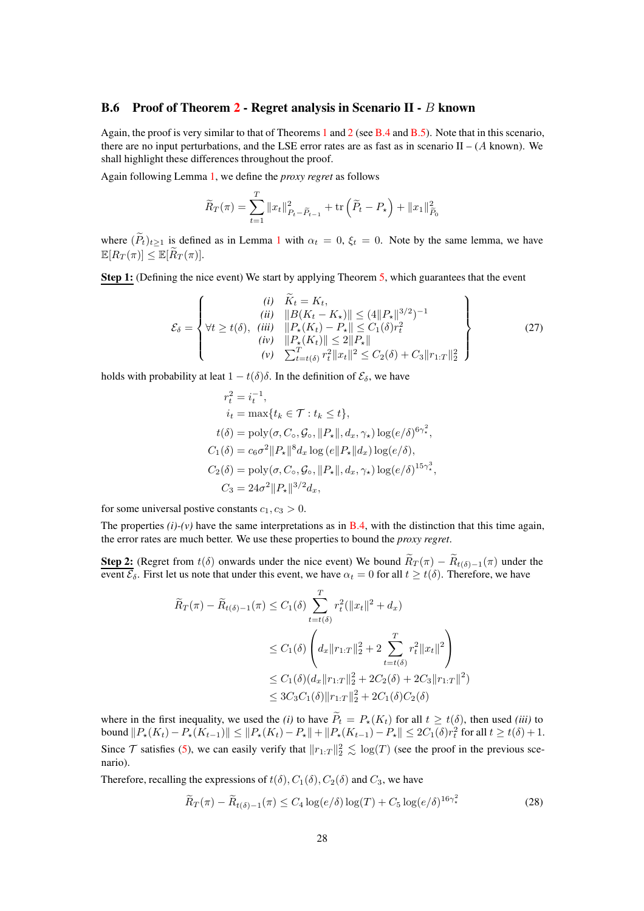### <span id="page-27-0"></span>B.6 Proof of Theorem [2](#page-5-1) - Regret analysis in Scenario II - B known

Again, the proof is very similar to that of Theorems [1](#page-5-0) and [2](#page-5-1) (see [B.4](#page-22-0) and [B.5\)](#page-24-0). Note that in this scenario, there are no input perturbations, and the LSE error rates are as fast as in scenario  $II - (A \text{ known})$ . We shall highlight these differences throughout the proof.

Again following Lemma [1,](#page-20-0) we define the *proxy regret* as follows

$$
\widetilde{R}_T(\pi) = \sum_{t=1}^T \|x_t\|_{P_t - \widetilde{P}_{t-1}}^2 + \text{tr}\left(\widetilde{P}_t - P_\star\right) + \|x_1\|_{\widetilde{P}_0}^2
$$

where  $(\widetilde{P}_t)_{t\geq 1}$  $(\widetilde{P}_t)_{t\geq 1}$  $(\widetilde{P}_t)_{t\geq 1}$  is defined as in Lemma 1 with  $\alpha_t = 0$ ,  $\xi_t = 0$ . Note by the same lemma, we have  $\mathbb{E}[R_T(\pi)] \leq \mathbb{E}[\widetilde{R}_T(\pi)].$ 

Step 1: (Defining the nice event) We start by applying Theorem [5,](#page-30-2) which guarantees that the event

$$
\mathcal{E}_{\delta} = \left\{ \begin{aligned} (i) & \widetilde{K}_{t} = K_{t}, \\ (ii) & \quad \|B(K_{t} - K_{\star})\| \leq (4||P_{\star}||^{3/2})^{-1} \\ (iii) & \quad \|P_{\star}(K_{t}) - P_{\star}\| \leq C_{1}(\delta)r_{t}^{2} \\ (iv) & \quad \|P_{\star}(K_{t})\| \leq 2||P_{\star}|| \\ (v) & \quad \sum_{t=t(\delta)}^{T} r_{t}^{2} ||x_{t}||^{2} \leq C_{2}(\delta) + C_{3}||r_{1:T}||_{2}^{2} \end{aligned} \right\}
$$
(27)

holds with probability at leat  $1 - t(\delta)\delta$ . In the definition of  $\mathcal{E}_{\delta}$ , we have

$$
r_t^2 = i_t^{-1},
$$
  
\n
$$
i_t = \max\{t_k \in \mathcal{T} : t_k \le t\},
$$
  
\n
$$
t(\delta) = \text{poly}(\sigma, C_\circ, \mathcal{G}_\circ, ||P_\star||, d_x, \gamma_\star) \log(e/\delta)^{6\gamma_\star^2},
$$
  
\n
$$
C_1(\delta) = c_6\sigma^2 ||P_\star||^8 d_x \log(e||P_\star||d_x) \log(e/\delta),
$$
  
\n
$$
C_2(\delta) = \text{poly}(\sigma, C_\circ, \mathcal{G}_\circ, ||P_\star||, d_x, \gamma_\star) \log(e/\delta)^{15\gamma_\star^3},
$$
  
\n
$$
C_3 = 24\sigma^2 ||P_\star||^{3/2} d_x,
$$

for some universal postive constants  $c_1, c_3 > 0$ .

The properties  $(i)-(v)$  have the same interpretations as in **B**.4, with the distinction that this time again, the error rates are much better. We use these properties to bound the *proxy regret*.

**Step 2:** (Regret from  $t(\delta)$  onwards under the nice event) We bound  $R_T(\pi) - R_{t(\delta)-1}(\pi)$  under the event  $\mathcal{E}_{\delta}$ . First let us note that under this event, we have  $\alpha_t = 0$  for all  $t \geq t(\delta)$ . Therefore, we have

$$
\widetilde{R}_T(\pi) - \widetilde{R}_{t(\delta)-1}(\pi) \le C_1(\delta) \sum_{t=t(\delta)}^T r_t^2 (\|x_t\|^2 + d_x)
$$
\n
$$
\le C_1(\delta) \left( d_x \|r_{1:T}\|_2^2 + 2 \sum_{t=t(\delta)}^T r_t^2 \|x_t\|^2 \right)
$$
\n
$$
\le C_1(\delta) (d_x \|r_{1:T}\|_2^2 + 2C_2(\delta) + 2C_3 \|r_{1:T}\|^2)
$$
\n
$$
\le 3C_3 C_1(\delta) \|r_{1:T}\|_2^2 + 2C_1(\delta) C_2(\delta)
$$

where in the first inequality, we used the *(i)* to have  $P_t = P_*(K_t)$  for all  $t \ge t(\delta)$ , then used *(iii)* to bound  $||P_*(K_t) - P_*(K_{t-1})|| \le ||P_*(K_t) - P_*|| + ||P_*(K_{t-1}) - P_*|| \le 2C_1(\delta)r_t^2$  for all  $t \ge t(\delta) + 1$ . Since  $\mathcal T$  satisfies [\(5\)](#page-3-1), we can easily verify that  $||r_{1:T}||_2^2 \leq \log(T)$  (see the proof in the previous scenario).

Therefore, recalling the expressions of  $t(\delta)$ ,  $C_1(\delta)$ ,  $C_2(\delta)$  and  $C_3$ , we have

<span id="page-27-1"></span>
$$
\widetilde{R}_T(\pi) - \widetilde{R}_{t(\delta)-1}(\pi) \le C_4 \log(e/\delta) \log(T) + C_5 \log(e/\delta)^{16\gamma_\star^2}
$$
\n(28)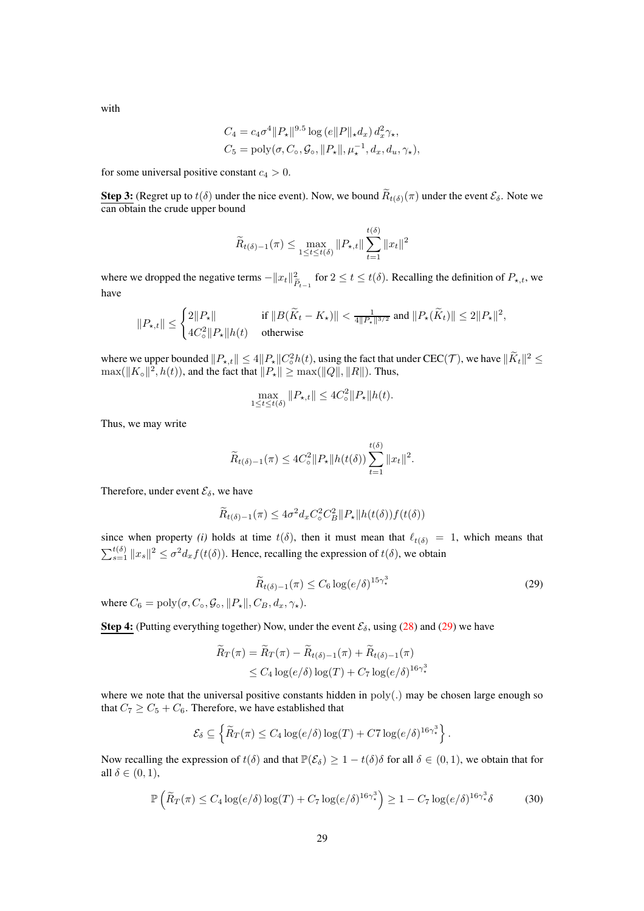with

$$
C_4 = c_4 \sigma^4 ||P_\star||^{9.5} \log (e||P||_\star d_x) d_x^2 \gamma_\star,
$$
  
\n
$$
C_5 = \text{poly}(\sigma, C_0, \mathcal{G}_0, ||P_\star||, \mu_\star^{-1}, d_x, d_u, \gamma_\star),
$$

for some universal positive constant  $c_4 > 0$ .

**Step 3:** (Regret up to  $t(\delta)$  under the nice event). Now, we bound  $R_{t(\delta)}(\pi)$  under the event  $\mathcal{E}_{\delta}$ . Note we can obtain the crude upper bound

$$
\widetilde{R}_{t(\delta)-1}(\pi) \leq \max_{1 \leq t \leq t(\delta)} \|P_{\star,t}\| \sum_{t=1}^{t(\delta)} \|x_t\|^2
$$

where we dropped the negative terms  $-||x_t||_F^2$  $\sum_{\tilde{P}_{t-1}}^2$  for  $2 \le t \le t(\delta)$ . Recalling the definition of  $P_{\star,t}$ , we have

$$
\|P_{\star,t}\| \leq \begin{cases} 2\|P_{\star}\| & \text{if } \|B(\tilde K_t - K_{\star})\| < \frac{1}{4\|P_{\star}\|^{3/2}} \text{ and } \|P_{\star}(\tilde K_t)\| \leq 2\|P_{\star}\|^2, \\ 4C_{\circ}^2\|P_{\star}\|h(t) & \text{otherwise} \end{cases}
$$

where we upper bounded  $||P_{\star,t}|| \leq 4||P_{\star}||C_0^2h(t)$ , using the fact that under  $\text{CEC}(\mathcal{T})$ , we have  $||\tilde{K}_t||^2 \leq$  $\max(||K_{\circ}||^2, h(t)),$  and the fact that  $||P_{\star}|| \ge \max(||Q||, ||R||)$ . Thus,

$$
\max_{1 \le t \le t(\delta)} \|P_{\star,t}\| \le 4C_{\circ}^2 \|P_{\star}\| h(t).
$$

Thus, we may write

$$
\widetilde{R}_{t(\delta)-1}(\pi) \le 4C_{\circ}^2 \|P_{\star}\| h(t(\delta)) \sum_{t=1}^{t(\delta)} \|x_t\|^2.
$$

Therefore, under event  $\mathcal{E}_{\delta}$ , we have

$$
\widetilde{R}_{t(\delta)-1}(\pi) \le 4\sigma^2 d_x C_{\circ}^2 C_B^2 \|P_{\star}\| h(t(\delta)) f(t(\delta))
$$

since when property *(i)* holds at time  $t(\delta)$ , then it must mean that  $\ell_{t(\delta)} = 1$ , which means that  $\sum_{s=1}^{t(\delta)} ||x_s||^2 \le \sigma^2 d_x f(t(\delta))$ . Hence, recalling the expression of  $t(\delta)$ , we obtain

<span id="page-28-0"></span>
$$
\widetilde{R}_{t(\delta)-1}(\pi) \le C_6 \log(e/\delta)^{15\gamma_\star^3} \tag{29}
$$

where  $C_6 = \text{poly}(\sigma, C_\circ, \mathcal{G}_\circ, ||P_\star||, C_B, d_x, \gamma_\star).$ 

Step 4: (Putting everything together) Now, under the event  $\mathcal{E}_{\delta}$ , using [\(28\)](#page-27-1) and [\(29\)](#page-28-0) we have

$$
\widetilde{R}_T(\pi) = \widetilde{R}_T(\pi) - \widetilde{R}_{t(\delta)-1}(\pi) + \widetilde{R}_{t(\delta)-1}(\pi)
$$
\n
$$
\leq C_4 \log(e/\delta) \log(T) + C_7 \log(e/\delta)^{16\gamma_*^3}
$$

where we note that the universal positive constants hidden in  $poly(.)$  may be chosen large enough so that  $C_7 \geq C_5 + C_6$ . Therefore, we have established that

<span id="page-28-1"></span>
$$
\mathcal{E}_{\delta} \subseteq \left\{ \widetilde{R}_T(\pi) \leq C_4 \log(e/\delta) \log(T) + C7 \log(e/\delta)^{16\gamma^3_*} \right\}.
$$

Now recalling the expression of  $t(\delta)$  and that  $\mathbb{P}(\mathcal{E}_{\delta}) \geq 1 - t(\delta)\delta$  for all  $\delta \in (0,1)$ , we obtain that for all  $\delta \in (0,1)$ ,

$$
\mathbb{P}\left(\widetilde{R}_T(\pi) \le C_4 \log(e/\delta) \log(T) + C_7 \log(e/\delta)^{16\gamma_\star^3}\right) \ge 1 - C_7 \log(e/\delta)^{16\gamma_\star^3} \delta \tag{30}
$$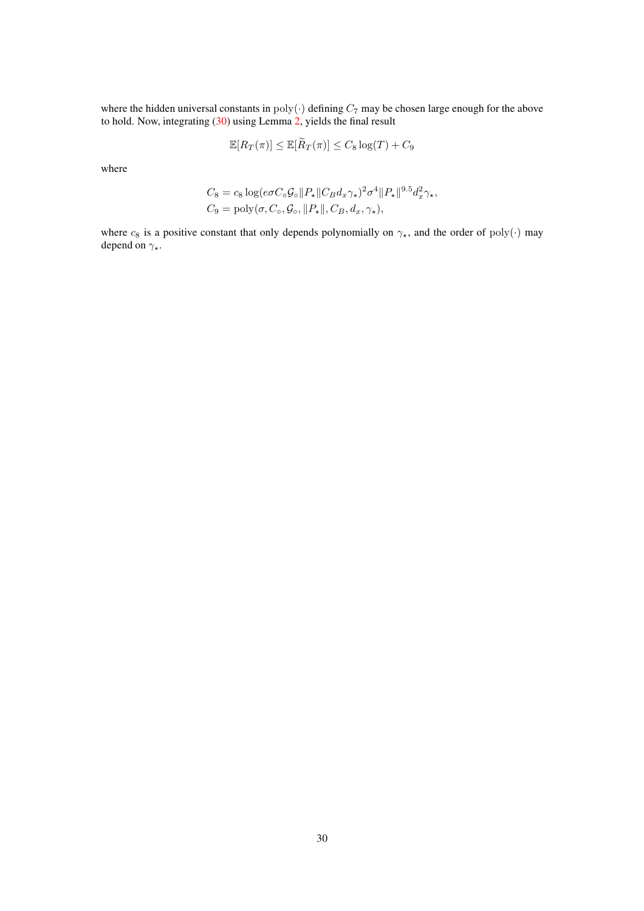where the hidden universal constants in  $poly(\cdot)$  defining  $C_7$  may be chosen large enough for the above to hold. Now, integrating [\(30\)](#page-28-1) using Lemma [2,](#page-21-0) yields the final result

$$
\mathbb{E}[R_T(\pi)] \le \mathbb{E}[\widetilde{R}_T(\pi)] \le C_8 \log(T) + C_9
$$

where

$$
C_8 = c_8 \log(e\sigma C_\circ \mathcal{G}_\circ || P_\star || C_B d_x \gamma_\star)^2 \sigma^4 || P_\star ||^{9.5} d_x^2 \gamma_\star,
$$
  
\n
$$
C_9 = \text{poly}(\sigma, C_\circ, \mathcal{G}_\circ, || P_\star ||, C_B, d_x, \gamma_\star),
$$

where  $c_8$  is a positive constant that only depends polynomially on  $\gamma_{\star}$ , and the order of poly(·) may depend on  $\gamma_{\star}$ .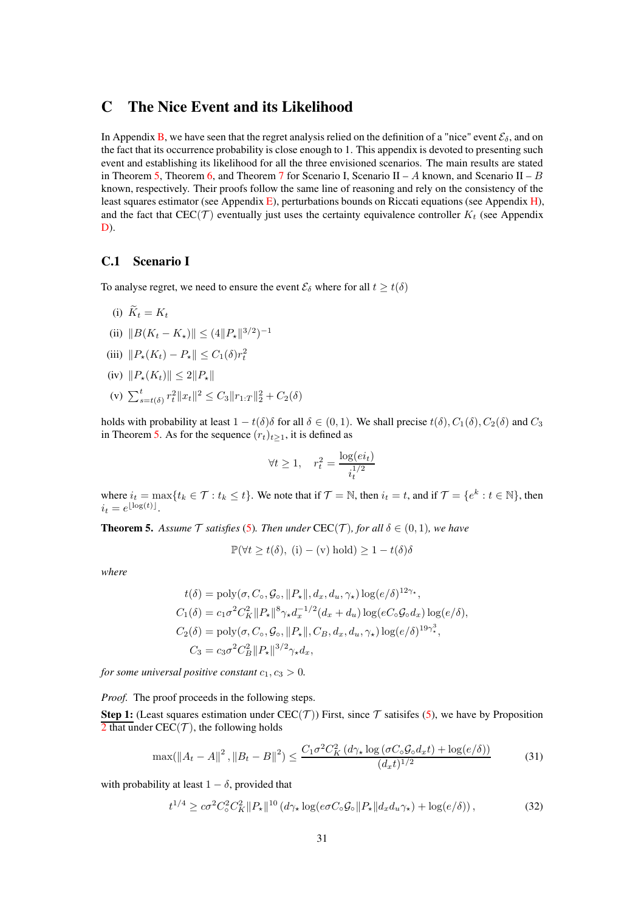# <span id="page-30-0"></span>C The Nice Event and its Likelihood

In Appendix [B,](#page-19-0) we have seen that the regret analysis relied on the definition of a "nice" event  $\mathcal{E}_{\delta}$ , and on the fact that its occurrence probability is close enough to 1. This appendix is devoted to presenting such event and establishing its likelihood for all the three envisioned scenarios. The main results are stated in Theorem [5,](#page-30-2) Theorem [6,](#page-33-0) and Theorem [7](#page-35-1) for Scenario I, Scenario II – A known, and Scenario II – B known, respectively. Their proofs follow the same line of reasoning and rely on the consistency of the least squares estimator (see Appendix [E\)](#page-46-0), perturbations bounds on Riccati equations (see Appendix [H\)](#page-78-0), and the fact that  $\text{CEC}(\mathcal{T})$  eventually just uses the certainty equivalence controller  $K_t$  (see Appendix [D\)](#page-38-0).

### <span id="page-30-1"></span>C.1 Scenario I

To analyse regret, we need to ensure the event  $\mathcal{E}_{\delta}$  where for all  $t \geq t(\delta)$ 

- (i)  $\widetilde{K}_t = K_t$
- (ii)  $||B(K_t K_\star)|| \leq (4||P_\star||^{3/2})^{-1}$
- (iii)  $||P_{\star}(K_t) P_{\star}|| \leq C_1(\delta)r_t^2$
- (iv)  $||P_{\star}(K_t)|| \leq 2||P_{\star}||$
- (v)  $\sum_{s=t(\delta)}^{t} r_t^2 \|x_t\|^2 \leq C_3 \|r_{1:T}\|_2^2 + C_2(\delta)$

holds with probability at least  $1 - t(\delta)\delta$  for all  $\delta \in (0, 1)$ . We shall precise  $t(\delta), C_1(\delta), C_2(\delta)$  and  $C_3$ in Theorem [5.](#page-30-2) As for the sequence  $(r_t)_{t\geq 1}$ , it is defined as

$$
\forall t \ge 1, \quad r_t^2 = \frac{\log(e_i)}{i_t^{1/2}}
$$

where  $i_t = \max\{t_k \in \mathcal{T} : t_k \leq t\}$ . We note that if  $\mathcal{T} = \mathbb{N}$ , then  $i_t = t$ , and if  $\mathcal{T} = \{e^k : t \in \mathbb{N}\}$ , then  $i_t = e^{\lfloor \log(t) \rfloor}.$ 

<span id="page-30-2"></span>**Theorem 5.** Assume  $\mathcal T$  satisfies [\(5\)](#page-3-1). Then under CEC( $\mathcal T$ ), for all  $\delta \in (0,1)$ , we have

<span id="page-30-4"></span>
$$
\mathbb{P}(\forall t \ge t(\delta), (i) - (v) \text{ hold}) \ge 1 - t(\delta)\delta
$$

*where*

$$
t(\delta) = \text{poly}(\sigma, C_{\circ}, \mathcal{G}_{\circ}, ||P_{\star}||, d_x, d_u, \gamma_{\star}) \log(e/\delta)^{12\gamma_{\star}},
$$
  
\n
$$
C_1(\delta) = c_1 \sigma^2 C_K^2 ||P_{\star}||^8 \gamma_{\star} d_x^{-1/2} (d_x + d_u) \log(eC_{\circ} \mathcal{G}_{\circ} d_x) \log(e/\delta),
$$
  
\n
$$
C_2(\delta) = \text{poly}(\sigma, C_{\circ}, \mathcal{G}_{\circ}, ||P_{\star}||, C_B, d_x, d_u, \gamma_{\star}) \log(e/\delta)^{19\gamma_{\star}^3},
$$
  
\n
$$
C_3 = c_3 \sigma^2 C_B^2 ||P_{\star}||^{3/2} \gamma_{\star} d_x,
$$

*for some universal positive constant*  $c_1, c_3 > 0$ *.* 

*Proof.* The proof proceeds in the following steps.

**Step 1:** (Least squares estimation under CEC(T)) First, since T satisifes [\(5\)](#page-3-1), we have by Proposition  $\overline{2}$  $\overline{2}$  $\overline{2}$  that under CEC(T), the following holds

$$
\max(\left\|A_t - A\right\|^2, \left\|B_t - B\right\|^2) \le \frac{C_1 \sigma^2 C_K^2 \left(d\gamma_\star \log\left(\sigma C_\circ \mathcal{G}_\circ d_x t\right) + \log\left(e/\delta\right)\right)}{(d_x t)^{1/2}}\tag{31}
$$

with probability at least  $1 - \delta$ , provided that

<span id="page-30-3"></span>
$$
t^{1/4} \ge c\sigma^2 C_\circ^2 C_K^2 \|P_\star\|^{10} \left(d\gamma_\star \log(e\sigma C_\circ \mathcal{G}_\circ \|P_\star\| d_x d_u \gamma_\star\right) + \log(e/\delta)\right),\tag{32}
$$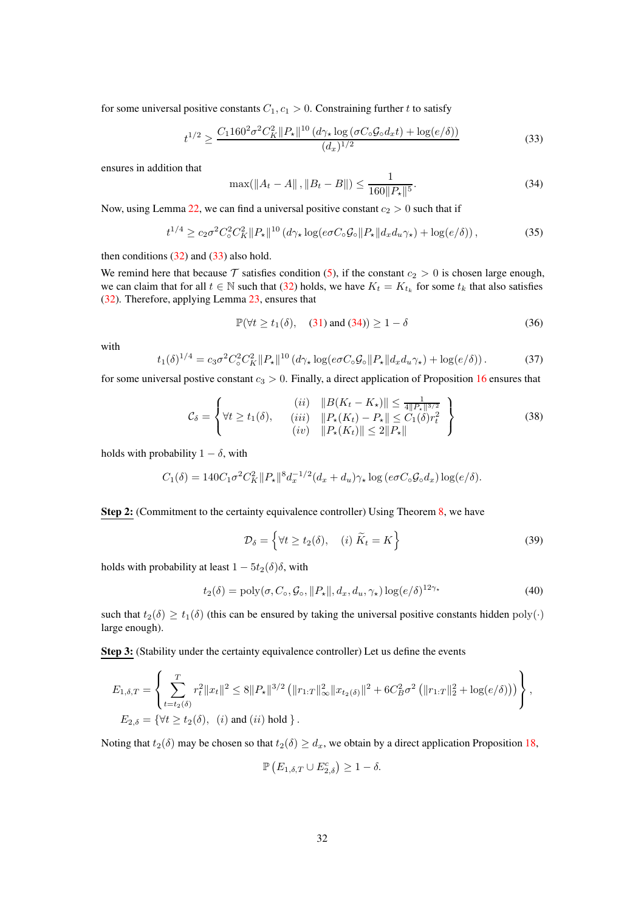for some universal positive constants  $C_1, c_1 > 0$ . Constraining further t to satisfy

<span id="page-31-0"></span>
$$
t^{1/2} \ge \frac{C_1 160^2 \sigma^2 C_K^2 \|P_\star\|^{10} \left(d\gamma_\star \log\left(\sigma C_\circ \mathcal{G}_\circ d_x t\right) + \log(e/\delta)\right)}{(d_x)^{1/2}}\tag{33}
$$

ensures in addition that

<span id="page-31-1"></span>
$$
\max(\|A_t - A\|, \|B_t - B\|) \le \frac{1}{160\|P_{\star}\|^5}.
$$
\n(34)

Now, using Lemma  $22$ , we can find a universal positive constant  $c_2 > 0$  such that if

$$
t^{1/4} \ge c_2 \sigma^2 C_\circ^2 C_K^2 \|P_\star\|^{10} \left(d\gamma_\star \log(e \sigma C_\circ \mathcal{G}_\circ \|P_\star\| d_x d_u \gamma_\star\right) + \log(e/\delta)\right),\tag{35}
$$

then conditions  $(32)$  and  $(33)$  also hold.

We remind here that because  $\mathcal T$  satisfies condition [\(5\)](#page-3-1), if the constant  $c_2 > 0$  is chosen large enough, we can claim that for all  $t \in \mathbb{N}$  such that [\(32\)](#page-30-3) holds, we have  $K_t = K_{t_k}$  for some  $t_k$  that also satisfies [\(32\)](#page-30-3). Therefore, applying Lemma [23,](#page-87-2) ensures that

$$
\mathbb{P}(\forall t \ge t_1(\delta), \quad (31) \text{ and } (34)) \ge 1 - \delta \tag{36}
$$

with

$$
t_1(\delta)^{1/4} = c_3 \sigma^2 C_\circ^2 C_K^2 \|P_\star\|^{10} \left(d\gamma_\star \log(e \sigma C_\circ \mathcal{G}_\circ \|P_\star\| d_x d_u \gamma_\star) + \log(e/\delta)\right). \tag{37}
$$

for some universal postive constant  $c_3 > 0$ . Finally, a direct application of Proposition [16](#page-79-0) ensures that

$$
\mathcal{C}_{\delta} = \left\{ \forall t \ge t_1(\delta), \quad \begin{array}{c} (ii) & \|B(K_t - K_{\star})\| \le \frac{1}{4\|P_{\star}\|^{{3}/{2}}} \\ (iii) & \|P_{\star}(K_t) - P_{\star}\| \le C_1(\delta)r_t^2 \\ (iv) & \|P_{\star}(K_t)\| \le 2\|P_{\star}\| \end{array} \right\} \tag{38}
$$

holds with probability  $1 - \delta$ , with

$$
C_1(\delta) = 140C_1\sigma^2 C_K^2 \|P_\star\|^8 d_x^{-1/2} (d_x + d_u) \gamma_\star \log(e\sigma C_\circ \mathcal{G}_\circ d_x) \log(e/\delta).
$$

Step 2: (Commitment to the certainty equivalence controller) Using Theorem [8,](#page-38-2) we have

$$
\mathcal{D}_{\delta} = \left\{ \forall t \ge t_2(\delta), \quad (i) \ \widetilde{K}_t = K \right\} \tag{39}
$$

holds with probability at least  $1 - 5t<sub>2</sub>(\delta)\delta$ , with

$$
t_2(\delta) = \text{poly}(\sigma, C_\circ, \mathcal{G}_\circ, ||P_\star||, d_x, d_u, \gamma_\star) \log(e/\delta)^{12\gamma_\star} \tag{40}
$$

such that  $t_2(\delta) \ge t_1(\delta)$  (this can be ensured by taking the universal positive constants hidden poly(·) large enough).

Step 3: (Stability under the certainty equivalence controller) Let us define the events

$$
E_{1,\delta,T} = \left\{ \sum_{t=t_2(\delta)}^{T} r_t^2 \|x_t\|^2 \le 8 \|P_\star\|^{3/2} \left( \|r_{1:T}\|_\infty^2 \|x_{t_2(\delta)}\|^2 + 6C_B^2 \sigma^2 \left( \|r_{1:T}\|_2^2 + \log(e/\delta) \right) \right) \right\},
$$
  
\n
$$
E_{2,\delta} = \{ \forall t \ge t_2(\delta), \quad (i) \text{ and } (ii) \text{ hold } \}.
$$

Noting that  $t_2(\delta)$  may be chosen so that  $t_2(\delta) \geq d_x$ , we obtain by a direct application Proposition [18,](#page-82-0)

$$
\mathbb{P}\left(E_{1,\delta,T}\cup E_{2,\delta}^c\right)\geq 1-\delta.
$$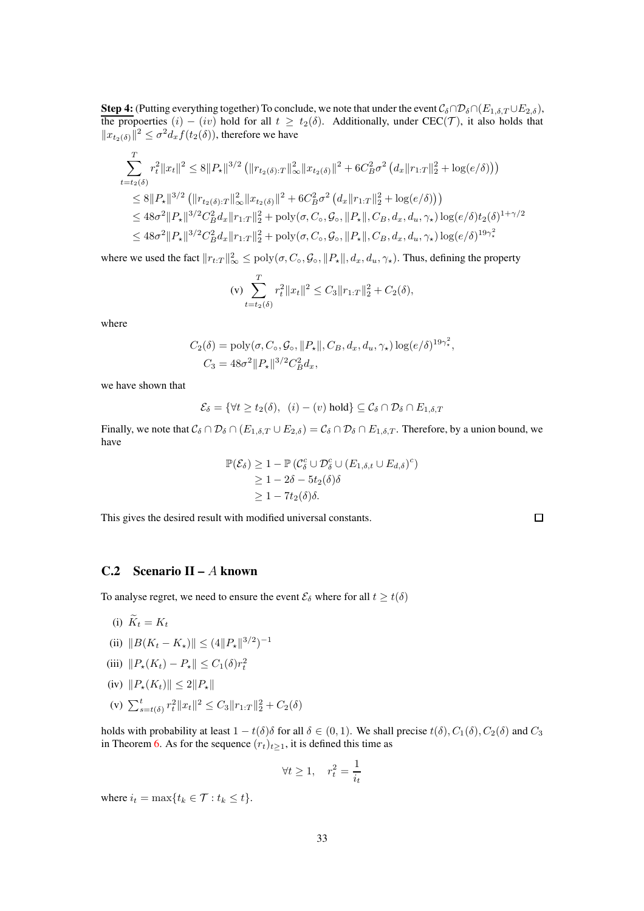Step 4: (Putting everything together) To conclude, we note that under the event  $C_\delta \cap \mathcal{D}_\delta \cap (E_{1,\delta,T} \cup E_{2,\delta}),$ the propoerties  $(i) - (iv)$  hold for all  $t \geq t_2(\delta)$ . Additionally, under CEC(T), it also holds that  $||x_{t_2(\delta)}||^2 \le \sigma^2 d_x f(t_2(\delta))$ , therefore we have

$$
\begin{aligned} &\sum_{t=t_2(\delta)} r_t^2 \|x_t\|^2 \leq 8 \|P_{\star}\|^{3/2} \left( \|r_{t_2(\delta):T}\|_{\infty}^2 \|x_{t_2(\delta)}\|^2 + 6 C_B^2 \sigma^2 \left(d_x \|r_{1:T}\|_2^2 + \log(e/\delta)\right) \right) \\ &\leq 8 \|P_{\star}\|^{3/2} \left( \|r_{t_2(\delta):T}\|_{\infty}^2 \|x_{t_2(\delta)}\|^2 + 6 C_B^2 \sigma^2 \left(d_x \|r_{1:T}\|_2^2 + \log(e/\delta)\right) \right) \\ &\leq 48 \sigma^2 \|P_{\star}\|^{3/2} C_B^2 d_x \|r_{1:T}\|_2^2 + \text{poly}(\sigma, C_{\circ}, \mathcal{G}_{\circ}, \|P_{\star}\|, C_B, d_x, d_u, \gamma_{\star}) \log(e/\delta) t_2(\delta)^{1+\gamma/2} \\ &\leq 48 \sigma^2 \|P_{\star}\|^{3/2} C_B^2 d_x \|r_{1:T}\|_2^2 + \text{poly}(\sigma, C_{\circ}, \mathcal{G}_{\circ}, \|P_{\star}\|, C_B, d_x, d_u, \gamma_{\star}) \log(e/\delta)^{19 \gamma_{\star}^2} \end{aligned}
$$

where we used the fact  $||r_{t:T}||_{\infty}^2 \leq \text{poly}(\sigma, C_\circ, \mathcal{G}_\circ, ||P_\star||, d_x, d_u, \gamma_\star)$ . Thus, defining the property

$$
\text{(v)} \sum_{t=t_2(\delta)}^{T} r_t^2 \|x_t\|^2 \le C_3 \|r_{1:T}\|_2^2 + C_2(\delta),
$$

where

$$
C_2(\delta) = \text{poly}(\sigma, C_\circ, \mathcal{G}_\circ, ||P_\star||, C_B, d_x, d_u, \gamma_\star) \log(e/\delta)^{19\gamma_\star^2},
$$
  

$$
C_3 = 48\sigma^2 ||P_\star||^{3/2} C_B^2 d_x,
$$

we have shown that

$$
\mathcal{E}_{\delta} = \{ \forall t \ge t_2(\delta), \ (i) - (v) \text{ hold} \} \subseteq \mathcal{C}_{\delta} \cap \mathcal{D}_{\delta} \cap E_{1, \delta, T}
$$

Finally, we note that  $C_{\delta} \cap \mathcal{D}_{\delta} \cap (E_{1,\delta,T} \cup E_{2,\delta}) = C_{\delta} \cap \mathcal{D}_{\delta} \cap E_{1,\delta,T}$ . Therefore, by a union bound, we have

$$
\mathbb{P}(\mathcal{E}_{\delta}) \ge 1 - \mathbb{P} (C_{\delta}^{c} \cup \mathcal{D}_{\delta}^{c} \cup (E_{1,\delta,t} \cup E_{d,\delta})^{c})
$$
  
\n
$$
\ge 1 - 2\delta - 5t_{2}(\delta)\delta
$$
  
\n
$$
\ge 1 - 7t_{2}(\delta)\delta.
$$

This gives the desired result with modified universal constants.

 $\Box$ 

### <span id="page-32-0"></span>C.2 Scenario II – A known

To analyse regret, we need to ensure the event  $\mathcal{E}_{\delta}$  where for all  $t \geq t(\delta)$ 

- (i)  $\widetilde{K}_t = K_t$
- (ii)  $||B(K_t K_\star)|| \leq (4||P_\star||^{3/2})^{-1}$
- (iii)  $||P_{\star}(K_t) P_{\star}|| \leq C_1(\delta)r_t^2$
- (iv)  $||P_*(K_t)|| \leq 2||P_*||$
- (v)  $\sum_{s=t(\delta)}^{t} r_t^2 ||x_t||^2 \leq C_3 ||r_{1:T}||_2^2 + C_2(\delta)$

holds with probability at least  $1 - t(\delta)\delta$  for all  $\delta \in (0, 1)$ . We shall precise  $t(\delta), C_1(\delta), C_2(\delta)$  and  $C_3$ in Theorem [6.](#page-33-0) As for the sequence  $(r_t)_{t\geq 1}$ , it is defined this time as

$$
\forall t \ge 1, \quad r_t^2 = \frac{1}{i_t}
$$

where  $i_t = \max\{t_k \in \mathcal{T} : t_k \leq t\}.$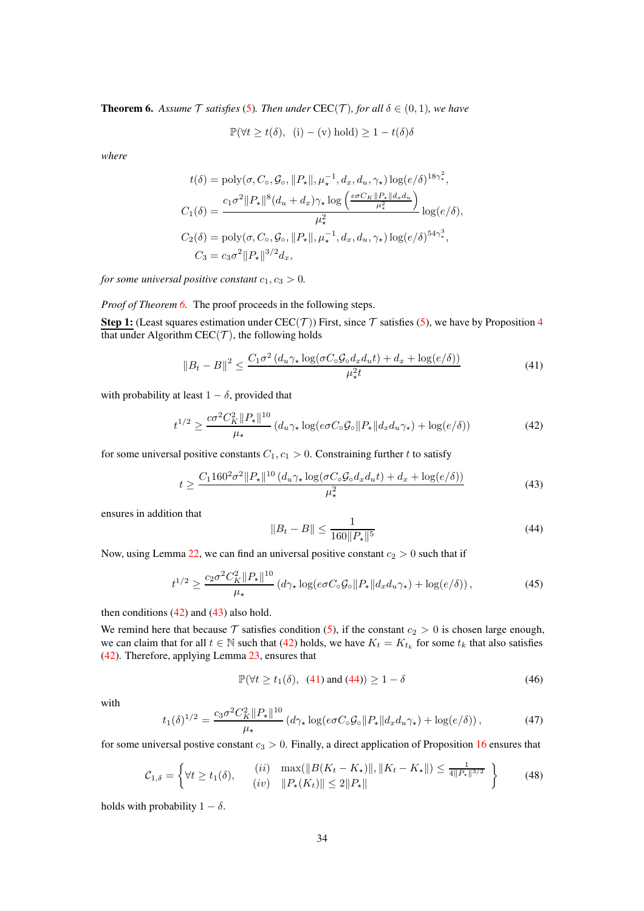<span id="page-33-0"></span>**Theorem 6.** Assume  $\mathcal T$  *satisfies* [\(5\)](#page-3-1). Then under CEC( $\mathcal T$ )*, for all*  $\delta \in (0,1)$ *, we have* 

$$
\mathbb{P}(\forall t \ge t(\delta), \ (i) - (v) \text{ hold}) \ge 1 - t(\delta)\delta
$$

*where*

$$
t(\delta) = \text{poly}(\sigma, C_{\circ}, \mathcal{G}_{\circ}, ||P_{\star}||, \mu_{\star}^{-1}, d_x, d_u, \gamma_{\star}) \log(e/\delta)^{18\gamma_{\star}^{2}},
$$
  
\n
$$
C_{1}(\delta) = \frac{c_{1}\sigma^{2}||P_{\star}||^{8}(d_{u} + d_{x})\gamma_{\star}\log\left(\frac{e\sigma C_{K}||P_{\star}||d_{x}d_{u}}{\mu_{\star}^{2}}\right)}{\mu_{\star}^{2}} \log(e/\delta),
$$
  
\n
$$
C_{2}(\delta) = \text{poly}(\sigma, C_{\circ}, \mathcal{G}_{\circ}, ||P_{\star}||, \mu_{\star}^{-1}, d_x, d_u, \gamma_{\star}) \log(e/\delta)^{54\gamma_{\star}^{3}},
$$
  
\n
$$
C_{3} = c_{3}\sigma^{2}||P_{\star}||^{3/2}d_{x},
$$

*for some universal positive constant*  $c_1, c_3 > 0$ *.* 

*Proof of Theorem [6.](#page-33-0)* The proof proceeds in the following steps.

Step 1: (Least squares estimation under CEC(T)) First, since T satisfies [\(5\)](#page-3-1), we have by Proposition [4](#page-52-0) that under Algorithm  $CEC(\mathcal{T})$ , the following holds

$$
||B_t - B||^2 \le \frac{C_1 \sigma^2 (d_u \gamma_\star \log(\sigma C_\circ \mathcal{G}_\circ d_x d_u t) + d_x + \log(e/\delta))}{\mu_\star^2 t}
$$
(41)

with probability at least  $1 - \delta$ , provided that

<span id="page-33-1"></span>
$$
t^{1/2} \ge \frac{c\sigma^2 C_K^2 \|P_\star\|^{10}}{\mu_\star} \left(d_u \gamma_\star \log(e\sigma C_\circ \mathcal{G}_\circ \|P_\star\| d_x d_u \gamma_\star) + \log(e/\delta)\right) \tag{42}
$$

for some universal positive constants  $C_1, c_1 > 0$ . Constraining further t to satisfy

<span id="page-33-2"></span>
$$
t \ge \frac{C_1 160^2 \sigma^2 \|P_\star\|^{10} \left(d_u \gamma_\star \log\left(\sigma C_\circ \mathcal{G}_o d_x d_u t\right) + d_x + \log\left(e/\delta\right)\right)}{\mu_\star^2} \tag{43}
$$

ensures in addition that

<span id="page-33-4"></span><span id="page-33-3"></span>
$$
||B_t - B|| \le \frac{1}{160||P_*||^5} \tag{44}
$$

Now, using Lemma [22,](#page-87-1) we can find an universal positive constant  $c_2 > 0$  such that if

$$
t^{1/2} \ge \frac{c_2 \sigma^2 C_K^2 \|P_\star\|^{10}}{\mu_\star} \left(d\gamma_\star \log(e \sigma C_\circ \mathcal{G}_\circ \|P_\star\| d_x d_u \gamma_\star) + \log(e/\delta)\right),\tag{45}
$$

then conditions  $(42)$  and  $(43)$  also hold.

We remind here that because  $\mathcal T$  satisfies condition [\(5\)](#page-3-1), if the constant  $c_2 > 0$  is chosen large enough, we can claim that for all  $t \in \mathbb{N}$  such that [\(42\)](#page-33-1) holds, we have  $K_t = K_{t_k}$  for some  $t_k$  that also satisfies [\(42\)](#page-33-1). Therefore, applying Lemma [23,](#page-87-2) ensures that

$$
\mathbb{P}(\forall t \ge t_1(\delta), (41) \text{ and } (44)) \ge 1 - \delta \tag{46}
$$

with

$$
t_1(\delta)^{1/2} = \frac{c_3 \sigma^2 C_K^2 \|P_\star\|^{10}}{\mu_\star} \left( d\gamma_\star \log(e \sigma C_\circ \mathcal{G}_\circ \|P_\star\| d_x d_u \gamma_\star) + \log(e/\delta) \right),\tag{47}
$$

for some universal postive constant  $c_3 > 0$ . Finally, a direct application of Proposition [16](#page-79-0) ensures that

$$
\mathcal{C}_{1,\delta} = \left\{ \forall t \ge t_1(\delta), \qquad \begin{array}{l} (ii) \quad \max(\|B(K_t - K_\star)\|, \|K_t - K_\star\|) \le \frac{1}{4\|P_\star\|^{3/2}} \\ (iv) \quad \|P_\star(K_t)\| \le 2\|P_\star\| \end{array} \right\} \tag{48}
$$

holds with probability  $1 - \delta$ .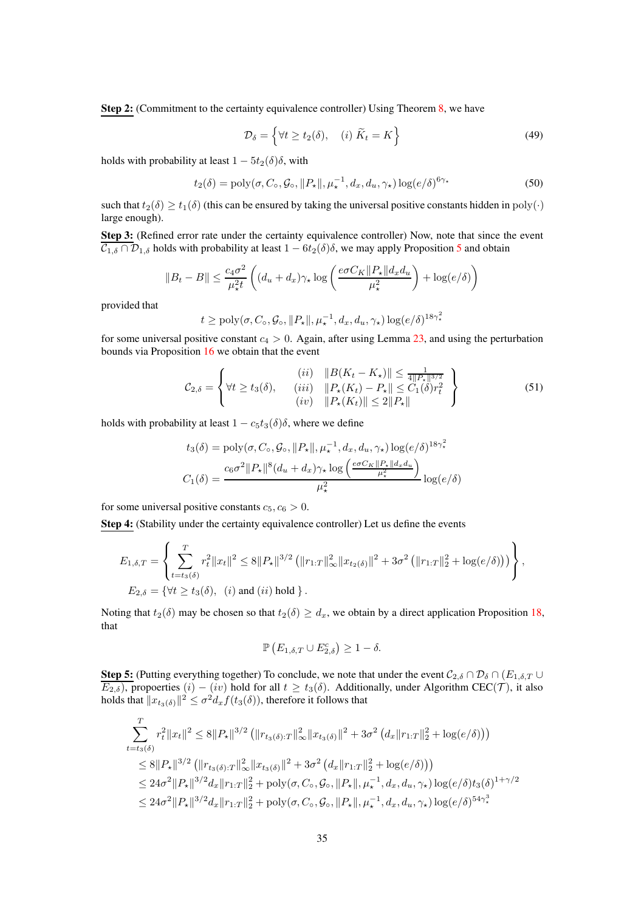Step 2: (Commitment to the certainty equivalence controller) Using Theorem [8,](#page-38-2) we have

$$
\mathcal{D}_{\delta} = \left\{ \forall t \ge t_2(\delta), \quad (i) \ \widetilde{K}_t = K \right\} \tag{49}
$$

holds with probability at least  $1 - 5t_2(\delta)\delta$ , with

$$
t_2(\delta) = \text{poly}(\sigma, C_\circ, \mathcal{G}_\circ, ||P_\star||, \mu_\star^{-1}, d_x, d_u, \gamma_\star) \log(e/\delta)^{6\gamma_\star}
$$
(50)

such that  $t_2(\delta) \ge t_1(\delta)$  (this can be ensured by taking the universal positive constants hidden in  $poly(\cdot)$ large enough).

Step 3: (Refined error rate under the certainty equivalence controller) Now, note that since the event  $\overline{\mathcal{C}_{1,\delta} \cap \mathcal{D}_{1,\delta}}$  holds with probability at least  $1 - 6t_2(\delta)\delta$ , we may apply Proposition [5](#page-52-1) and obtain

$$
||B_t - B|| \le \frac{c_4 \sigma^2}{\mu_*^2 t} \left( (d_u + d_x) \gamma_\star \log \left( \frac{e \sigma C_K ||P_\star|| d_x d_u}{\mu_\star^2} \right) + \log(e/\delta) \right)
$$

provided that

$$
t \ge \text{poly}(\sigma, C_{\circ}, \mathcal{G}_{\circ}, ||P_{\star}||, \mu_{\star}^{-1}, d_x, d_u, \gamma_{\star}) \log(e/\delta)^{18\gamma_{\star}^2}
$$

for some universal positive constant  $c_4 > 0$ . Again, after using Lemma [23,](#page-87-2) and using the perturbation bounds via Proposition [16](#page-79-0) we obtain that the event

$$
\mathcal{C}_{2,\delta} = \left\{ \forall t \ge t_3(\delta), \quad \begin{array}{c} (ii) \quad ||B(K_t - K_{\star})|| \le \frac{1}{4||P_{\star}||^{3/2}}\\ (iii) \quad ||P_{\star}(K_t) - P_{\star}|| \le C_1(\delta)r_t^2\\ (iv) \quad ||P_{\star}(K_t)|| \le 2||P_{\star}|| \end{array} \right\}
$$
(51)

holds with probability at least  $1 - c_5t_3(\delta)\delta$ , where we define

$$
t_3(\delta) = \text{poly}(\sigma, C_\circ, \mathcal{G}_\circ, ||P_\star||, \mu_\star^{-1}, d_x, d_u, \gamma_\star) \log(e/\delta)^{18\gamma_\star^2}
$$

$$
C_1(\delta) = \frac{c_6\sigma^2 ||P_\star||^8 (d_u + d_x)\gamma_\star \log\left(\frac{e\sigma C_K ||P_\star|| d_x d_u}{\mu_\star^2}\right)}{\mu_\star^2} \log(e/\delta)
$$

for some universal positive constants  $c_5, c_6 > 0$ .

Step 4: (Stability under the certainty equivalence controller) Let us define the events

$$
E_{1,\delta,T} = \left\{ \sum_{t=t_3(\delta)}^{T} r_t^2 \|x_t\|^2 \le 8 \|P_\star\|^{3/2} \left( \|r_{1:T}\|_\infty^2 \|x_{t_2(\delta)}\|^2 + 3\sigma^2 \left( \|r_{1:T}\|_2^2 + \log(e/\delta)\right) \right) \right\},
$$
  
\n
$$
E_{2,\delta} = \{ \forall t \ge t_3(\delta), \quad (i) \text{ and } (ii) \text{ hold } \}.
$$

Noting that  $t_2(\delta)$  may be chosen so that  $t_2(\delta) \geq d_x$ , we obtain by a direct application Proposition [18,](#page-82-0) that

$$
\mathbb{P}\left(E_{1,\delta,T}\cup E_{2,\delta}^c\right)\geq 1-\delta.
$$

**Step 5:** (Putting everything together) To conclude, we note that under the event  $C_{2,\delta} \cap \mathcal{D}_{\delta} \cap (E_{1,\delta,T} \cup$  $E_{2,\delta}$ ), propoerties  $(i) - (iv)$  hold for all  $t \ge t_3(\delta)$ . Additionally, under Algorithm CEC(*T*), it also holds that  $\|x_{t_3(\delta)}\|^2 \leq \sigma^2 d_x f(t_3(\delta))$ , therefore it follows that

$$
\sum_{t=t_3(\delta)}^{T} r_t^2 \|x_t\|^2 \leq 8 \|P_{\star}\|^{3/2} \left( \|r_{t_3(\delta):T}\|_{\infty}^2 \|x_{t_3(\delta)}\|^2 + 3\sigma^2 \left( d_x \|r_{1:T}\|_2^2 + \log(e/\delta) \right) \right)
$$
  
\n
$$
\leq 8 \|P_{\star}\|^{3/2} \left( \|r_{t_3(\delta):T}\|_{\infty}^2 \|x_{t_3(\delta)}\|^2 + 3\sigma^2 \left( d_x \|r_{1:T}\|_2^2 + \log(e/\delta) \right) \right)
$$
  
\n
$$
\leq 24\sigma^2 \|P_{\star}\|^{3/2} d_x \|r_{1:T}\|_2^2 + \text{poly}(\sigma, C_\circ, \mathcal{G}_\circ, \|P_{\star}\|, \mu_{\star}^{-1}, d_x, d_u, \gamma_{\star}) \log(e/\delta) t_3(\delta)^{1+\gamma/2}
$$
  
\n
$$
\leq 24\sigma^2 \|P_{\star}\|^{3/2} d_x \|r_{1:T}\|_2^2 + \text{poly}(\sigma, C_\circ, \mathcal{G}_\circ, \|P_{\star}\|, \mu_{\star}^{-1}, d_x, d_u, \gamma_{\star}) \log(e/\delta)^{54\gamma_*^3}
$$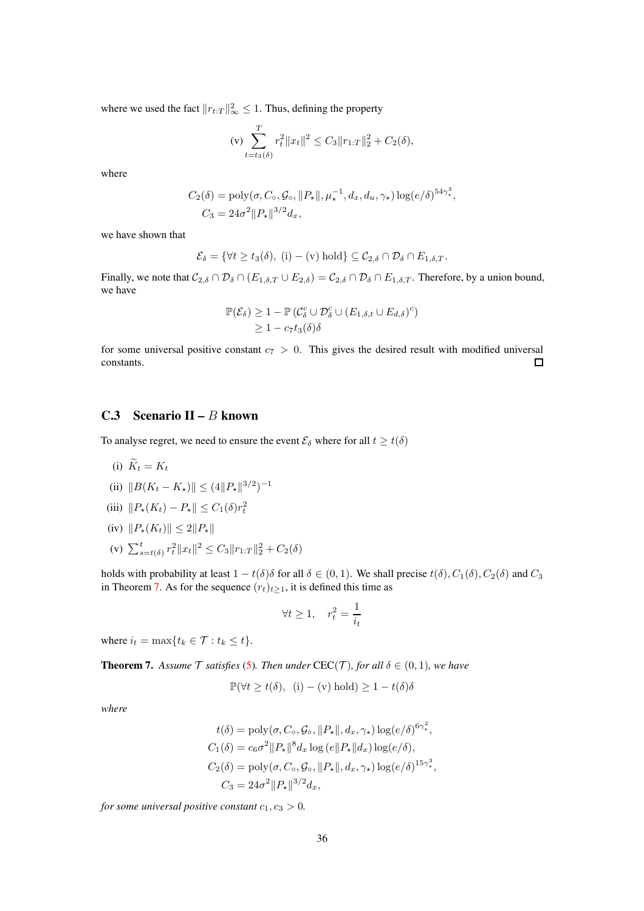where we used the fact  $||r_{t:T}||_{\infty}^2 \le 1$ . Thus, defining the property

(v) 
$$
\sum_{t=t_3(\delta)}^{T} r_t^2 \|x_t\|^2 \leq C_3 \|r_{1:T}\|_2^2 + C_2(\delta),
$$

where

$$
C_2(\delta) = \text{poly}(\sigma, C_{\circ}, \mathcal{G}_{\circ}, ||P_{\star}||, \mu_{\star}^{-1}, d_x, d_u, \gamma_{\star}) \log(e/\delta)^{54\gamma_{\star}^{3}},
$$
  

$$
C_3 = 24\sigma^2 ||P_{\star}||^{3/2} d_x,
$$

we have shown that

$$
\mathcal{E}_{\delta} = \{ \forall t \geq t_3(\delta), (i) - (v) \text{ hold} \} \subseteq \mathcal{C}_{2,\delta} \cap \mathcal{D}_{\delta} \cap E_{1,\delta,T}.
$$

Finally, we note that  $C_{2,\delta} \cap \mathcal{D}_{\delta} \cap (E_{1,\delta,T} \cup E_{2,\delta}) = C_{2,\delta} \cap \mathcal{D}_{\delta} \cap E_{1,\delta,T}$ . Therefore, by a union bound, we have

$$
\mathbb{P}(\mathcal{E}_{\delta}) \ge 1 - \mathbb{P}\left(\mathcal{C}_{\delta}^{c} \cup \mathcal{D}_{\delta}^{c} \cup (E_{1,\delta,t} \cup E_{d,\delta})^{c}\right) \ge 1 - c_{7}t_{3}(\delta)\delta
$$

for some universal positive constant  $c_7 > 0$ . This gives the desired result with modified universal constants. constants.

### <span id="page-35-0"></span>C.3 Scenario II –  $B$  known

To analyse regret, we need to ensure the event  $\mathcal{E}_{\delta}$  where for all  $t \geq t(\delta)$ 

$$
(i) K_t = K_t
$$

(ii)  $||B(K_t - K_\star)|| \leq (4||P_\star||^{3/2})^{-1}$ 

(iii) 
$$
\|P_{\star}(K_t) - P_{\star}\| \leq C_1(\delta)r_t^2
$$

- (iv)  $||P_*(K_t)|| \leq 2||P_*||$
- (v)  $\sum_{s=t(\delta)}^{t} r_t^2 \|x_t\|^2 \leq C_3 \|r_{1:T}\|_2^2 + C_2(\delta)$

holds with probability at least  $1 - t(\delta)\delta$  for all  $\delta \in (0, 1)$ . We shall precise  $t(\delta), C_1(\delta), C_2(\delta)$  and  $C_3$ in Theorem [7.](#page-35-1) As for the sequence  $(r_t)_{t>1}$ , it is defined this time as

$$
\forall t \ge 1, \quad r_t^2 = \frac{1}{i_t}
$$

where  $i_t = \max\{t_k \in \mathcal{T} : t_k \leq t\}.$ 

<span id="page-35-1"></span>**Theorem 7.** Assume  $\mathcal T$  satisfies [\(5\)](#page-3-1). Then under CEC( $\mathcal T$ )*, for all*  $\delta \in (0,1)$ *, we have* 

$$
\mathbb{P}(\forall t \ge t(\delta), \ (i) - (v) \text{ hold}) \ge 1 - t(\delta)\delta
$$

*where*

$$
t(\delta) = \text{poly}(\sigma, C_{\circ}, \mathcal{G}_{\circ}, ||P_{\star}||, d_x, \gamma_{\star}) \log(e/\delta)^{6\gamma_{\star}^{2}},
$$
  
\n
$$
C_{1}(\delta) = c_{6}\sigma^{2} ||P_{\star}||^{8} d_x \log(e||P_{\star}||d_x) \log(e/\delta),
$$
  
\n
$$
C_{2}(\delta) = \text{poly}(\sigma, C_{\circ}, \mathcal{G}_{\circ}, ||P_{\star}||, d_x, \gamma_{\star}) \log(e/\delta)^{15\gamma_{\star}^{3}},
$$
  
\n
$$
C_{3} = 24\sigma^{2} ||P_{\star}||^{3/2} d_x,
$$

*for some universal positive constant*  $c_1, c_3 > 0$ *.*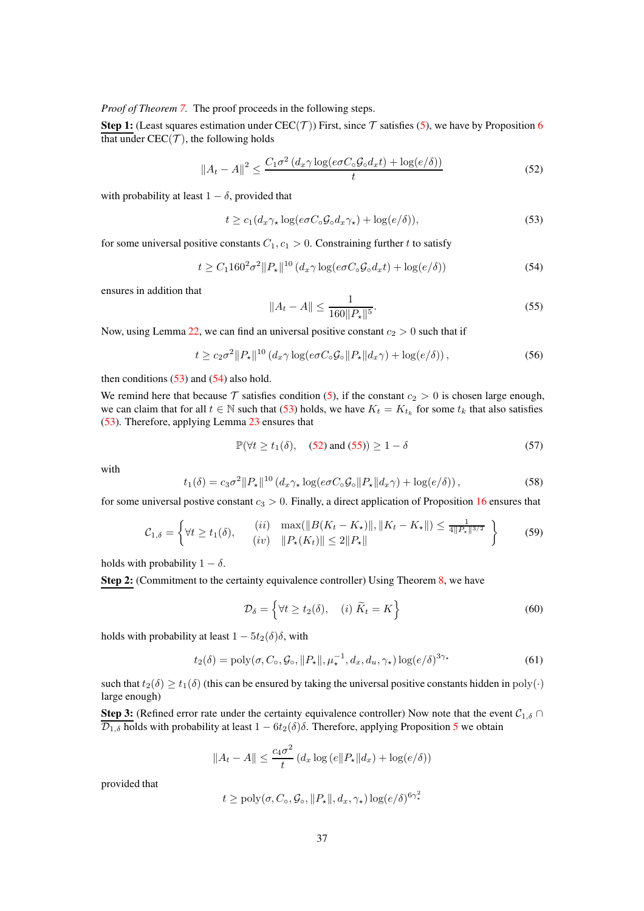*Proof of Theorem [7.](#page-35-0)* The proof proceeds in the following steps.

**Step 1:** (Least squares estimation under CEC(T)) First, since T satisfies [\(5\)](#page-3-0), we have by Proposition [6](#page-54-0) that under  $CEC(\mathcal{T})$ , the following holds

$$
||A_t - A||^2 \le \frac{C_1 \sigma^2 \left(d_x \gamma \log(e \sigma C_\circ \mathcal{G}_\circ d_x t) + \log(e/\delta)\right)}{t} \tag{52}
$$

with probability at least  $1 - \delta$ , provided that

<span id="page-36-0"></span>
$$
t \ge c_1 (d_x \gamma_\star \log(e \sigma C_\circ \mathcal{G}_\circ d_x \gamma_\star) + \log(e/\delta)),\tag{53}
$$

for some universal positive constants  $C_1, c_1 > 0$ . Constraining further t to satisfy

<span id="page-36-1"></span>
$$
t \geq C_1 160^2 \sigma^2 ||P_\star||^{10} \left( d_x \gamma \log(e \sigma C_\circ \mathcal{G}_\circ d_x t) + \log(e/\delta) \right) \tag{54}
$$

ensures in addition that

<span id="page-36-3"></span><span id="page-36-2"></span>
$$
||A_t - A|| \le \frac{1}{160||P_\star||^5}.\tag{55}
$$

Now, using Lemma [22,](#page-87-0) we can find an universal positive constant  $c_2 > 0$  such that if

$$
t \ge c_2 \sigma^2 \|P_\star\|^{10} \left( d_x \gamma \log(e \sigma C_\circ \mathcal{G}_\circ \|P_\star\| d_x \gamma) + \log(e/\delta) \right),\tag{56}
$$

then conditions  $(53)$  and  $(54)$  also hold.

We remind here that because  $\mathcal T$  satisfies condition [\(5\)](#page-3-0), if the constant  $c_2 > 0$  is chosen large enough, we can claim that for all  $t \in \mathbb{N}$  such that [\(53\)](#page-36-0) holds, we have  $K_t = K_{t_k}$  for some  $t_k$  that also satisfies [\(53\)](#page-36-0). Therefore, applying Lemma [23](#page-87-1) ensures that

$$
\mathbb{P}(\forall t \ge t_1(\delta), \quad (52) \text{ and } (55)) \ge 1 - \delta \tag{57}
$$

with

$$
t_1(\delta) = c_3 \sigma^2 \|P_\star\|^{10} \left( d_x \gamma_\star \log(e \sigma C_\circ \mathcal{G}_\circ \| P_\star \| d_x \gamma) + \log(e/\delta) \right),\tag{58}
$$

for some universal postive constant  $c_3 > 0$ . Finally, a direct application of Proposition [16](#page-79-0) ensures that

$$
\mathcal{C}_{1,\delta} = \left\{ \forall t \ge t_1(\delta), \qquad \begin{array}{l} (ii) \quad \max(\|B(K_t - K_\star)\|, \|K_t - K_\star\|) \le \frac{1}{4\|P_\star\|^{3/2}} \\ (iv) \quad \|P_\star(K_t)\| \le 2\|P_\star\| \end{array} \right\} \tag{59}
$$

holds with probability  $1 - \delta$ .

Step 2: (Commitment to the certainty equivalence controller) Using Theorem [8,](#page-38-0) we have

$$
\mathcal{D}_{\delta} = \left\{ \forall t \ge t_2(\delta), \quad (i) \ \widetilde{K}_t = K \right\} \tag{60}
$$

holds with probability at least  $1 - 5t_2(\delta)\delta$ , with

$$
t_2(\delta) = \text{poly}(\sigma, C_\circ, \mathcal{G}_\circ, ||P_\star||, \mu_\star^{-1}, d_x, d_u, \gamma_\star) \log(e/\delta)^{3\gamma_\star}
$$
(61)

such that  $t_2(\delta) \ge t_1(\delta)$  (this can be ensured by taking the universal positive constants hidden in poly(·) large enough)

**Step 3:** (Refined error rate under the certainty equivalence controller) Now note that the event  $C_{1,\delta} \cap$  $\overline{\mathcal{D}_{1,\delta}}$  holds with probability at least  $1 - 6t_2(\delta)\delta$ . Therefore, applying Proposition [5](#page-52-0) we obtain

$$
||A_t - A|| \le \frac{c_4 \sigma^2}{t} \left( d_x \log(e||P_\star||d_x) + \log(e/\delta) \right)
$$

provided that

$$
t \ge \text{poly}(\sigma, C_{\circ}, \mathcal{G}_{\circ}, ||P_{\star}||, d_x, \gamma_{\star}) \log(e/\delta)^{6\gamma_{\star}^2}
$$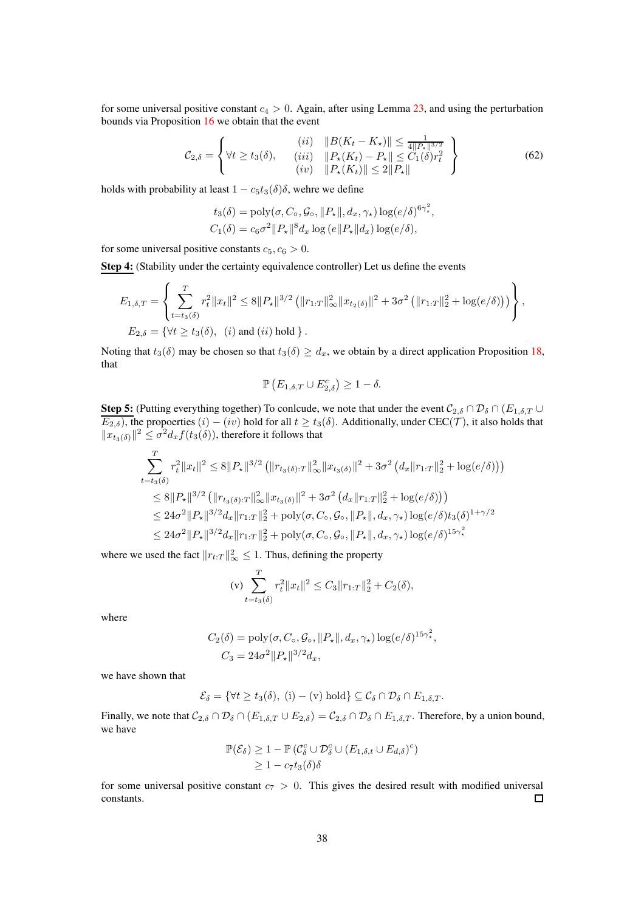for some universal positive constant  $c_4 > 0$ . Again, after using Lemma [23,](#page-87-1) and using the perturbation bounds via Proposition [16](#page-79-0) we obtain that the event

$$
\mathcal{C}_{2,\delta} = \left\{ \forall t \ge t_3(\delta), \quad \begin{array}{c} (ii) & \|B(K_t - K_\star)\| \le \frac{1}{4\|P_\star\|^{3/2}}\\ (iii) & \|P_\star(K_t) - P_\star\| \le C_1(\delta)r_t^2\\ (iv) & \|P_\star(K_t)\| \le 2\|P_\star\| \end{array} \right\} \tag{62}
$$

holds with probability at least  $1 - c_5t_3(\delta)\delta$ , wehre we define

$$
t_3(\delta) = \text{poly}(\sigma, C_\circ, \mathcal{G}_\circ, ||P_\star||, d_x, \gamma_\star) \log(e/\delta)^{6\gamma_\star^2},
$$
  

$$
C_1(\delta) = c_6 \sigma^2 ||P_\star||^8 d_x \log(e||P_\star||d_x) \log(e/\delta),
$$

for some universal positive constants  $c_5, c_6 > 0$ .

Step 4: (Stability under the certainty equivalence controller) Let us define the events

$$
E_{1,\delta,T} = \left\{ \sum_{t=t_3(\delta)}^{T} r_t^2 \|x_t\|^2 \le 8 \|P_\star\|^{3/2} \left( \|r_{1:T}\|_\infty^2 \|x_{t_2(\delta)}\|^2 + 3\sigma^2 \left( \|r_{1:T}\|_2^2 + \log(e/\delta) \right) \right) \right\},
$$
  
\n
$$
E_{2,\delta} = \{ \forall t \ge t_3(\delta), \quad (i) \text{ and } (ii) \text{ hold } \}.
$$

Noting that  $t_3(\delta)$  may be chosen so that  $t_3(\delta) \geq d_x$ , we obtain by a direct application Proposition [18,](#page-82-0) that

$$
\mathbb{P}\left(E_{1,\delta,T}\cup E_{2,\delta}^c\right)\geq 1-\delta.
$$

**Step 5:** (Putting everything together) To conlcude, we note that under the event  $C_{2,\delta} \cap \mathcal{D}_{\delta} \cap (E_{1,\delta,T} \cup$  $E_{2,\delta}$ ), the propoerties  $(i) - (iv)$  hold for all  $t \ge t_3(\delta)$ . Additionally, under CEC(T), it also holds that  $||x_{t_3(\delta)}||^2 \le \sigma^2 d_x f(t_3(\delta))$ , therefore it follows that

$$
\sum_{t=t_3(\delta)}^{T} r_t^2 \|x_t\|^2 \le 8 \|P_\star\|^{3/2} \left( \|r_{t_3(\delta):T}\|_{\infty}^2 \|x_{t_3(\delta)}\|^2 + 3\sigma^2 \left( d_x \|r_{1:T}\|_2^2 + \log(e/\delta) \right) \right)
$$
  
\n
$$
\le 8 \|P_\star\|^{3/2} \left( \|r_{t_3(\delta):T}\|_{\infty}^2 \|x_{t_3(\delta)}\|^2 + 3\sigma^2 \left( d_x \|r_{1:T}\|_2^2 + \log(e/\delta) \right) \right)
$$
  
\n
$$
\le 24\sigma^2 \|P_\star\|^{3/2} d_x \|r_{1:T}\|_2^2 + \text{poly}(\sigma, C_\circ, \mathcal{G}_\circ, \|P_\star\|, d_x, \gamma_\star) \log(e/\delta) t_3(\delta)^{1+\gamma/2}
$$
  
\n
$$
\le 24\sigma^2 \|P_\star\|^{3/2} d_x \|r_{1:T}\|_2^2 + \text{poly}(\sigma, C_\circ, \mathcal{G}_\circ, \|P_\star\|, d_x, \gamma_\star) \log(e/\delta) t_3(\delta)^{1+\gamma/2}
$$

where we used the fact  $||r_{t:T}||_{\infty}^2 \le 1$ . Thus, defining the property

(v) 
$$
\sum_{t=t_3(\delta)}^{T} r_t^2 \|x_t\|^2 \leq C_3 \|r_{1:T}\|_2^2 + C_2(\delta),
$$

where

$$
C_2(\delta) = \text{poly}(\sigma, C_\circ, \mathcal{G}_\circ, ||P_\star||, d_x, \gamma_\star) \log(e/\delta)^{15\gamma_\star^2},
$$
  

$$
C_3 = 24\sigma^2 ||P_\star||^{3/2} d_x,
$$

we have shown that

$$
\mathcal{E}_{\delta} = \{ \forall t \geq t_3(\delta), (i) - (v) \text{ hold} \} \subseteq \mathcal{C}_{\delta} \cap \mathcal{D}_{\delta} \cap E_{1,\delta,T}.
$$

Finally, we note that  $C_{2,\delta} \cap \mathcal{D}_{\delta} \cap (E_{1,\delta,T} \cup E_{2,\delta}) = C_{2,\delta} \cap \mathcal{D}_{\delta} \cap E_{1,\delta,T}$ . Therefore, by a union bound, we have

$$
\mathbb{P}(\mathcal{E}_{\delta}) \geq 1 - \mathbb{P}\left(\mathcal{C}_{\delta}^{c} \cup \mathcal{D}_{\delta}^{c} \cup (E_{1,\delta,t} \cup E_{d,\delta})^{c}\right) \geq 1 - c_{7}t_{3}(\delta)\delta
$$

for some universal positive constant  $c_7 > 0$ . This gives the desired result with modified universal constants.  $\Box$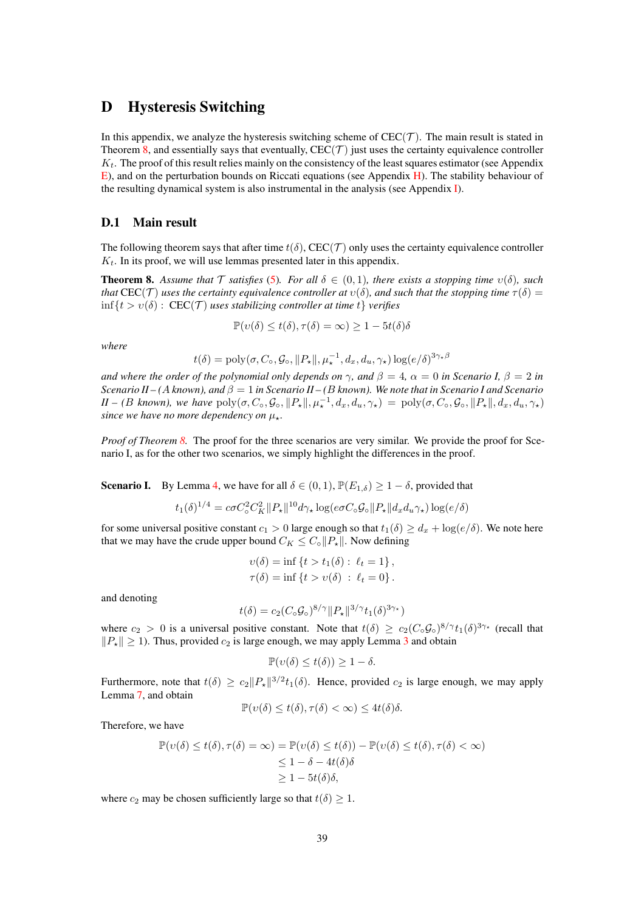# D Hysteresis Switching

In this appendix, we analyze the hysteresis switching scheme of  $CEC(\mathcal{T})$ . The main result is stated in Theorem [8,](#page-38-0) and essentially says that eventually,  $CEC(\mathcal{T})$  just uses the certainty equivalence controller  $K_t$ . The proof of this result relies mainly on the consistency of the least squares estimator (see Appendix [E\)](#page-46-0), and on the perturbation bounds on Riccati equations (see Appendix [H\)](#page-78-0). The stability behaviour of the resulting dynamical system is also instrumental in the analysis (see Appendix [I\)](#page-80-0).

## D.1 Main result

The following theorem says that after time  $t(\delta)$ , CEC(T) only uses the certainty equivalence controller  $K_t$ . In its proof, we will use lemmas presented later in this appendix.

<span id="page-38-0"></span>**Theorem 8.** Assume that  $\mathcal T$  satisfies [\(5\)](#page-3-0). For all  $\delta \in (0,1)$ , there exists a stopping time  $v(\delta)$ , such *that* CEC(T) *uses the certainty equivalence controller at*  $v(\delta)$ *, and such that the stopping time*  $\tau(\delta)$  =  $\inf\{t > v(\delta): \text{CEC}(\mathcal{T})\}$  *uses stabilizing controller at time t {verifies}* 

$$
\mathbb{P}(v(\delta) \le t(\delta), \tau(\delta) = \infty) \ge 1 - 5t(\delta)\delta
$$

*where*

$$
t(\delta) = \text{poly}(\sigma, C_{\circ}, \mathcal{G}_{\circ}, ||P_{\star}||, \mu_{\star}^{-1}, d_x, d_u, \gamma_{\star}) \log(e/\delta)^{3\gamma_{\star}\beta}
$$

*and where the order of the polynomial only depends on*  $\gamma$ , and  $\beta = 4$ ,  $\alpha = 0$  *in Scenario I*,  $\beta = 2$  *in Scenario II – (*A *known), and* β = 1 *in Scenario II – (*B *known). We note that in Scenario I and Scenario*  $II - (B \text{ known})$ , we have  $\text{poly}(\sigma, C_\circ, \mathcal{G}_\circ, ||P_\star||, \mu_\star^{-1}, d_x, d_u, \gamma_\star) = \text{poly}(\sigma, C_\circ, \mathcal{G}_\circ, ||P_\star||, d_x, d_u, \gamma_\star)$ *since we have no more dependency on*  $\mu_{\star}$ *.* 

*Proof of Theorem [8.](#page-38-0)* The proof for the three scenarios are very similar. We provide the proof for Scenario I, as for the other two scenarios, we simply highlight the differences in the proof.

**Scenario I.** By Lemma [4,](#page-41-0) we have for all  $\delta \in (0,1)$ ,  $\mathbb{P}(E_{1,\delta}) \geq 1 - \delta$ , provided that

$$
t_1(\delta)^{1/4} = c\sigma C_{\circ}^2 C_K^2 ||P_{\star}||^{10} d\gamma_{\star} \log(e\sigma C_{\circ} \mathcal{G}_{\circ} || P_{\star} || d_x d_u \gamma_{\star}) \log(e/\delta)
$$

for some universal positive constant  $c_1 > 0$  large enough so that  $t_1(\delta) \geq d_x + \log(e/\delta)$ . We note here that we may have the crude upper bound  $C_K \leq C_\circ ||P_*||$ . Now defining

$$
v(\delta) = \inf \{ t > t_1(\delta) : \ell_t = 1 \},
$$
  

$$
\tau(\delta) = \inf \{ t > v(\delta) : \ell_t = 0 \}.
$$

and denoting

$$
t(\delta) = c_2 (C_\circ \mathcal{G}_\circ)^{8/\gamma} ||P_\star||^{3/\gamma} t_1(\delta)^{3\gamma_\star})
$$

where  $c_2 > 0$  is a universal positive constant. Note that  $t(\delta) \ge c_2(C_\circ \mathcal{G}_\circ)^{8/\gamma} t_1(\delta)^{3\gamma_\star}$  (recall that  $||P_*|| \ge 1$ ). Thus, provided  $c_2$  is large enough, we may apply Lemma [3](#page-39-0) and obtain

$$
\mathbb{P}(v(\delta) \le t(\delta)) \ge 1 - \delta.
$$

Furthermore, note that  $t(\delta) \ge c_2 \|P_\star\|^{3/2} t_1(\delta)$ . Hence, provided  $c_2$  is large enough, we may apply Lemma [7,](#page-41-1) and obtain

$$
\mathbb{P}(v(\delta) \le t(\delta), \tau(\delta) < \infty) \le 4t(\delta)\delta.
$$

Therefore, we have

$$
\mathbb{P}(v(\delta) \le t(\delta), \tau(\delta) = \infty) = \mathbb{P}(v(\delta) \le t(\delta)) - \mathbb{P}(v(\delta) \le t(\delta), \tau(\delta) < \infty)
$$
  

$$
\le 1 - \delta - 4t(\delta)\delta
$$
  

$$
\ge 1 - 5t(\delta)\delta,
$$

where  $c_2$  may be chosen sufficiently large so that  $t(\delta) \geq 1$ .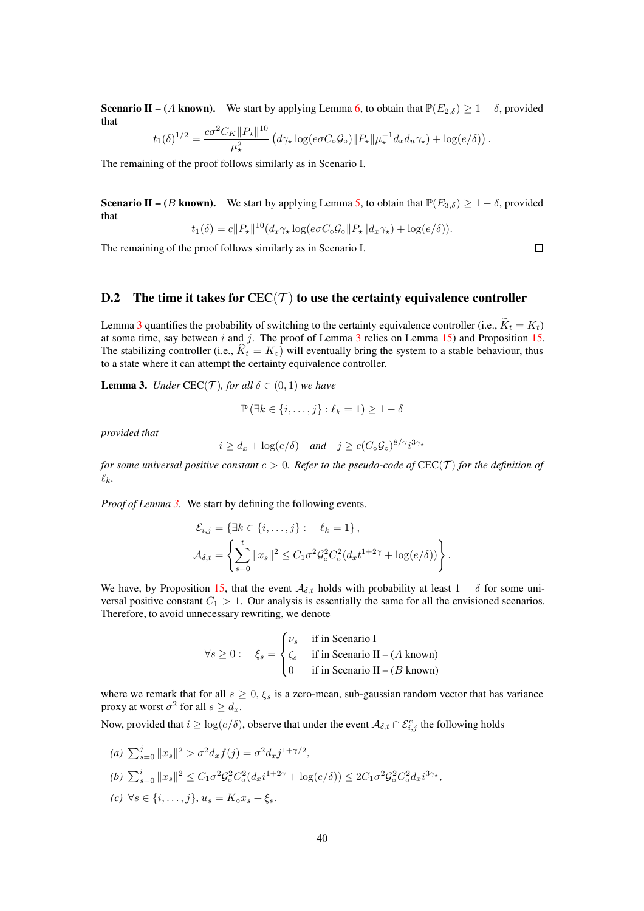**Scenario II** – (A known). We start by applying Lemma [6,](#page-41-2) to obtain that  $\mathbb{P}(E_{2,\delta}) \geq 1 - \delta$ , provided that

$$
t_1(\delta)^{1/2} = \frac{c\sigma^2 C_K \|P_\star\|^{10}}{\mu_\star^2} \left( d\gamma_\star \log(e\sigma C_\circ \mathcal{G}_\circ) \|P_\star\| \mu_\star^{-1} d_x d_u \gamma_\star \right) + \log(e/\delta) \right).
$$

The remaining of the proof follows similarly as in Scenario I.

**Scenario II –** (B known). We start by applying Lemma [5,](#page-41-3) to obtain that  $\mathbb{P}(E_{3,\delta}) \geq 1 - \delta$ , provided that

$$
t_1(\delta) = c||P_\star||^{10}(d_x \gamma_\star \log(e\sigma C_\circ \mathcal{G}_\circ || P_\star || d_x \gamma_\star) + \log(e/\delta)).
$$

The remaining of the proof follows similarly as in Scenario I.

# $\Box$

# D.2 The time it takes for  $CEC(\mathcal{T})$  to use the certainty equivalence controller

Lemma [3](#page-39-0) quantifies the probability of switching to the certainty equivalence controller (i.e.,  $\tilde{K}_t = K_t$ ) at some time, say between  $i$  and  $j$ . The proof of Lemma [3](#page-39-0) relies on Lemma [15\)](#page-80-1) and Proposition [15.](#page-76-0) The stabilizing controller (i.e.,  $\hat{K}_t = K_{\circ}$ ) will eventually bring the system to a stable behaviour, thus to a state where it can attempt the certainty equivalence controller.

<span id="page-39-0"></span>**Lemma 3.** *Under* CEC(*T*)*, for all*  $\delta \in (0,1)$  *we have* 

$$
\mathbb{P}\left(\exists k\in\{i,\ldots,j\}:\ell_k=1\right)\geq 1-\delta
$$

*provided that*

$$
i \ge d_x + \log(e/\delta)
$$
 and  $j \ge c(C_\circ \mathcal{G}_\circ)^{8/\gamma} i^{3\gamma_\star}$ 

*for some universal positive constant*  $c > 0$ *. Refer to the pseudo-code of*  $CEC(\mathcal{T})$  *for the definition of*  $\ell_k$ .

*Proof of Lemma [3.](#page-39-0)* We start by defining the following events.

$$
\mathcal{E}_{i,j} = \left\{ \exists k \in \{i, \ldots, j\} : \quad \ell_k = 1 \right\},
$$
  

$$
\mathcal{A}_{\delta,t} = \left\{ \sum_{s=0}^t ||x_s||^2 \le C_1 \sigma^2 \mathcal{G}_\circ^2 C_\circ^2 (d_x t^{1+2\gamma} + \log(e/\delta)) \right\}.
$$

We have, by Proposition [15,](#page-76-0) that the event  $A_{\delta,t}$  holds with probability at least  $1 - \delta$  for some universal positive constant  $C_1 > 1$ . Our analysis is essentially the same for all the envisioned scenarios. Therefore, to avoid unnecessary rewriting, we denote

$$
\forall s \ge 0: \quad \xi_s = \begin{cases} \nu_s & \text{if in Scenario I} \\ \zeta_s & \text{if in Scenario II} - (A \text{ known}) \\ 0 & \text{if in Scenario II} - (B \text{ known}) \end{cases}
$$

where we remark that for all  $s \geq 0$ ,  $\xi_s$  is a zero-mean, sub-gaussian random vector that has variance proxy at worst  $\sigma^2$  for all  $s \geq d_x$ .

Now, provided that  $i \geq \log(e/\delta)$ , observe that under the event  $\mathcal{A}_{\delta,t} \cap \mathcal{E}_{i,j}^c$  the following holds

- (a)  $\sum_{s=0}^{j} ||x_s||^2 > \sigma^2 d_x f(j) = \sigma^2 d_x j^{1+\gamma/2},$ *(b)*  $\sum_{s=0}^{i} ||x_s||^2 \le C_1 \sigma^2 \mathcal{G}_o^2 C_o^2$  $2^2(d_x i^{1+2\gamma} + \log(e/\delta)) \leq 2C_1 \sigma^2 \mathcal{G}_\circ^2 C_\circ^2 d_x i^{3\gamma_\star},$
- *(c)* ∀s ∈ {*i*, ..., *j*},  $u_s = K_0 x_s + \xi_s$ .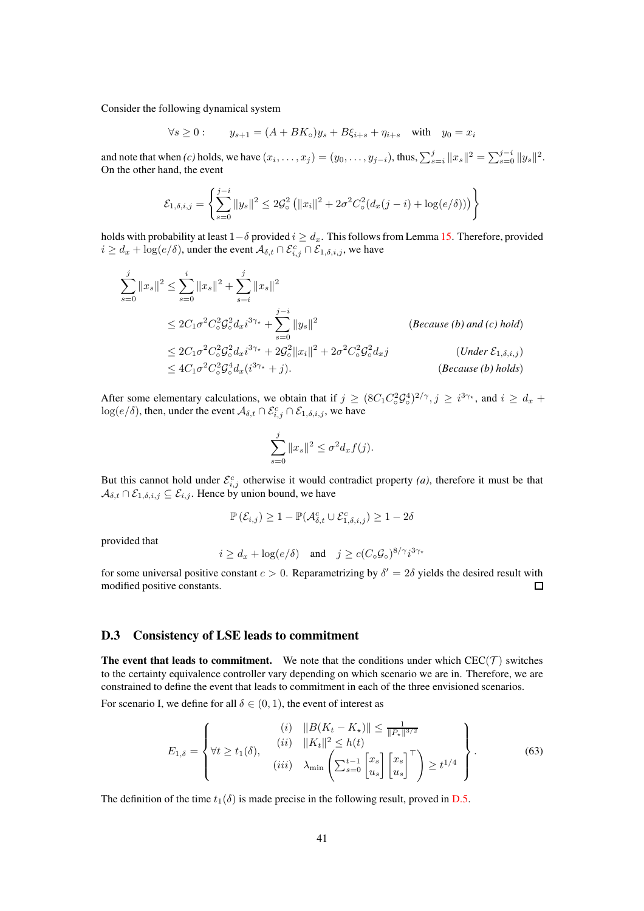Consider the following dynamical system

$$
\forall s \geq 0: \qquad y_{s+1} = (A+BK_{\circ})y_s + B\xi_{i+s} + \eta_{i+s} \quad \text{with} \quad y_0 = x_i
$$

and note that when *(c)* holds, we have  $(x_i, \ldots, x_j) = (y_0, \ldots, y_{j-i})$ , thus,  $\sum_{s=i}^j ||x_s||^2 = \sum_{s=0}^{j-i} ||y_s||^2$ . On the other hand, the event

$$
\mathcal{E}_{1,\delta,i,j} = \left\{ \sum_{s=0}^{j-i} \|y_s\|^2 \le 2\mathcal{G}_\circ^2 \left( \|x_i\|^2 + 2\sigma^2 C_\circ^2 (d_x(j-i) + \log(e/\delta)) \right) \right\}
$$

holds with probability at least  $1-\delta$  provided  $i \geq d_x$ . This follows from Lemma [15.](#page-80-1) Therefore, provided  $i \geq d_x + \log(e/\delta)$ , under the event  $\mathcal{A}_{\delta,t} \cap \mathcal{E}_{i,j}^c \cap \mathcal{E}_{1,\delta,i,j}$ , we have

$$
\sum_{s=0}^{j} ||x_{s}||^{2} \leq \sum_{s=0}^{i} ||x_{s}||^{2} + \sum_{s=i}^{j} ||x_{s}||^{2}
$$
\n
$$
\leq 2C_{1}\sigma^{2}C_{\circ}^{2}\mathcal{G}_{\circ}^{2}d_{x}i^{3\gamma_{\star}} + \sum_{s=0}^{j-i} ||y_{s}||^{2}
$$
\n
$$
\leq 2C_{1}\sigma^{2}C_{\circ}^{2}\mathcal{G}_{\circ}^{2}d_{x}i^{3\gamma_{\star}} + 2\mathcal{G}_{\circ}^{2}||x_{i}||^{2} + 2\sigma^{2}C_{\circ}^{2}\mathcal{G}_{\circ}^{2}d_{x}j
$$
\n
$$
\leq 4C_{1}\sigma^{2}C_{\circ}^{2}\mathcal{G}_{\circ}^{4}d_{x}(i^{3\gamma_{\star}} + j).
$$
\n
$$
(Because (b) holds)
$$

After some elementary calculations, we obtain that if  $j \geq (8C_1C_0^2\mathcal{G}_0^4)$  $i_0^4$  $(i_0^4)^2$ ,  $j \geq i_0^3$ <sup> $\gamma$ </sup>, and  $i \geq d_x +$ log(e/ $\delta$ ), then, under the event  $\mathcal{A}_{\delta,t} \cap \mathcal{E}_{i,j}^c \cap \mathcal{E}_{1,\delta,i,j}$ , we have

$$
\sum_{s=0}^j \|x_s\|^2 \le \sigma^2 d_x f(j).
$$

But this cannot hold under  $\mathcal{E}_{i,j}^c$  otherwise it would contradict property *(a)*, therefore it must be that  $A_{\delta,t} \cap \mathcal{E}_{1,\delta,i,j} \subseteq \mathcal{E}_{i,j}$ . Hence by union bound, we have

$$
\mathbb{P}\left(\mathcal{E}_{i,j}\right) \geq 1-\mathbb{P}(\mathcal{A}^{c}_{\delta,t} \cup \mathcal{E}^{c}_{1,\delta,i,j}) \geq 1-2\delta
$$

provided that

$$
i \ge d_x + \log(e/\delta)
$$
 and  $j \ge c(C_\circ \mathcal{G}_\circ)^{8/\gamma} i^{3\gamma_\star}$ 

for some universal positive constant  $c > 0$ . Reparametrizing by  $\delta' = 2\delta$  yields the desired result with modified positive constants.  $\Box$ 

## D.3 Consistency of LSE leads to commitment

The event that leads to commitment. We note that the conditions under which  $CEC(\mathcal{T})$  switches to the certainty equivalence controller vary depending on which scenario we are in. Therefore, we are constrained to define the event that leads to commitment in each of the three envisioned scenarios.

For scenario I, we define for all  $\delta \in (0,1)$ , the event of interest as

<span id="page-40-0"></span>
$$
E_{1,\delta} = \left\{ \forall t \ge t_1(\delta), \begin{array}{c} (i) \quad ||B(K_t - K_\star)|| \le \frac{1}{||P_\star||^{3/2}} \\ (ii) \quad ||K_t||^2 \le h(t) \\ (iii) \quad \lambda_{\min} \left( \sum_{s=0}^{t-1} \begin{bmatrix} x_s \\ u_s \end{bmatrix} \begin{bmatrix} x_s \\ u_s \end{bmatrix}^\top \right) \ge t^{1/4} \end{array} \right\}.
$$
 (63)

The definition of the time  $t_1(\delta)$  is made precise in the following result, proved in [D.5.](#page-43-0)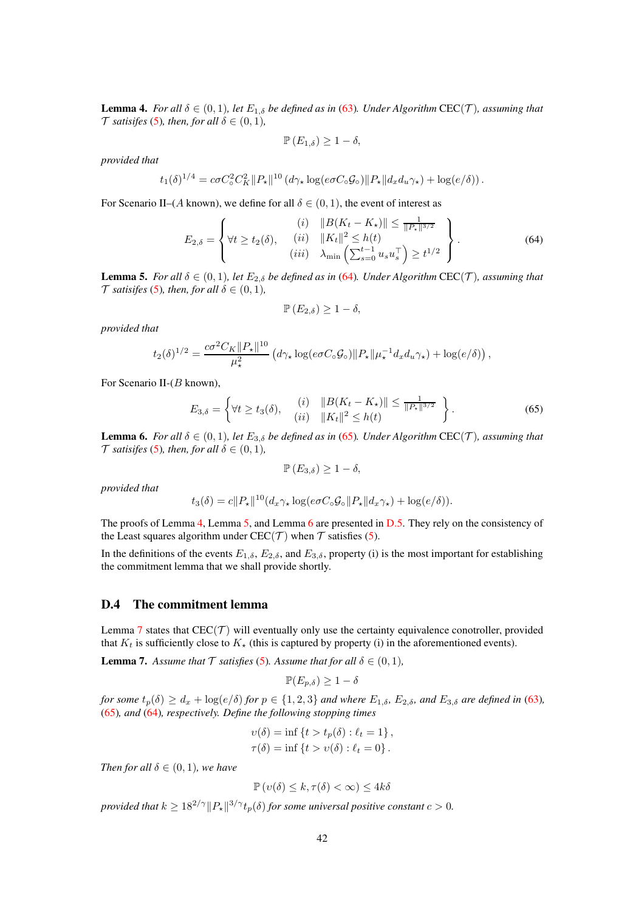<span id="page-41-0"></span>**Lemma 4.** *For all*  $\delta \in (0,1)$ *, let*  $E_{1,\delta}$  *be defined as in* [\(63\)](#page-40-0)*. Under Algorithm* CEC(*T*)*, assuming that T* satisifes [\(5\)](#page-3-0), then, for all  $\delta \in (0,1)$ ,

$$
\mathbb{P}\left(E_{1,\delta}\right)\geq1-\delta,
$$

*provided that*

$$
t_1(\delta)^{1/4} = c\sigma C_{\circ}^2 C_K^2 \|P_{\star}\|^{10} \left(d\gamma_{\star} \log(e\sigma C_{\circ} \mathcal{G}_{\circ}) \|P_{\star}\|d_x d_u \gamma_{\star}\right) + \log(e/\delta).
$$

For Scenario II–(A known), we define for all  $\delta \in (0,1)$ , the event of interest as

<span id="page-41-4"></span>
$$
E_{2,\delta} = \left\{ \forall t \ge t_2(\delta), \quad \begin{array}{c} (i) & \|B(K_t - K_\star)\| \le \frac{1}{\|P_\star\|^{3/2}} \\ (ii) & \|K_t\|^2 \le h(t) \\ (iii) & \lambda_{\min} \left( \sum_{s=0}^{t-1} u_s u_s^\top \right) \ge t^{1/2} \end{array} \right\}.
$$
\n(64)

<span id="page-41-3"></span>**Lemma 5.** *For all*  $\delta \in (0,1)$ *, let*  $E_{2,\delta}$  *be defined as in* [\(64\)](#page-41-4)*. Under Algorithm* CEC(*T*)*, assuming that T satisifes* [\(5\)](#page-3-0)*, then, for all*  $\delta \in (0,1)$ *,* 

$$
\mathbb{P}\left(E_{2,\delta}\right)\geq1-\delta,
$$

*provided that*

$$
t_2(\delta)^{1/2} = \frac{c\sigma^2 C_K ||P_\star||^{10}}{\mu_\star^2} \left( d\gamma_\star \log(e\sigma C_\circ \mathcal{G}_\circ) ||P_\star|| \mu_\star^{-1} d_x d_u \gamma_\star \right) + \log(e/\delta) \right),
$$

For Scenario II-(B known),

<span id="page-41-5"></span>
$$
E_{3,\delta} = \left\{ \forall t \ge t_3(\delta), \quad \begin{array}{ll} (i) & \|B(K_t - K_\star)\| \le \frac{1}{\|P_\star\|^{3/2}} \\ (ii) & \|K_t\|^2 \le h(t) \end{array} \right\} . \tag{65}
$$

<span id="page-41-2"></span>**Lemma 6.** *For all*  $\delta \in (0, 1)$ *, let*  $E_{3,\delta}$  *be defined as in* [\(65\)](#page-41-5)*. Under Algorithm* CEC(*T*)*, assuming that T* satisifes [\(5\)](#page-3-0), then, for all  $\delta \in (0,1)$ ,

 $\mathbb{P}(E_{3,\delta}) \geq 1-\delta,$ 

*provided that*

$$
t_3(\delta) = c||P_\star||^{10}(d_x \gamma_\star \log(e\sigma C_\circ \mathcal{G}_\circ || P_\star || d_x \gamma_\star) + \log(e/\delta)).
$$

The proofs of Lemma [4,](#page-41-0) Lemma [5,](#page-41-3) and Lemma [6](#page-41-2) are presented in [D.5.](#page-43-0) They rely on the consistency of the Least squares algorithm under CEC(T) when T satisfies [\(5\)](#page-3-0).

In the definitions of the events  $E_{1,\delta}$ ,  $E_{2,\delta}$ , and  $E_{3,\delta}$ , property (i) is the most important for establishing the commitment lemma that we shall provide shortly.

# D.4 The commitment lemma

Lemma [7](#page-41-1) states that  $CEC(\mathcal{T})$  will eventually only use the certainty equivalence conotroller, provided that  $K_t$  is sufficiently close to  $K_{\star}$  (this is captured by property (i) in the aforementioned events).

<span id="page-41-1"></span>**Lemma 7.** Assume that  $\mathcal T$  *satisfies* [\(5\)](#page-3-0). Assume that for all  $\delta \in (0,1)$ ,

$$
\mathbb{P}(E_{p,\delta}) \geq 1-\delta
$$

*for some*  $t_p(\delta) \geq d_x + \log(e/\delta)$  *for*  $p \in \{1, 2, 3\}$  *and where*  $E_{1,\delta}$ *,*  $E_{2,\delta}$ *, and*  $E_{3,\delta}$  *are defined in* [\(63\)](#page-40-0)*,* [\(65\)](#page-41-5)*, and* [\(64\)](#page-41-4)*, respectively. Define the following stopping times*

$$
v(\delta) = \inf \{ t > t_p(\delta) : \ell_t = 1 \},
$$
  

$$
\tau(\delta) = \inf \{ t > v(\delta) : \ell_t = 0 \}.
$$

*Then for all*  $\delta \in (0,1)$ *, we have* 

$$
\mathbb{P}\left(v(\delta) \leq k, \tau(\delta) < \infty\right) \leq 4k\delta
$$

*provided that*  $k \geq 18^{2/\gamma} ||P_{\star}||^{3/\gamma} t_p(\delta)$  *for some universal positive constant*  $c > 0$ *.*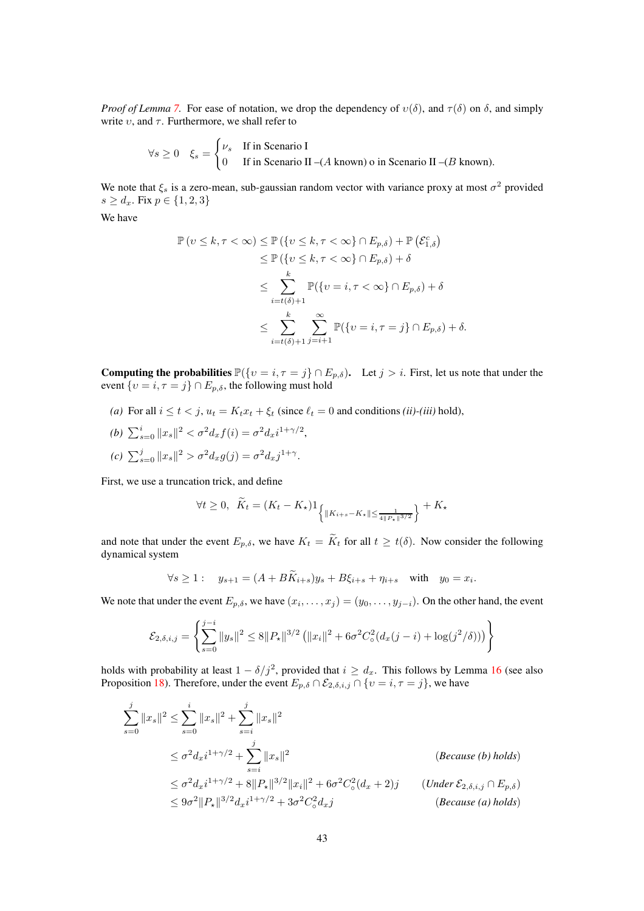*Proof of Lemma* [7.](#page-41-1) For ease of notation, we drop the dependency of  $v(\delta)$ , and  $\tau(\delta)$  on  $\delta$ , and simply write  $v$ , and  $\tau$ . Furthermore, we shall refer to

$$
\forall s \ge 0 \quad \xi_s = \begin{cases} \nu_s & \text{If in Scenario I} \\ 0 & \text{If in Scenario II} \\ - (A \text{ known}) \text{ o in Scenario II} \\ - (B \text{ known}). \end{cases}
$$

We note that  $\xi_s$  is a zero-mean, sub-gaussian random vector with variance proxy at most  $\sigma^2$  provided  $s \geq d_x$ . Fix  $p \in \{1, 2, 3\}$ 

We have

$$
\mathbb{P}(v \leq k, \tau < \infty) \leq \mathbb{P}(\{v \leq k, \tau < \infty\} \cap E_{p,\delta}) + \mathbb{P}(\mathcal{E}_{1,\delta}^c) \\
\leq \mathbb{P}(\{v \leq k, \tau < \infty\} \cap E_{p,\delta}) + \delta \\
\leq \sum_{i=t(\delta)+1}^k \mathbb{P}(\{v = i, \tau < \infty\} \cap E_{p,\delta}) + \delta \\
\leq \sum_{i=t(\delta)+1}^k \sum_{j=i+1}^\infty \mathbb{P}(\{v = i, \tau = j\} \cap E_{p,\delta}) + \delta.
$$

**Computing the probabilities**  $\mathbb{P}(\{v = i, \tau = j\} \cap E_{p,\delta})$ . Let  $j > i$ . First, let us note that under the event  $\{v = i, \tau = j\} \cap E_{p,\delta}$ , the following must hold

- (a) For all  $i \le t \le j$ ,  $u_t = K_t x_t + \xi_t$  (since  $\ell_t = 0$  and conditions *(ii)-(iii)* hold),
- (b)  $\sum_{s=0}^{i} ||x_s||^2 < \sigma^2 d_x f(i) = \sigma^2 d_x i^{1+\gamma/2},$ (c)  $\sum_{s=0}^{j} ||x_s||^2 > \sigma^2 d_x g(j) = \sigma^2 d_x j^{1+\gamma}.$

First, we use a truncation trick, and define

$$
\forall t \ge 0, \ \ \tilde{K}_t = (K_t - K_\star) \mathbf{1}_{\left\{ \|K_{i+s} - K_\star\| \le \frac{1}{4 \|P_\star\|^{{3}/{2}}} \right\}} + K_\star
$$

and note that under the event  $E_{p,\delta}$ , we have  $K_t = \widetilde{K}_t$  for all  $t \geq t(\delta)$ . Now consider the following dynamical system

$$
\forall s \ge 1: \quad y_{s+1} = (A + B\tilde{K}_{i+s})y_s + B\xi_{i+s} + \eta_{i+s} \quad \text{with} \quad y_0 = x_i
$$

.

We note that under the event  $E_{p,\delta}$ , we have  $(x_i, \ldots, x_j) = (y_0, \ldots, y_{j-i})$ . On the other hand, the event

$$
\mathcal{E}_{2,\delta,i,j} = \left\{ \sum_{s=0}^{j-i} \|y_s\|^2 \le 8 \|P_{\star}\|^{3/2} \left( \|x_i\|^2 + 6\sigma^2 C_{\circ}^2 (d_x(j-i) + \log(j^2/\delta)) \right) \right\}
$$

holds with probability at least  $1 - \delta/j^2$ , provided that  $i \geq d_x$ . This follows by Lemma [16](#page-81-0) (see also Proposition [18\)](#page-82-0). Therefore, under the event  $E_{p,\delta} \cap \mathcal{E}_{2,\delta,i,j} \cap \{v = i, \tau = j\}$ , we have

$$
\sum_{s=0}^{j} ||x_{s}||^{2} \le \sum_{s=0}^{i} ||x_{s}||^{2} + \sum_{s=i}^{j} ||x_{s}||^{2}
$$
\n
$$
\le \sigma^{2} d_{x} i^{1+\gamma/2} + \sum_{s=i}^{j} ||x_{s}||^{2}
$$
\n
$$
\le \sigma^{2} d_{x} i^{1+\gamma/2} + 8 ||P_{\star}||^{3/2} ||x_{i}||^{2} + 6\sigma^{2} C_{\circ}^{2} (d_{x} + 2)j \qquad (Under \mathcal{E}_{2, \delta, i, j} \cap E_{p, \delta})
$$
\n
$$
\le 9\sigma^{2} ||P_{\star}||^{3/2} d_{x} i^{1+\gamma/2} + 3\sigma^{2} C_{\circ}^{2} d_{x} j \qquad (Because (a) holds)
$$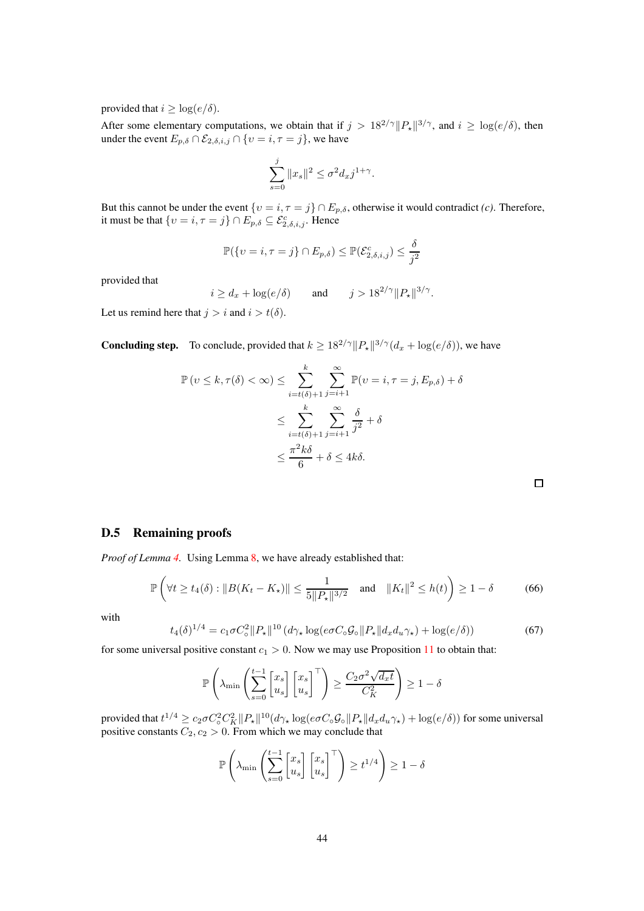provided that  $i > log(e/\delta)$ .

After some elementary computations, we obtain that if  $j > 18^{2/\gamma} ||P_{\star}||^{3/\gamma}$ , and  $i \ge \log(e/\delta)$ , then under the event  $E_{p,\delta} \cap \mathcal{E}_{2,\delta,i,j} \cap \{v = i, \tau = j\}$ , we have

$$
\sum_{s=0}^j \|x_s\|^2 \leq \sigma^2 d_x j^{1+\gamma}.
$$

But this cannot be under the event  $\{v = i, \tau = j\} \cap E_{p,\delta}$ , otherwise it would contradict *(c)*. Therefore, it must be that  $\{v = i, \tau = j\} \cap E_{p,\delta} \subseteq \mathcal{E}_{2,\delta,i,j}^c$ . Hence

$$
\mathbb{P}(\{v=i, \tau=j\} \cap E_{p,\delta}) \leq \mathbb{P}(\mathcal{E}_{2,\delta,i,j}^c) \leq \frac{\delta}{j^2}
$$

provided that

$$
i \ge d_x + \log(e/\delta)
$$
 and  $j > 18^{2/\gamma} ||P_{\star}||^{3/\gamma}$ .

Let us remind here that  $j > i$  and  $i > t(\delta)$ .

**Concluding step.** To conclude, provided that  $k \ge 18^{2/\gamma} ||P_{\star}||^{3/\gamma} (d_x + \log(e/\delta))$ , we have

$$
\mathbb{P}\left(v \leq k, \tau(\delta) < \infty\right) \leq \sum_{i=t(\delta)+1}^{k} \sum_{j=i+1}^{\infty} \mathbb{P}\left(v = i, \tau = j, E_{p,\delta}\right) + \delta
$$
\n
$$
\leq \sum_{i=t(\delta)+1}^{k} \sum_{j=i+1}^{\infty} \frac{\delta}{j^2} + \delta
$$
\n
$$
\leq \frac{\pi^2 k\delta}{6} + \delta \leq 4k\delta.
$$

# <span id="page-43-0"></span>D.5 Remaining proofs

*Proof of Lemma [4.](#page-41-0)* Using Lemma [8,](#page-48-0) we have already established that:

$$
\mathbb{P}\left(\forall t \ge t_4(\delta) : \|B(K_t - K_\star)\| \le \frac{1}{5\|P_\star\|^{3/2}} \quad \text{and} \quad \|K_t\|^2 \le h(t)\right) \ge 1 - \delta \tag{66}
$$

with

$$
t_4(\delta)^{1/4} = c_1 \sigma C_\circ^2 \|P_\star\|^{10} \left(d\gamma_\star \log(e \sigma C_\circ \mathcal{G}_\circ \|P_\star\| d_x d_u \gamma_\star\right) + \log(e/\delta)\right) \tag{67}
$$

for some universal positive constant  $c_1 > 0$ . Now we may use Proposition [11](#page-63-0) to obtain that:

$$
\mathbb{P}\left(\lambda_{\min}\left(\sum_{s=0}^{t-1} \begin{bmatrix} x_s \\ u_s \end{bmatrix} \begin{bmatrix} x_s \\ u_s \end{bmatrix}^\top\right) \ge \frac{C_2\sigma^2\sqrt{d_xt}}{C_K^2}\right) \ge 1-\delta
$$

provided that  $t^{1/4} \geq c_2 \sigma C_0^2 C_K^2 ||P_\star||^{10} (d\gamma_\star \log(e \sigma C_0 \mathcal{G}_0 || P_\star || d_x d_u \gamma_\star) + \log(e/\delta))$  for some universal positive constants  $C_2, c_2 > 0$ . From which we may conclude that

$$
\mathbb{P}\left(\lambda_{\min}\left(\sum_{s=0}^{t-1} \begin{bmatrix} x_s \\ u_s \end{bmatrix} \begin{bmatrix} x_s \\ u_s \end{bmatrix}^\top\right) \geq t^{1/4}\right) \geq 1 - \delta
$$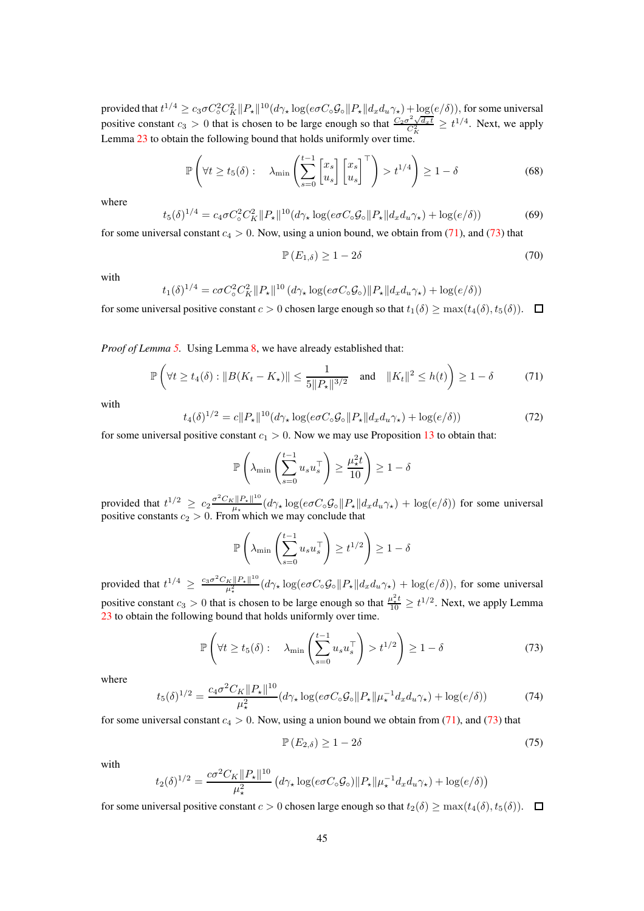provided that  $t^{1/4} \ge c_3 \sigma C_0^2 C_K^2 ||P_\star||^{10} (d\gamma_\star \log(e \sigma C_0 \mathcal{G}_0 || P_\star || d_x d_u \gamma_\star) + \log(e/\delta))$ , for some universal positive constant  $c_3 > 0$  that is chosen to be large enough so that  $\frac{C_2 \sigma^2 \sqrt{d_x t}}{C_K^2} \ge t^{1/4}$ . Next, we apply Lemma [23](#page-87-1) to obtain the following bound that holds uniformly over time.

$$
\mathbb{P}\left(\forall t \ge t_5(\delta): \quad \lambda_{\min}\left(\sum_{s=0}^{t-1} \begin{bmatrix} x_s \\ u_s \end{bmatrix} \begin{bmatrix} x_s \\ u_s \end{bmatrix}^\top\right) > t^{1/4}\right) \ge 1 - \delta \tag{68}
$$

where

$$
t_5(\delta)^{1/4} = c_4 \sigma C_\circ^2 C_K^2 ||P_\star||^{10} (d\gamma_\star \log(e \sigma C_\circ \mathcal{G}_\circ ||P_\star|| d_x d_u \gamma_\star) + \log(e/\delta)) \tag{69}
$$

for some universal constant  $c_4 > 0$ . Now, using a union bound, we obtain from [\(71\)](#page-44-0), and [\(73\)](#page-44-1) that

$$
\mathbb{P}\left(E_{1,\delta}\right) \ge 1 - 2\delta\tag{70}
$$

with

$$
t_1(\delta)^{1/4} = c\sigma C_{\circ}^2 C_K^2 \|P_{\star}\|^{10} \left(d\gamma_{\star}\log(e\sigma C_{\circ}\mathcal{G}_{\circ})\|P_{\star}\|d_xd_u\gamma_{\star}\right) + \log(e/\delta)\right)
$$

for some universal positive constant  $c > 0$  chosen large enough so that  $t_1(\delta) \ge \max(t_4(\delta), t_5(\delta))$ .  $\Box$ 

*Proof of Lemma [5.](#page-41-3)* Using Lemma [8,](#page-48-0) we have already established that:

<span id="page-44-0"></span>
$$
\mathbb{P}\left(\forall t \ge t_4(\delta) : \|B(K_t - K_\star)\| \le \frac{1}{5\|P_\star\|^{3/2}} \text{ and } \|K_t\|^2 \le h(t)\right) \ge 1 - \delta \tag{71}
$$

with

$$
t_4(\delta)^{1/2} = c||P_\star||^{10}(d\gamma_\star \log(e\sigma C_\circ \mathcal{G}_\circ || P_\star || d_x d_u \gamma_\star) + \log(e/\delta))
$$
\n<sup>(72)</sup>

for some universal positive constant  $c_1 > 0$ . Now we may use Proposition [13](#page-69-0) to obtain that:

$$
\mathbb{P}\left(\lambda_{\min}\left(\sum_{s=0}^{t-1} u_s u_s^\top\right) \ge \frac{\mu_\star^2 t}{10}\right) \ge 1 - \delta
$$

provided that  $t^{1/2} \ge c_2 \frac{\sigma^2 C_K ||P_{\star}||^{10}}{\mu_{\star}}$  $\frac{c||P_\star||}{\mu_\star}(d\gamma_\star \log(e\sigma C_\circ \mathcal{G}_\circ || P_\star || d_x d_u \gamma_\star) + \log(e/\delta))$  for some universal positive constants  $c_2 > 0$ . From which we may conclude that

$$
\mathbb{P}\left(\lambda_{\min}\left(\sum_{s=0}^{t-1} u_s u_s^\top\right) \ge t^{1/2}\right) \ge 1-\delta
$$

provided that  $t^{1/4} \ge \frac{c_3 \sigma^2 C_K ||P_\star||^{10}}{\mu_\star^2}$  $\frac{\kappa \|P_\star\|^{\infty}}{\mu_\star^2} (d\gamma_\star \log(e\sigma C_\circ \mathcal{G}_\circ \|P_\star \| d_x d_u \gamma_\star) + \log(e/\delta)),$  for some universal positive constant  $c_3 > 0$  that is chosen to be large enough so that  $\frac{\mu_*^2 t}{10} \ge t^{1/2}$ . Next, we apply Lemma [23](#page-87-1) to obtain the following bound that holds uniformly over time.

<span id="page-44-1"></span>
$$
\mathbb{P}\left(\forall t \ge t_5(\delta): \quad \lambda_{\min}\left(\sum_{s=0}^{t-1} u_s u_s^\top\right) > t^{1/2}\right) \ge 1 - \delta \tag{73}
$$

where

$$
t_5(\delta)^{1/2} = \frac{c_4\sigma^2 C_K \|P_\star\|^{10}}{\mu_\star^2} (d\gamma_\star \log(e\sigma C_\circ \mathcal{G}_\circ \|P_\star\|\mu_\star^{-1} d_x d_u \gamma_\star) + \log(e/\delta))\tag{74}
$$

for some universal constant  $c_4 > 0$ . Now, using a union bound we obtain from [\(71\)](#page-44-0), and [\(73\)](#page-44-1) that

$$
\mathbb{P}\left(E_{2,\delta}\right) \ge 1 - 2\delta\tag{75}
$$

with

$$
t_2(\delta)^{1/2} = \frac{c\sigma^2 C_K ||P_\star||^{10}}{\mu_\star^2} \left( d\gamma_\star \log(e\sigma C_\circ \mathcal{G}_\circ) ||P_\star|| \mu_\star^{-1} d_x d_u \gamma_\star \right) + \log(e/\delta) \right)
$$

for some universal positive constant  $c > 0$  chosen large enough so that  $t_2(\delta) \ge \max(t_4(\delta), t_5(\delta))$ .  $\Box$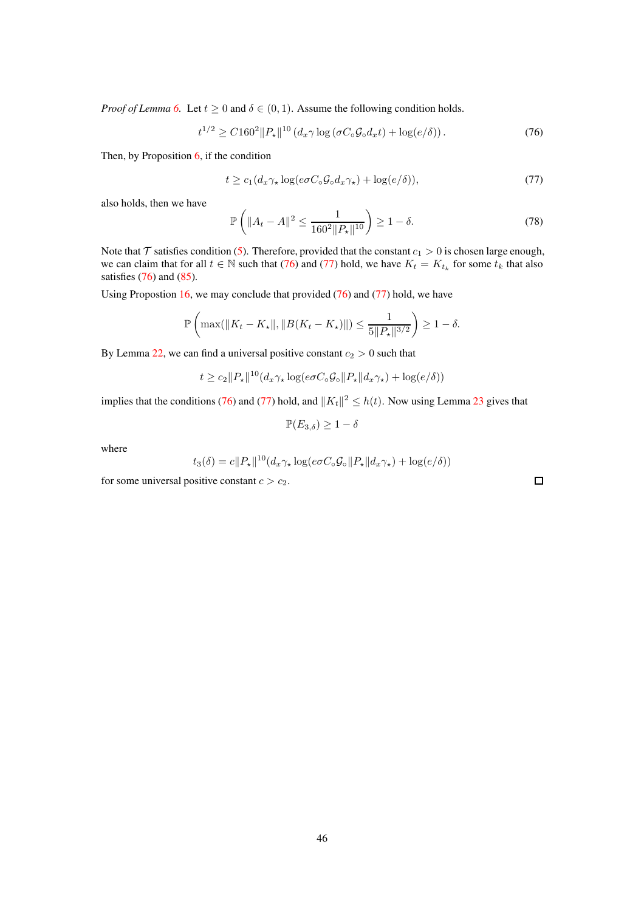*Proof of Lemma* [6.](#page-41-2) Let  $t \ge 0$  and  $\delta \in (0, 1)$ . Assume the following condition holds.

<span id="page-45-0"></span>
$$
t^{1/2} \ge C 160^2 \|P_{\star}\|^{10} \left( d_x \gamma \log \left( \sigma C_{\circ} \mathcal{G}_{\circ} d_x t \right) + \log(e/\delta) \right). \tag{76}
$$

Then, by Proposition [6,](#page-54-0) if the condition

<span id="page-45-1"></span>
$$
t \ge c_1 (d_x \gamma_\star \log(e \sigma C_\circ \mathcal{G}_\circ d_x \gamma_\star) + \log(e/\delta)),\tag{77}
$$

also holds, then we have

$$
\mathbb{P}\left(\|A_t - A\|^2 \le \frac{1}{160^2 \|P_\star\|^{10}}\right) \ge 1 - \delta. \tag{78}
$$

Note that  $\mathcal T$  satisfies condition [\(5\)](#page-3-0). Therefore, provided that the constant  $c_1 > 0$  is chosen large enough, we can claim that for all  $t \in \mathbb{N}$  such that [\(76\)](#page-45-0) and [\(77\)](#page-45-1) hold, we have  $K_t = K_{t_k}$  for some  $t_k$  that also satisfies  $(76)$  and  $(85)$ .

Using Propostion [16,](#page-79-0) we may conclude that provided [\(76\)](#page-45-0) and [\(77\)](#page-45-1) hold, we have

$$
\mathbb{P}\left(\max(||K_t - K_{\star}||, ||B(K_t - K_{\star})||) \le \frac{1}{5||P_{\star}||^{3/2}}\right) \ge 1 - \delta.
$$

By Lemma [22,](#page-87-0) we can find a universal positive constant  $c_2 > 0$  such that

$$
t \geq c_2 \|P_\star\|^{10} (d_x \gamma_\star \log(e \sigma C_\circ \mathcal{G}_\circ \|P_\star\| d_x \gamma_\star) + \log(e/\delta))
$$

implies that the conditions [\(76\)](#page-45-0) and [\(77\)](#page-45-1) hold, and  $||K_t||^2 \le h(t)$ . Now using Lemma [23](#page-87-1) gives that

$$
\mathbb{P}(E_{3,\delta}) \geq 1-\delta
$$

where

$$
t_3(\delta) = c||P_\star||^{10}(d_x \gamma_\star \log(e\sigma C_\circ \mathcal{G}_\circ || P_\star || d_x \gamma_\star) + \log(e/\delta))
$$

for some universal positive constant  $c > c_2$ .

 $\Box$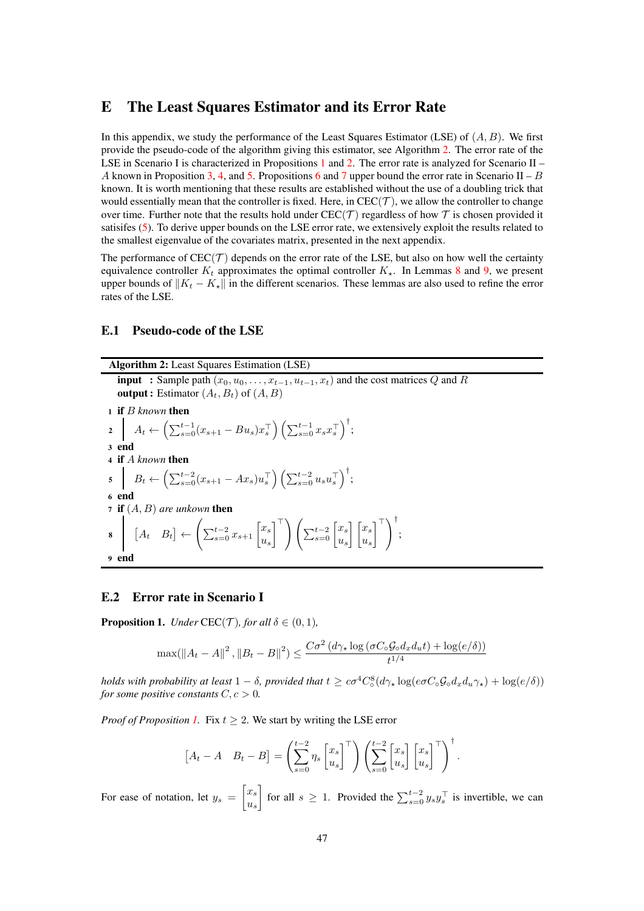# <span id="page-46-0"></span>E The Least Squares Estimator and its Error Rate

In this appendix, we study the performance of the Least Squares Estimator (LSE) of  $(A, B)$ . We first provide the pseudo-code of the algorithm giving this estimator, see Algorithm [2.](#page-46-1) The error rate of the LSE in Scenario I is characterized in Propositions [1](#page-46-2) and [2.](#page-49-0) The error rate is analyzed for Scenario II – A known in Proposition [3,](#page-49-1) [4,](#page-52-1) and [5.](#page-52-0) Propositions [6](#page-54-0) and [7](#page-56-0) upper bound the error rate in Scenario II – B known. It is worth mentioning that these results are established without the use of a doubling trick that would essentially mean that the controller is fixed. Here, in  $CEC(\mathcal{T})$ , we allow the controller to change over time. Further note that the results hold under  $CEC(\mathcal{T})$  regardless of how  $\mathcal{T}$  is chosen provided it satisifes [\(5\)](#page-3-0). To derive upper bounds on the LSE error rate, we extensively exploit the results related to the smallest eigenvalue of the covariates matrix, presented in the next appendix.

The performance of  $\text{CEC}(\mathcal{T})$  depends on the error rate of the LSE, but also on how well the certainty equivalence controller  $K_t$  approximates the optimal controller  $K_{\star}$ . In Lemmas [8](#page-48-0) and [9,](#page-51-1) we present upper bounds of  $||K_t - K_{\star}||$  in the different scenarios. These lemmas are also used to refine the error rates of the LSE.

#### <span id="page-46-1"></span>E.1 Pseudo-code of the LSE

Algorithm 2: Least Squares Estimation (LSE) **input** : Sample path  $(x_0, u_0, \ldots, x_{t-1}, u_{t-1}, x_t)$  and the cost matrices Q and R **output :** Estimator  $(A_t, B_t)$  of  $(A, B)$ <sup>1</sup> if B *known* then 2  $A_t \leftarrow \left( \sum_{s=0}^{t-1} (x_{s+1} - Bu_s) x_s^\top \right) \left( \sum_{s=0}^{t-1} x_s x_s^\top \right)^\dagger;$ <sup>3</sup> end <sup>4</sup> if A *known* then  $5 \quad B_t \leftarrow \left( \sum_{s=0}^{t-2} (x_{s+1} - Ax_s) u_s^{\top} \right) \left( \sum_{s=0}^{t-2} u_s u_s^{\top} \right)^{\dagger};$ <sup>6</sup> end  $\sigma$  **if**  $(A, B)$  *are unkown* then 8  $[A_t \ B_t] \leftarrow$  $\sqrt{ }$  $\sum_{s=0}^{t-2} x_{s+1} \begin{bmatrix} x_s \\ u_s \end{bmatrix}$  $u_s$  $\begin{bmatrix} \overline{a} \\ \overline{b} \\ \overline{c} \end{bmatrix}$   $\begin{pmatrix} \sum_{s=0}^{t-2} \begin{bmatrix} x_s \\ u_s \end{bmatrix}$  $u_s$  $\lceil x_s \rceil$  $u_s$ <sup>⊤</sup> !† ; <sup>9</sup> end

#### E.2 Error rate in Scenario I

<span id="page-46-2"></span>**Proposition 1.** *Under* CEC(*T*)*, for all*  $\delta \in (0,1)$ *,* 

$$
\max(\|A_t - A\|^2, \|B_t - B\|^2) \le \frac{C\sigma^2 (d\gamma_\star \log(\sigma C_\circ \mathcal{G}_\circ d_x d_u t) + \log(e/\delta))}{t^{1/4}}
$$

*holds with probability at least*  $1 - \delta$ , *provided that*  $t \ge c\sigma^4 C_{\delta}^8$  $\frac{8}{\infty} (d\gamma_\star \log(e\sigma C_\circ \mathcal{G}_\circ d_x d_u \gamma_\star) + \log(e/\delta))$ *for some positive constants*  $C, c > 0$ *.* 

*Proof of Proposition [1.](#page-46-2)* Fix  $t \geq 2$ . We start by writing the LSE error

$$
\begin{bmatrix} A_t - A & B_t - B \end{bmatrix} = \left( \sum_{s=0}^{t-2} \eta_s \begin{bmatrix} x_s \\ u_s \end{bmatrix}^\top \right) \left( \sum_{s=0}^{t-2} \begin{bmatrix} x_s \\ u_s \end{bmatrix} \begin{bmatrix} x_s \\ u_s \end{bmatrix}^\top \right)^\dagger.
$$

For ease of notation, let  $y_s =$  $\lceil x_s \rceil$  $u_s$ for all *s* ≥ 1. Provided the  $\sum_{s=0}^{t-2} y_s y_s^\top$  is invertible, we can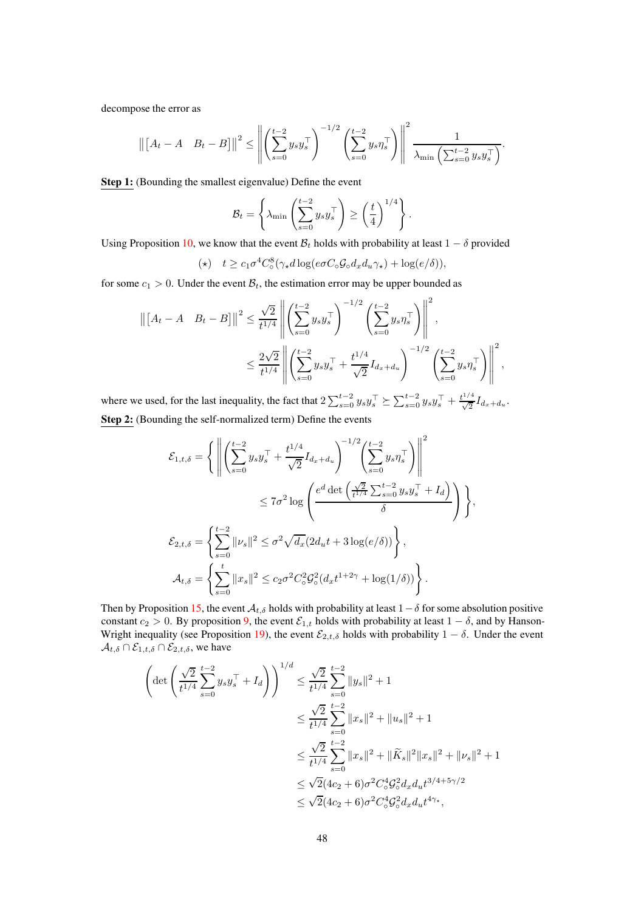decompose the error as

$$
\left\| \begin{bmatrix} A_t - A & B_t - B \end{bmatrix} \right\|^2 \le \left\| \left( \sum_{s=0}^{t-2} y_s y_s^\top \right)^{-1/2} \left( \sum_{s=0}^{t-2} y_s \eta_s^\top \right) \right\|^2 \frac{1}{\lambda_{\min} \left( \sum_{s=0}^{t-2} y_s y_s^\top \right)}.
$$

Step 1: (Bounding the smallest eigenvalue) Define the event

$$
\mathcal{B}_t = \left\{ \lambda_{\min} \left( \sum_{s=0}^{t-2} y_s y_s^\top \right) \ge \left( \frac{t}{4} \right)^{1/4} \right\}.
$$

Using Proposition [10,](#page-60-0) we know that the event  $B_t$  holds with probability at least  $1 - \delta$  provided

$$
(\star) \quad t \ge c_1 \sigma^4 C_\circ^8(\gamma_\star d \log(e \sigma C_\circ \mathcal{G}_\circ d_x d_u \gamma_\star) + \log(e/\delta)),
$$

for some  $c_1 > 0$ . Under the event  $\mathcal{B}_t$ , the estimation error may be upper bounded as

$$
\left\| \begin{bmatrix} A_t - A & B_t - B \end{bmatrix} \right\|^2 \leq \frac{\sqrt{2}}{t^{1/4}} \left\| \left( \sum_{s=0}^{t-2} y_s y_s^\top \right)^{-1/2} \left( \sum_{s=0}^{t-2} y_s \eta_s^\top \right) \right\|^2,
$$
  

$$
\leq \frac{2\sqrt{2}}{t^{1/4}} \left\| \left( \sum_{s=0}^{t-2} y_s y_s^\top + \frac{t^{1/4}}{\sqrt{2}} I_{d_x + d_u} \right)^{-1/2} \left( \sum_{s=0}^{t-2} y_s \eta_s^\top \right) \right\|^2,
$$

where we used, for the last inequality, the fact that  $2\sum_{s=0}^{t-2} y_s y_s^\top \succeq \sum_{s=0}^{t-2} y_s y_s^\top + \frac{t^{1/4}}{\sqrt{2}} I_{d_x+d_y}$ . Step 2: (Bounding the self-normalized term) Define the events

$$
\mathcal{E}_{1,t,\delta} = \left\{ \left\| \left( \sum_{s=0}^{t-2} y_s y_s^{\top} + \frac{t^{1/4}}{\sqrt{2}} I_{d_x + d_u} \right)^{-1/2} \left( \sum_{s=0}^{t-2} y_s \eta_s^{\top} \right) \right\|^2 \leq 7\sigma^2 \log \left( \frac{e^d \det \left( \frac{\sqrt{2}}{t^{1/4}} \sum_{s=0}^{t-2} y_s y_s^{\top} + I_d \right)}{\delta} \right) \right\},
$$
  

$$
\mathcal{E}_{2,t,\delta} = \left\{ \sum_{s=0}^{t-2} ||\nu_s||^2 \leq \sigma^2 \sqrt{d_x} (2d_u t + 3 \log(e/\delta)) \right\},
$$
  

$$
\mathcal{A}_{t,\delta} = \left\{ \sum_{s=0}^{t} ||x_s||^2 \leq c_2 \sigma^2 C_o^2 \mathcal{G}_o^2 (d_x t^{1+2\gamma} + \log(1/\delta)) \right\}.
$$

Then by Proposition [15,](#page-76-0) the event  $A_{t,\delta}$  holds with probability at least  $1-\delta$  for some absolution positive constant  $c_2 > 0$ . By proposition [9,](#page-60-1) the event  $\mathcal{E}_{1,t}$  holds with probability at least  $1 - \delta$ , and by Hanson-Wright inequality (see Proposition [19\)](#page-87-2), the event  $\mathcal{E}_{2,t,\delta}$  holds with probability  $1 - \delta$ . Under the event  $\mathcal{A}_{t,\delta} \cap \mathcal{E}_{1,t,\delta} \cap \mathcal{E}_{2,t,\delta}$ , we have

$$
\left(\det\left(\frac{\sqrt{2}}{t^{1/4}}\sum_{s=0}^{t-2}y_{s}y_{s}^{\top}+I_{d}\right)\right)^{1/d} \leq \frac{\sqrt{2}}{t^{1/4}}\sum_{s=0}^{t-2}||y_{s}||^{2}+1
$$
  

$$
\leq \frac{\sqrt{2}}{t^{1/4}}\sum_{s=0}^{t-2}||x_{s}||^{2}+||u_{s}||^{2}+1
$$
  

$$
\leq \frac{\sqrt{2}}{t^{1/4}}\sum_{s=0}^{t-2}||x_{s}||^{2}+||\widetilde{K}_{s}||^{2}||x_{s}||^{2}+||\nu_{s}||^{2}+1
$$
  

$$
\leq \sqrt{2}(4c_{2}+6)\sigma^{2}C_{\circ}^{4}\mathcal{G}_{\circ}^{2}d_{x}d_{u}t^{3/4+5\gamma/2}
$$
  

$$
\leq \sqrt{2}(4c_{2}+6)\sigma^{2}C_{\circ}^{4}\mathcal{G}_{\circ}^{2}d_{x}d_{u}t^{4\gamma_{*}},
$$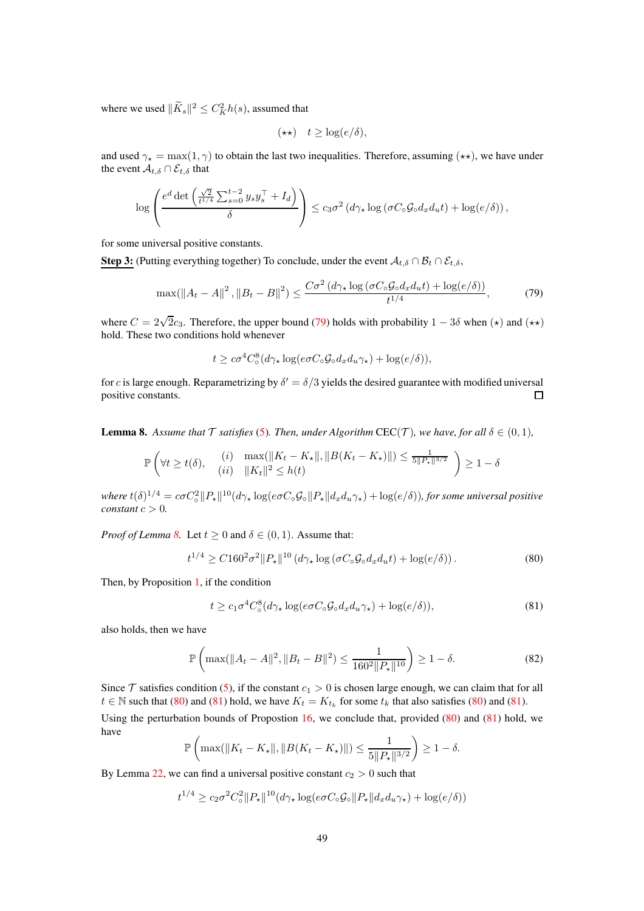where we used  $\|\tilde{K}_s\|^2 \leq C_K^2 h(s)$ , assumed that

$$
(\star \star) \quad t \geq \log(e/\delta),
$$

and used  $\gamma_{\star} = \max(1, \gamma)$  to obtain the last two inequalities. Therefore, assuming  $(\star \star)$ , we have under the event  $\mathcal{A}_{t,\delta} \cap \mathcal{E}_{t,\delta}$  that

$$
\log\left(\frac{e^d\det\left(\frac{\sqrt{2}}{t^{1/4}}\sum_{s=0}^{t-2}y_sy_s^\top + I_d\right)}{\delta}\right) \leq c_3\sigma^2\left(d\gamma_\star\log\left(\sigma C_\circ\mathcal{G}_\circ d_xd_ut\right) + \log(e/\delta)\right),
$$

for some universal positive constants.

**Step 3:** (Putting everything together) To conclude, under the event  $A_{t,\delta} \cap B_t \cap \mathcal{E}_{t,\delta}$ ,

<span id="page-48-1"></span>
$$
\max(\left\|A_t - A\right\|^2, \left\|B_t - B\right\|^2) \le \frac{C\sigma^2\left(d\gamma_\star \log\left(\sigma C_\circ \mathcal{G}_\circ d_x d_u t\right) + \log\left(e/\delta\right)\right)}{t^{1/4}},\tag{79}
$$

where  $C = 2\sqrt{2}c_3$ . Therefore, the upper bound [\(79\)](#page-48-1) holds with probability  $1 - 3\delta$  when  $(\star)$  and  $(\star \star)$ hold. These two conditions hold whenever

$$
t \geq c\sigma^4 C_\circ^8 (d\gamma_\star \log(e\sigma C_\circ \mathcal{G}_\circ d_x d_u \gamma_\star) + \log(e/\delta)),
$$

for c is large enough. Reparametrizing by  $\delta' = \delta/3$  yields the desired guarantee with modified universal positive constants.  $\Box$ 

<span id="page-48-0"></span>**Lemma 8.** Assume that  $\mathcal T$  satisfies [\(5\)](#page-3-0). Then, under Algorithm CEC( $\mathcal T$ )*, we have, for all*  $\delta \in (0,1)$ *,* 

$$
\mathbb{P}\left(\forall t \ge t(\delta), \quad \begin{array}{ll} (i) & \max(\|K_t - K_{\star}\|, \|B(K_t - K_{\star})\|) \le \frac{1}{5\|P_{\star}\|^{3/2}} \\ (ii) & \|K_t\|^2 \le h(t) \end{array}\right) \ge 1 - \delta
$$

 $where t(\delta)^{1/4} = c\sigma C_{\circ}^2 \|P_{\star}\|^{10}(d\gamma_{\star} \log(e\sigma C_{\circ} \mathcal{G}_{\circ} \|P_{\star}\| d_x d_u \gamma_{\star}) + \log(e/\delta)), for some universal positive$ *constant*  $c > 0$ *.* 

*Proof of Lemma* [8.](#page-48-0) Let  $t \ge 0$  and  $\delta \in (0, 1)$ . Assume that:

<span id="page-48-2"></span>
$$
t^{1/4} \ge C 160^2 \sigma^2 ||P_\star||^{10} \left( d\gamma_\star \log \left( \sigma C_\circ \mathcal{G}_\circ d_x d_u t \right) + \log(e/\delta) \right). \tag{80}
$$

Then, by Proposition [1,](#page-46-2) if the condition

<span id="page-48-3"></span>
$$
t \ge c_1 \sigma^4 C_\circ^8(d\gamma_\star \log(e\sigma C_\circ \mathcal{G}_\circ d_x d_u \gamma_\star) + \log(e/\delta)),\tag{81}
$$

also holds, then we have

$$
\mathbb{P}\left(\max(\|A_t - A\|^2, \|B_t - B\|^2) \le \frac{1}{160^2 \|P_\star\|^{10}}\right) \ge 1 - \delta. \tag{82}
$$

Since  $\mathcal T$  satisfies condition [\(5\)](#page-3-0), if the constant  $c_1 > 0$  is chosen large enough, we can claim that for all  $t \in \mathbb{N}$  such that [\(80\)](#page-48-2) and [\(81\)](#page-48-3) hold, we have  $K_t = K_{t_k}$  for some  $t_k$  that also satisfies [\(80\)](#page-48-2) and [\(81\)](#page-48-3).

Using the perturbation bounds of Propostion  $16$ , we conclude that, provided  $(80)$  and  $(81)$  hold, we have

$$
\mathbb{P}\left(\max(\|K_t - K_{\star}\|, \|B(K_t - K_{\star})\|) \le \frac{1}{5\|P_{\star}\|^{3/2}}\right) \ge 1 - \delta.
$$

By Lemma [22,](#page-87-0) we can find a universal positive constant  $c_2 > 0$  such that

$$
t^{1/4} \ge c_2 \sigma^2 C_{\circ}^2 ||P_{\star}||^{10} (d\gamma_{\star} \log(e\sigma C_{\circ} \mathcal{G}_{\circ} || P_{\star} || d_x d_u \gamma_{\star}) + \log(e/\delta))
$$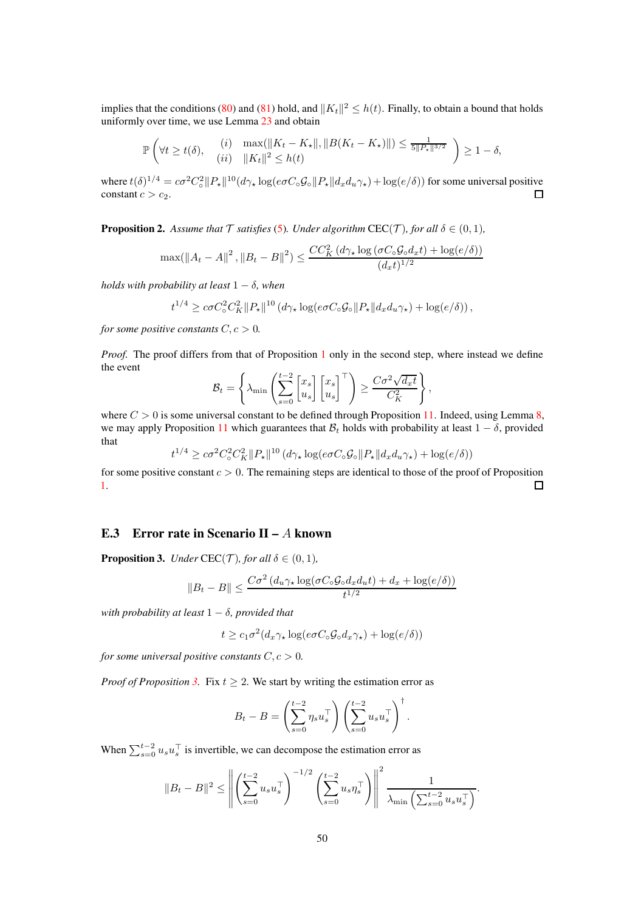implies that the conditions [\(80\)](#page-48-2) and [\(81\)](#page-48-3) hold, and  $||K_t||^2 \leq h(t)$ . Finally, to obtain a bound that holds uniformly over time, we use Lemma [23](#page-87-1) and obtain

$$
\mathbb{P}\left(\forall t \geq t(\delta), \quad \begin{array}{ll} (i) & \max(\|K_t - K_{\star}\|, \|B(K_t - K_{\star})\|) \leq \frac{1}{5\|P_{\star}\|^{3/2}} \\ (ii) & \|K_t\|^2 \leq h(t) \end{array}\right) \geq 1 - \delta,
$$

where  $t(\delta)^{1/4} = c\sigma^2 C_{\rm o}^2$  $\frac{d^2}{d\sigma} ||P_{\star}||^{10}(d\gamma_{\star} \log(e\sigma C_{\circ} \mathcal{G}_{\circ}||P_{\star}||d_x d_u \gamma_{\star}) + \log(e/\delta))$  for some universal positive constant  $c > c_2$ .

<span id="page-49-0"></span>**Proposition 2.** Assume that  $\mathcal T$  *satisfies* [\(5\)](#page-3-0)*. Under algorithm*  $\text{CEC}(\mathcal T)$ *, for all*  $\delta \in (0,1)$ *,* 

$$
\max(\left\|A_t - A\right\|^2, \left\|B_t - B\right\|^2) \le \frac{CC_K^2(d\gamma_\star \log\left(\sigma C_\circ \mathcal{G}_\circ d_x t\right) + \log(e/\delta))}{(d_x t)^{1/2}}
$$

*holds with probability at least* 1 − δ*, when*

$$
t^{1/4} \geq c\sigma C_{\circ}^2 C_K^2 \|P_{\star}\|^{10} \left(d\gamma_{\star}\log(e\sigma C_{\circ}\mathcal{G}_{\circ}\|P_{\star}\|d_xd_u\gamma_{\star}\right) + \log(e/\delta)\right),\,
$$

*for some positive constants*  $C, c > 0$ *.* 

*Proof.* The proof differs from that of Proposition [1](#page-46-2) only in the second step, where instead we define the event

$$
\mathcal{B}_t = \left\{ \lambda_{\min} \left( \sum_{s=0}^{t-2} \begin{bmatrix} x_s \\ u_s \end{bmatrix} \begin{bmatrix} x_s \\ u_s \end{bmatrix}^\top \right) \ge \frac{C\sigma^2 \sqrt{d_x t}}{C_K^2} \right\},\,
$$

where  $C > 0$  is some universal constant to be defined through Proposition [11.](#page-63-0) Indeed, using Lemma [8,](#page-48-0) we may apply Proposition [11](#page-63-0) which guarantees that  $B_t$  holds with probability at least  $1 - \delta$ , provided that

 $t^{1/4} \geq c\sigma^2 C_{\rm o}^2 C_K^2 \|P_{\star}\|^{10} (d\gamma_{\star} \log(e\sigma C_{\rm o} \mathcal{G}_{\rm o} \|P_{\star}\| d_x d_y \gamma_{\star}) + \log(e/\delta))$ 

for some positive constant  $c > 0$ . The remaining steps are identical to those of the proof of Proposition  $\Box$ [1.](#page-46-2)

## E.3 Error rate in Scenario II –  $A$  known

<span id="page-49-1"></span>**Proposition 3.** *Under* CEC(*T*)*, for all*  $\delta \in (0,1)$ *,* 

$$
||B_t - B|| \le \frac{C\sigma^2 (d_u \gamma_\star \log(\sigma C_\circ \mathcal{G}_\circ d_x d_u t) + d_x + \log(e/\delta))}{t^{1/2}}
$$

*with probability at least*  $1 - \delta$ *, provided that* 

$$
t \ge c_1 \sigma^2 (d_x \gamma_\star \log(e \sigma C_\circ \mathcal{G}_\circ d_x \gamma_\star) + \log(e/\delta))
$$

*for some universal positive constants*  $C, c > 0$ *.* 

*Proof of Proposition* [3.](#page-49-1) Fix  $t \geq 2$ . We start by writing the estimation error as

$$
B_t - B = \left(\sum_{s=0}^{t-2} \eta_s u_s^\top\right) \left(\sum_{s=0}^{t-2} u_s u_s^\top\right)^\dagger.
$$

When  $\sum_{s=0}^{t-2} u_s u_s^\top$  is invertible, we can decompose the estimation error as

$$
||B_t - B||^2 \le \left\| \left( \sum_{s=0}^{t-2} u_s u_s^\top \right)^{-1/2} \left( \sum_{s=0}^{t-2} u_s \eta_s^\top \right) \right\|^2 \frac{1}{\lambda_{\min} \left( \sum_{s=0}^{t-2} u_s u_s^\top \right)}.
$$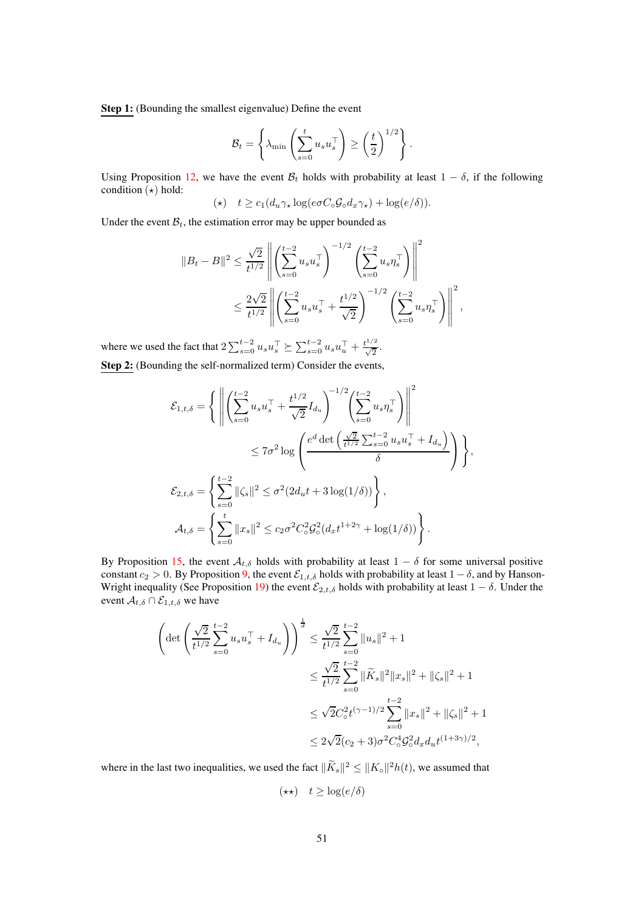Step 1: (Bounding the smallest eigenvalue) Define the event

$$
\mathcal{B}_t = \left\{ \lambda_{\min} \left( \sum_{s=0}^t u_s u_s^\top \right) \ge \left( \frac{t}{2} \right)^{1/2} \right\}.
$$

Using Proposition [12,](#page-67-0) we have the event  $\mathcal{B}_t$  holds with probability at least  $1 - \delta$ , if the following condition  $(\star)$  hold:

$$
(\star) \quad t \geq c_1(d_u \gamma_\star \log(e \sigma C_\circ \mathcal{G}_\circ d_x \gamma_\star) + \log(e/\delta)).
$$

Under the event  $B_t$ , the estimation error may be upper bounded as

$$
||B_t - B||^2 \leq \frac{\sqrt{2}}{t^{1/2}} \left\| \left( \sum_{s=0}^{t-2} u_s u_s^\top \right)^{-1/2} \left( \sum_{s=0}^{t-2} u_s \eta_s^\top \right) \right\|^2
$$
  

$$
\leq \frac{2\sqrt{2}}{t^{1/2}} \left\| \left( \sum_{s=0}^{t-2} u_s u_s^\top + \frac{t^{1/2}}{\sqrt{2}} \right)^{-1/2} \left( \sum_{s=0}^{t-2} u_s \eta_s^\top \right) \right\|^2,
$$

where we used the fact that  $2 \sum_{s=0}^{t-2} u_s u_s^{\top} \succeq \sum_{s=0}^{t-2} u_s u_u^{\top} + \frac{t^{1/2}}{\sqrt{2}}$ . Step 2: (Bounding the self-normalized term) Consider the events,

$$
\mathcal{E}_{1,t,\delta} = \left\{ \left\| \left( \sum_{s=0}^{t-2} u_s u_s^{\top} + \frac{t^{1/2}}{\sqrt{2}} I_{d_u} \right)^{-1/2} \left( \sum_{s=0}^{t-2} u_s \eta_s^{\top} \right) \right\|^2 \leq 7\sigma^2 \log \left( \frac{e^d \det \left( \frac{\sqrt{2}}{t^{1/2}} \sum_{s=0}^{t-2} u_s u_s^{\top} + I_{d_u} \right)}{\delta} \right) \right\},
$$
  

$$
\mathcal{E}_{2,t,\delta} = \left\{ \sum_{s=0}^{t-2} ||\zeta_s||^2 \leq \sigma^2 (2d_u t + 3 \log(1/\delta)) \right\},
$$
  

$$
\mathcal{A}_{t,\delta} = \left\{ \sum_{s=0}^{t} ||x_s||^2 \leq c_2 \sigma^2 C_o^2 \mathcal{G}_o^2 (d_x t^{1+2\gamma} + \log(1/\delta)) \right\}.
$$

By Proposition [15,](#page-76-0) the event  $A_{t,\delta}$  holds with probability at least  $1 - \delta$  for some universal positive constant  $c_2 > 0$ . By Proposition [9,](#page-60-1) the event  $\mathcal{E}_{1,t,\delta}$  holds with probability at least  $1 - \delta$ , and by Hanson-Wright inequality (See Proposition [19\)](#page-87-2) the event  $\mathcal{E}_{2,t,\delta}$  holds with probability at least  $1 - \delta$ . Under the event  $A_{t,\delta} \cap \mathcal{E}_{1,t,\delta}$  we have

$$
\left(\det\left(\frac{\sqrt{2}}{t^{1/2}}\sum_{s=0}^{t-2}u_{s}u_{s}^{\top}+I_{d_{u}}\right)\right)^{\frac{1}{d}} \leq \frac{\sqrt{2}}{t^{1/2}}\sum_{s=0}^{t-2}||u_{s}||^{2}+1
$$
  

$$
\leq \frac{\sqrt{2}}{t^{1/2}}\sum_{s=0}^{t-2}||\widetilde{K}_{s}||^{2}||x_{s}||^{2}+||\zeta_{s}||^{2}+1
$$
  

$$
\leq \sqrt{2}C_{\circ}^{2}t^{(\gamma-1)/2}\sum_{s=0}^{t-2}||x_{s}||^{2}+||\zeta_{s}||^{2}+1
$$
  

$$
\leq 2\sqrt{2}(c_{2}+3)\sigma^{2}C_{\circ}^{4}\mathcal{G}_{\circ}^{2}d_{x}d_{u}t^{(1+3\gamma)/2},
$$

where in the last two inequalities, we used the fact  $\|\tilde{K}_s\|^2 \leq \|K_{\circ}\|^2 h(t)$ , we assumed that

$$
(\star\star)\quad t\geq \log(e/\delta)
$$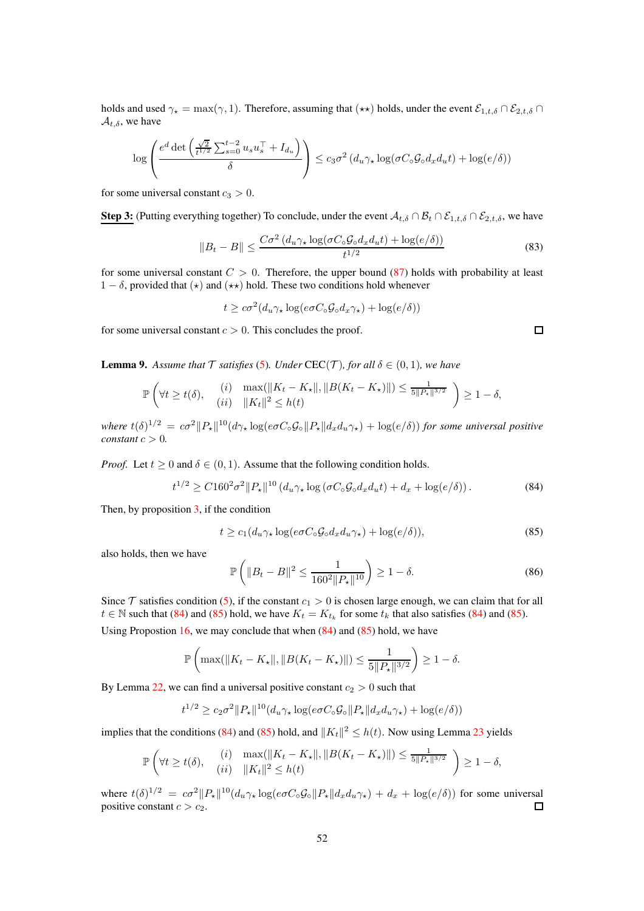holds and used  $\gamma_{\star} = \max(\gamma, 1)$ . Therefore, assuming that  $(\star \star)$  holds, under the event  $\mathcal{E}_{1,t,\delta} \cap \mathcal{E}_{2,t,\delta}$  $\mathcal{A}_{t,\delta}$ , we have

$$
\log \left( \frac{e^d \det \left( \frac{\sqrt{2}}{t^{1/2}} \sum_{s=0}^{t-2} u_s u_s^\top + I_{d_u} \right)}{\delta} \right) \leq c_3 \sigma^2 \left( d_u \gamma_\star \log(\sigma C_\circ \mathcal{G}_\circ d_x d_u t) + \log(e/\delta) \right)
$$

for some universal constant  $c_3 > 0$ .

**Step 3:** (Putting everything together) To conclude, under the event  $A_{t,\delta} \cap B_t \cap \mathcal{E}_{1,t,\delta} \cap \mathcal{E}_{2,t,\delta}$ , we have

$$
||B_t - B|| \le \frac{C\sigma^2 \left(d_u \gamma_\star \log(\sigma C_\circ \mathcal{G}_0 d_x d_u t) + \log(e/\delta)\right)}{t^{1/2}} \tag{83}
$$

for some universal constant  $C > 0$ . Therefore, the upper bound [\(87\)](#page-54-1) holds with probability at least  $1 - \delta$ , provided that  $(\star)$  and  $(\star \star)$  hold. These two conditions hold whenever

$$
t \geq c\sigma^2(d_u\gamma_\star \log(e\sigma C_\circ \mathcal{G}_\circ d_x \gamma_\star) + \log(e/\delta))
$$

for some universal constant  $c > 0$ . This concludes the proof.

<span id="page-51-1"></span>**Lemma 9.** Assume that  $\mathcal T$  *satisfies* [\(5\)](#page-3-0)*.* Under CEC( $\mathcal T$ )*, for all*  $\delta \in (0,1)$ *, we have* 

$$
\mathbb{P}\left(\forall t \geq t(\delta), \quad \begin{array}{ll} (i) & \max(\|K_t - K_{\star}\|, \|B(K_t - K_{\star})\|) \leq \frac{1}{5\|P_{\star}\|^{3/2}} \\ (ii) & \|K_t\|^2 \leq h(t) \end{array}\right) \geq 1 - \delta,
$$

 $where t(\delta)^{1/2} = c\sigma^2 ||P_\star||^{10} (d\gamma_\star \log(e\sigma C_\circ \mathcal{G}_\circ || P_\star || d_x d_u \gamma_\star) + \log(e/\delta))$  *for some universal positive constant*  $c > 0$ *.* 

*Proof.* Let  $t \geq 0$  and  $\delta \in (0, 1)$ . Assume that the following condition holds.

<span id="page-51-2"></span>
$$
t^{1/2} \ge C 160^2 \sigma^2 ||P_\star||^{10} \left( d_u \gamma_\star \log \left( \sigma C_\circ \mathcal{G}_\circ d_x d_u t \right) + d_x + \log(e/\delta) \right). \tag{84}
$$

Then, by proposition  $3$ , if the condition

<span id="page-51-0"></span>
$$
t \ge c_1 (d_u \gamma_\star \log(e \sigma C_\circ \mathcal{G}_\circ d_x d_u \gamma_\star) + \log(e/\delta)),\tag{85}
$$

also holds, then we have

$$
\mathbb{P}\left(\|B_t - B\|^2 \le \frac{1}{160^2 \|P_\star\|^{10}}\right) \ge 1 - \delta. \tag{86}
$$

Since  $\mathcal T$  satisfies condition [\(5\)](#page-3-0), if the constant  $c_1 > 0$  is chosen large enough, we can claim that for all  $t \in \mathbb{N}$  such that [\(84\)](#page-51-2) and [\(85\)](#page-51-0) hold, we have  $K_t = K_{t_k}$  for some  $t_k$  that also satisfies [\(84\)](#page-51-2) and [\(85\)](#page-51-0).

Using Propostion [16,](#page-79-0) we may conclude that when  $(84)$  and  $(85)$  hold, we have

$$
\mathbb{P}\left(\max(||K_t - K_{\star}||, ||B(K_t - K_{\star})||) \le \frac{1}{5||P_{\star}||^{3/2}}\right) \ge 1 - \delta.
$$

By Lemma [22,](#page-87-0) we can find a universal positive constant  $c_2 > 0$  such that

$$
t^{1/2} \ge c_2 \sigma^2 \|P_\star\|^{10} (d_u \gamma_\star \log(e \sigma C_\circ \mathcal{G}_\circ \|P_\star\| d_x d_u \gamma_\star) + \log(e/\delta))
$$

implies that the conditions [\(84\)](#page-51-2) and [\(85\)](#page-51-0) hold, and  $||K_t||^2 \leq h(t)$ . Now using Lemma [23](#page-87-1) yields

$$
\mathbb{P}\left(\forall t \geq t(\delta), \quad \begin{array}{ll} (i) & \max(\|K_t - K_{\star}\|, \|B(K_t - K_{\star})\|) \leq \frac{1}{5\|P_{\star}\|^{3/2}} \\ (ii) & \|K_t\|^2 \leq h(t) \end{array}\right) \geq 1 - \delta,
$$

where  $t(\delta)^{1/2} = c\sigma^2 ||P_\star||^{10} (d_u \gamma_\star \log(e\sigma C_\circ \mathcal{G}_\circ ||P_\star|| d_x d_u \gamma_\star) + d_x + \log(e/\delta))$  for some universal positive constant  $c > c_2$ .

 $\Box$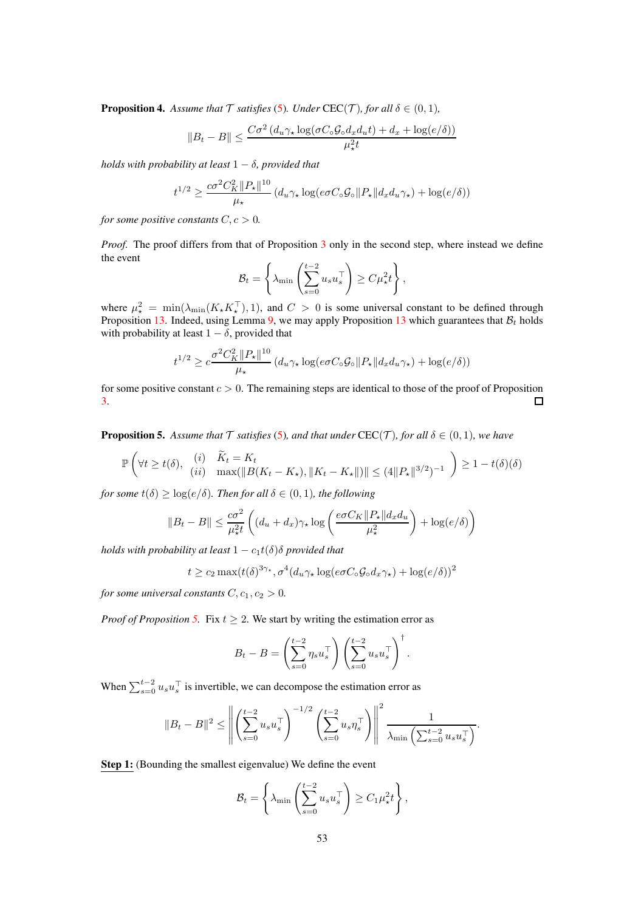<span id="page-52-1"></span>**Proposition 4.** Assume that  $\mathcal T$  *satisfies* [\(5\)](#page-3-0)*.* Under CEC( $\mathcal T$ )*, for all*  $\delta \in (0,1)$ *,* 

$$
||B_t - B|| \le \frac{C\sigma^2 (d_u \gamma_\star \log(\sigma C_\circ \mathcal{G}_\circ d_x d_u t) + d_x + \log(e/\delta))}{\mu_\star^2 t}
$$

*holds with probability at least*  $1 - \delta$ *, provided that* 

$$
t^{1/2} \ge \frac{c\sigma^2 C_K^2 \|P_\star\|^{10}}{\mu_\star} \left(d_u \gamma_\star \log(e\sigma C_\circ \mathcal{G}_\circ \|P_\star\|d_xd_u\gamma_\star) + \log(e/\delta)\right)
$$

*for some positive constants*  $C, c > 0$ *.* 

*Proof.* The proof differs from that of Proposition [3](#page-49-1) only in the second step, where instead we define the event

$$
\mathcal{B}_t = \left\{ \lambda_{\min} \left( \sum_{s=0}^{t-2} u_s u_s^\top \right) \ge C \mu_\star^2 t \right\},\,
$$

where  $\mu^2_{\star} = \min(\lambda_{\min}(K_{\star}K_{\star}^{\top}), 1)$ , and  $C > 0$  is some universal constant to be defined through Proposition [13.](#page-69-0) Indeed, using Lemma [9,](#page-51-1) we may apply Proposition [13](#page-69-0) which guarantees that  $B_t$  holds with probability at least  $1 - \delta$ , provided that

$$
t^{1/2} \geq c \frac{\sigma^2 C_K^2 \|P_\star\|^{10}}{\mu_\star} \left(d_u \gamma_\star \log(e\sigma C_\circ \mathcal{G}_\circ \|P_\star\|d_xd_u\gamma_\star) + \log(e/\delta)\right)
$$

for some positive constant  $c > 0$ . The remaining steps are identical to those of the proof of Proposition [3.](#page-49-1)  $\Box$ 

<span id="page-52-0"></span>**Proposition 5.** Assume that  $\mathcal T$  *satisfies* [\(5\)](#page-3-0)*, and that under*  $\text{CEC}(\mathcal T)$ *, for all*  $\delta \in (0,1)$ *, we have* 

$$
\mathbb{P}\left(\forall t \geq t(\delta), \begin{array}{cc} (i) & \widetilde{K}_t = K_t \\ (ii) & \max(\|B(K_t - K_\star), \|K_t - K_\star\|)\| \leq (4\|P_\star\|^{3/2})^{-1} \end{array}\right) \geq 1 - t(\delta)(\delta)
$$

*for some*  $t(\delta) > \log(e/\delta)$ *. Then for all*  $\delta \in (0,1)$ *, the following* 

$$
||B_t - B|| \le \frac{c\sigma^2}{\mu_*^2 t} \left( (d_u + d_x)\gamma_\star \log \left( \frac{e\sigma C_K ||P_\star|| d_x d_u}{\mu_*^2} \right) + \log(e/\delta) \right)
$$

*holds with probability at least*  $1 - c_1t(\delta)\delta$  *provided that* 

$$
t \ge c_2 \max(t(\delta)^{3\gamma_\star}, \sigma^4(d_u\gamma_\star \log(e\sigma C_\circ \mathcal{G}_\circ d_x \gamma_\star) + \log(e/\delta))^2
$$

*for some universal constants*  $C, c_1, c_2 > 0$ *.* 

*Proof of Proposition* [5.](#page-52-0) Fix  $t \geq 2$ . We start by writing the estimation error as

$$
B_t - B = \left(\sum_{s=0}^{t-2} \eta_s u_s^\top \right) \left(\sum_{s=0}^{t-2} u_s u_s^\top \right)^\top.
$$

When  $\sum_{s=0}^{t-2} u_s u_s^\top$  is invertible, we can decompose the estimation error as

$$
\|B_t-B\|^2\leq \left\|\left(\sum_{s=0}^{t-2}u_su_s^\top\right)^{-1/2}\left(\sum_{s=0}^{t-2}u_s\eta_s^\top\right)\right\|^2\frac{1}{\lambda_{\min}\left(\sum_{s=0}^{t-2}u_su_s^\top\right)}.
$$

Step 1: (Bounding the smallest eigenvalue) We define the event

$$
\mathcal{B}_t = \left\{ \lambda_{\min} \left( \sum_{s=0}^{t-2} u_s u_s^\top \right) \ge C_1 \mu_\star^2 t \right\},\,
$$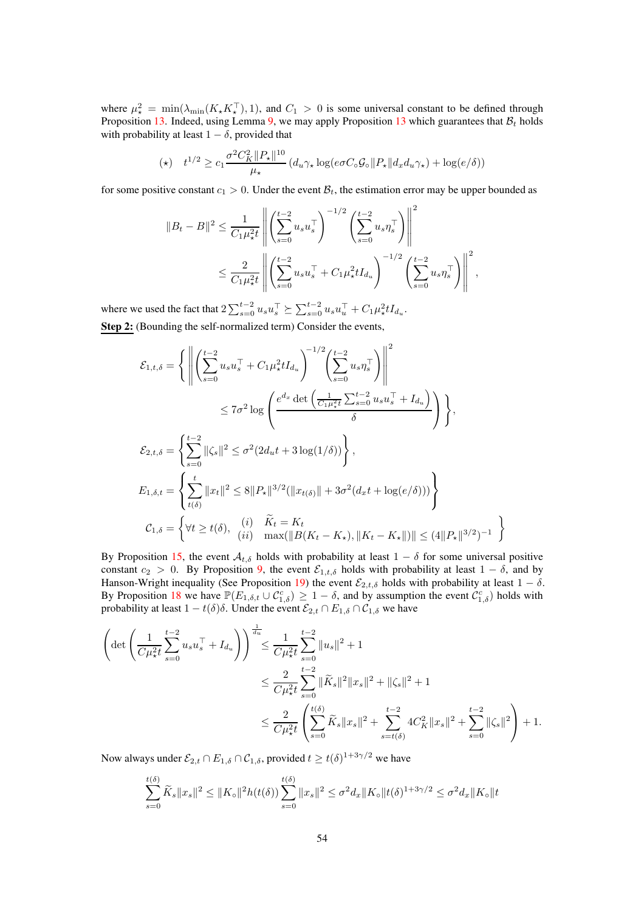where  $\mu^2_{\star} = \min(\lambda_{\min}(K_{\star}K_{\star}^{\top}), 1)$ , and  $C_1 > 0$  is some universal constant to be defined through Proposition [13.](#page-69-0) Indeed, using Lemma [9,](#page-51-1) we may apply Proposition [13](#page-69-0) which guarantees that  $B_t$  holds with probability at least  $1 - \delta$ , provided that

$$
(\star) \quad t^{1/2} \ge c_1 \frac{\sigma^2 C_K^2 \|P_\star\|^{10}}{\mu_\star} \left(d_u \gamma_\star \log(e\sigma C_\circ \mathcal{G}_\circ \|P_\star\| d_x d_u \gamma_\star) + \log(e/\delta)\right)
$$

for some positive constant  $c_1 > 0$ . Under the event  $\mathcal{B}_t$ , the estimation error may be upper bounded as

$$
||B_t - B||^2 \le \frac{1}{C_1 \mu_*^2 t} \left\| \left( \sum_{s=0}^{t-2} u_s u_s^\top \right)^{-1/2} \left( \sum_{s=0}^{t-2} u_s \eta_s^\top \right) \right\|^2
$$
  

$$
\le \frac{2}{C_1 \mu_*^2 t} \left\| \left( \sum_{s=0}^{t-2} u_s u_s^\top + C_1 \mu_*^2 t I_{d_u} \right)^{-1/2} \left( \sum_{s=0}^{t-2} u_s \eta_s^\top \right) \right\|^2,
$$

where we used the fact that  $2 \sum_{s=0}^{t-2} u_s u_s^{\top} \succeq \sum_{s=0}^{t-2} u_s u_u^{\top} + C_1 \mu_{\star}^2 t I_{d_u}$ . Step 2: (Bounding the self-normalized term) Consider the events,

$$
\mathcal{E}_{1,t,\delta} = \left\{ \left\| \left( \sum_{s=0}^{t-2} u_s u_s^{\top} + C_1 \mu_{\star}^2 t I_{d_u} \right)^{-1/2} \left( \sum_{s=0}^{t-2} u_s \eta_s^{\top} \right) \right\|^2 \right\}
$$
  
\n
$$
\leq 7\sigma^2 \log \left( \frac{e^{d_x} \det \left( \frac{1}{C_1 \mu_{\star}^2 t} \sum_{s=0}^{t-2} u_s u_s^{\top} + I_{d_u} \right)}{\delta} \right) \right\},
$$
  
\n
$$
\mathcal{E}_{2,t,\delta} = \left\{ \sum_{s=0}^{t-2} ||\zeta_s||^2 \leq \sigma^2 (2d_u t + 3 \log(1/\delta)) \right\},
$$
  
\n
$$
E_{1,\delta,t} = \left\{ \sum_{t(\delta)}^t ||x_t||^2 \leq 8 ||P_{\star}||^{3/2} (||x_{t(\delta)}|| + 3\sigma^2 (d_x t + \log(e/\delta))) \right\}
$$
  
\n
$$
\mathcal{C}_{1,\delta} = \left\{ \forall t \geq t(\delta), \quad (i) \quad \widetilde{K}_t = K_t
$$
  
\n
$$
u_{1,\delta} = \left\{ \forall t \geq t(\delta), \quad (i) \quad \max_{t \in \mathcal{H}} ||B(K_t - K_{\star}), ||K_t - K_{\star}||) || \leq (4||P_{\star}||^{3/2})^{-1} \right\}
$$

By Proposition [15,](#page-76-0) the event  $A_{t,\delta}$  holds with probability at least  $1 - \delta$  for some universal positive constant  $c_2 > 0$ . By Proposition [9,](#page-60-1) the event  $\mathcal{E}_{1,t,\delta}$  holds with probability at least  $1 - \delta$ , and by Hanson-Wright inequality (See Proposition [19\)](#page-87-2) the event  $\mathcal{E}_{2,t,\delta}$  holds with probability at least  $1 - \delta$ . By Proposition [18](#page-82-0) we have  $\mathbb{P}(E_{1,\delta,t} \cup C_{1,\delta}^c) \geq 1-\delta$ , and by assumption the event  $C_{1,\delta}^c$  holds with probability at least  $1 - t(\delta)\delta$ . Under the event  $\mathcal{E}_{2,t} \cap E_{1,\delta} \cap \mathcal{C}_{1,\delta}$  we have

$$
\left(\det\left(\frac{1}{C\mu_{\star}^{2}t}\sum_{s=0}^{t-2}u_{s}u_{s}^{\top}+I_{d_{u}}\right)\right)^{\frac{1}{d_{u}}}\leq\frac{1}{C\mu_{\star}^{2}t}\sum_{s=0}^{t-2}\|u_{s}\|^{2}+1
$$
\n
$$
\leq\frac{2}{C\mu_{\star}^{2}t}\sum_{s=0}^{t-2}\|\tilde{K}_{s}\|^{2}\|x_{s}\|^{2}+\|\zeta_{s}\|^{2}+1
$$
\n
$$
\leq\frac{2}{C\mu_{\star}^{2}t}\left(\sum_{s=0}^{t(\delta)}\tilde{K}_{s}\|x_{s}\|^{2}+\sum_{s=t(\delta)}^{t-2}4C_{K}^{2}\|x_{s}\|^{2}+\sum_{s=0}^{t-2}\|\zeta_{s}\|^{2}\right)+1.
$$

Now always under  $\mathcal{E}_{2,t} \cap E_{1,\delta} \cap \mathcal{C}_{1,\delta}$ , provided  $t \geq t(\delta)^{1+3\gamma/2}$  we have

$$
\sum_{s=0}^{t(\delta)} \widetilde{K}_s \|x_s\|^2 \le \|K_{\circ}\|^2 h(t(\delta)) \sum_{s=0}^{t(\delta)} \|x_s\|^2 \le \sigma^2 d_x \|K_{\circ}\|t(\delta)^{1+3\gamma/2} \le \sigma^2 d_x \|K_{\circ}\|t
$$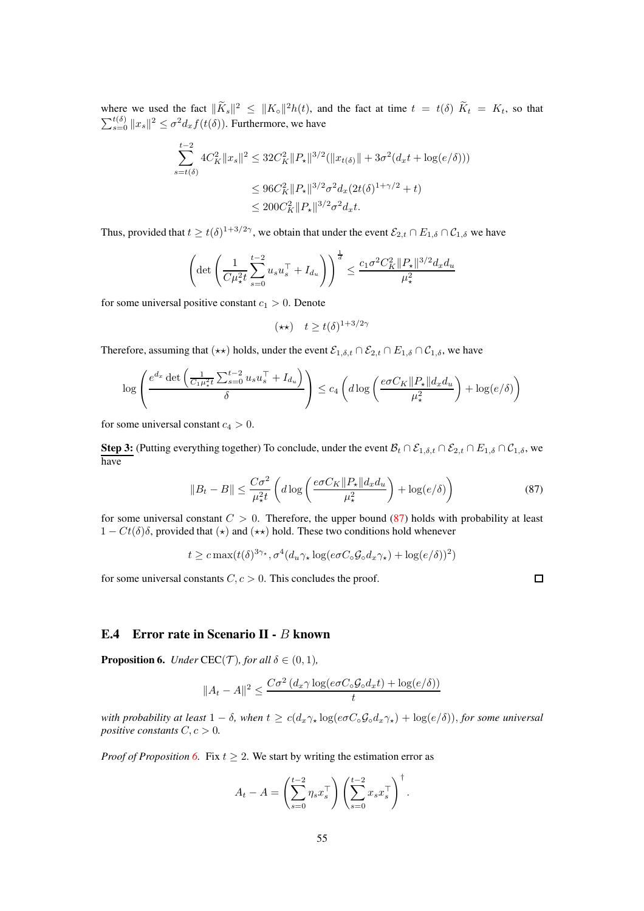where we used the fact  $\|\tilde{K}_s\|^2 \leq \|K_{\circ}\|^2 h(t)$ , and the fact at time  $t = t(\delta) \tilde{K}_t = K_t$ , so that  $\sum_{s=0}^{t(\delta)} \|x_s\|^2 \leq \sigma^2 d_x f(t(\delta))$ . Furthermore, we have

$$
\sum_{s=t(\delta)}^{t-2} 4C_K^2 \|x_s\|^2 \le 32C_K^2 \|P_\star\|^{3/2} (\|x_{t(\delta)}\| + 3\sigma^2 (d_x t + \log(e/\delta)))
$$
  

$$
\le 96C_K^2 \|P_\star\|^{3/2} \sigma^2 d_x (2t(\delta)^{1+\gamma/2} + t)
$$
  

$$
\le 200C_K^2 \|P_\star\|^{3/2} \sigma^2 d_x t.
$$

Thus, provided that  $t \ge t(\delta)^{1+3/2\gamma}$ , we obtain that under the event  $\mathcal{E}_{2,t} \cap E_{1,\delta} \cap \mathcal{C}_{1,\delta}$  we have

$$
\left(\det\left(\frac{1}{C\mu_{\star}^2 t} \sum_{s=0}^{t-2} u_s u_s^\top + I_{d_u}\right)\right)^{\frac{1}{d}} \le \frac{c_1 \sigma^2 C_K^2 \|P_\star\|^{3/2} d_x d_u}{\mu_{\star}^2}
$$

for some universal positive constant  $c_1 > 0$ . Denote

$$
(\star \star) \quad t \ge t(\delta)^{1+3/2\gamma}
$$

Therefore, assuming that  $(\star \star)$  holds, under the event  $\mathcal{E}_{1,\delta,t} \cap \mathcal{E}_{2,t} \cap E_{1,\delta} \cap \mathcal{C}_{1,\delta}$ , we have

$$
\log \left( \frac{e^{d_x} \det \left( \frac{1}{C_1 \mu_x^2 t} \sum_{s=0}^{t-2} u_s u_s^\top + I_{d_u} \right)}{\delta} \right) \leq c_4 \left( d \log \left( \frac{e \sigma C_K \|P_\star\| d_x d_u}{\mu_\star^2} \right) + \log(e/\delta) \right)
$$

for some universal constant  $c_4 > 0$ .

**Step 3:** (Putting everything together) To conclude, under the event  $\mathcal{B}_t \cap \mathcal{E}_{1,\delta,t} \cap \mathcal{E}_{2,t} \cap E_{1,\delta} \cap \mathcal{C}_{1,\delta}$ , we have

$$
||B_t - B|| \le \frac{C\sigma^2}{\mu_x^2 t} \left( d \log \left( \frac{e \sigma C_K ||P_\star|| d_x d_u}{\mu_x^2} \right) + \log(e/\delta) \right) \tag{87}
$$

for some universal constant  $C > 0$ . Therefore, the upper bound [\(87\)](#page-54-1) holds with probability at least  $1 - Ct(\delta)\delta$ , provided that  $(\star)$  and  $(\star \star)$  hold. These two conditions hold whenever

$$
t \geq c \max(t(\delta)^{3\gamma_{\star}}, \sigma^4(d_u \gamma_{\star} \log(e\sigma C_{\circ} \mathcal{G}_{\circ} d_x \gamma_{\star}) + \log(e/\delta))^2)
$$

for some universal constants  $C, c > 0$ . This concludes the proof.

<span id="page-54-1"></span> $\Box$ 

#### E.4 Error rate in Scenario II - B known

<span id="page-54-0"></span>**Proposition 6.** *Under* CEC(*T*)*, for all*  $\delta \in (0,1)$ *,* 

$$
||A_t - A||^2 \le \frac{C\sigma^2 (d_x \gamma \log(e\sigma C_\circ \mathcal{G}_\circ d_x t) + \log(e/\delta))}{t}
$$

*with probability at least*  $1 - \delta$ *, when*  $t \geq c(d_x \gamma_\star \log(e \sigma C_\circ \mathcal{G}_0 d_x \gamma_\star) + \log(e/\delta))$ *, for some universal positive constants*  $C, c > 0$ *.* 

*Proof of Proposition* [6.](#page-54-0) Fix  $t \geq 2$ . We start by writing the estimation error as

$$
A_t - A = \left(\sum_{s=0}^{t-2} \eta_s x_s^\top \right) \left(\sum_{s=0}^{t-2} x_s x_s^\top \right)^\dagger.
$$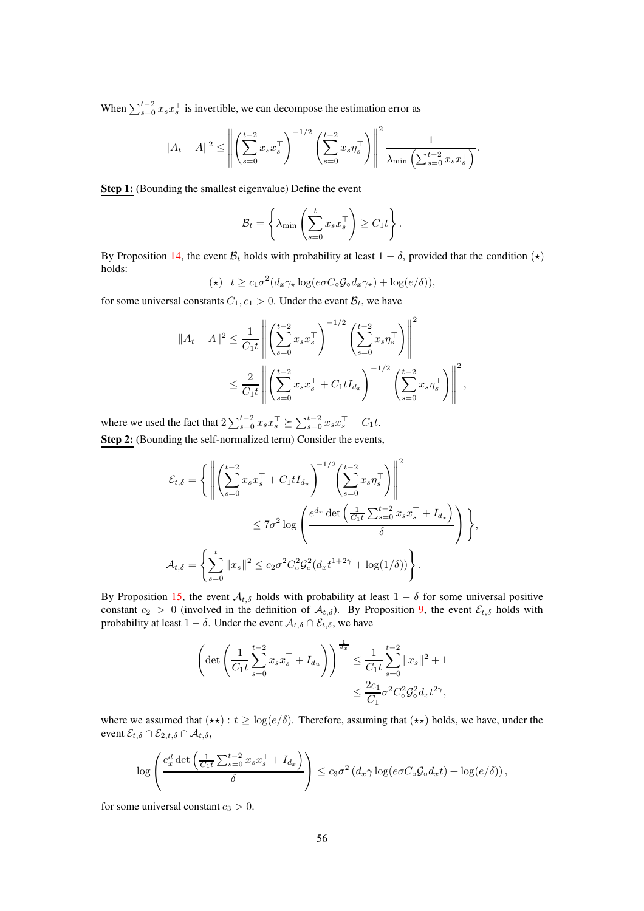When  $\sum_{s=0}^{t-2} x_s x_s^{\top}$  is invertible, we can decompose the estimation error as

$$
||A_t - A||^2 \le \left\| \left( \sum_{s=0}^{t-2} x_s x_s^\top \right)^{-1/2} \left( \sum_{s=0}^{t-2} x_s \eta_s^\top \right) \right\|^2 \frac{1}{\lambda_{\min} \left( \sum_{s=0}^{t-2} x_s x_s^\top \right)}.
$$

Step 1: (Bounding the smallest eigenvalue) Define the event

$$
\mathcal{B}_t = \left\{ \lambda_{\min} \left( \sum_{s=0}^t x_s x_s^\top \right) \geq C_1 t \right\}.
$$

By Proposition [14,](#page-71-0) the event  $B_t$  holds with probability at least  $1 - \delta$ , provided that the condition  $(\star)$ holds:

$$
(\star) \quad t \ge c_1 \sigma^2 (d_x \gamma_\star \log(e \sigma C_\circ \mathcal{G}_\circ d_x \gamma_\star) + \log(e/\delta)),
$$

for some universal constants  $C_1$ ,  $c_1 > 0$ . Under the event  $\mathcal{B}_t$ , we have

$$
||A_t - A||^2 \le \frac{1}{C_1 t} \left\| \left( \sum_{s=0}^{t-2} x_s x_s^\top \right)^{-1/2} \left( \sum_{s=0}^{t-2} x_s \eta_s^\top \right) \right\|^2
$$
  

$$
\le \frac{2}{C_1 t} \left\| \left( \sum_{s=0}^{t-2} x_s x_s^\top + C_1 t I_{d_x} \right)^{-1/2} \left( \sum_{s=0}^{t-2} x_s \eta_s^\top \right) \right\|^2,
$$

where we used the fact that  $2\sum_{s=0}^{t-2} x_s x_s^\top \succeq \sum_{s=0}^{t-2} x_s x_s^\top + C_1 t$ . Step 2: (Bounding the self-normalized term) Consider the events,

$$
\mathcal{E}_{t,\delta} = \left\{ \left\| \left( \sum_{s=0}^{t-2} x_s x_s^{\top} + C_1 t I_{d_u} \right)^{-1/2} \left( \sum_{s=0}^{t-2} x_s \eta_s^{\top} \right) \right\|^2 \right\}
$$
  

$$
\leq 7\sigma^2 \log \left( \frac{e^{d_x} \det \left( \frac{1}{C_1 t} \sum_{s=0}^{t-2} x_s x_s^{\top} + I_{d_x} \right)}{\delta} \right) \right\},
$$
  

$$
\mathcal{A}_{t,\delta} = \left\{ \sum_{s=0}^{t} ||x_s||^2 \leq c_2 \sigma^2 C_o^2 \mathcal{G}_o^2 (d_x t^{1+2\gamma} + \log(1/\delta)) \right\}.
$$

By Proposition [15,](#page-76-0) the event  $A_{t,\delta}$  holds with probability at least  $1 - \delta$  for some universal positive constant  $c_2 > 0$  (involved in the definition of  $A_{t,\delta}$ ). By Proposition [9,](#page-60-1) the event  $\mathcal{E}_{t,\delta}$  holds with probability at least  $1 - \delta$ . Under the event  $\mathcal{A}_{t,\delta} \cap \mathcal{E}_{t,\delta}$ , we have

$$
\left(\det\left(\frac{1}{C_1t}\sum_{s=0}^{t-2}x_sx_s^\top + I_{d_u}\right)\right)^{\frac{1}{d_x}} \leq \frac{1}{C_1t}\sum_{s=0}^{t-2}||x_s||^2 + 1
$$

$$
\leq \frac{2c_1}{C_1}\sigma^2 C_o^2 \mathcal{G}_o^2 d_x t^{2\gamma},
$$

where we assumed that  $(\star \star)$ :  $t \geq \log(e/\delta)$ . Therefore, assuming that  $(\star \star)$  holds, we have, under the event  $\mathcal{E}_{t,\delta} \cap \mathcal{E}_{2,t,\delta} \cap \mathcal{A}_{t,\delta}$ ,

$$
\log\left(\frac{e_x^d \det\left(\frac{1}{C_1t}\sum_{s=0}^{t-2}x_s x_s^\top + I_{d_x}\right)}{\delta}\right) \leq c_3\sigma^2 \left(d_x\gamma \log(e\sigma C_\circ \mathcal{G}_\circ d_x t) + \log(e/\delta)\right),
$$

for some universal constant  $c_3 > 0$ .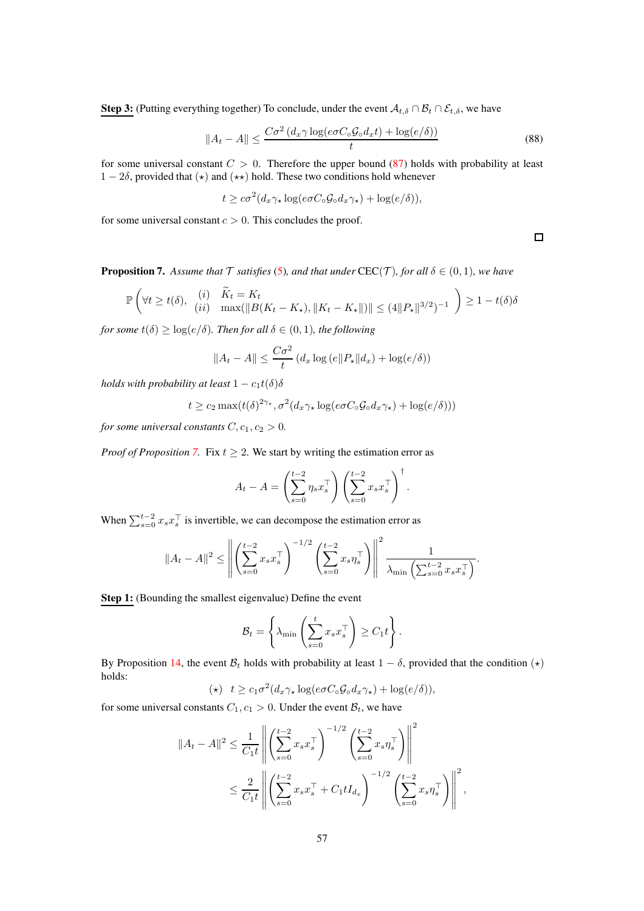**Step 3:** (Putting everything together) To conclude, under the event  $A_{t,\delta} \cap B_t \cap \mathcal{E}_{t,\delta}$ , we have

$$
||A_t - A|| \le \frac{C\sigma^2 \left(d_x \gamma \log(e \sigma C_\circ \mathcal{G}_\circ d_x t) + \log(e/\delta)\right)}{t} \tag{88}
$$

for some universal constant  $C > 0$ . Therefore the upper bound [\(87\)](#page-54-1) holds with probability at least  $1 - 2\delta$ , provided that  $(\star)$  and  $(\star \star)$  hold. These two conditions hold whenever

$$
t \geq c\sigma^2(d_x \gamma_\star \log(e\sigma C_\circ \mathcal{G}_\circ d_x \gamma_\star) + \log(e/\delta)),
$$

for some universal constant  $c > 0$ . This concludes the proof.

 $\Box$ 

<span id="page-56-0"></span>**Proposition 7.** Assume that  $\mathcal T$  satisfies [\(5\)](#page-3-0), and that under CEC( $\mathcal T$ ), for all  $\delta \in (0,1)$ *, we have* 

$$
\mathbb{P}\left(\forall t \ge t(\delta), \begin{array}{cc} (i) & \widetilde{K}_t = K_t \\ (ii) & \max(\|B(K_t - K_\star), \|K_t - K_\star\|)\| \le (4\|P_\star\|^{3/2})^{-1} \end{array}\right) \ge 1 - t(\delta)\delta
$$

*for some*  $t(\delta) \geq \log(e/\delta)$ *. Then for all*  $\delta \in (0,1)$ *, the following* 

$$
||A_t - A|| \le \frac{C\sigma^2}{t} \left( d_x \log(e||P_\star||d_x) + \log(e/\delta) \right)
$$

*holds with probability at least*  $1 - c_1t(\delta)\delta$ 

$$
t \geq c_2 \max(t(\delta)^{2\gamma_\star}, \sigma^2(d_x \gamma_\star \log(e \sigma C_\circ \mathcal{G}_\circ d_x \gamma_\star) + \log(e/\delta)))
$$

*for some universal constants*  $C, c_1, c_2 > 0$ *.* 

*Proof of Proposition* [7.](#page-56-0) Fix  $t \geq 2$ . We start by writing the estimation error as

$$
A_t - A = \left(\sum_{s=0}^{t-2} \eta_s x_s^\top \right) \left(\sum_{s=0}^{t-2} x_s x_s^\top \right)^\dagger.
$$

When  $\sum_{s=0}^{t-2} x_s x_s^\top$  is invertible, we can decompose the estimation error as

$$
||A_t - A||^2 \le \left\| \left( \sum_{s=0}^{t-2} x_s x_s^\top \right)^{-1/2} \left( \sum_{s=0}^{t-2} x_s \eta_s^\top \right) \right\|^2 \frac{1}{\lambda_{\min} \left( \sum_{s=0}^{t-2} x_s x_s^\top \right)}.
$$

Step 1: (Bounding the smallest eigenvalue) Define the event

$$
\mathcal{B}_t = \left\{ \lambda_{\min} \left( \sum_{s=0}^t x_s x_s^\top \right) \ge C_1 t \right\}.
$$

By Proposition [14,](#page-71-0) the event  $\mathcal{B}_t$  holds with probability at least  $1 - \delta$ , provided that the condition  $(\star)$ holds:  $\overline{a}$ 

$$
(\star) \quad t \geq c_1 \sigma^2 (d_x \gamma_\star \log(e \sigma C_\circ \mathcal{G}_\circ d_x \gamma_\star) + \log(e/\delta)),
$$

for some universal constants  $C_1$ ,  $c_1 > 0$ . Under the event  $\mathcal{B}_t$ , we have

$$
||A_t - A||^2 \le \frac{1}{C_1 t} \left\| \left( \sum_{s=0}^{t-2} x_s x_s^\top \right)^{-1/2} \left( \sum_{s=0}^{t-2} x_s \eta_s^\top \right) \right\|^2
$$
  

$$
\le \frac{2}{C_1 t} \left\| \left( \sum_{s=0}^{t-2} x_s x_s^\top + C_1 t I_{d_x} \right)^{-1/2} \left( \sum_{s=0}^{t-2} x_s \eta_s^\top \right) \right\|^2,
$$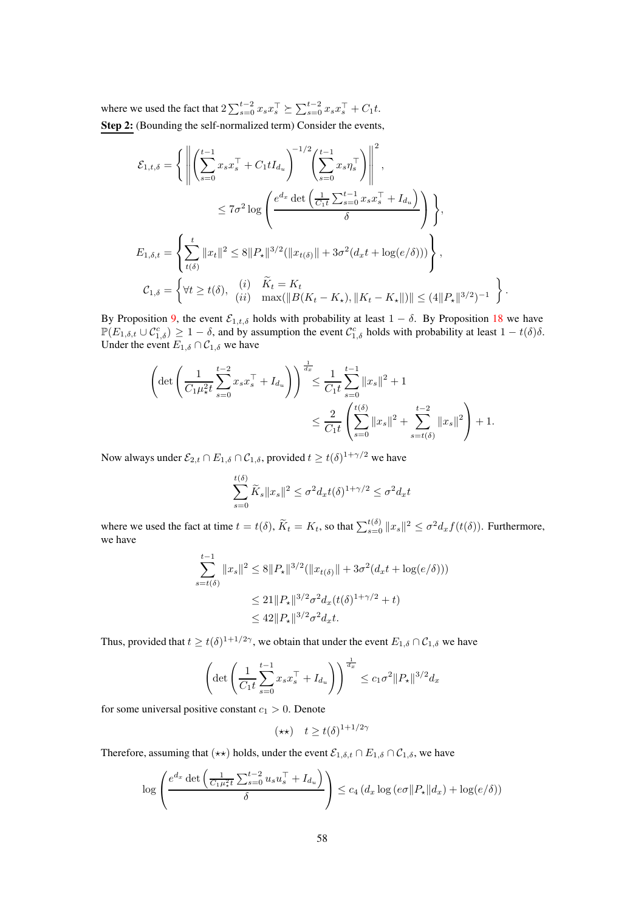where we used the fact that  $2\sum_{s=0}^{t-2} x_s x_s^\top \succeq \sum_{s=0}^{t-2} x_s x_s^\top + C_1 t$ . Step 2: (Bounding the self-normalized term) Consider the events,

$$
\mathcal{E}_{1,t,\delta} = \left\{ \left\| \left( \sum_{s=0}^{t-1} x_s x_s^{\top} + C_1 t I_{d_u} \right)^{-1/2} \left( \sum_{s=0}^{t-1} x_s \eta_s^{\top} \right) \right\|^{2},
$$
  

$$
\leq 7\sigma^2 \log \left( \frac{e^{d_x} \det \left( \frac{1}{C_1 t} \sum_{s=0}^{t-1} x_s x_s^{\top} + I_{d_u} \right)}{\delta} \right) \right\},
$$
  

$$
E_{1,\delta,t} = \left\{ \sum_{t(\delta)}^{t} \|x_t\|^2 \leq 8 \|P_{\star}\|^{3/2} (\|x_{t(\delta)}\| + 3\sigma^2 (d_x t + \log(e/\delta))) \right\},
$$
  

$$
\mathcal{C}_{1,\delta} = \left\{ \forall t \geq t(\delta), \quad (i) \quad \widetilde{K}_t = K_t
$$
  

$$
(ii) \quad \max(\|B(K_t - K_{\star}), \|K_t - K_{\star}\|)\| \leq (4\|P_{\star}\|^{3/2})^{-1} \right\}.
$$

By Proposition [9,](#page-60-1) the event  $\mathcal{E}_{1,t,\delta}$  holds with probability at least  $1 - \delta$ . By Proposition [18](#page-82-0) we have  $\mathbb{P}(E_{1,\delta,t} \cup C_{1,\delta}^c) \geq 1-\delta$ , and by assumption the event  $C_{1,\delta}^c$  holds with probability at least  $1-t(\delta)\delta$ . Under the event  $E_{1,\delta} \cap C_{1,\delta}$  we have

$$
\left(\det\left(\frac{1}{C_1\mu_{\star}^2 t} \sum_{s=0}^{t-2} x_s x_s^\top + I_{d_u}\right)\right)^{\frac{1}{d_x}} \leq \frac{1}{C_1 t} \sum_{s=0}^{t-1} \|x_s\|^2 + 1
$$
  

$$
\leq \frac{2}{C_1 t} \left(\sum_{s=0}^{t(\delta)} \|x_s\|^2 + \sum_{s=t(\delta)}^{t-2} \|x_s\|^2\right) + 1.
$$

Now always under  $\mathcal{E}_{2,t} \cap E_{1,\delta} \cap \mathcal{C}_{1,\delta}$ , provided  $t \geq t(\delta)^{1+\gamma/2}$  we have

$$
\sum_{s=0}^{t(\delta)} \widetilde{K}_s \|x_s\|^2 \le \sigma^2 d_x t(\delta)^{1+\gamma/2} \le \sigma^2 d_x t
$$

where we used the fact at time  $t = t(\delta)$ ,  $\widetilde{K}_t = K_t$ , so that  $\sum_{s=0}^{t(\delta)} ||x_s||^2 \le \sigma^2 d_x f(t(\delta))$ . Furthermore, we have

$$
\sum_{s=t(\delta)}^{t-1} ||x_s||^2 \le 8||P_\star||^{3/2} (||x_{t(\delta)}|| + 3\sigma^2(d_x t + \log(e/\delta)))
$$
  

$$
\le 21||P_\star||^{3/2} \sigma^2 d_x(t(\delta)^{1+\gamma/2} + t)
$$
  

$$
\le 42||P_\star||^{3/2} \sigma^2 d_x t.
$$

Thus, provided that  $t \ge t(\delta)^{1+1/2\gamma}$ , we obtain that under the event  $E_{1,\delta} \cap C_{1,\delta}$  we have

$$
\left(\det\left(\frac{1}{C_1t}\sum_{s=0}^{t-1}x_s x_s^\top + I_{d_u}\right)\right)^{\frac{1}{d_x}} \le c_1\sigma^2 \|P_\star\|^{3/2} d_x
$$

for some universal positive constant  $c_1 > 0$ . Denote

$$
(\star\star)\quad t\geq t(\delta)^{1+1/2\gamma}
$$

Therefore, assuming that  $(\star \star)$  holds, under the event  $\mathcal{E}_{1,\delta,t} \cap E_{1,\delta} \cap \mathcal{C}_{1,\delta}$ , we have

$$
\log \left( \frac{e^{d_x} \det \left( \frac{1}{C_1 \mu_x^2 t} \sum_{s=0}^{t-2} u_s u_s^\top + I_{d_u} \right)}{\delta} \right) \leq c_4 \left( d_x \log \left( e \sigma ||P_\star|| d_x \right) + \log(e/\delta) \right)
$$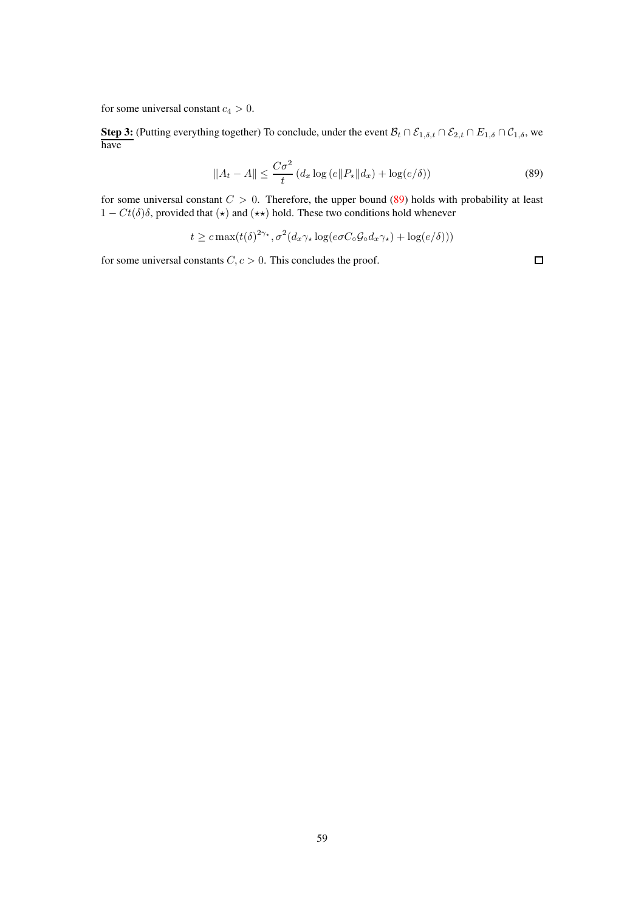for some universal constant  $c_4 > 0$ .

**Step 3:** (Putting everything together) To conclude, under the event  $\mathcal{B}_t \cap \mathcal{E}_{1,\delta,t} \cap \mathcal{E}_{2,t} \cap E_{1,\delta} \cap \mathcal{C}_{1,\delta}$ , we have

$$
||A_t - A|| \le \frac{C\sigma^2}{t} \left( d_x \log\left(e||P_\star||d_x\right) + \log\left(e/\delta\right) \right) \tag{89}
$$

for some universal constant  $C > 0$ . Therefore, the upper bound [\(89\)](#page-58-0) holds with probability at least  $1 - Ct(\delta)\delta$ , provided that  $(\star)$  and  $(\star \star)$  hold. These two conditions hold whenever

 $t \geq c \max(t(\delta)^{2\gamma_\star}, \sigma^2(d_x\gamma_\star \log(e\sigma C_\circ \mathcal{G}_\circ d_x \gamma_\star) + \log(e/\delta)))$ 

for some universal constants  $C, c > 0$ . This concludes the proof.

<span id="page-58-0"></span> $\Box$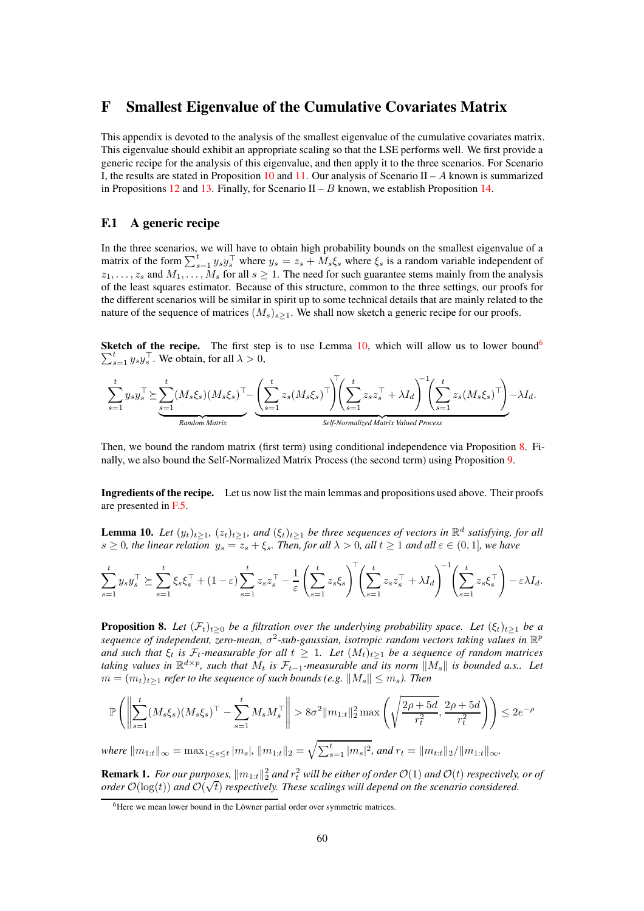# F Smallest Eigenvalue of the Cumulative Covariates Matrix

This appendix is devoted to the analysis of the smallest eigenvalue of the cumulative covariates matrix. This eigenvalue should exhibit an appropriate scaling so that the LSE performs well. We first provide a generic recipe for the analysis of this eigenvalue, and then apply it to the three scenarios. For Scenario I, the results are stated in Proposition [10](#page-60-0) and [11.](#page-63-0) Our analysis of Scenario II – A known is summarized in Propositions [12](#page-67-0) and [13.](#page-69-0) Finally, for Scenario II – B known, we establish Proposition [14.](#page-71-0)

### F.1 A generic recipe

In the three scenarios, we will have to obtain high probability bounds on the smallest eigenvalue of a matrix of the form  $\sum_{s=1}^{t} y_s y_s^{\top}$  where  $y_s = z_s + M_s \xi_s$  where  $\xi_s$  is a random variable independent of  $z_1, \ldots, z_s$  and  $M_1, \ldots, M_s$  for all  $s \ge 1$ . The need for such guarantee stems mainly from the analysis of the least squares estimator. Because of this structure, common to the three settings, our proofs for the different scenarios will be similar in spirit up to some technical details that are mainly related to the nature of the sequence of matrices  $(M_s)_{s>1}$ . We shall now sketch a generic recipe for our proofs.

**Sketch of the recipe.** The first step is to use Lemma [10,](#page-59-0) which will allow us to lower bound<sup>[6](#page-59-1)</sup>  $\sum_{s=1}^{t} y_s y_s^{\top}$ . We obtain, for all  $\lambda > 0$ ,



Then, we bound the random matrix (first term) using conditional independence via Proposition [8.](#page-59-2) Finally, we also bound the Self-Normalized Matrix Process (the second term) using Proposition [9.](#page-60-1)

Ingredients of the recipe. Let us now list the main lemmas and propositions used above. Their proofs are presented in [F.5.](#page-72-0)

<span id="page-59-0"></span>**Lemma 10.** *Let*  $(y_t)_{t\geq 1}$ ,  $(z_t)_{t\geq 1}$ , and  $(\xi_t)_{t\geq 1}$  be three sequences of vectors in  $\mathbb{R}^d$  satisfying, for all  $s \geq 0$ *, the linear relation*  $y_s = z_s + \xi_s$ *. Then, for all*  $\lambda > 0$ *, all*  $t \geq 1$  *and all*  $\varepsilon \in (0,1]$ *, we have* 

$$
\sum_{s=1}^t y_s y_s^\top \succeq \sum_{s=1}^t \xi_s \xi_s^\top + (1-\varepsilon) \sum_{s=1}^t z_s z_s^\top - \frac{1}{\varepsilon} \left( \sum_{s=1}^t z_s \xi_s \right)^\top \left( \sum_{s=1}^t z_s z_s^\top + \lambda I_d \right)^{-1} \left( \sum_{s=1}^t z_s \xi_s^\top \right) - \varepsilon \lambda I_d.
$$

<span id="page-59-2"></span>**Proposition 8.** *Let*  $(\mathcal{F}_t)_{t>0}$  *be a filtration over the underlying probability space. Let*  $(\xi_t)_{t>1}$  *be a sequence of independent, zero-mean, σ*<sup>2</sup>-sub-gaussian, isotropic random vectors taking values in R<sup>p</sup> *and such that*  $\xi_t$  *is*  $\mathcal{F}_t$ -measurable for all  $t \geq 1$ . Let  $(M_t)_{t \geq 1}$  be a sequence of random matrices *taking values in*  $\mathbb{R}^{d \times p}$ , such that  $M_t$  *is*  $\mathcal{F}_{t-1}$ *-measurable and its norm*  $||M_s||$  *is bounded a.s..* Let  $m = (m_t)_{t>1}$  *refer to the sequence of such bounds (e.g.*  $||M_s|| \leq m_s$ ). Then

$$
\mathbb{P}\left(\left\|\sum_{s=1}^{t} (M_s \xi_s)(M_s \xi_s)^{\top} - \sum_{s=1}^{t} M_s M_s^{\top}\right\| > 8\sigma^2 \|m_{1:t}\|_2^2 \max\left(\sqrt{\frac{2\rho + 5d}{r_t^2}}, \frac{2\rho + 5d}{r_t^2}\right)\right) \le 2e^{-\rho}
$$

 $where \, \|m_{1:t}\|_\infty = \max_{1 \leq s \leq t} |m_s|, \|m_{1:t}\|_2 = \sqrt{\sum_{s=1}^t |m_s|^2}, \text{ and } r_t = \|m_{t:t}\|_2/\|m_{1:t}\|_\infty.$ 

**Remark 1.** For our purposes,  $||m_{1:t}||_2^2$  and  $r_t^2$  will be either of order  $\mathcal{O}(1)$  and  $\mathcal{O}(t)$  respectively, or of *order*  $\mathcal{O}(\log(t))$  and  $\mathcal{O}(\sqrt{t})$  *respectively. These scalings will depend on the scenario considered.* 

<span id="page-59-1"></span><sup>&</sup>lt;sup>6</sup>Here we mean lower bound in the Löwner partial order over symmetric matrices.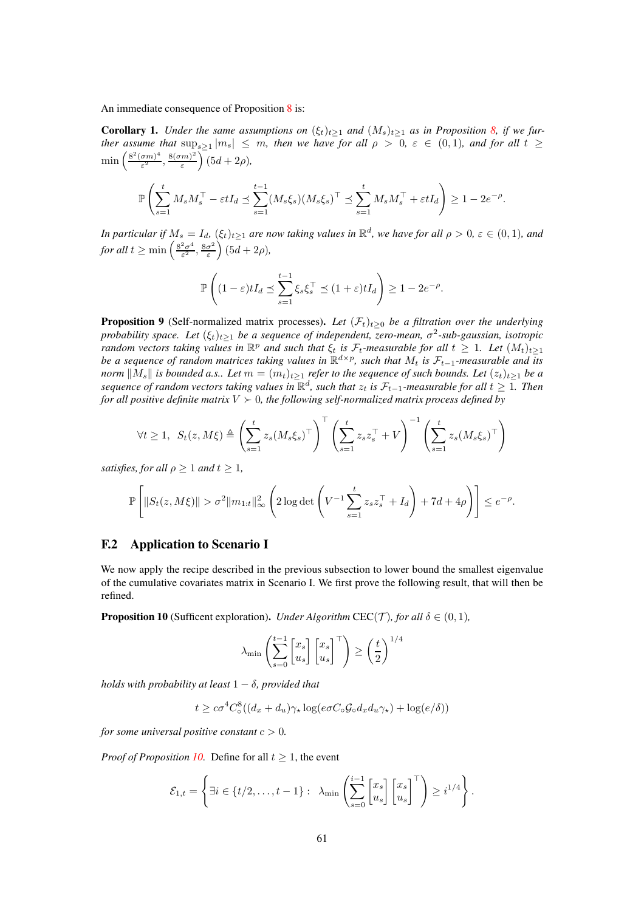An immediate consequence of Proposition [8](#page-59-2) is:

<span id="page-60-2"></span>**Corollary 1.** *Under the same assumptions on*  $(\xi_t)_{t\geq 1}$  *and*  $(M_s)_{t\geq 1}$  *as in Proposition [8,](#page-59-2) if we further assume that*  $\sup_{s\geq 1}|m_s| \leq m$ , *then we have for all*  $\rho > 0$ ,  $\varepsilon \in (0,1)$ , *and for all*  $t \geq$  $\min\left(\frac{8^2(\sigma m)^4}{\epsilon^2}\right)$  $\frac{(\sigma m)^4}{\varepsilon^2}, \frac{8(\sigma m)^2}{\varepsilon}$ ε  $\int$   $(5d + 2\rho)$ ,

$$
\mathbb{P}\left(\sum_{s=1}^t M_s M_s^\top - \varepsilon t I_d \preceq \sum_{s=1}^{t-1} (M_s \xi_s) (M_s \xi_s)^\top \preceq \sum_{s=1}^t M_s M_s^\top + \varepsilon t I_d\right) \ge 1 - 2e^{-\rho}.
$$

*In particular if*  $M_s = I_d$ ,  $(\xi_t)_{t\geq 1}$  *are now taking values in*  $\mathbb{R}^d$ , *we have for all*  $\rho > 0$ ,  $\varepsilon \in (0,1)$ , and *for all*  $t \geq \min \left( \frac{8^2 \sigma^4}{\varepsilon^2} \right)$  $\frac{2\sigma^4}{\varepsilon^2}, \frac{8\sigma^2}{\varepsilon}$ ε  $\left(5d + 2\rho\right)$ 

$$
\mathbb{P}\left((1-\varepsilon)tI_d \preceq \sum_{s=1}^{t-1} \xi_s \xi_s^\top \preceq (1+\varepsilon)tI_d\right) \ge 1-2e^{-\rho}.
$$

<span id="page-60-1"></span>**Proposition 9** (Self-normalized matrix processes). Let  $(\mathcal{F}_t)_{t\geq0}$  be a filtration over the underlying *probability space. Let*  $(\xi_t)_{t\geq 1}$  *be a sequence of independent, zero-mean,*  $\sigma^2$ -sub-gaussian, isotropic *random vectors taking values in*  $\mathbb{R}^p$  *and such that*  $\xi_t$  *is*  $\mathcal{F}_t$ -measurable for all  $t \geq 1$ *. Let*  $(M_t)_{t \geq 1}$ *be a sequence of random matrices taking values in*  $\mathbb{R}^{d \times p}$ , such that  $M_t$  is  $\mathcal{F}_{t-1}$ *-measurable and its norm*  $||M_s||$  *is bounded a.s.. Let*  $m = (m_t)_{t\geq 1}$  *refer to the sequence of such bounds. Let*  $(z_t)_{t\geq 1}$  *be a sequence of random vectors taking values in*  $\mathbb{R}^d$ , *such that*  $z_t$  *is*  $\mathcal{F}_{t-1}$ *-measurable for all*  $t \geq 1$ *. Then for all positive definite matrix*  $V \succ 0$ *, the following self-normalized matrix process defined by* 

$$
\forall t \geq 1, \ S_t(z, M\xi) \triangleq \left(\sum_{s=1}^t z_s (M_s \xi_s)^\top\right)^\top \left(\sum_{s=1}^t z_s z_s^\top + V\right)^{-1} \left(\sum_{s=1}^t z_s (M_s \xi_s)^\top\right)
$$

*satisfies, for all*  $\rho > 1$  *and*  $t > 1$ *,* 

$$
\mathbb{P}\left[\|S_t(z,M\xi)\| > \sigma^2 \|m_{1:t}\|_{\infty}^2 \left(2\log \det \left(V^{-1}\sum_{s=1}^t z_s z_s^\top + I_d\right) + 7d + 4\rho\right)\right] \leq e^{-\rho}.
$$

## F.2 Application to Scenario I

We now apply the recipe described in the previous subsection to lower bound the smallest eigenvalue of the cumulative covariates matrix in Scenario I. We first prove the following result, that will then be refined.

<span id="page-60-0"></span>**Proposition 10** (Sufficent exploration). *Under Algorithm* CEC(*T*)*, for all*  $\delta \in (0,1)$ *,* 

$$
\lambda_{\min} \left( \sum_{s=0}^{t-1} \begin{bmatrix} x_s \\ u_s \end{bmatrix} \begin{bmatrix} x_s \\ u_s \end{bmatrix}^\top \right) \ge \left( \frac{t}{2} \right)^{1/4}
$$

*holds with probability at least* 1 − δ*, provided that*

$$
t \geq c\sigma^4 C_\circ^8((d_x + d_u)\gamma_\star \log(e\sigma C_\circ \mathcal{G}_\circ d_x d_u \gamma_\star) + \log(e/\delta))
$$

*for some universal positive constant*  $c > 0$ *.* 

*Proof of Proposition [10.](#page-60-0)* Define for all  $t \geq 1$ , the event

$$
\mathcal{E}_{1,t} = \left\{ \exists i \in \{t/2,\ldots,t-1\}: \ \lambda_{\min}\left(\sum_{s=0}^{i-1} \begin{bmatrix} x_s \\ u_s \end{bmatrix} \begin{bmatrix} x_s \\ u_s \end{bmatrix}^\top \right) \geq i^{1/4} \right\}.
$$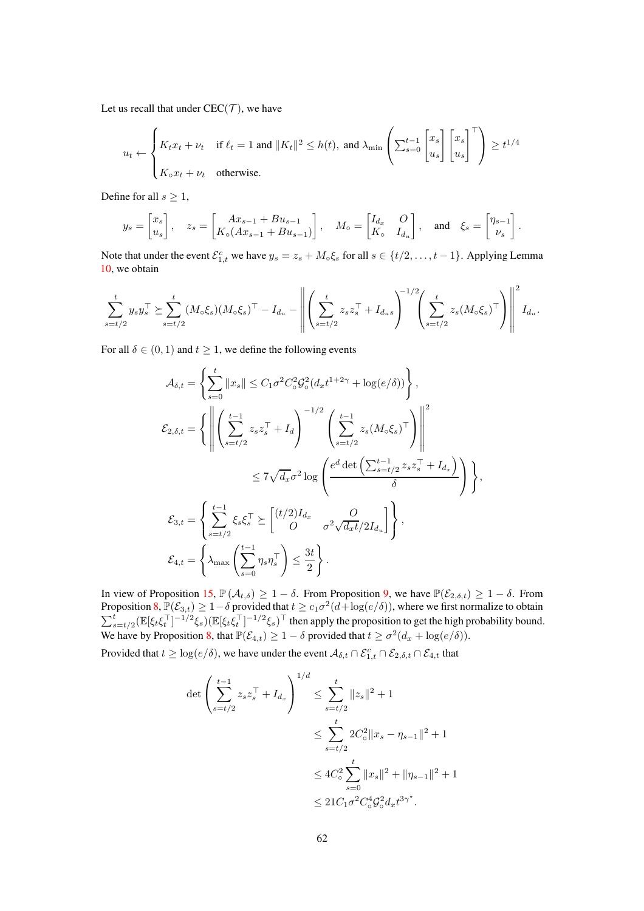Let us recall that under  $CEC(\mathcal{T})$ , we have

$$
u_t \leftarrow \begin{cases} K_t x_t + \nu_t & \text{if } \ell_t = 1 \text{ and } \|K_t\|^2 \le h(t), \text{ and } \lambda_{\min} \left( \sum_{s=0}^{t-1} \begin{bmatrix} x_s \\ u_s \end{bmatrix} \begin{bmatrix} x_s \\ u_s \end{bmatrix}^\top \right) \ge t^{1/4} \\ K_\circ x_t + \nu_t & \text{otherwise.} \end{cases}
$$

Define for all  $s \geq 1$ ,

$$
y_s = \begin{bmatrix} x_s \\ u_s \end{bmatrix}
$$
,  $z_s = \begin{bmatrix} Ax_{s-1} + Bu_{s-1} \\ K_0 (Ax_{s-1} + Bu_{s-1}) \end{bmatrix}$ ,  $M_o = \begin{bmatrix} I_{d_x} & O \\ K_0 & I_{d_u} \end{bmatrix}$ , and  $\xi_s = \begin{bmatrix} \eta_{s-1} \\ \nu_s \end{bmatrix}$ .

Note that under the event  $\mathcal{E}_{1,t}^c$  we have  $y_s = z_s + M_\circ \xi_s$  for all  $s \in \{t/2, \ldots, t-1\}$ . Applying Lemma [10,](#page-59-0) we obtain

$$
\sum_{s=t/2}^{t} y_s y_s^{\top} \succeq \sum_{s=t/2}^{t} (M_o \xi_s) (M_o \xi_s)^{\top} - I_{d_u} - \left\| \left( \sum_{s=t/2}^{t} z_s z_s^{\top} + I_{d_u s} \right)^{-1/2} \left( \sum_{s=t/2}^{t} z_s (M_o \xi_s)^{\top} \right) \right\|^2 I_{d_u}.
$$

For all  $\delta \in (0, 1)$  and  $t \geq 1$ , we define the following events

$$
\mathcal{A}_{\delta,t} = \left\{ \sum_{s=0}^{t} ||x_s|| \le C_1 \sigma^2 C_o^2 \mathcal{G}_\circ^2 (d_x t^{1+2\gamma} + \log(e/\delta)) \right\},
$$
\n
$$
\mathcal{E}_{2,\delta,t} = \left\{ \left\| \left( \sum_{s=t/2}^{t-1} z_s z_s^\top + I_d \right)^{-1/2} \left( \sum_{s=t/2}^{t-1} z_s (M_\circ \xi_s)^\top \right) \right\|^2 \right\}
$$
\n
$$
\le 7\sqrt{d_x} \sigma^2 \log \left( \frac{e^d \det \left( \sum_{s=t/2}^{t-1} z_s z_s^\top + I_{d_x} \right)}{\delta} \right) \right\},
$$
\n
$$
\mathcal{E}_{3,t} = \left\{ \sum_{s=t/2}^{t-1} \xi_s \xi_s^\top \ge \left[ \frac{(t/2)I_{d_x}}{O} \frac{O}{\sigma^2 \sqrt{d_x t}/2I_{d_u}} \right] \right\},
$$
\n
$$
\mathcal{E}_{4,t} = \left\{ \lambda_{\text{max}} \left( \sum_{s=0}^{t-1} \eta_s \eta_s^\top \right) \le \frac{3t}{2} \right\}.
$$

In view of Proposition [15,](#page-76-0)  $\mathbb{P}(\mathcal{A}_{t,\delta}) \geq 1 - \delta$ . From Proposition [9,](#page-60-1) we have  $\mathbb{P}(\mathcal{E}_{2,\delta,t}) \geq 1 - \delta$ . From Proposition [8,](#page-59-2)  $\mathbb{P}(\mathcal{E}_{3,t}) \geq 1-\delta$  provided that  $t \geq c_1\sigma^2(d+\log(e/\delta))$ , where we first normalize to obtain  $\sum_{s=t/2}^{t} (\mathbb{E}[\xi_t \xi_t^{\top}]^{-1/2} \xi_s) (\mathbb{E}[\xi_t \xi_t^{\top}]^{-1/2} \xi_s)^{\top}$  then apply the proposition to get the high probability bound. We have by Proposition [8,](#page-59-2) that  $\mathbb{P}(\mathcal{E}_{4,t}) \geq 1 - \delta$  provided that  $t \geq \sigma^2(d_x + \log(e/\delta)).$ 

Provided that  $t \geq \log(e/\delta)$ , we have under the event  $A_{\delta,t} \cap \mathcal{E}_{1,t} \cap \mathcal{E}_{2,\delta,t} \cap \mathcal{E}_{4,t}$  that

$$
\det \left( \sum_{s=t/2}^{t-1} z_s z_s^\top + I_{d_x} \right)^{1/d} \le \sum_{s=t/2}^t \|z_s\|^2 + 1
$$
  

$$
\le \sum_{s=t/2}^t 2C_o^2 \|x_s - \eta_{s-1}\|^2 + 1
$$
  

$$
\le 4C_o^2 \sum_{s=0}^t \|x_s\|^2 + \|\eta_{s-1}\|^2 + 1
$$
  

$$
\le 21C_1 \sigma^2 C_o^4 \mathcal{G}_o^2 d_x t^{3\gamma^*}.
$$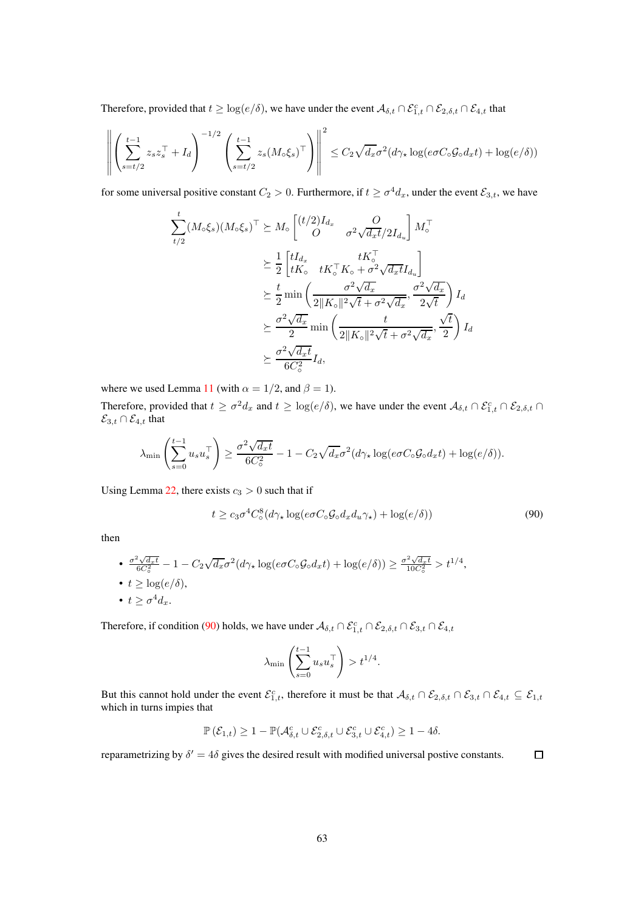Therefore, provided that  $t \geq \log(e/\delta)$ , we have under the event  $\mathcal{A}_{\delta,t} \cap \mathcal{E}_{1,t} \cap \mathcal{E}_{2,\delta,t} \cap \mathcal{E}_{4,t}$  that

$$
\left\| \left( \sum_{s=t/2}^{t-1} z_s z_s^\top + I_d \right)^{-1/2} \left( \sum_{s=t/2}^{t-1} z_s (M \circ \xi_s)^\top \right) \right\|^2 \leq C_2 \sqrt{d_x} \sigma^2 (d\gamma_\star \log(e \sigma C \circ \mathcal{G}_0 d_x t) + \log(e/\delta))
$$

for some universal positive constant  $C_2 > 0$ . Furthermore, if  $t \ge \sigma^4 d_x$ , under the event  $\mathcal{E}_{3,t}$ , we have

$$
\sum_{t/2}^{t} (M_{\circ} \xi_{s}) (M_{\circ} \xi_{s})^{\top} \succeq M_{\circ} \begin{bmatrix} (t/2) I_{d_{x}} & O \\ O & \sigma^{2} \sqrt{d_{x} t}/2 I_{d_{u}} \end{bmatrix} M_{\circ}^{\top}
$$
\n
$$
\succeq \frac{1}{2} \begin{bmatrix} t I_{d_{x}} & t K_{\circ}^{\top} \\ t K_{\circ} & t K_{\circ}^{\top} K_{\circ} + \sigma^{2} \sqrt{d_{x} t} I_{d_{u}} \end{bmatrix}
$$
\n
$$
\succeq \frac{t}{2} \min \left( \frac{\sigma^{2} \sqrt{d_{x}}}{2 \| K_{\circ} \|^{2} \sqrt{t} + \sigma^{2} \sqrt{d_{x}}}, \frac{\sigma^{2} \sqrt{d_{x}}}{2 \sqrt{t}} \right) I_{d}
$$
\n
$$
\succeq \frac{\sigma^{2} \sqrt{d_{x}}}{2} \min \left( \frac{t}{2 \| K_{\circ} \|^{2} \sqrt{t} + \sigma^{2} \sqrt{d_{x}}}, \frac{\sqrt{t}}{2} \right) I_{d}
$$
\n
$$
\succeq \frac{\sigma^{2} \sqrt{d_{x} t}}{6 C_{\circ}^{2}} I_{d},
$$

where we used Lemma [11](#page-75-0) (with  $\alpha = 1/2$ , and  $\beta = 1$ ).

Therefore, provided that  $t \ge \sigma^2 d_x$  and  $t \ge \log(e/\delta)$ , we have under the event  $\mathcal{A}_{\delta,t} \cap \mathcal{E}_{1,t} \cap \mathcal{E}_{2,\delta,t} \cap$  $\mathcal{E}_{3,t} \cap \mathcal{E}_{4,t}$  that

$$
\lambda_{\min}\left(\sum_{s=0}^{t-1} u_s u_s^\top\right) \ge \frac{\sigma^2 \sqrt{d_x t}}{6C_\circ^2} - 1 - C_2 \sqrt{d_x} \sigma^2 (d\gamma_\star \log(e\sigma C_\circ \mathcal{G}_0 d_x t) + \log(e/\delta)).
$$

Using Lemma [22,](#page-87-0) there exists  $c_3 > 0$  such that if

$$
t \ge c_3 \sigma^4 C_\circ^8 (d\gamma_\star \log(e \sigma C_\circ \mathcal{G}_\circ d_x d_u \gamma_\star) + \log(e/\delta)) \tag{90}
$$

then

• 
$$
\frac{\sigma^2 \sqrt{d_x t}}{6C_o^2} - 1 - C_2 \sqrt{d_x} \sigma^2 (d\gamma_\star \log(e\sigma C_o \mathcal{G}_o d_x t) + \log(e/\delta)) \geq \frac{\sigma^2 \sqrt{d_x t}}{10C_o^2} > t^{1/4},
$$
  
• 
$$
t \geq \log(e/\delta),
$$
  
• 
$$
t \geq \sigma^4 d_x.
$$

Therefore, if condition [\(90\)](#page-62-0) holds, we have under  $A_{\delta,t} \cap \mathcal{E}_{1,t} \cap \mathcal{E}_{2,\delta,t} \cap \mathcal{E}_{3,t} \cap \mathcal{E}_{4,t}$ 

<span id="page-62-0"></span>
$$
\lambda_{\min} \left( \sum_{s=0}^{t-1} u_s u_s^\top \right) > t^{1/4}.
$$

But this cannot hold under the event  $\mathcal{E}_{1,t}^c$ , therefore it must be that  $\mathcal{A}_{\delta,t} \cap \mathcal{E}_{2,\delta,t} \cap \mathcal{E}_{3,t} \cap \mathcal{E}_{4,t} \subseteq \mathcal{E}_{1,t}$ which in turns impies that

$$
\mathbb{P}\left(\mathcal{E}_{1,t}\right) \geq 1-\mathbb{P}(\mathcal{A}_{\delta,t}^c \cup \mathcal{E}_{2,\delta,t}^c \cup \mathcal{E}_{3,t}^c \cup \mathcal{E}_{4,t}^c) \geq 1-4\delta.
$$

reparametrizing by  $\delta' = 4\delta$  gives the desired result with modified universal postive constants.  $\Box$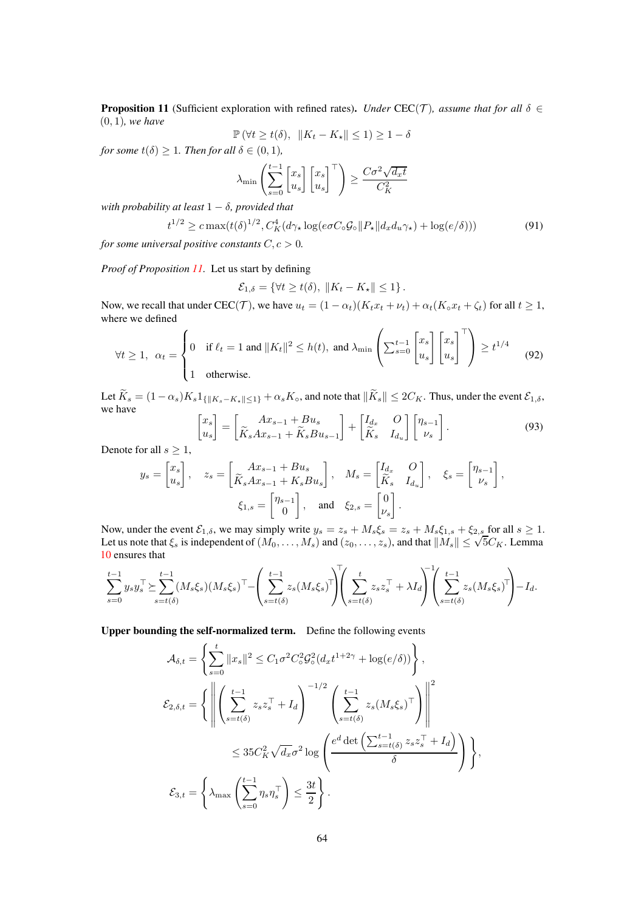<span id="page-63-0"></span>**Proposition 11** (Sufficient exploration with refined rates). *Under* CEC(T), assume that for all  $\delta \in$ (0, 1)*, we have*

$$
\mathbb{P}(\forall t \ge t(\delta), \|K_t - K_{\star}\| \le 1) \ge 1 - \delta
$$

*for some*  $t(\delta) \geq 1$ *. Then for all*  $\delta \in (0,1)$ *,* 

$$
\lambda_{\min} \left( \sum_{s=0}^{t-1} \begin{bmatrix} x_s \\ u_s \end{bmatrix} \begin{bmatrix} x_s \\ u_s \end{bmatrix}^\top \right) \ge \frac{C\sigma^2 \sqrt{d_x t}}{C_K^2}
$$

*with probability at least* 1 − δ*, provided that*

$$
t^{1/2} \geq c \max(t(\delta)^{1/2}, C_K^4(d\gamma_\star \log(e\sigma C_\circ \mathcal{G}_\circ || P_\star || d_x d_u \gamma_\star) + \log(e/\delta)))\tag{91}
$$

*for some universal positive constants*  $C, c > 0$ *.* 

*Proof of Proposition [11.](#page-63-0)* Let us start by defining

$$
\mathcal{E}_{1,\delta} = \{ \forall t \ge t(\delta), \, \|K_t - K_{\star}\| \le 1 \}.
$$

Now, we recall that under CEC(T), we have  $u_t = (1 - \alpha_t)(K_tx_t + \nu_t) + \alpha_t(K_0x_t + \zeta_t)$  for all  $t \ge 1$ , where we defined

$$
\forall t \ge 1, \ \alpha_t = \begin{cases} 0 & \text{if } \ell_t = 1 \text{ and } \|K_t\|^2 \le h(t), \text{ and } \lambda_{\min} \left( \sum_{s=0}^{t-1} \begin{bmatrix} x_s \\ u_s \end{bmatrix} \begin{bmatrix} x_s \\ u_s \end{bmatrix}^\top \right) \ge t^{1/4} \tag{92}
$$

Let  $\widetilde{K}_s = (1 - \alpha_s)K_s1_{\{\|K_s - K_{\star}\| \leq 1\}} + \alpha_sK_{\circ}$ , and note that  $\|\widetilde{K}_s\| \leq 2C_K$ . Thus, under the event  $\mathcal{E}_{1,\delta}$ , Let  $I_{\text{S}}$  we have  $\lceil x_s \rceil$ 1 1 1

$$
\begin{bmatrix} x_s \\ u_s \end{bmatrix} = \begin{bmatrix} Ax_{s-1} + Bu_s \\ \widetilde{K}_s Ax_{s-1} + \widetilde{K}_s Bu_{s-1} \end{bmatrix} + \begin{bmatrix} I_{d_x} & O \\ \widetilde{K}_s & I_{d_u} \end{bmatrix} \begin{bmatrix} \eta_{s-1} \\ \nu_s \end{bmatrix}.
$$
\n(93)

Denote for all  $s \geq 1$ ,

$$
y_s = \begin{bmatrix} x_s \\ u_s \end{bmatrix}, \quad z_s = \begin{bmatrix} Ax_{s-1} + Bu_s \\ \widetilde{K}_s Ax_{s-1} + K_s Bu_s \end{bmatrix}, \quad M_s = \begin{bmatrix} I_{d_x} & O \\ \widetilde{K}_s & I_{d_u} \end{bmatrix}, \quad \xi_s = \begin{bmatrix} \eta_{s-1} \\ \nu_s \end{bmatrix},
$$

$$
\xi_{1,s} = \begin{bmatrix} \eta_{s-1} \\ 0 \end{bmatrix}, \quad \text{and} \quad \xi_{2,s} = \begin{bmatrix} 0 \\ \nu_s \end{bmatrix}.
$$

Now, under the event  $\mathcal{E}_{1,\delta}$ , we may simply write  $y_s = z_s + M_s \xi_s = z_s + M_s \xi_{1,s} + \xi_{2,s}$  for all  $s \ge 1$ .<br>Let us note that  $\xi_s$  is independent of  $(M_0, \ldots, M_s)$  and  $(z_0, \ldots, z_s)$ , and that  $||M_s|| \le \sqrt{5} C_K$ . Lemma [10](#page-59-0) ensures that

$$
\sum_{s=0}^{t-1} y_s y_s^\top \succeq \sum_{s=t(\delta)}^{t-1} (M_s \xi_s) (M_s \xi_s)^\top - \left( \sum_{s=t(\delta)}^{t-1} z_s (M_s \xi_s)^\top \right) \left( \sum_{s=t(\delta)}^t z_s z_s^\top + \lambda I_d \right)^\top \left( \sum_{s=t(\delta)}^{t-1} z_s (M_s \xi_s)^\top \right) - I_d.
$$

Upper bounding the self-normalized term. Define the following events

$$
\mathcal{A}_{\delta,t} = \left\{ \sum_{s=0}^{t} ||x_s||^2 \le C_1 \sigma^2 C_o^2 \mathcal{G}_\circ^2 (d_x t^{1+2\gamma} + \log(e/\delta)) \right\},
$$
  
\n
$$
\mathcal{E}_{2,\delta,t} = \left\{ \left\| \left( \sum_{s=t(\delta)}^{t-1} z_s z_s^\top + I_d \right)^{-1/2} \left( \sum_{s=t(\delta)}^{t-1} z_s (M_s \xi_s)^\top \right) \right\|^2 \right\}
$$
  
\n
$$
\le 35 C_K^2 \sqrt{d_x} \sigma^2 \log \left( \frac{e^d \det \left( \sum_{s=t(\delta)}^{t-1} z_s z_s^\top + I_d \right)}{\delta} \right) \right\},
$$
  
\n
$$
\mathcal{E}_{3,t} = \left\{ \lambda_{\max} \left( \sum_{s=0}^{t-1} \eta_s \eta_s^\top \right) \le \frac{3t}{2} \right\}.
$$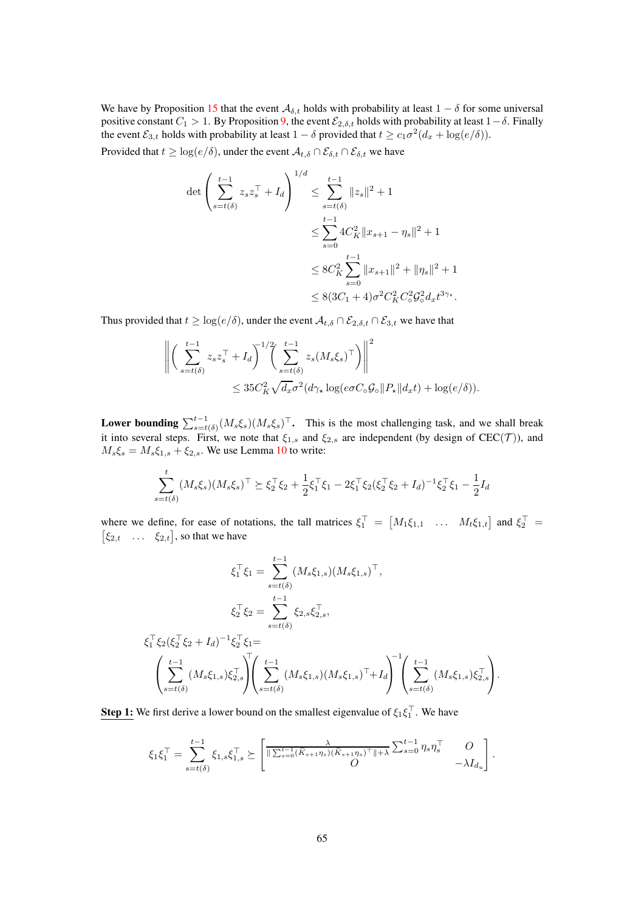We have by Proposition [15](#page-76-0) that the event  $A_{\delta,t}$  holds with probability at least  $1 - \delta$  for some universal positive constant  $C_1 > 1$ . By Proposition [9,](#page-60-1) the event  $\mathcal{E}_{2,\delta,t}$  holds with probability at least  $1-\delta$ . Finally the event  $\mathcal{E}_{3,t}$  holds with probability at least  $1 - \delta$  provided that  $t \geq c_1 \sigma^2 (d_x + \log(e/\delta)).$ 

Provided that  $t \geq \log(e/\delta)$ , under the event  $\mathcal{A}_{t,\delta} \cap \mathcal{E}_{\delta,t} \cap \mathcal{E}_{\delta,t}$  we have

$$
\det \left( \sum_{s=t(\delta)}^{t-1} z_s z_s^\top + I_d \right)^{1/d} \le \sum_{s=t(\delta)}^{t-1} \|z_s\|^2 + 1
$$
  

$$
\le \sum_{s=0}^{t-1} 4C_K^2 \|x_{s+1} - \eta_s\|^2 + 1
$$
  

$$
\le 8C_K^2 \sum_{s=0}^{t-1} \|x_{s+1}\|^2 + \|\eta_s\|^2 + 1
$$
  

$$
\le 8(3C_1 + 4)\sigma^2 C_K^2 C_\sigma^2 \mathcal{G}_\sigma^2 d_x t^{3\gamma_*}.
$$

Thus provided that  $t \geq \log(e/\delta)$ , under the event  $\mathcal{A}_{t,\delta} \cap \mathcal{E}_{2,\delta,t} \cap \mathcal{E}_{3,t}$  we have that

$$
\left\| \left( \sum_{s=t(\delta)}^{t-1} z_s z_s^\top + I_d \right)^{1/2} \left( \sum_{s=t(\delta)}^{t-1} z_s (M_s \xi_s)^\top \right) \right\|^2 \le 35 C_K^2 \sqrt{d_x} \sigma^2 (d\gamma_\star \log(e\sigma C_\circ \mathcal{G}_\circ || P_\star || d_x t) + \log(e/\delta)).
$$

**Lower bounding**  $\sum_{s=t(\delta)}^{t-1} (M_s \xi_s) (M_s \xi_s)^\top$ . This is the most challenging task, and we shall break it into several steps. First, we note that  $\xi_{1,s}$  and  $\xi_{2,s}$  are independent (by design of CEC(T)), and  $M_s \xi_s = M_s \xi_{1,s} + \xi_{2,s}$ . We use Lemma [10](#page-59-0) to write:

$$
\sum_{s=t(\delta)}^{t} (M_s \xi_s)(M_s \xi_s)^{\top} \succeq \xi_2^{\top} \xi_2 + \frac{1}{2} \xi_1^{\top} \xi_1 - 2 \xi_1^{\top} \xi_2 (\xi_2^{\top} \xi_2 + I_d)^{-1} \xi_2^{\top} \xi_1 - \frac{1}{2} I_d
$$

where we define, for ease of notations, the tall matrices  $\xi_1^{\top} = [M_1 \xi_{1,1} \dots M_t \xi_{1,t}]$  and  $\xi_2^{\top} = [\xi_{2,t}, \dots, \xi_{2,t}]$ , so that we have  $\xi_{2,t}$  ...  $\xi_{2,t}$ , so that we have

$$
\xi_1^{\top} \xi_1 = \sum_{s=t(\delta)}^{t-1} (M_s \xi_{1,s}) (M_s \xi_{1,s})^{\top},
$$
  
\n
$$
\xi_2^{\top} \xi_2 = \sum_{s=t(\delta)}^{t-1} \xi_{2,s} \xi_{2,s}^{\top},
$$
  
\n
$$
\xi_1^{\top} \xi_2 (\xi_2^{\top} \xi_2 + I_d)^{-1} \xi_2^{\top} \xi_1 =
$$
  
\n
$$
\left( \sum_{s=t(\delta)}^{t-1} (M_s \xi_{1,s}) \xi_{2,s}^{\top} \right) \left( \sum_{s=t(\delta)}^{t-1} (M_s \xi_{1,s}) (M_s \xi_{1,s})^{\top} + I_d \right)^{-1} \left( \sum_{s=t(\delta)}^{t-1} (M_s \xi_{1,s}) \xi_{2,s}^{\top} \right).
$$

**Step 1:** We first derive a lower bound on the smallest eigenvalue of  $\xi_1 \xi_1^{\top}$ . We have

$$
\xi_1 \xi_1^{\top} = \sum_{s=t(\delta)}^{t-1} \xi_{1,s} \xi_{1,s}^{\top} \succeq \left[ \frac{\lambda}{\|\sum_{s=0}^{t-1} (\widetilde{K}_{s+1}\eta_s)(\widetilde{K}_{s+1}\eta_s)^{\top}\| + \lambda} \sum_{s=0}^{t-1} \eta_s \eta_s^{\top} \begin{array}{c} O \\ -\lambda I_{d_u} \end{array} \right].
$$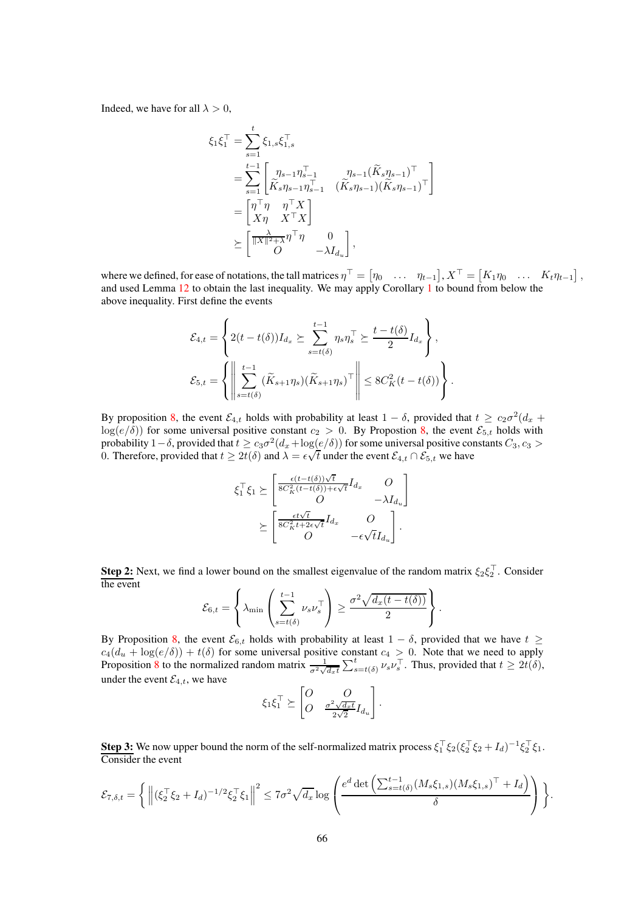Indeed, we have for all  $\lambda > 0$ ,

$$
\xi_1 \xi_1^{\top} = \sum_{s=1}^t \xi_{1,s} \xi_{1,s}^{\top}
$$
\n
$$
= \sum_{s=1}^{t-1} \begin{bmatrix} \eta_{s-1} \eta_{s-1}^{\top} & \eta_{s-1} (\widetilde{K}_s \eta_{s-1})^{\top} \\ \widetilde{K}_s \eta_{s-1} \eta_{s-1}^{\top} & (\widetilde{K}_s \eta_{s-1}) (\widetilde{K}_s \eta_{s-1})^{\top} \end{bmatrix}
$$
\n
$$
= \begin{bmatrix} \eta^{\top} \eta & \eta^{\top} X \\ X \eta & X^{\top} X \end{bmatrix}
$$
\n
$$
\succeq \begin{bmatrix} \frac{\lambda}{\|X\|^2 + \lambda} \eta^{\top} \eta & 0 \\ 0 & -\lambda I_{d_u} \end{bmatrix},
$$

where we defined, for ease of notations, the tall matrices  $\eta^{\top} = [\eta_0 \dots \eta_{t-1}], X^{\top} = [K_1 \eta_0 \dots K_t \eta_{t-1}],$ and used Lemma [12](#page-75-1) to obtain the last inequality. We may apply Corollary [1](#page-60-2) to bound from below the above inequality. First define the events

.

.

$$
\mathcal{E}_{4,t} = \left\{ 2(t - t(\delta)) I_{d_x} \succeq \sum_{s=t(\delta)}^{t-1} \eta_s \eta_s^\top \succeq \frac{t - t(\delta)}{2} I_{d_x} \right\},
$$
  

$$
\mathcal{E}_{5,t} = \left\{ \left\| \sum_{s=t(\delta)}^{t-1} (\widetilde{K}_{s+1} \eta_s) (\widetilde{K}_{s+1} \eta_s)^\top \right\| \leq 8C_K^2 (t - t(\delta)) \right\}
$$

By proposition [8,](#page-59-2) the event  $\mathcal{E}_{4,t}$  holds with probability at least  $1-\delta$ , provided that  $t \geq c_2\sigma^2(d_x +$  $log(e/\delta)$ ) for some universal positive constant  $c_2 > 0$ . By Propostion [8,](#page-59-2) the event  $\mathcal{E}_{5,t}$  holds with probability 1 –  $\delta$ , provided that  $t \geq c_3\sigma^2(d_x + \log(e/\delta))$  for some universal positive constants  $C_3$ ,  $c_3$  > 0. Therefore, provided that  $t \ge 2t(\delta)$  and  $\lambda = \epsilon \sqrt{t}$  under the event  $\mathcal{E}_{4,t} \cap \mathcal{E}_{5,t}$  we have

$$
\xi_1^{\top} \xi_1 \succeq \begin{bmatrix} \frac{\epsilon(t-t(\delta))\sqrt{t}}{8C_K^2(t-t(\delta))+\epsilon\sqrt{t}} I_{d_x} & O \\ O & -\lambda I_{d_u} \end{bmatrix}
$$

$$
\succeq \begin{bmatrix} \frac{\epsilon t\sqrt{t}}{8C_K^2t+2\epsilon\sqrt{t}} I_{d_x} & O \\ O & -\epsilon\sqrt{t}I_{d_u} \end{bmatrix}.
$$

**Step 2:** Next, we find a lower bound on the smallest eigenvalue of the random matrix  $\xi_2 \xi_2^{\perp}$ . Consider the event  $\sim$ 

$$
\mathcal{E}_{6,t} = \left\{ \lambda_{\min} \left( \sum_{s=t(\delta)}^{t-1} \nu_s \nu_s^{\top} \right) \ge \frac{\sigma^2 \sqrt{d_x (t - t(\delta))}}{2} \right\}
$$

By Proposition [8,](#page-59-2) the event  $\mathcal{E}_{6,t}$  holds with probability at least  $1 - \delta$ , provided that we have  $t \geq$  $c_4(d_u + \log(e/\delta)) + t(\delta)$  for some universal positive constant  $c_4 > 0$ . Note that we need to apply Proposition [8](#page-59-2) to the normalized random matrix  $\frac{1}{\sigma^2 \sqrt{d_x t}} \sum_{s=t(\delta)}^t \nu_s \nu_s^\top$ . Thus, provided that  $t \geq 2t(\delta)$ , under the event  $\mathcal{E}_{4,t}$ , we have

$$
\xi_1 \xi_1^{\top} \succeq \begin{bmatrix} O & O \\ O & \frac{\sigma^2 \sqrt{d_x t}}{2\sqrt{2}} I_{d_u} \end{bmatrix}.
$$

**Step 3:** We now upper bound the norm of the self-normalized matrix process  $\xi_1^{\top} \xi_2 (\xi_2^{\top} \xi_2 + I_d)^{-1} \xi_2^{\top} \xi_1$ . Consider the event

$$
\mathcal{E}_{7,\delta,t} = \Big\{ \left\| (\xi_2^\top \xi_2 + I_d)^{-1/2} \xi_2^\top \xi_1 \right\|^2 \leq 7\sigma^2 \sqrt{d_x} \log \left( \frac{e^d \det \left( \sum_{s=t(\delta)}^{t-1} (M_s \xi_{1,s}) (M_s \xi_{1,s})^\top + I_d \right)}{\delta} \right) \Big\}.
$$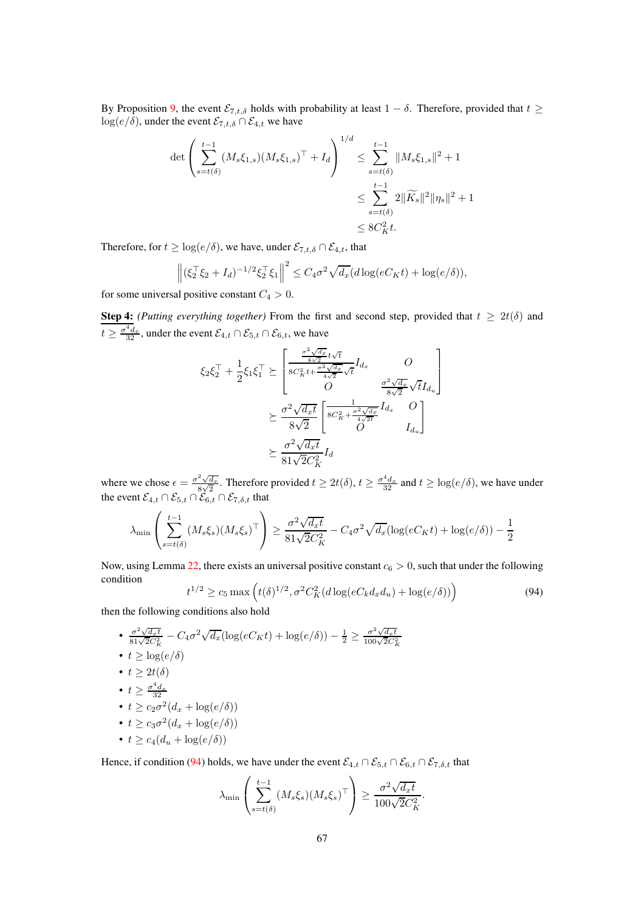By Proposition [9,](#page-60-1) the event  $\mathcal{E}_{7,t,\delta}$  holds with probability at least  $1 - \delta$ . Therefore, provided that  $t \geq$  $log(e/\delta)$ , under the event  $\mathcal{E}_{7,t,\delta} \cap \mathcal{E}_{4,t}$  we have

$$
\det \left( \sum_{s=t(\delta)}^{t-1} (M_s \xi_{1,s}) (M_s \xi_{1,s})^\top + I_d \right)^{1/d} \leq \sum_{s=t(\delta)}^{t-1} \|M_s \xi_{1,s}\|^2 + 1
$$
  

$$
\leq \sum_{s=t(\delta)}^{t-1} 2 \|\widetilde{K}_s\|^2 \|\eta_s\|^2 + 1
$$
  

$$
\leq 8C_K^2 t.
$$

Therefore, for  $t \geq \log(e/\delta)$ , we have, under  $\mathcal{E}_{7,t,\delta} \cap \mathcal{E}_{4,t}$ , that

$$
\left\| (\xi_2^{\top} \xi_2 + I_d)^{-1/2} \xi_2^{\top} \xi_1 \right\|^2 \le C_4 \sigma^2 \sqrt{d_x} (d \log(eC_K t) + \log(e/\delta)),
$$

for some universal positive constant  $C_4 > 0$ .

**Step 4:** *(Putting everything together)* From the first and second step, provided that  $t \geq 2t(\delta)$  and  $t \geq \frac{\sigma^4 d_x}{32}$ , under the event  $\mathcal{E}_{4,t} \cap \mathcal{E}_{5,t} \cap \mathcal{E}_{6,t}$ , we have

$$
\xi_2 \xi_2^{\top} + \frac{1}{2} \xi_1 \xi_1^{\top} \succeq \begin{bmatrix} \frac{\sigma^2 \sqrt{d_x}}{8\sqrt{2}} t\sqrt{t} & O \\ \frac{8C_K^2 t + \frac{\sigma^2 \sqrt{d_x}}{4\sqrt{2}} \sqrt{t}}{O} & \frac{\sigma^2 \sqrt{d_x}}{8\sqrt{2}} \sqrt{t} I_{d_u} \end{bmatrix} \\ \succeq \frac{\sigma^2 \sqrt{d_x t}}{8\sqrt{2}} \begin{bmatrix} \frac{1}{8C_K^2 + \frac{\sigma^2 \sqrt{d_x}}{4\sqrt{2t}}} I_{d_x} & O \\ O & I_{d_u} \end{bmatrix} \\ \succeq \frac{\sigma^2 \sqrt{d_x t}}{81\sqrt{2C_K^2}} I_d
$$

where we chose  $\epsilon = \frac{\sigma^2 \sqrt{d_x}}{8\sqrt{2}}$  $\frac{\sqrt[2]{d_x}}{8\sqrt{2}}$ . Therefore provided  $t \ge 2t(\delta), t \ge \frac{\sigma^4 d_x}{32}$  and  $t \ge \log(e/\delta)$ , we have under the event  $\mathcal{E}_{4,t} \cap \mathcal{E}_{5,t} \cap \mathcal{E}_{6,t} \cap \mathcal{E}_{7,\delta,t}$  that

$$
\lambda_{\min} \left( \sum_{s=t(\delta)}^{t-1} (M_s \xi_s) (M_s \xi_s)^\top \right) \ge \frac{\sigma^2 \sqrt{d_x t}}{81 \sqrt{2} C_K^2} - C_4 \sigma^2 \sqrt{d_x} (\log(e C_K t) + \log(e/\delta)) - \frac{1}{2}
$$

Now, using Lemma [22,](#page-87-0) there exists an universal positive constant  $c_6 > 0$ , such that under the following condition

<span id="page-66-0"></span>
$$
t^{1/2} \ge c_5 \max\left(t(\delta)^{1/2}, \sigma^2 C_K^2(d \log(eC_k d_x d_u) + \log(e/\delta))\right)
$$
(94)

then the following conditions also hold

• 
$$
\frac{\sigma^2 \sqrt{d_x t}}{81\sqrt{2}C_K^2} - C_4 \sigma^2 \sqrt{d_x} (\log(eC_K t) + \log(e/\delta)) - \frac{1}{2} \ge \frac{\sigma^2 \sqrt{d_x t}}{100\sqrt{2}C_K^2}
$$
\n• 
$$
t \ge \log(e/\delta)
$$
\n• 
$$
t \ge 2t(\delta)
$$
\n• 
$$
t \ge \frac{\sigma^4 d_x}{32}
$$
\n• 
$$
t \ge c_2 \sigma^2 (d_x + \log(e/\delta))
$$
\n• 
$$
t \ge c_3 \sigma^2 (d_x + \log(e/\delta))
$$
\n• 
$$
t \ge c_4 (d_u + \log(e/\delta))
$$

Hence, if condition [\(94\)](#page-66-0) holds, we have under the event  $\mathcal{E}_{4,t} \cap \mathcal{E}_{5,t} \cap \mathcal{E}_{6,t} \cap \mathcal{E}_{7,\delta,t}$  that

$$
\lambda_{\min} \left( \sum_{s=t(\delta)}^{t-1} (M_s \xi_s) (M_s \xi_s)^\top \right) \ge \frac{\sigma^2 \sqrt{d_x t}}{100\sqrt{2}C_K^2}.
$$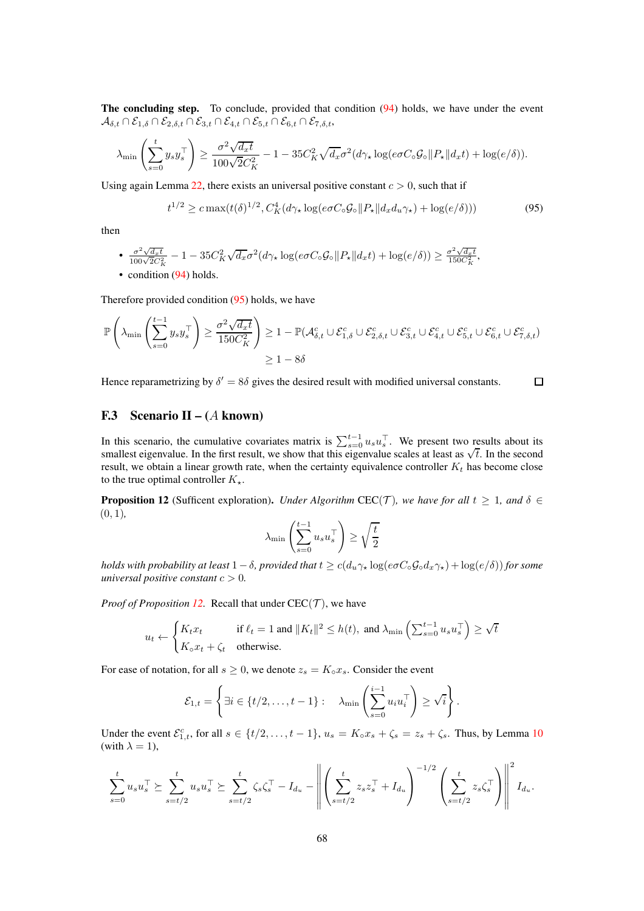The concluding step. To conclude, provided that condition [\(94\)](#page-66-0) holds, we have under the event  $\mathcal{A}_{\delta,t}\cap\mathcal{E}_{1,\delta}\cap\mathcal{E}_{2,\delta,t}\cap\mathcal{E}_{3,t}\cap\mathcal{E}_{4,t}\cap\mathcal{E}_{5,t}\cap\mathcal{E}_{6,t}\cap\mathcal{E}_{7,\delta,t}$ 

$$
\lambda_{\min}\left(\sum_{s=0}^t y_s y_s^\top\right) \ge \frac{\sigma^2 \sqrt{d_x t}}{100\sqrt{2}C_K^2} - 1 - 35C_K^2 \sqrt{d_x} \sigma^2 (d\gamma_\star \log(e\sigma C_\circ \mathcal{G}_\circ || P_\star || d_x t) + \log(e/\delta)).
$$

Using again Lemma [22,](#page-87-0) there exists an universal positive constant  $c > 0$ , such that if

<span id="page-67-1"></span>
$$
t^{1/2} \geq c \max(t(\delta)^{1/2}, C_K^4(d\gamma_\star \log(e\sigma C_\circ \mathcal{G}_\circ || P_\star || d_x d_u \gamma_\star) + \log(e/\delta)))\tag{95}
$$

then

• 
$$
\frac{\sigma^2 \sqrt{d_x t}}{100\sqrt{2}C_K^2} - 1 - 35C_K^2 \sqrt{d_x} \sigma^2 (d\gamma_\star \log(e\sigma C_\circ \mathcal{G}_\circ || P_\star || d_x t) + \log(e/\delta)) \geq \frac{\sigma^2 \sqrt{d_x t}}{150C_K^2},
$$
\n• condition (94) holds.

Therefore provided condition [\(95\)](#page-67-1) holds, we have

$$
\mathbb{P}\left(\lambda_{\min}\left(\sum_{s=0}^{t-1} y_s y_s^{\top}\right) \ge \frac{\sigma^2 \sqrt{d_x t}}{150C_K^2}\right) \ge 1 - \mathbb{P}(\mathcal{A}_{\delta,t}^c \cup \mathcal{E}_{1,\delta}^c \cup \mathcal{E}_{2,\delta,t}^c \cup \mathcal{E}_{3,t}^c \cup \mathcal{E}_{4,t}^c \cup \mathcal{E}_{5,t}^c \cup \mathcal{E}_{6,t}^c \cup \mathcal{E}_{7,\delta,t}^c)
$$

$$
\ge 1 - 8\delta
$$

Hence reparametrizing by  $\delta' = 8\delta$  gives the desired result with modified universal constants.  $\Box$ 

#### F.3 Scenario II –  $(A \text{ known})$

In this scenario, the cumulative covariates matrix is  $\sum_{s=0}^{t-1} u_s u_s^{\top}$ . We present two results about its smallest eigenvalue. In the first result, we show that this eigenvalue scales at least as  $\sqrt{t}$ . In the seco result, we obtain a linear growth rate, when the certainty equivalence controller  $K_t$  has become close to the true optimal controller  $K_{\star}$ .

<span id="page-67-0"></span>**Proposition 12** (Sufficent exploration). *Under Algorithm* CEC(T), we have for all  $t \geq 1$ , and  $\delta \in$ (0, 1)*,*

$$
\lambda_{\min} \left( \sum_{s=0}^{t-1} u_s u_s^\top \right) \ge \sqrt{\frac{t}{2}}
$$

*holds with probability at least*  $1 - \delta$ *, provided that*  $t \ge c(d_u \gamma_\star \log(e \sigma C_\circ \mathcal{G}_\circ d_x \gamma_\star) + \log(e/\delta)$ *for some universal positive constant*  $c > 0$ *.* 

*Proof of Proposition [12.](#page-67-0)* Recall that under  $\text{CEC}(\mathcal{T})$ , we have

$$
u_t \leftarrow \begin{cases} K_t x_t & \text{if } \ell_t = 1 \text{ and } \|K_t\|^2 \le h(t), \text{ and } \lambda_{\min} \left( \sum_{s=0}^{t-1} u_s u_s^\top \right) \ge \sqrt{t} \\ K_\circ x_t + \zeta_t & \text{otherwise.} \end{cases}
$$

For ease of notation, for all  $s \geq 0$ , we denote  $z_s = K_o x_s$ . Consider the event

$$
\mathcal{E}_{1,t} = \left\{ \exists i \in \{t/2, \ldots, t-1\} : \quad \lambda_{\min} \left( \sum_{s=0}^{i-1} u_i u_i^{\top} \right) \geq \sqrt{i} \right\}.
$$

Under the event  $\mathcal{E}_{1,t}^c$ , for all  $s \in \{t/2,\ldots,t-1\}$ ,  $u_s = K_0x_s + \zeta_s = z_s + \zeta_s$ . Thus, by Lemma [10](#page-59-0) (with  $\lambda = 1$ ),

$$
\sum_{s=0}^{t} u_s u_s^{\top} \succeq \sum_{s=t/2}^{t} u_s u_s^{\top} \succeq \sum_{s=t/2}^{t} \zeta_s \zeta_s^{\top} - I_{d_u} - \left\| \left( \sum_{s=t/2}^{t} z_s z_s^{\top} + I_{d_u} \right)^{-1/2} \left( \sum_{s=t/2}^{t} z_s \zeta_s^{\top} \right) \right\|^2 I_{d_u}.
$$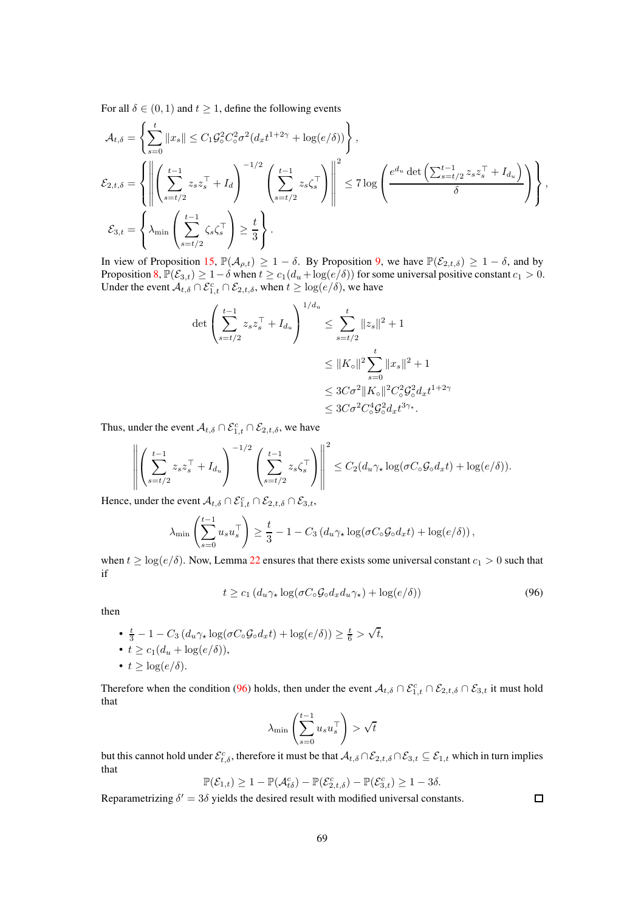For all  $\delta \in (0, 1)$  and  $t \ge 1$ , define the following events

$$
\mathcal{A}_{t,\delta} = \left\{ \sum_{s=0}^{t} ||x_s|| \le C_1 \mathcal{G}_\circ^2 C_\circ^2 \sigma^2 (d_x t^{1+2\gamma} + \log(e/\delta)) \right\},
$$
\n
$$
\mathcal{E}_{2,t,\delta} = \left\{ \left\| \left( \sum_{s=t/2}^{t-1} z_s z_s^\top + I_d \right)^{-1/2} \left( \sum_{s=t/2}^{t-1} z_s \zeta_s^\top \right) \right\|^2 \le 7 \log \left( \frac{e^{d_u} \det \left( \sum_{s=t/2}^{t-1} z_s z_s^\top + I_{d_u} \right)}{\delta} \right) \right\},
$$
\n
$$
\mathcal{E}_{3,t} = \left\{ \lambda_{\min} \left( \sum_{s=t/2}^{t-1} \zeta_s \zeta_s^\top \right) \ge \frac{t}{3} \right\}.
$$

In view of Proposition [15,](#page-76-0)  $\mathbb{P}(\mathcal{A}_{\rho,t}) \geq 1 - \delta$ . By Proposition [9,](#page-60-1) we have  $\mathbb{P}(\mathcal{E}_{2,t,\delta}) \geq 1 - \delta$ , and by Proposition [8,](#page-59-2)  $\mathbb{P}(\mathcal{E}_{3,t}) \geq 1-\delta$  when  $t \geq c_1(d_u + \log(e/\delta))$  for some universal positive constant  $c_1 > 0$ . Under the event  $A_{t,\delta} \cap \mathcal{E}_{1,t}^c \cap \mathcal{E}_{2,t,\delta}$ , when  $t \geq \log(e/\delta)$ , we have

$$
\det \left( \sum_{s=t/2}^{t-1} z_s z_s^\top + I_{d_u} \right)^{1/d_u} \le \sum_{s=t/2}^t \|z_s\|^2 + 1
$$
  

$$
\le \|K_{\circ}\|^2 \sum_{s=0}^t \|x_s\|^2 + 1
$$
  

$$
\le 3C\sigma^2 \|K_{\circ}\|^2 C_{\circ}^2 \mathcal{G}_{\circ}^2 d_x t^{1+2\gamma}
$$
  

$$
\le 3C\sigma^2 C_{\circ}^4 \mathcal{G}_{\circ}^2 d_x t^{3\gamma_*}.
$$

Thus, under the event  $A_{t,\delta} \cap \mathcal{E}_{1,t}^c \cap \mathcal{E}_{2,t,\delta}$ , we have

$$
\left\| \left( \sum_{s=t/2}^{t-1} z_s z_s^\top + I_{d_u} \right)^{-1/2} \left( \sum_{s=t/2}^{t-1} z_s \zeta_s^\top \right) \right\|^2 \leq C_2 (d_u \gamma_\star \log(\sigma C_\circ \mathcal{G}_\circ d_x t) + \log(e/\delta)).
$$

Hence, under the event  $\mathcal{A}_{t,\delta}\cap\mathcal{E}_{1,t}^c\cap\mathcal{E}_{2,t,\delta}\cap\mathcal{E}_{3,t}$ ,

$$
\lambda_{\min}\left(\sum_{s=0}^{t-1} u_s u_s^\top\right) \ge \frac{t}{3} - 1 - C_3 \left(d_u \gamma_\star \log(\sigma C_\circ \mathcal{G}_\circ d_x t) + \log(e/\delta)\right),\,
$$

when  $t \geq \log(e/\delta)$ . Now, Lemma [22](#page-87-0) ensures that there exists some universal constant  $c_1 > 0$  such that if

$$
t \ge c_1 (d_u \gamma_\star \log(\sigma C_\circ \mathcal{G}_\circ d_x d_u \gamma_\star) + \log(e/\delta)) \tag{96}
$$

then

• 
$$
\frac{t}{3} - 1 - C_3 (d_u \gamma_\star \log(\sigma C_\circ \mathcal{G}_\circ d_x t) + \log(e/\delta)) \ge \frac{t}{6} > \sqrt{t},
$$
  
\n•  $t \ge c_1 (d_u + \log(e/\delta)),$   
\n•  $t \ge \log(e/\delta).$ 

Therefore when the condition [\(96\)](#page-68-0) holds, then under the event  $A_{t,\delta} \cap \mathcal{E}_{1,t}^c \cap \mathcal{E}_{2,t,\delta} \cap \mathcal{E}_{3,t}$  it must hold that

$$
\lambda_{\min}\left(\sum_{s=0}^{t-1} u_s u_s^\top\right) > \sqrt{t}
$$

but this cannot hold under  $\mathcal{E}^c_{t,\delta}$ , therefore it must be that  $\mathcal{A}_{t,\delta}\cap\mathcal{E}_{2,t,\delta}\cap\mathcal{E}_{3,t}\subseteq\mathcal{E}_{1,t}$  which in turn implies that

$$
\mathbb{P}(\mathcal{E}_{1,t}) \ge 1 - \mathbb{P}(\mathcal{A}_{t\delta}^c) - \mathbb{P}(\mathcal{E}_{2,t,\delta}^c) - \mathbb{P}(\mathcal{E}_{3,t}^c) \ge 1 - 3\delta.
$$

Reparametrizing  $\delta' = 3\delta$  yields the desired result with modified universal constants.

<span id="page-68-0"></span> $\Box$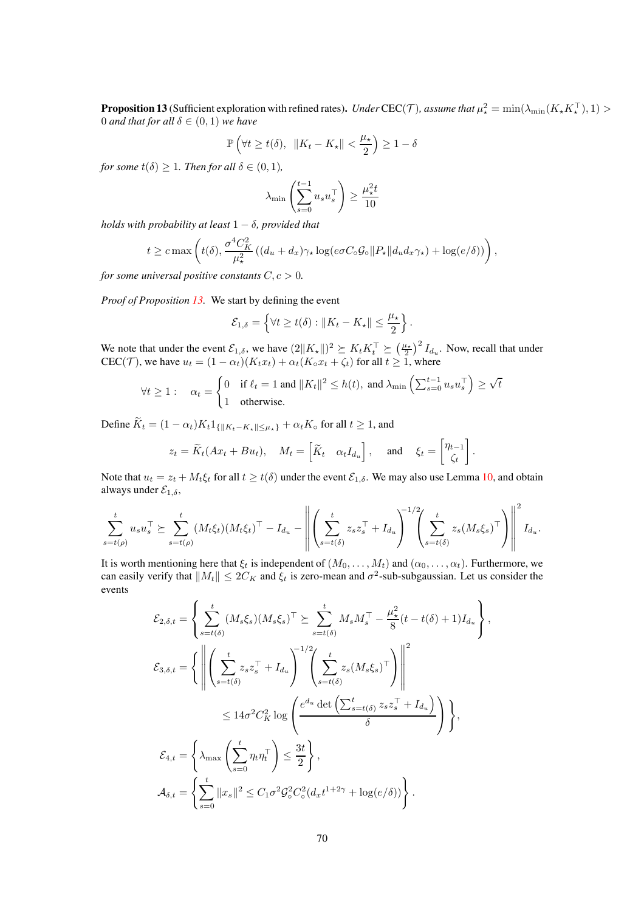<span id="page-69-0"></span>**Proposition 13** (Sufficient exploration with refined rates). *Under* CEC(*T*), assume that  $\mu^2_* = \min(\lambda_{\min}(K_* K_*^{\top}), 1) >$ 0 *and that for all*  $\delta \in (0,1)$  *we have* 

$$
\mathbb{P}\left(\forall t \ge t(\delta), \ \|K_t - K_{\star}\| < \frac{\mu_{\star}}{2}\right) \ge 1 - \delta
$$

*for some*  $t(\delta) \geq 1$ *. Then for all*  $\delta \in (0,1)$ *,* 

$$
\lambda_{\min} \left( \sum_{s=0}^{t-1} u_s u_s^\top \right) \ge \frac{\mu_\star^2 t}{10}
$$

*holds with probability at least*  $1 - \delta$ *, provided that* 

$$
t \geq c \max \left( t(\delta), \frac{\sigma^4 C_K^2}{\mu_\star^2} \left( (d_u + d_x) \gamma_\star \log(e \sigma C_\circ \mathcal{G}_\circ || P_\star || d_u d_x \gamma_\star) + \log(e/\delta) \right) \right),
$$

*for some universal positive constants*  $C, c > 0$ *.* 

*Proof of Proposition [13.](#page-69-0)* We start by defining the event

$$
\mathcal{E}_{1,\delta} = \left\{ \forall t \geq t(\delta) : ||K_t - K_{\star}|| \leq \frac{\mu_{\star}}{2} \right\}.
$$

We note that under the event  $\mathcal{E}_{1,\delta}$ , we have  $(2||K_{\star}||)^2 \succeq K_tK_t^{\top} \succeq (\frac{\mu_{\star}}{2})^2 I_{d_u}$ . Now, recall that under CEC(T), we have  $u_t = (1 - \alpha_t)(K_tx_t) + \alpha_t(K_0x_t + \zeta_t)$  for all  $t \ge 1$ , where

$$
\forall t \ge 1: \quad \alpha_t = \begin{cases} 0 & \text{if } \ell_t = 1 \text{ and } \|K_t\|^2 \le h(t), \text{ and } \lambda_{\min} \left( \sum_{s=0}^{t-1} u_s u_s^\top \right) \ge \sqrt{t} \\ 1 & \text{otherwise.} \end{cases}
$$

Define  $\widetilde{K}_t = (1 - \alpha_t)K_t 1_{\{|K_t - K_{\star}|| \leq \mu_{\star}\}} + \alpha_t K_{\circ}$  for all  $t \geq 1$ , and

$$
z_t = \widetilde{K}_t(Ax_t + Bu_t), \quad M_t = \begin{bmatrix} \widetilde{K}_t & \alpha_t I_{d_u} \end{bmatrix}, \quad \text{and} \quad \xi_t = \begin{bmatrix} \eta_{t-1} \\ \zeta_t \end{bmatrix}.
$$

Note that  $u_t = z_t + M_t \xi_t$  for all  $t \ge t(\delta)$  under the event  $\mathcal{E}_{1,\delta}$ . We may also use Lemma [10,](#page-59-0) and obtain always under  $\mathcal{E}_{1,\delta}$ ,

$$
\sum_{s=t(\rho)}^t u_s u_s^\top \succeq \sum_{s=t(\rho)}^t (M_t \xi_t) (M_t \xi_t)^\top - I_{d_u} - \left\| \left( \sum_{s=t(\delta)}^t z_s z_s^\top + I_{d_u} \right)^{-1/2} \left( \sum_{s=t(\delta)}^t z_s (M_s \xi_s)^\top \right) \right\|^2 I_{d_u}.
$$

It is worth mentioning here that  $\xi_t$  is independent of  $(M_0, \ldots, M_t)$  and  $(\alpha_0, \ldots, \alpha_t)$ . Furthermore, we can easily verify that  $||M_t|| \le 2C_K$  and  $\xi_t$  is zero-mean and  $\sigma^2$ -sub-subgaussian. Let us consider the events

$$
\mathcal{E}_{2,\delta,t} = \left\{ \sum_{s=t(\delta)}^{t} (M_s \xi_s) (M_s \xi_s)^{\top} \succeq \sum_{s=t(\delta)}^{t} M_s M_s^{\top} - \frac{\mu_{\star}^2}{8} (t - t(\delta) + 1) I_{d_u} \right\},
$$
  

$$
\mathcal{E}_{3,\delta,t} = \left\{ \left\| \left( \sum_{s=t(\delta)}^{t} z_s z_s^{\top} + I_{d_u} \right)^{-1/2} \left( \sum_{s=t(\delta)}^{t} z_s (M_s \xi_s)^{\top} \right) \right\|^2
$$
  

$$
\leq 14\sigma^2 C_K^2 \log \left( \frac{e^{d_u} \det \left( \sum_{s=t(\delta)}^{t} z_s z_s^{\top} + I_{d_u} \right)}{\delta} \right) \right\},
$$
  

$$
\mathcal{E}_{4,t} = \left\{ \lambda_{\max} \left( \sum_{s=0}^{t} \eta_t \eta_t^{\top} \right) \leq \frac{3t}{2} \right\},
$$
  

$$
\mathcal{A}_{\delta,t} = \left\{ \sum_{s=0}^{t} \|x_s\|^2 \leq C_1 \sigma^2 \mathcal{G}_{\circ}^2 C_{\circ}^2 (d_x t^{1+2\gamma} + \log(e/\delta)) \right\}.
$$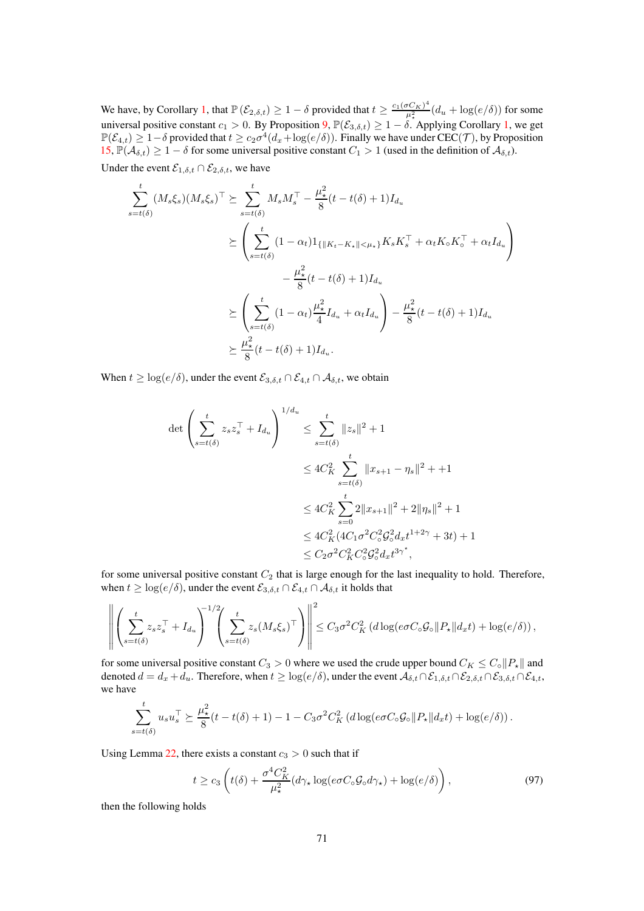We have, by Corollary [1,](#page-60-2) that  $\mathbb{P}\left(\mathcal{E}_{2,\delta,t}\right) \geq 1-\delta$  provided that  $t \geq \frac{c_1(\sigma C_K)^4}{\mu_k^2}$  $\frac{\partial C_K(\mathcal{C})}{\mu_*^2}(d_u + \log(e/\delta))$  for some universal positive constant  $c_1 > 0$ . By Proposition  $\mathcal{P}, \mathbb{P}(\mathcal{E}_{3,\delta,t}) \geq 1 - \delta$ . Applying Corollary [1,](#page-60-2) we get  $\mathbb{P}(\mathcal{E}_{4,t}) \geq 1-\delta$  provided that  $t \geq c_2\sigma^4(d_x + \log(e/\delta))$ . Finally we have under  $\text{CEC}(\mathcal{T})$ , by Proposition [15,](#page-76-0)  $\mathbb{P}(\mathcal{A}_{\delta,t}) \geq 1 - \delta$  for some universal positive constant  $C_1 > 1$  (used in the definition of  $\mathcal{A}_{\delta,t}$ ).

Under the event  $\mathcal{E}_{1,\delta,t} \cap \mathcal{E}_{2,\delta,t}$ , we have

$$
\sum_{s=t(\delta)}^{t} (M_s \xi_s)(M_s \xi_s)^{\top} \succeq \sum_{s=t(\delta)}^{t} M_s M_s^{\top} - \frac{\mu_{\star}^2}{8} (t - t(\delta) + 1) I_{d_u}
$$
\n
$$
\succeq \left( \sum_{s=t(\delta)}^{t} (1 - \alpha_t) 1_{\{ \| K_t - K_{\star} \| < \mu_{\star} \}} K_s K_s^{\top} + \alpha_t K_{\circ} K_{\circ}^{\top} + \alpha_t I_{d_u} \right)
$$
\n
$$
- \frac{\mu_{\star}^2}{8} (t - t(\delta) + 1) I_{d_u}
$$
\n
$$
\succeq \left( \sum_{s=t(\delta)}^{t} (1 - \alpha_t) \frac{\mu_{\star}^2}{4} I_{d_u} + \alpha_t I_{d_u} \right) - \frac{\mu_{\star}^2}{8} (t - t(\delta) + 1) I_{d_u}
$$
\n
$$
\succeq \frac{\mu_{\star}^2}{8} (t - t(\delta) + 1) I_{d_u}.
$$

When  $t \geq \log(e/\delta)$ , under the event  $\mathcal{E}_{3,\delta,t} \cap \mathcal{E}_{4,t} \cap \mathcal{A}_{\delta,t}$ , we obtain

$$
\det \left( \sum_{s=t(\delta)}^{t} z_{s} z_{s}^{\top} + I_{d_{u}} \right)^{1/d_{u}} \leq \sum_{s=t(\delta)}^{t} \|z_{s}\|^{2} + 1
$$
  

$$
\leq 4C_{K}^{2} \sum_{s=t(\delta)}^{t} \|x_{s+1} - \eta_{s}\|^{2} + 1
$$
  

$$
\leq 4C_{K}^{2} \sum_{s=0}^{t} 2\|x_{s+1}\|^{2} + 2\|\eta_{s}\|^{2} + 1
$$
  

$$
\leq 4C_{K}^{2} (4C_{1}\sigma^{2} C_{\circ}^{2} G_{\circ}^{2} d_{x} t^{1+2\gamma} + 3t) + 1
$$
  

$$
\leq C_{2}\sigma^{2} C_{K}^{2} C_{\circ}^{2} G_{\circ}^{2} d_{x} t^{3\gamma^{*}},
$$

for some universal positive constant  $C_2$  that is large enough for the last inequality to hold. Therefore, when  $t \geq \log(e/\delta)$ , under the event  $\mathcal{E}_{3,\delta,t} \cap \mathcal{E}_{4,t} \cap \mathcal{A}_{\delta,t}$  it holds that

$$
\left\| \left( \sum_{s=t(\delta)}^t z_s z_s^\top + I_{d_u} \right)^{-1/2} \left( \sum_{s=t(\delta)}^t z_s (M_s \xi_s)^\top \right) \right\|^2 \leq C_3 \sigma^2 C_K^2 \left( d \log(e \sigma C_\circ \mathcal{G}_\circ \| P_\star \| d_x t \right) + \log(e/\delta) \right),
$$

for some universal positive constant  $C_3 > 0$  where we used the crude upper bound  $C_K \leq C_\circ ||P_\star||$  and denoted  $d = d_x + d_u$ . Therefore, when  $t \geq \log(e/\delta)$ , under the event  $\mathcal{A}_{\delta,t} \cap \mathcal{E}_{1,\delta,t} \cap \mathcal{E}_{2,\delta,t} \cap \mathcal{E}_{3,\delta,t} \cap \mathcal{E}_{4,t}$ , we have

$$
\sum_{s=t(\delta)}^t u_s u_s^\top \succeq \frac{\mu_\star^2}{8} (t-t(\delta)+1) - 1 - C_3 \sigma^2 C_K^2 \left( d \log(e \sigma C_\circ \mathcal{G}_\circ || P_\star || d_x t) + \log(e/\delta) \right).
$$

Using Lemma [22,](#page-87-0) there exists a constant  $c_3 > 0$  such that if

<span id="page-70-0"></span>
$$
t \ge c_3 \left( t(\delta) + \frac{\sigma^4 C_K^2}{\mu_\star^2} (d\gamma_\star \log(e\sigma C_\circ \mathcal{G}_\circ d\gamma_\star) + \log(e/\delta) \right),\tag{97}
$$

then the following holds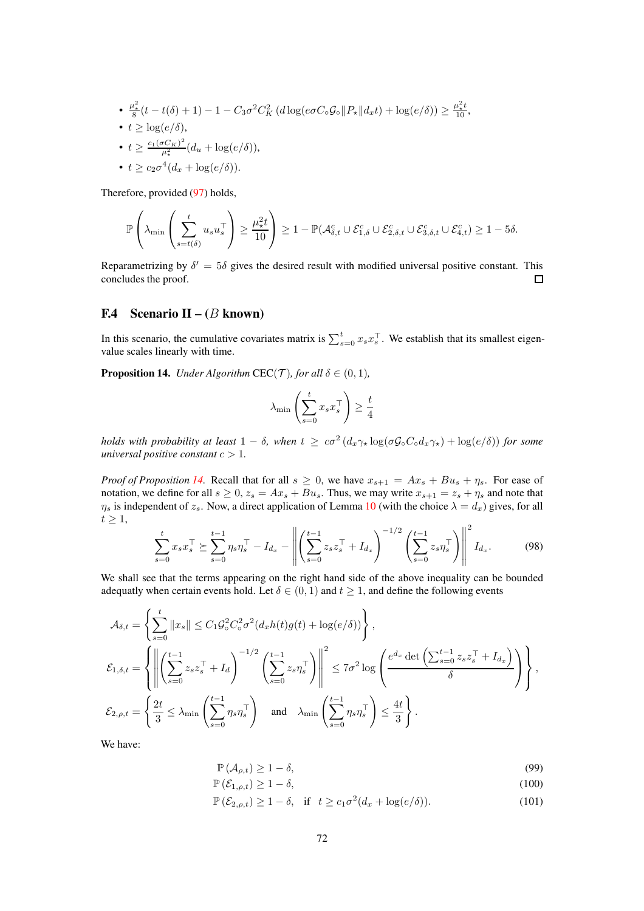• 
$$
\frac{\mu_*^2}{8}(t - t(\delta) + 1) - 1 - C_3 \sigma^2 C_K^2
$$
  $(d \log(e \sigma C_\circ \mathcal{G}_\circ || P_\star || d_x t) + \log(e/\delta)) \ge \frac{\mu_*^2 t}{10}$ ,

•  $t \geq \log(e/\delta)$ ,

• 
$$
t \ge \frac{c_1(\sigma C_K)^2}{\mu_*^2} (d_u + \log(e/\delta)),
$$

• 
$$
t \geq c_2 \sigma^4 (d_x + \log(e/\delta)).
$$

Therefore, provided [\(97\)](#page-70-0) holds,

$$
\mathbb{P}\left(\lambda_{\min}\left(\sum_{s=t(\delta)}^{t} u_s u_s^\top\right) \geq \frac{\mu_{\star}^2 t}{10}\right) \geq 1 - \mathbb{P}(\mathcal{A}_{\delta,t}^c \cup \mathcal{E}_{1,\delta}^c \cup \mathcal{E}_{2,\delta,t}^c \cup \mathcal{E}_{3,\delta,t}^c \cup \mathcal{E}_{4,t}^c) \geq 1 - 5\delta.
$$

Reparametrizing by  $\delta' = 5\delta$  gives the desired result with modified universal positive constant. This concludes the proof.  $\Box$ 

## F.4 Scenario II –  $(B \text{ known})$

In this scenario, the cumulative covariates matrix is  $\sum_{s=0}^{t} x_s x_s^{\top}$ . We establish that its smallest eigenvalue scales linearly with time.

<span id="page-71-0"></span>**Proposition 14.** *Under Algorithm* CEC(*T*)*, for all*  $\delta \in (0, 1)$ *,* 

$$
\lambda_{\min} \left( \sum_{s=0}^{t} x_s x_s^{\top} \right) \ge \frac{t}{4}
$$

*holds with probability at least*  $1 - \delta$ , when  $t \geq c\sigma^2 (d_x \gamma_\star \log(\sigma \mathcal{G} \circ C_\circ d_x \gamma_\star) + \log(e/\delta))$  *for some universal positive constant*  $c > 1$ *.* 

*Proof of Proposition [14.](#page-71-0)* Recall that for all  $s \ge 0$ , we have  $x_{s+1} = Ax_s + Bu_s + \eta_s$ . For ease of notation, we define for all  $s \geq 0$ ,  $z_s = Ax_s + Bu_s$ . Thus, we may write  $x_{s+1} = z_s + \eta_s$  and note that  $\eta_s$  is independent of  $z_s$ . Now, a direct application of Lemma [10](#page-59-0) (with the choice  $\lambda = d_x$ ) gives, for all  $t \geq 1$ ,  $\overline{2}$ 

$$
\sum_{s=0}^{t} x_s x_s^{\top} \succeq \sum_{s=0}^{t-1} \eta_s \eta_s^{\top} - I_{d_x} - \left\| \left( \sum_{s=0}^{t-1} z_s z_s^{\top} + I_{d_x} \right)^{-1/2} \left( \sum_{s=0}^{t-1} z_s \eta_s^{\top} \right) \right\|^2 I_{d_x}.
$$
 (98)

We shall see that the terms appearing on the right hand side of the above inequality can be bounded adequatly when certain events hold. Let  $\delta \in (0,1)$  and  $t \geq 1$ , and define the following events

$$
\mathcal{A}_{\delta,t} = \left\{ \sum_{s=0}^{t} ||x_s|| \le C_1 \mathcal{G}_{\circ}^2 C_{\circ}^2 \sigma^2 (d_x h(t) g(t) + \log(e/\delta)) \right\},
$$
\n
$$
\mathcal{E}_{1,\delta,t} = \left\{ \left\| \left( \sum_{s=0}^{t-1} z_s z_s^{\top} + I_d \right)^{-1/2} \left( \sum_{s=0}^{t-1} z_s \eta_s^{\top} \right) \right\|^{2} \le 7\sigma^2 \log \left( \frac{e^{d_x} \det \left( \sum_{s=0}^{t-1} z_s z_s^{\top} + I_{d_x} \right)}{\delta} \right) \right\},
$$
\n
$$
\mathcal{E}_{2,\rho,t} = \left\{ \frac{2t}{3} \le \lambda_{\min} \left( \sum_{s=0}^{t-1} \eta_s \eta_s^{\top} \right) \quad \text{and} \quad \lambda_{\min} \left( \sum_{s=0}^{t-1} \eta_s \eta_s^{\top} \right) \le \frac{4t}{3} \right\}.
$$

We have:

$$
\mathbb{P}\left(\mathcal{A}_{\rho,t}\right) \ge 1 - \delta,\tag{99}
$$

$$
\mathbb{P}\left(\mathcal{E}_{1,\rho,t}\right) \ge 1 - \delta,\tag{100}
$$

$$
\mathbb{P}\left(\mathcal{E}_{2,\rho,t}\right) \ge 1 - \delta, \quad \text{if} \quad t \ge c_1 \sigma^2 (d_x + \log(e/\delta)).\tag{101}
$$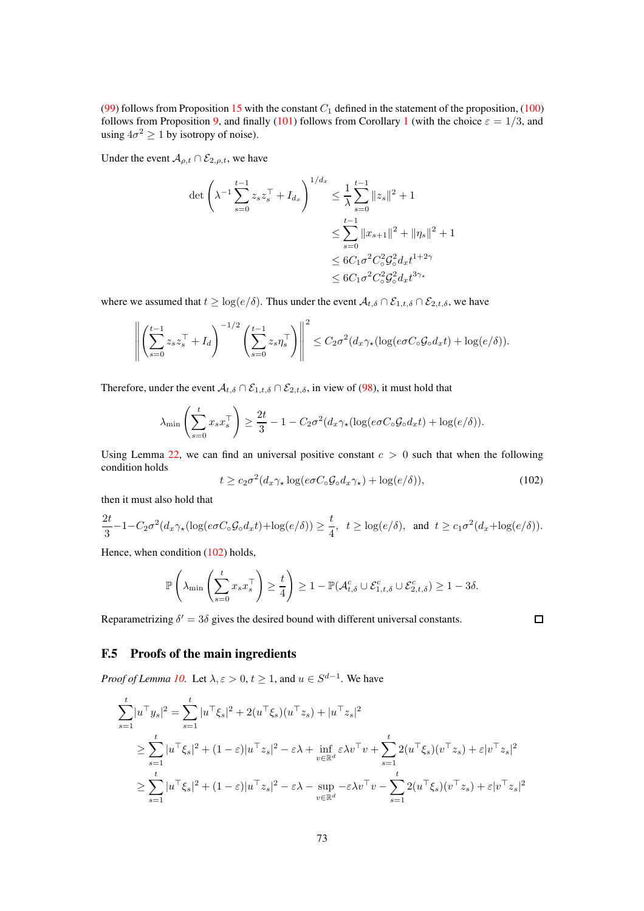[\(99\)](#page-71-0) follows from Proposition [15](#page-76-0) with the constant  $C_1$  defined in the statement of the proposition, [\(100\)](#page-71-1) follows from Proposition [9,](#page-60-0) and finally [\(101\)](#page-71-2) follows from Corollary [1](#page-60-1) (with the choice  $\varepsilon = 1/3$ , and using  $4\sigma^2 \ge 1$  by isotropy of noise).

Under the event  $A_{\rho,t} \cap \mathcal{E}_{2,\rho,t}$ , we have

$$
\det \left( \lambda^{-1} \sum_{s=0}^{t-1} z_s z_s^\top + I_{d_x} \right)^{1/d_x} \leq \frac{1}{\lambda} \sum_{s=0}^{t-1} \|z_s\|^2 + 1
$$
  

$$
\leq \sum_{s=0}^{t-1} \|x_{s+1}\|^2 + \|\eta_s\|^2 + 1
$$
  

$$
\leq 6C_1 \sigma^2 C_0^2 \mathcal{G}_0^2 d_x t^{1+2\gamma}
$$
  

$$
\leq 6C_1 \sigma^2 C_0^2 \mathcal{G}_0^2 d_x t^{3\gamma_\star}
$$

where we assumed that  $t \geq \log(e/\delta)$ . Thus under the event  $\mathcal{A}_{t,\delta} \cap \mathcal{E}_{1,t,\delta} \cap \mathcal{E}_{2,t,\delta}$ , we have

$$
\left\| \left( \sum_{s=0}^{t-1} z_s z_s^\top + I_d \right)^{-1/2} \left( \sum_{s=0}^{t-1} z_s \eta_s^\top \right) \right\|^2 \leq C_2 \sigma^2 (d_x \gamma_\star (\log(e \sigma C_\circ \mathcal{G}_0 d_x t) + \log(e/\delta)).
$$

Therefore, under the event  $A_{t,\delta} \cap \mathcal{E}_{1,t,\delta} \cap \mathcal{E}_{2,t,\delta}$ , in view of [\(98\)](#page-71-3), it must hold that

$$
\lambda_{\min}\left(\sum_{s=0}^t x_s x_s^\top\right) \ge \frac{2t}{3} - 1 - C_2 \sigma^2 (d_x \gamma_\star(\log(e \sigma C_\circ \mathcal{G}_\circ d_x t) + \log(e/\delta)).
$$

Using Lemma [22,](#page-87-0) we can find an universal positive constant  $c > 0$  such that when the following condition holds

<span id="page-72-0"></span>
$$
t \ge c_2 \sigma^2 (d_x \gamma_\star \log(e \sigma C_\circ \mathcal{G}_0 d_x \gamma_\star) + \log(e/\delta)),\tag{102}
$$

 $\Box$ 

then it must also hold that

$$
\frac{2t}{3} - 1 - C_2 \sigma^2 (d_x \gamma_\star (\log(e \sigma C_\circ \mathcal{G}_\circ d_x t) + \log(e/\delta)) \ge \frac{t}{4}, \ \ t \ge \log(e/\delta), \ \text{ and } \ t \ge c_1 \sigma^2 (d_x + \log(e/\delta)).
$$

Hence, when condition [\(102\)](#page-72-0) holds,

$$
\mathbb{P}\left(\lambda_{\min}\left(\sum_{s=0}^t x_s x_s^{\top}\right) \geq \frac{t}{4}\right) \geq 1 - \mathbb{P}(\mathcal{A}_{t,\delta}^c \cup \mathcal{E}_{1,t,\delta}^c \cup \mathcal{E}_{2,t,\delta}^c) \geq 1 - 3\delta.
$$

Reparametrizing  $\delta' = 3\delta$  gives the desired bound with different universal constants.

## F.5 Proofs of the main ingredients

*Proof of Lemma [10.](#page-59-0)* Let  $\lambda, \varepsilon > 0, t \ge 1$ , and  $u \in S^{d-1}$ . We have

$$
\sum_{s=1}^{t} |u^{\top}y_{s}|^{2} = \sum_{s=1}^{t} |u^{\top}\xi_{s}|^{2} + 2(u^{\top}\xi_{s})(u^{\top}z_{s}) + |u^{\top}z_{s}|^{2}
$$
\n
$$
\geq \sum_{s=1}^{t} |u^{\top}\xi_{s}|^{2} + (1 - \varepsilon)|u^{\top}z_{s}|^{2} - \varepsilon\lambda + \inf_{v \in \mathbb{R}^{d}} \varepsilon\lambda v^{\top}v + \sum_{s=1}^{t} 2(u^{\top}\xi_{s})(v^{\top}z_{s}) + \varepsilon|v^{\top}z_{s}|^{2}
$$
\n
$$
\geq \sum_{s=1}^{t} |u^{\top}\xi_{s}|^{2} + (1 - \varepsilon)|u^{\top}z_{s}|^{2} - \varepsilon\lambda - \sup_{v \in \mathbb{R}^{d}} -\varepsilon\lambda v^{\top}v - \sum_{s=1}^{t} 2(u^{\top}\xi_{s})(v^{\top}z_{s}) + \varepsilon|v^{\top}z_{s}|^{2}
$$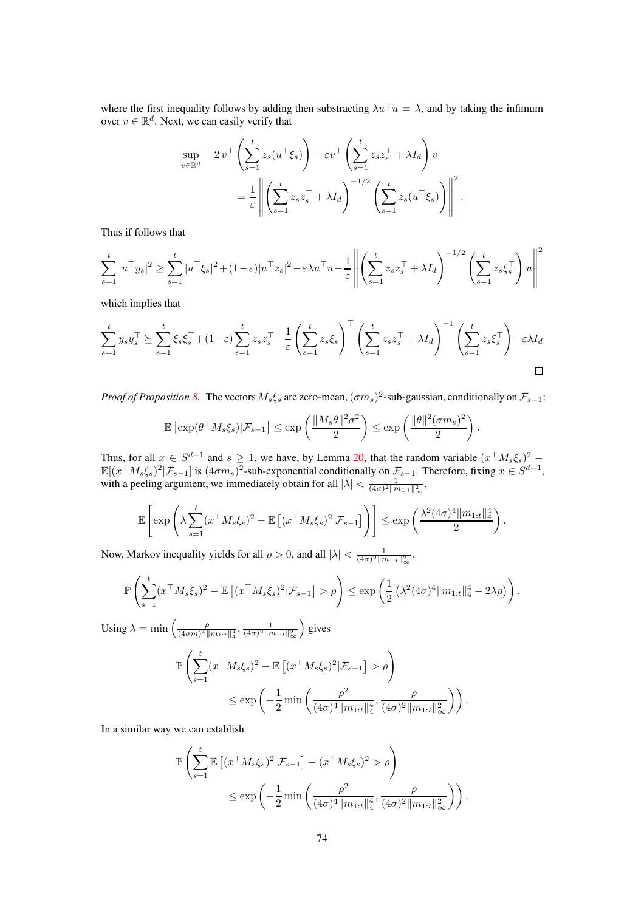where the first inequality follows by adding then substracting  $\lambda u^\top u = \lambda$ , and by taking the infimum over  $v \in \mathbb{R}^d$ . Next, we can easily verify that

$$
\sup_{v \in \mathbb{R}^d} -2v^\top \left( \sum_{s=1}^t z_s (u^\top \xi_s) \right) - \varepsilon v^\top \left( \sum_{s=1}^t z_s z_s^\top + \lambda I_d \right) v
$$
  
=  $\frac{1}{\varepsilon} \left\| \left( \sum_{s=1}^t z_s z_s^\top + \lambda I_d \right)^{-1/2} \left( \sum_{s=1}^t z_s (u^\top \xi_s) \right) \right\|^2.$ 

Thus if follows that

$$
\sum_{s=1}^t |u^\top y_s|^2 \ge \sum_{s=1}^t |u^\top \xi_s|^2 + (1-\varepsilon)|u^\top z_s|^2 - \varepsilon \lambda u^\top u - \frac{1}{\varepsilon} \left\| \left( \sum_{s=1}^t z_s z_s^\top + \lambda I_d \right)^{-1/2} \left( \sum_{s=1}^t z_s \xi_s^\top \right) u \right\|^2
$$

which implies that

$$
\sum_{s=1}^{t} y_s y_s^{\top} \succeq \sum_{s=1}^{t} \xi_s \xi_s^{\top} + (1 - \varepsilon) \sum_{s=1}^{t} z_s z_s^{\top} - \frac{1}{\varepsilon} \left( \sum_{s=1}^{t} z_s \xi_s \right)^{\top} \left( \sum_{s=1}^{t} z_s z_s^{\top} + \lambda I_d \right)^{-1} \left( \sum_{s=1}^{t} z_s \xi_s^{\top} \right) - \varepsilon \lambda I_d
$$

*Proof of Proposition* [8.](#page-59-1) The vectors  $M_s \xi_s$  are zero-mean,  $(\sigma m_s)^2$ -sub-gaussian, conditionally on  $\mathcal{F}_{s-1}$ :

$$
\mathbb{E}\left[\exp(\theta^\top M_s \xi_s)|\mathcal{F}_{s-1}\right] \leq \exp\left(\frac{\|M_s\theta\|^2 \sigma^2}{2}\right) \leq \exp\left(\frac{\|\theta\|^2 (\sigma m_s)^2}{2}\right)
$$

.

Thus, for all  $x \in S^{d-1}$  and  $s \ge 1$ , we have, by Lemma [20,](#page-87-1) that the random variable  $(x^\top M_s \xi_s)^2$  $\mathbb{E}[(x^\top M_s \xi_s)^2 | \mathcal{F}_{s-1}]$  is  $(4\sigma m_s)^2$ -sub-exponential conditionally on  $\mathcal{F}_{s-1}$ . Therefore, fixing  $x \in S^{d-1}$ , with a peeling argument, we immediately obtain for all  $|\lambda| < \frac{1}{(4\sigma)^2 ||m_{1:t}||_{\infty}^2}$ ,

$$
\mathbb{E}\left[\exp\left(\lambda \sum_{s=1}^t (x^\top M_s \xi_s)^2 - \mathbb{E}\left[ (x^\top M_s \xi_s)^2 | \mathcal{F}_{s-1} \right] \right)\right] \leq \exp\left(\frac{\lambda^2 (4\sigma)^4 ||m_{1:t}||_4^4}{2}\right).
$$

Now, Markov inequality yields for all  $\rho > 0$ , and all  $|\lambda| < \frac{1}{(4\sigma)^2 ||m_{1:t}||^2_{\infty}}$ ,

$$
\mathbb{P}\left(\sum_{s=1}^t (x^\top M_s \xi_s)^2 - \mathbb{E}\left[(x^\top M_s \xi_s)^2 | \mathcal{F}_{s-1}\right] > \rho\right) \leq \exp\left(\frac{1}{2} \left(\lambda^2 (4\sigma)^4 \|m_{1:t}\|_4^4 - 2\lambda \rho\right)\right).
$$

Using  $\lambda = \min \left( \frac{\rho}{(4\pi m)^{4/3}} \right)$  $\frac{\rho}{(4\sigma m)^4 \|m_{1:t}\|_4^4}, \frac{1}{(4\sigma)^2 \|m_{1:t}\|_\infty^2}$  gives  $\mathbb{P}\left(\sum_{i=1}^{t}$  $s=1$  $(x^\top M_s \xi_s)^2 - \mathbb{E} \left[ (x^\top M_s \xi_s)^2 | \mathcal{F}_{s-1} \right] > \rho$  $\leq$  exp $\Big($  – 1  $rac{1}{2}$  min  $\left(\frac{\rho^2}{(4\sigma)^4\|n}\right)$  $(4\sigma)^4 \|m_{1:t}\|_4^4$  $\frac{\rho}{(4-2)$  $(4\sigma)^{2}$  $\|m_{1:t}\|_{\infty}^{2}$  $\big)$ .

In a similar way we can establish

$$
\mathbb{P}\left(\sum_{s=1}^t \mathbb{E}\left[(x^\top M_s \xi_s)^2 | \mathcal{F}_{s-1}\right] - (x^\top M_s \xi_s)^2 > \rho\right)
$$
  

$$
\leq \exp\left(-\frac{1}{2} \min\left(\frac{\rho^2}{(4\sigma)^4 \|m_{1:t}\|_4^4}, \frac{\rho}{(4\sigma)^2 \|m_{1:t}\|_\infty^2}\right)\right).
$$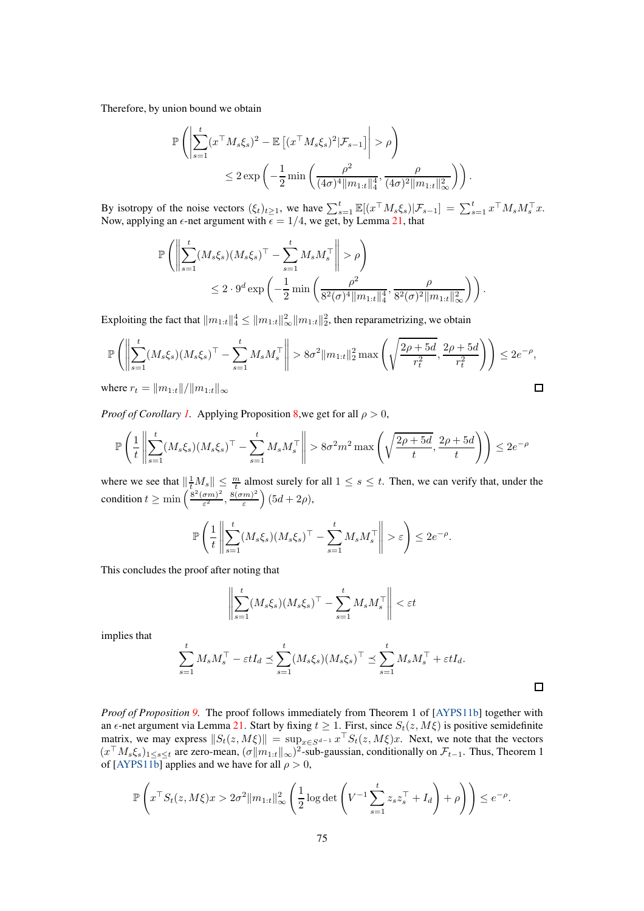Therefore, by union bound we obtain

$$
\mathbb{P}\left(\left|\sum_{s=1}^t (x^\top M_s \xi_s)^2 - \mathbb{E}\left[(x^\top M_s \xi_s)^2 | \mathcal{F}_{s-1}\right]\right| > \rho\right)
$$
  

$$
\leq 2 \exp\left(-\frac{1}{2} \min\left(\frac{\rho^2}{(4\sigma)^4 \|m_{1:t}\|_4^4}, \frac{\rho}{(4\sigma)^2 \|m_{1:t}\|_\infty^2}\right)\right).
$$

By isotropy of the noise vectors  $(\xi_t)_{t\geq 1}$ , we have  $\sum_{s=1}^t \mathbb{E}[(x^\top M_s \xi_s)|\mathcal{F}_{s-1}] = \sum_{s=1}^t x^\top M_s M_s^\top x$ . Now, applying an  $\epsilon$ -net argument with  $\epsilon = 1/4$ , we get, by Lemma [21,](#page-87-2) that

$$
\mathbb{P}\left(\left\|\sum_{s=1}^t (M_s \xi_s)(M_s \xi_s)^\top - \sum_{s=1}^t M_s M_s^\top \right\| > \rho\right) \leq 2 \cdot 9^d \exp\left(-\frac{1}{2} \min\left(\frac{\rho^2}{8^2(\sigma)^4 \|m_{1:t}\|_4^4}, \frac{\rho}{8^2(\sigma)^2 \|m_{1:t}\|_\infty^2}\right)\right).
$$

Exploiting the fact that  $||m_{1:t}||_4^4 \le ||m_{1:t}||_{\infty}^2 ||m_{1:t}||_2^2$ , then reparametrizing, we obtain

$$
\mathbb{P}\left(\left\|\sum_{s=1}^{t} (M_s \xi_s)(M_s \xi_s)^{\top} - \sum_{s=1}^{t} M_s M_s^{\top}\right\| > 8\sigma^2 \|m_{1:t}\|_2^2 \max\left(\sqrt{\frac{2\rho + 5d}{r_t^2}}, \frac{2\rho + 5d}{r_t^2}\right)\right) \le 2e^{-\rho},
$$
  
where  $r_t = \|m_{1:t}\| / \|m_{1:t}\|_{\infty}$ 

where  $r_t = ||m_{1:t}||/||m_{1:t}||_{\infty}$ 

*Proof of Corollary [1.](#page-60-1)* Applying Proposition [8,](#page-59-1)we get for all  $\rho > 0$ ,

$$
\mathbb{P}\left(\frac{1}{t}\left\|\sum_{s=1}^t (M_s \xi_s)(M_s \xi_s)^\top - \sum_{s=1}^t M_s M_s^\top \right\| > 8\sigma^2 m^2 \max\left(\sqrt{\frac{2\rho + 5d}{t}}, \frac{2\rho + 5d}{t}\right)\right) \le 2e^{-\rho}
$$

where we see that  $\left\|\frac{1}{t}M_s\right\| \leq \frac{m}{t}$  almost surely for all  $1 \leq s \leq t$ . Then, we can verify that, under the condition  $t \geq \min \left( \frac{8^2 (\sigma m)^2}{\varepsilon^2} \right)$  $\frac{(\sigma m)^2}{\varepsilon^2}, \frac{8(\sigma m)^2}{\varepsilon}$ ε  $(5d + 2\rho),$ 

$$
\mathbb{P}\left(\frac{1}{t}\left\|\sum_{s=1}^t (M_s \xi_s)(M_s \xi_s)^\top - \sum_{s=1}^t M_s M_s^\top \right\| > \varepsilon\right) \leq 2e^{-\rho}.
$$

This concludes the proof after noting that

$$
\left\| \sum_{s=1}^{t} (M_s \xi_s) (M_s \xi_s)^\top - \sum_{s=1}^{t} M_s M_s^\top \right\| < \varepsilon t
$$

implies that

$$
\sum_{s=1}^t M_s M_s^\top - \varepsilon t I_d \preceq \sum_{s=1}^t (M_s \xi_s) (M_s \xi_s)^\top \preceq \sum_{s=1}^t M_s M_s^\top + \varepsilon t I_d.
$$

 $\Box$ 

*Proof of Proposition [9.](#page-60-0)* The proof follows immediately from Theorem 1 of [\[AYPS11b\]](#page-10-0) together with an  $\epsilon$ -net argument via Lemma [21.](#page-87-2) Start by fixing  $t \ge 1$ . First, since  $S_t(z, M\xi)$  is positive semidefinite matrix, we may express  $||S_t(z, M\xi)|| = \sup_{x \in S^{d-1}} x \cdot S_t(z, M\xi)x$ . Next, we note that the vectors  $(x^{\top}M_s\xi_s)_{1\leq s\leq t}$  are zero-mean,  $(\sigma||m_{1:t}||_{\infty})^2$ -sub-gaussian, conditionally on  $\mathcal{F}_{t-1}$ . Thus, Theorem 1 of [\[AYPS11b\]](#page-10-0) applies and we have for all  $\rho > 0$ ,

$$
\mathbb{P}\left(x^\top S_t(z,M\xi)x>2\sigma^2\|m_{1:t}\|_\infty^2\left(\frac{1}{2}\log\det\left(V^{-1}\sum_{s=1}^t z_sz_s^\top+I_d\right)+\rho\right)\right)\leq e^{-\rho}.
$$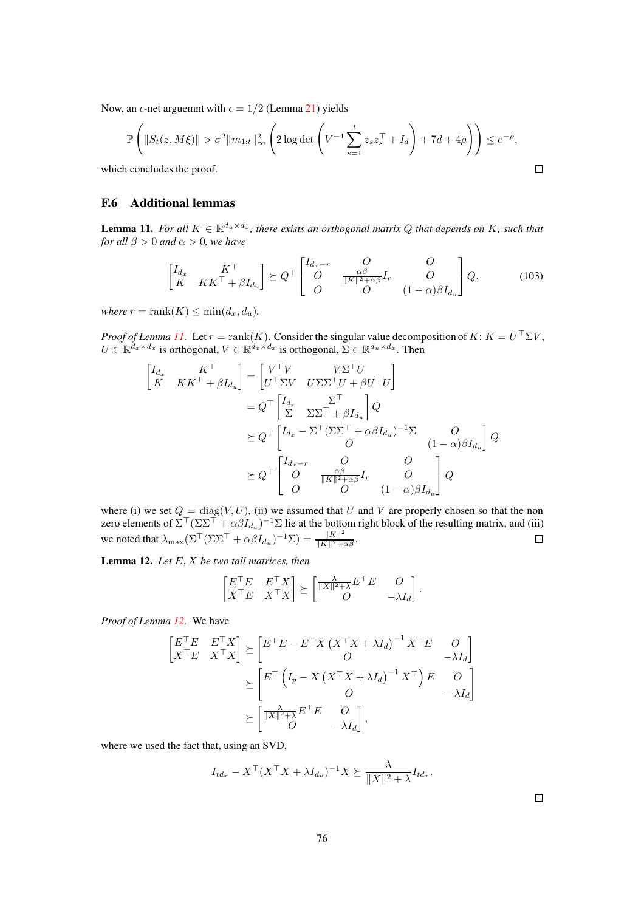Now, an  $\epsilon$ -net arguemnt with  $\epsilon = 1/2$  (Lemma [21\)](#page-87-2) yields

$$
\mathbb{P}\left(\|S_t(z,M\xi)\| > \sigma^2 \|m_{1:t}\|_{\infty}^2 \left(2\log \det\left(V^{-1}\sum_{s=1}^t z_s z_s^\top + I_d\right) + 7d + 4\rho\right)\right) \le e^{-\rho},
$$
  
a concludes the proof.

which concludes the proof.

### F.6 Additional lemmas

<span id="page-75-0"></span>**Lemma 11.** *For all*  $K \in \mathbb{R}^{d_u \times d_x}$ , *there exists an orthogonal matrix Q that depends on* K, such that *for all*  $\beta > 0$  *and*  $\alpha > 0$ *, we have* 

$$
\begin{bmatrix} I_{d_x} & K^\top \\ K & K K^\top + \beta I_{d_u} \end{bmatrix} \succeq Q^\top \begin{bmatrix} I_{d_x - r} & O & O \\ O & \frac{\alpha \beta}{\|K\|^2 + \alpha \beta} I_r & O \\ O & O & (1 - \alpha) \beta I_{d_u} \end{bmatrix} Q, \quad (103)
$$

*where*  $r = \text{rank}(K) \leq \min(d_x, d_u)$ .

*Proof of Lemma [11.](#page-75-0)* Let  $r = \text{rank}(K)$ . Consider the singular value decomposition of  $K: K = U^{\perp} \Sigma V$ ,  $U \in \mathbb{R}^{d_x \times d_x}$  is orthogonal,  $V \in \mathbb{R}^{d_x \times d_x}$  is orthogonal,  $\Sigma \in \mathbb{R}^{d_u \times d_x}$ . Then

$$
\begin{aligned}\n\begin{bmatrix}\nI_{d_x} & K^\top \\
K & K K^\top + \beta I_{d_u}\n\end{bmatrix} &= \begin{bmatrix}\nV^\top V & V\Sigma^\top U \\
U^\top \Sigma V & U\Sigma \Sigma^\top U + \beta U^\top U\n\end{bmatrix} \\
&= Q^\top \begin{bmatrix}\nI_{d_x} & \Sigma^\top \\
\Sigma & \Sigma \Sigma^\top + \beta I_{d_u}\n\end{bmatrix} Q \\
&\succeq Q^\top \begin{bmatrix}\nI_{d_x} - \Sigma^\top (\Sigma \Sigma^\top + \alpha \beta I_{d_u})^{-1} \Sigma & O \\
O & (1 - \alpha) \beta I_{d_u}\n\end{bmatrix} Q \\
&\succeq Q^\top \begin{bmatrix}\nI_{d_x - r} & O & O \\
O & \frac{\alpha \beta}{\|K\|^2 + \alpha \beta} I_r & O \\
O & O & (1 - \alpha) \beta I_{d_u}\n\end{bmatrix} Q\n\end{aligned}
$$

where (i) we set  $Q = \text{diag}(V, U)$ , (ii) we assumed that U and V are properly chosen so that the non zero elements of  $\Sigma^\top (\Sigma\Sigma^\top + \alpha \beta I_{d_u})^{-1} \Sigma$  lie at the bottom right block of the resulting matrix, and (iii) we noted that  $\lambda_{\max} (\Sigma^\top (\Sigma \Sigma^\top + \alpha \beta I_{d_u})^{-1} \Sigma) = \frac{\|K\|^2}{\|K\|^2 + \alpha \beta}.$ 

<span id="page-75-1"></span>Lemma 12. *Let* E, X *be two tall matrices, then*

$$
\begin{bmatrix} E^\top E & E^\top X \\ X^\top E & X^\top X \end{bmatrix} \succeq \begin{bmatrix} \frac{\lambda}{\|X\|^2 + \lambda} E^\top E & O \\ O & -\lambda I_d \end{bmatrix}.
$$

*Proof of Lemma [12.](#page-75-1)* We have

$$
\begin{bmatrix} E^{\top}E & E^{\top}X \\ X^{\top}E & X^{\top}X \end{bmatrix} \succeq \begin{bmatrix} E^{\top}E - E^{\top}X(X^{\top}X + \lambda I_d)^{-1}X^{\top}E & O \\ O & -\lambda I_d \end{bmatrix}
$$

$$
\succeq \begin{bmatrix} E^{\top} \left(I_p - X(X^{\top}X + \lambda I_d)^{-1}X^{\top}\right)E & O \\ O & -\lambda I_d \end{bmatrix}
$$

$$
\succeq \begin{bmatrix} \frac{\lambda}{\|X\|^2 + \lambda}E^{\top}E & O \\ O & -\lambda I_d \end{bmatrix},
$$

where we used the fact that, using an SVD,

$$
I_{td_x} - X^{\top} (X^{\top} X + \lambda I_{d_u})^{-1} X \succeq \frac{\lambda}{\|X\|^2 + \lambda} I_{td_x}.
$$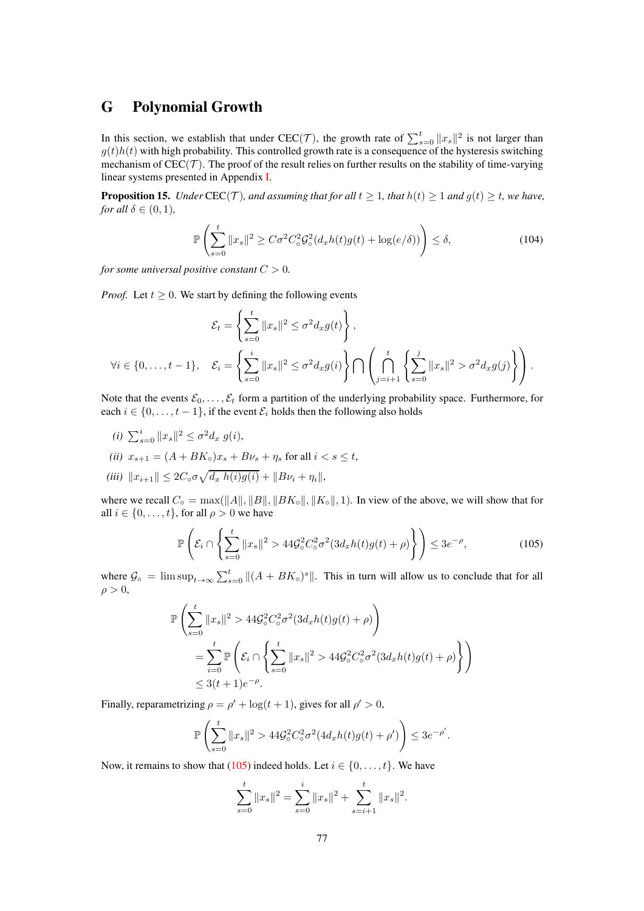# <span id="page-76-2"></span>G Polynomial Growth

In this section, we establish that under CEC(*T*), the growth rate of  $\sum_{s=0}^{t} ||x_s||^2$  is not larger than  $g(t)h(t)$  with high probability. This controlled growth rate is a consequence of the hysteresis switching mechanism of  $CEC(\mathcal{T})$ . The proof of the result relies on further results on the stability of time-varying linear systems presented in Appendix [I.](#page-80-0)

<span id="page-76-0"></span>**Proposition 15.** *Under* CEC(*T*)*, and assuming that for all*  $t > 1$ *, that*  $h(t) > 1$  *and*  $q(t) > t$ *, we have, for all*  $\delta \in (0, 1)$ *,* 

$$
\mathbb{P}\left(\sum_{s=0}^{t} \|x_s\|^2 \ge C\sigma^2 C_o^2 \mathcal{G}_\circ^2 (d_x h(t) g(t) + \log(e/\delta))\right) \le \delta,\tag{104}
$$

*for some universal positive constant*  $C > 0$ *.* 

*Proof.* Let  $t \geq 0$ . We start by defining the following events

$$
\mathcal{E}_t = \left\{ \sum_{s=0}^t \|x_s\|^2 \le \sigma^2 d_x g(t) \right\},
$$
  

$$
\forall i \in \{0, \ldots, t-1\}, \quad \mathcal{E}_i = \left\{ \sum_{s=0}^i \|x_s\|^2 \le \sigma^2 d_x g(i) \right\} \bigcap \left( \bigcap_{j=i+1}^t \left\{ \sum_{s=0}^j \|x_s\|^2 > \sigma^2 d_x g(j) \right\} \right).
$$

Note that the events  $\mathcal{E}_0, \ldots, \mathcal{E}_t$  form a partition of the underlying probability space. Furthermore, for each  $i \in \{0, \ldots, t-1\}$ , if the event  $\mathcal{E}_i$  holds then the following also holds

- *(i)*  $\sum_{s=0}^{i} ||x_s||^2 \le \sigma^2 d_x g(i)$ ,
- *(ii)*  $x_{s+1} = (A + BK_0)x_s + B\nu_s + \eta_s$  for all  $i < s < t$ ,
- $(iii)$   $||x_{i+1}|| \leq 2C_\circ \sigma \sqrt{d_x h(i)g(i)} + ||B\nu_i + \eta_i||,$

where we recall  $C_\circ = \max(||A||, ||B||, ||BK_\circ||, ||K_\circ||, 1)$ . In view of the above, we will show that for all  $i \in \{0, \ldots, t\}$ , for all  $\rho > 0$  we have

<span id="page-76-1"></span>
$$
\mathbb{P}\left(\mathcal{E}_i \cap \left\{\sum_{s=0}^t \|x_s\|^2 > 44\mathcal{G}_\circ^2 C_\circ^2 \sigma^2 (3d_x h(t) g(t) + \rho) \right\}\right) \le 3e^{-\rho},\tag{105}
$$

where  $\mathcal{G}_{\circ} = \limsup_{t \to \infty} \sum_{s=0}^{t} ||(A + BK_{\circ})^{s}||$ . This in turn will allow us to conclude that for all  $\rho > 0$ ,

$$
\mathbb{P}\left(\sum_{s=0}^{t}||x_s||^2 > 44\mathcal{G}_\circ^2 C_\circ^2 \sigma^2 (3d_x h(t)g(t) + \rho)\right)
$$
  
= 
$$
\sum_{i=0}^{t} \mathbb{P}\left(\mathcal{E}_i \cap \left\{\sum_{s=0}^{t}||x_s||^2 > 44\mathcal{G}_\circ^2 C_\circ^2 \sigma^2 (3d_x h(t)g(t) + \rho)\right\}\right)
$$
  
\$\leq 3(t+1)e^{-\rho}\$.

Finally, reparametrizing  $\rho = \rho' + \log(t+1)$ , gives for all  $\rho' > 0$ ,

$$
\mathbb{P}\left(\sum_{s=0}^t \|x_s\|^2 > 44\mathcal{G}_\circ^2 C_\circ^2 \sigma^2 (4d_x h(t)g(t) + \rho')\right) \le 3e^{-\rho'}.
$$

Now, it remains to show that [\(105\)](#page-76-1) indeed holds. Let  $i \in \{0, \ldots, t\}$ . We have

$$
\sum_{s=0}^{t} \|x_s\|^2 = \sum_{s=0}^{i} \|x_s\|^2 + \sum_{s=i+1}^{t} \|x_s\|^2.
$$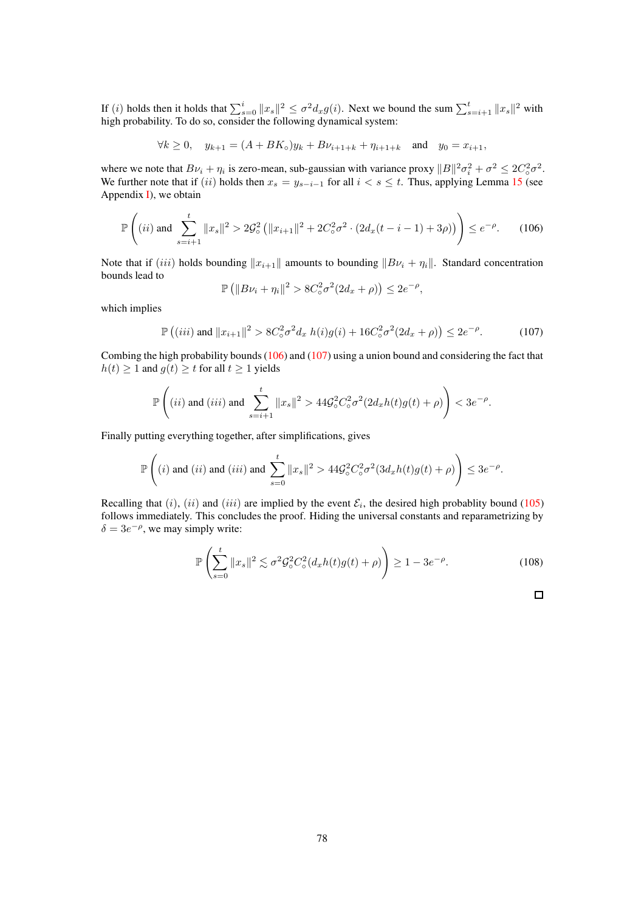If (i) holds then it holds that  $\sum_{s=0}^{i} ||x_s||^2 \le \sigma^2 dx g(i)$ . Next we bound the sum  $\sum_{s=i+1}^{t} ||x_s||^2$  with high probability. To do so, consider the following dynamical system:

$$
\forall k \ge 0, \quad y_{k+1} = (A + BK_{\circ})y_k + B\nu_{i+1+k} + \eta_{i+1+k} \quad \text{and} \quad y_0 = x_{i+1},
$$

where we note that  $Bv_i + \eta_i$  is zero-mean, sub-gaussian with variance proxy  $||B||^2 \sigma_i^2 + \sigma^2 \le 2C_0^2 \sigma^2$ . We further note that if  $(ii)$  holds then  $x_s = y_{s-i-1}$  for all  $i < s \le t$ . Thus, applying Lemma [15](#page-80-1) (see Appendix  $I$ ), we obtain

<span id="page-77-0"></span>
$$
\mathbb{P}\left((ii) \text{ and } \sum_{s=i+1}^{t} \|x_s\|^2 > 2\mathcal{G}_\circ^2 \left(\|x_{i+1}\|^2 + 2C_\circ^2 \sigma^2 \cdot \left(2d_x(t-i-1) + 3\rho\right)\right)\right) \le e^{-\rho}.\tag{106}
$$

Note that if (iii) holds bounding  $||x_{i+1}||$  amounts to bounding  $||Bv_i + \eta_i||$ . Standard concentration bounds lead to

$$
\mathbb{P}\left(\|B\nu_i+\eta_i\|^2>8C_{\circ}^2\sigma^2(2d_x+\rho)\right)\leq 2e^{-\rho},
$$

which implies

<span id="page-77-1"></span>
$$
\mathbb{P}\left((iii) \text{ and } \|x_{i+1}\|^2 > 8C_o^2 \sigma^2 d_x \ h(i)g(i) + 16C_o^2 \sigma^2 (2d_x + \rho)\right) \le 2e^{-\rho}.\tag{107}
$$

Combing the high probability bounds [\(106\)](#page-77-0) and [\(107\)](#page-77-1) using a union bound and considering the fact that  $h(t) \ge 1$  and  $g(t) \ge t$  for all  $t \ge 1$  yields

$$
\mathbb{P}\left( (ii) \text{ and } (iii) \text{ and } \sum_{s=i+1}^t \|x_s\|^2 > 44 \mathcal{G}_\circ^2 C_\circ^2 \sigma^2 (2d_x h(t) g(t) + \rho ) \right) < 3 e^{-\rho}.
$$

Finally putting everything together, after simplifications, gives

$$
\mathbb{P}\left((i) \text{ and } (ii) \text{ and } (iii) \text{ and } \sum_{s=0}^t \|x_s\|^2 > 44\mathcal{G}_\circ^2 C_\circ^2 \sigma^2 (3d_x h(t) g(t) + \rho)\right) \leq 3e^{-\rho}.
$$

Recalling that (i), (ii) and (iii) are implied by the event  $\mathcal{E}_i$ , the desired high probablity bound [\(105\)](#page-76-1) follows immediately. This concludes the proof. Hiding the universal constants and reparametrizing by  $\delta = 3e^{-\rho}$ , we may simply write:

$$
\mathbb{P}\left(\sum_{s=0}^{t} \|x_s\|^2 \lesssim \sigma^2 \mathcal{G}_\circ^2 C_\circ^2 (d_x h(t) g(t) + \rho)\right) \ge 1 - 3e^{-\rho}.\tag{108}
$$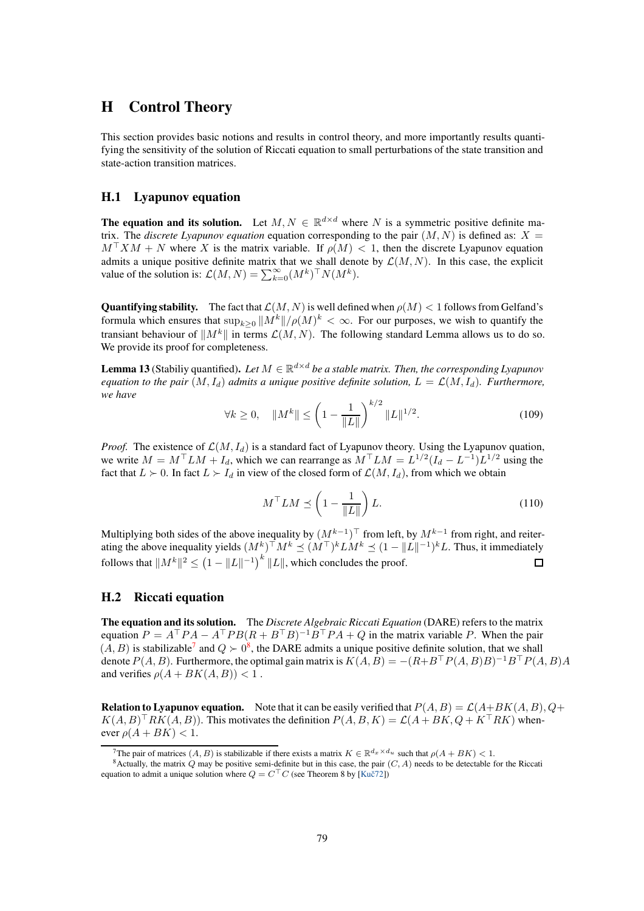## H Control Theory

This section provides basic notions and results in control theory, and more importantly results quantifying the sensitivity of the solution of Riccati equation to small perturbations of the state transition and state-action transition matrices.

## H.1 Lyapunov equation

**The equation and its solution.** Let  $M, N \in \mathbb{R}^{d \times d}$  where N is a symmetric positive definite matrix. The *discrete Lyapunov equation* equation corresponding to the pair  $(M, N)$  is defined as:  $X =$  $M<sup>+</sup>XM + N$  where X is the matrix variable. If  $\rho(M) < 1$ , then the discrete Lyapunov equation admits a unique positive definite matrix that we shall denote by  $\mathcal{L}(M, N)$ . In this case, the explicit value of the solution is:  $\mathcal{L}(M, N) = \sum_{k=0}^{\infty} (M^k)^\top N(M^k)$ .

**Quantifying stability.** The fact that  $\mathcal{L}(M, N)$  is well defined when  $\rho(M) < 1$  follows from Gelfand's formula which ensures that  $\sup_{k\geq 0} ||M^k|| / \rho(M)^k < \infty$ . For our purposes, we wish to quantify the transiant behaviour of  $||M^k||$  in terms  $\mathcal{L}(M, N)$ . The following standard Lemma allows us to do so. We provide its proof for completeness.

<span id="page-78-2"></span>**Lemma 13** (Stabiliy quantified). Let  $M \in \mathbb{R}^{d \times d}$  be a stable matrix. Then, the corresponding Lyapunov *equation to the pair*  $(M, I_d)$  *admits a unique positive definite solution,*  $L = \mathcal{L}(M, I_d)$ *. Furthermore, we have*

$$
\forall k \ge 0, \quad \|M^k\| \le \left(1 - \frac{1}{\|L\|}\right)^{k/2} \|L\|^{1/2}.
$$
 (109)

*Proof.* The existence of  $\mathcal{L}(M, I_d)$  is a standard fact of Lyapunov theory. Using the Lyapunov quation, we write  $M = M^{\top}LM + I_d$ , which we can rearrange as  $M^{\top}LM = L^{1/2}(I_d - L^{-1})L^{1/2}$  using the fact that  $L \succ 0$ . In fact  $L \succ I_d$  in view of the closed form of  $\mathcal{L}(M, I_d)$ , from which we obtain

$$
M^{\top}LM \preceq \left(1 - \frac{1}{\|L\|}\right)L.
$$
\n(110)

Multiplying both sides of the above inequality by  $(M^{k-1})^{\top}$  from left, by  $M^{k-1}$  from right, and reiterating the above inequality yields  $(M^k)^\top M^k \preceq (M^\top)^k LM^k \preceq (1 - ||L||^{-1})^k L$ . Thus, it immediately follows that  $\|M^k\|^2 \leq \left(1-\|L\|^{-1}\right)^k\|L\|$ , which concludes the proof.  $\Box$ 

### H.2 Riccati equation

The equation and its solution. The *Discrete Algebraic Riccati Equation* (DARE) refers to the matrix equation  $P = A^{\top} P A - A^{\top} P B (R + B^{\top} B)^{-1} B^{\top} P A + Q$  in the matrix variable P. When the pair  $(A, B)$  is stabilizable<sup>[7](#page-78-0)</sup> and  $Q \succ 0^8$  $Q \succ 0^8$ , the DARE admits a unique positive definite solution, that we shall denote  $P(A, B)$ . Furthermore, the optimal gain matrix is  $K(A, B) = -(R + B^{\top} P(A, B)B)^{-1} B^{\top} P(A, B)A$ and verifies  $\rho(A + BK(A, B)) < 1$ .

**Relation to Lyapunov equation.** Note that it can be easily verified that  $P(A, B) = \mathcal{L}(A+BK(A, B), Q+\mathcal{L})$  $K(A, B)^{\top} R K(A, B)$ . This motivates the definition  $P(A, B, K) = \mathcal{L}(A + BK, Q + K^{\top} R K)$  whenever  $\rho(A + BK) < 1$ .

<span id="page-78-0"></span><sup>&</sup>lt;sup>7</sup>The pair of matrices  $(A, B)$  is stabilizable if there exists a matrix  $K \in \mathbb{R}^{d_x \times d_u}$  such that  $\rho(A + BK) < 1$ .

<span id="page-78-1"></span> $8$ Actually, the matrix Q may be positive semi-definite but in this case, the pair  $(C, A)$  needs to be detectable for the Riccati equation to admit a unique solution where  $Q = C<sup>T</sup>C$  (see Theorem 8 by [Kuč72])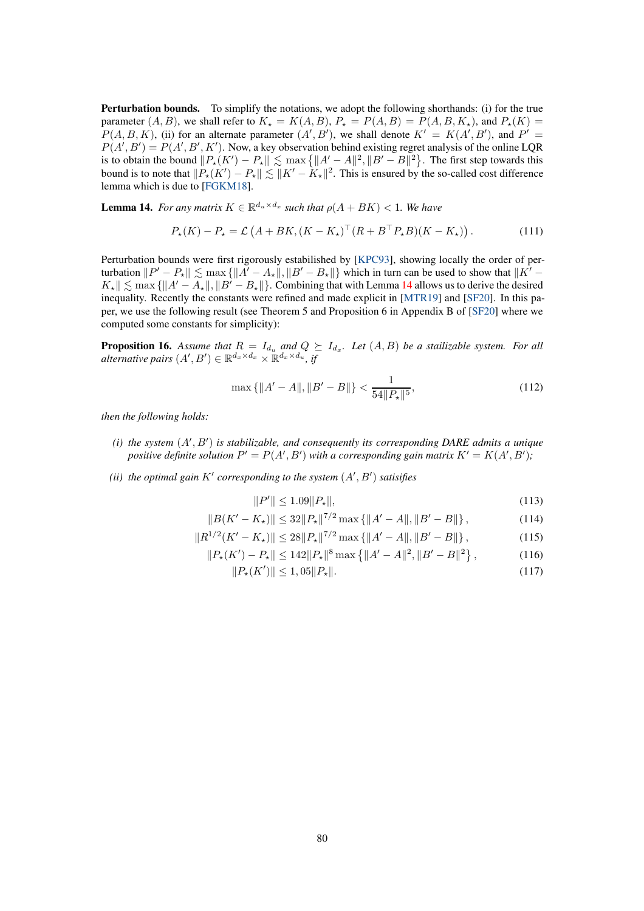Perturbation bounds. To simplify the notations, we adopt the following shorthands: (i) for the true parameter  $(A, B)$ , we shall refer to  $K<sub>\star</sub> = K(A, B)$ ,  $P<sub>\star</sub> = P(A, B) = P(A, B, K<sub>\star</sub>)$ , and  $P<sub>\star</sub>(K) =$  $P(A, B, K)$ , (ii) for an alternate parameter  $(A', B')$ , we shall denote  $K' = K(A', B')$ , and  $P' =$  $P(A', B') = P(A', B', K')$ . Now, a key observation behind existing regret analysis of the online LQR is to obtain the bound  $||P_{\star}(K') - P_{\star}|| \lesssim \max\left\{ ||A' - A||^2, ||B' - B||^2 \right\}$ . The first step towards this bound is to note that  $||P_*(K') - P_*|| \lesssim ||K' - K_*||^2$ . This is ensured by the so-called cost difference lemma which is due to [\[FGKM18\]](#page-10-2).

<span id="page-79-0"></span>**Lemma 14.** *For any matrix*  $K \in \mathbb{R}^{d_u \times d_x}$  *such that*  $\rho(A + BK) < 1$ *. We have* 

$$
P_{\star}(K) - P_{\star} = \mathcal{L}\left(A + BK, (K - K_{\star})^{\top} (R + B^{\top} P_{\star} B)(K - K_{\star})\right). \tag{111}
$$

Perturbation bounds were first rigorously estabilished by [\[KPC93\]](#page-10-3), showing locally the order of perturbation  $||P' - P_*|| \lesssim \max \{||A' - A_*||, ||B' - B_*||\}$  which in turn can be used to show that  $||K' - B_*||$  $K_{\star}$   $\leq$  max { $\|A' - A_{\star}\|$ ,  $\|B' - B_{\star}\|$ }. Combining that with Lemma [14](#page-79-0) allows us to derive the desired inequality. Recently the constants were refined and made explicit in [\[MTR19\]](#page-11-0) and [\[SF20\]](#page-11-1). In this paper, we use the following result (see Theorem 5 and Proposition 6 in Appendix B of [\[SF20\]](#page-11-1) where we computed some constants for simplicity):

**Proposition 16.** Assume that  $R = I_{d_u}$  and  $Q \succeq I_{d_x}$ . Let  $(A, B)$  be a stailizable system. For all  $\mathit{alternative~pairs}~(A',B') \in \mathbb{R}^{d_x \times d_x} \times \mathbb{R}^{d_x \times d_u}, \mathit{if}$ 

$$
\max\left\{\|A'-A\|,\|B'-B\|\right\} < \frac{1}{54\|P_\star\|^5},\tag{112}
$$

*then the following holds:*

- *(i) the system* (A′ , B′ ) *is stabilizable, and consequently its corresponding DARE admits a unique positive definite solution*  $P' = P(A', B')$  *with a corresponding gain matrix*  $K' = K(A', B')$ ;
- *(ii) the optimal gain* K′ *corresponding to the system* (A′ , B′ ) *satisifies*

$$
||P'|| \le 1.09||P_{\star}||,\tag{113}
$$

$$
||B(K'-K_{\star})|| \leq 32||P_{\star}||^{7/2} \max\left\{||A'-A||, ||B'-B||\right\},\tag{114}
$$

$$
||R^{1/2}(K'-K_{\star})|| \le 28||P_{\star}||^{7/2}\max\left\{||A'-A||, ||B'-B||\right\},\tag{115}
$$

$$
||P_{\star}(K') - P_{\star}|| \le 142 ||P_{\star}||^{8} \max \{||A' - A||^{2}, ||B' - B||^{2}\},
$$
 (116)

$$
||P_{\star}(K')|| \le 1,05||P_{\star}||. \tag{117}
$$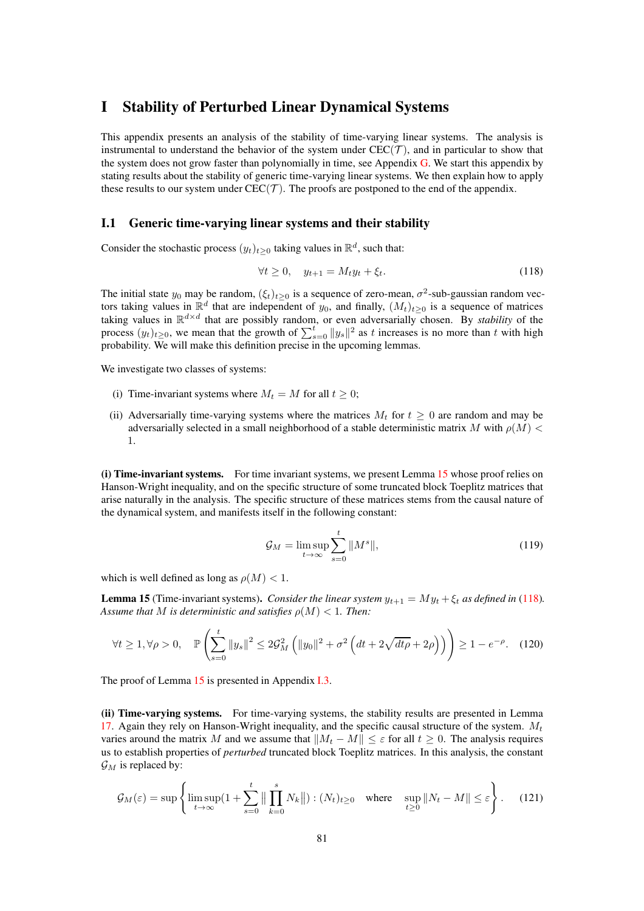## <span id="page-80-0"></span>I Stability of Perturbed Linear Dynamical Systems

This appendix presents an analysis of the stability of time-varying linear systems. The analysis is instrumental to understand the behavior of the system under  $CEC(\mathcal{T})$ , and in particular to show that the system does not grow faster than polynomially in time, see Appendix  $\overline{G}$ . We start this appendix by stating results about the stability of generic time-varying linear systems. We then explain how to apply these results to our system under  $\text{CEC}(\mathcal{T})$ . The proofs are postponed to the end of the appendix.

### I.1 Generic time-varying linear systems and their stability

Consider the stochastic process  $(y_t)_{t\geq 0}$  taking values in  $\mathbb{R}^d$ , such that:

<span id="page-80-2"></span>
$$
\forall t \ge 0, \quad y_{t+1} = M_t y_t + \xi_t. \tag{118}
$$

The initial state  $y_0$  may be random,  $(\xi_t)_{t\geq 0}$  is a sequence of zero-mean,  $\sigma^2$ -sub-gaussian random vectors taking values in  $\mathbb{R}^d$  that are independent of  $y_0$ , and finally,  $(M_t)_{t\geq0}$  is a sequence of matrices taking values in  $\mathbb{R}^{d \times d}$  that are possibly random, or even adversarially chosen. By *stability* of the process  $(y_t)_{t\geq 0}$ , we mean that the growth of  $\sum_{s=0}^{t} ||y_s||^2$  as t increases is no more than t with high probability. We will make this definition precise in the upcoming lemmas.

We investigate two classes of systems:

- (i) Time-invariant systems where  $M_t = M$  for all  $t \geq 0$ ;
- (ii) Adversarially time-varying systems where the matrices  $M_t$  for  $t \geq 0$  are random and may be adversarially selected in a small neighborhood of a stable deterministic matrix M with  $\rho(M)$  < 1.

(i) Time-invariant systems. For time invariant systems, we present Lemma [15](#page-80-1) whose proof relies on Hanson-Wright inequality, and on the specific structure of some truncated block Toeplitz matrices that arise naturally in the analysis. The specific structure of these matrices stems from the causal nature of the dynamical system, and manifests itself in the following constant:

<span id="page-80-3"></span>
$$
\mathcal{G}_M = \limsup_{t \to \infty} \sum_{s=0}^t \|M^s\|,\tag{119}
$$

which is well defined as long as  $\rho(M) < 1$ .

<span id="page-80-1"></span>**Lemma 15** (Time-invariant systems). *Consider the linear system*  $y_{t+1} = M y_t + \xi_t$  *as defined in* [\(118\)](#page-80-2)*. Assume that* M *is deterministic and satisfies*  $\rho(M) < 1$ *. Then:* 

$$
\forall t \ge 1, \forall \rho > 0, \quad \mathbb{P}\left(\sum_{s=0}^{t} \|y_s\|^2 \le 2\mathcal{G}_M^2 \left(\|y_0\|^2 + \sigma^2 \left(dt + 2\sqrt{dt\rho} + 2\rho\right)\right)\right) \ge 1 - e^{-\rho}.\tag{120}
$$

The proof of Lemma [15](#page-80-1) is presented in Appendix [I.3.](#page-83-0)

(ii) Time-varying systems. For time-varying systems, the stability results are presented in Lemma [17.](#page-81-0) Again they rely on Hanson-Wright inequality, and the specific causal structure of the system.  $M_t$ varies around the matrix M and we assume that  $||M_t - M|| \leq \varepsilon$  for all  $t \geq 0$ . The analysis requires us to establish properties of *perturbed* truncated block Toeplitz matrices. In this analysis, the constant  $\mathcal{G}_M$  is replaced by:

<span id="page-80-4"></span>
$$
\mathcal{G}_M(\varepsilon) = \sup \left\{ \limsup_{t \to \infty} \left( 1 + \sum_{s=0}^t \left\| \prod_{k=0}^s N_k \right\| \right) : (N_t)_{t \ge 0} \quad \text{where} \quad \sup_{t \ge 0} \| N_t - M \| \le \varepsilon \right\}.
$$
 (121)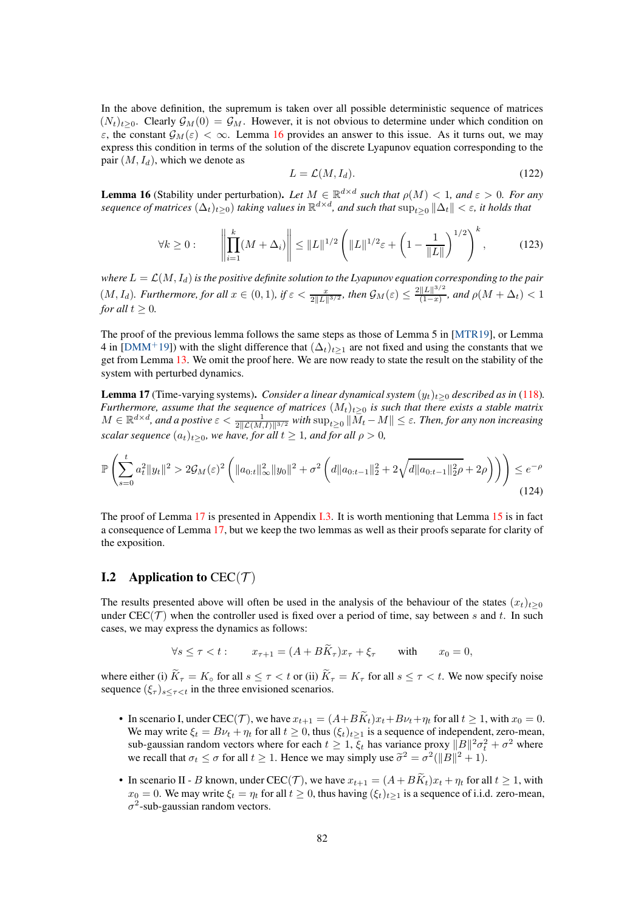In the above definition, the supremum is taken over all possible deterministic sequence of matrices  $(N_t)_{t\geq0}$ . Clearly  $\mathcal{G}_M(0) = \mathcal{G}_M$ . However, it is not obvious to determine under which condition on ε, the constant  $\mathcal{G}_M(\varepsilon) < \infty$ . Lemma [16](#page-81-1) provides an answer to this issue. As it turns out, we may express this condition in terms of the solution of the discrete Lyapunov equation corresponding to the pair  $(M, I_d)$ , which we denote as

$$
L = \mathcal{L}(M, I_d). \tag{122}
$$

<span id="page-81-1"></span>**Lemma 16** (Stability under perturbation). Let  $M \in \mathbb{R}^{d \times d}$  such that  $\rho(M) < 1$ , and  $\varepsilon > 0$ . For any  $s$ equence of matrices  $(\Delta_t)_{t\geq 0}$ ) taking values in  $\R^{d\times d}$ , and such that  $\sup_{t\geq 0} \|\Delta_t\|<\varepsilon$ , it holds that

$$
\forall k \ge 0: \qquad \left\| \prod_{i=1}^{k} (M + \Delta_i) \right\| \le \|L\|^{1/2} \left( \|L\|^{1/2} \varepsilon + \left( 1 - \frac{1}{\|L\|} \right)^{1/2} \right)^k, \tag{123}
$$

*where*  $L = \mathcal{L}(M, I_d)$  *is the positive definite solution to the Lyapunov equation corresponding to the pair*  $(M, I_d)$ *. Furthermore, for all*  $x \in (0, 1)$ *, if*  $\varepsilon < \frac{x}{2||L||^{3/2}}$ *, then*  $\mathcal{G}_M(\varepsilon) \le \frac{2||L||^{3/2}}{(1-x)}$  $\frac{||L||^{-\gamma}}{(1-x)}$ , and  $\rho(M + \Delta_t) < 1$ *for all*  $t \geq 0$ *.* 

The proof of the previous lemma follows the same steps as those of Lemma 5 in [\[MTR19\]](#page-11-0), or Lemma 4 in [\[DMM](#page-10-4)<sup>+</sup>19]) with the slight difference that  $(\Delta_t)_{t\geq 1}$  are not fixed and using the constants that we get from Lemma [13.](#page-78-2) We omit the proof here. We are now ready to state the result on the stability of the system with perturbed dynamics.

<span id="page-81-0"></span>**Lemma 17** (Time-varying systems). *Consider a linear dynamical system*  $(y_t)_{t>0}$  *described as in* [\(118\)](#page-80-2)*. Furthermore, assume that the sequence of matrices*  $(M_t)_{t>0}$  *is such that there exists a stable matrix*  $M \in \mathbb{R}^{d \times d}$ , and a postive  $\varepsilon < \frac{1}{2\|\mathcal{L}(M,I)\|^{3/2}}$  with  $\sup_{t≥0} \|\overline{M}_t - M\| \leq \varepsilon$ . Then, for any non increasing *scalar sequence*  $(a_t)_{t>0}$ *, we have, for all*  $t \geq 1$ *, and for all*  $\rho > 0$ *,* 

$$
\mathbb{P}\left(\sum_{s=0}^{t} a_t^2 \|y_t\|^2 > 2\mathcal{G}_M(\varepsilon)^2 \left(\|a_{0:t}\|_{\infty}^2 \|y_0\|^2 + \sigma^2 \left(d\|a_{0:t-1}\|_2^2 + 2\sqrt{d\|a_{0:t-1}\|_2^2\rho} + 2\rho\right)\right)\right) \le e^{-\rho}
$$
\n(124)

The proof of Lemma [17](#page-81-0) is presented in Appendix [I.3.](#page-83-0) It is worth mentioning that Lemma [15](#page-80-1) is in fact a consequence of Lemma [17,](#page-81-0) but we keep the two lemmas as well as their proofs separate for clarity of the exposition.

## **I.2** Application to  $CEC(\mathcal{T})$

The results presented above will often be used in the analysis of the behaviour of the states  $(x_t)_{t\geq0}$ under  $CEC(\mathcal{T})$  when the controller used is fixed over a period of time, say between s and t. In such cases, we may express the dynamics as follows:

$$
\forall s \leq \tau < t: \qquad x_{\tau+1} = (A + B\tilde{K}_{\tau})x_{\tau} + \xi_{\tau} \qquad \text{with} \qquad x_0 = 0,
$$

where either (i)  $\widetilde{K}_{\tau} = K_{\circ}$  for all  $s \leq \tau < t$  or (ii)  $\widetilde{K}_{\tau} = K_{\tau}$  for all  $s \leq \tau < t$ . We now specify noise sequence  $(\xi_{\tau})_{s\leq \tau \leq t}$  in the three envisioned scenarios.

- In scenario I, under CEC(T), we have  $x_{t+1} = (A + B\widetilde{K}_t)x_t + B\nu_t + \eta_t$  for all  $t \ge 1$ , with  $x_0 = 0$ . We may write  $\xi_t = Bv_t + \eta_t$  for all  $t \ge 0$ , thus  $(\xi_t)_{t \ge 1}$  is a sequence of independent, zero-mean, sub-gaussian random vectors where for each  $t \geq 1$ ,  $\xi_t$  has variance proxy  $||B||^2 \sigma_t^2 + \sigma^2$  where we recall that  $\sigma_t \leq \sigma$  for all  $t \geq 1$ . Hence we may simply use  $\tilde{\sigma}^2 = \sigma^2(||B||^2 + 1)$ .
- In scenario II B known, under CEC(T), we have  $x_{t+1} = (A + B\widetilde{K}_t)x_t + \eta_t$  for all  $t \ge 1$ , with  $x_0 = 0$ . We may write  $\xi_t = \eta_t$  for all  $t \ge 0$ , thus having  $(\xi_t)_{t>1}$  is a sequence of i.i.d. zero-mean,  $\sigma^2$ -sub-gaussian random vectors.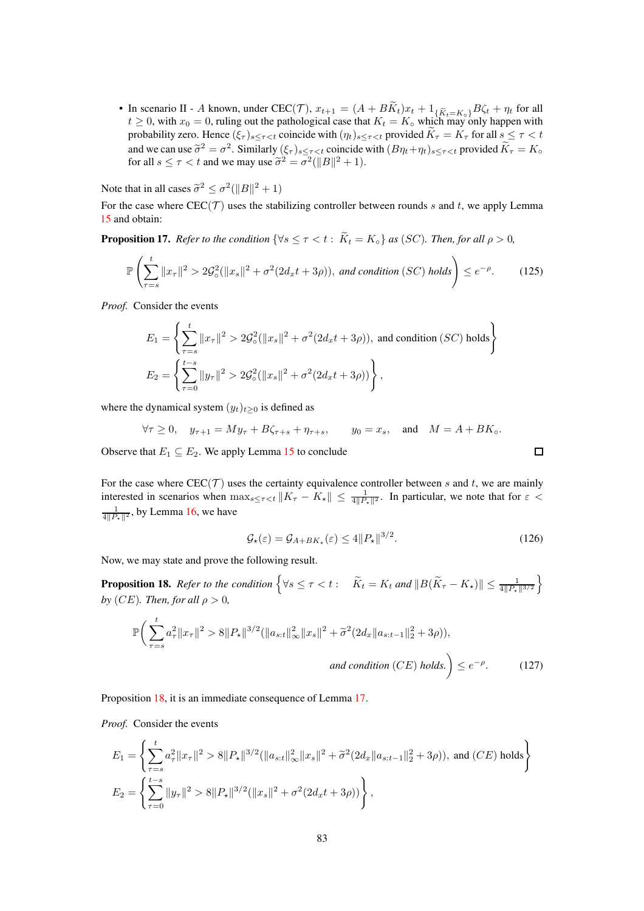• In scenario II - A known, under  $\text{CEC}(\mathcal{T})$ ,  $x_{t+1} = (A + BK_t)x_t + 1_{\{\tilde{K}_t = K_o\}}B\zeta_t + \eta_t$  for all  $t \ge 0$ , with  $x_0 = 0$ , ruling out the pathological case that  $K_t = K_\circ$  which may only happen with probability zero. Hence  $(\xi_{\tau})_{s\leq \tau < t}$  coincide with  $(\eta_t)_{s\leq \tau < t}$  provided  $K_{\tau} = K_{\tau}$  for all  $s \leq \tau < t$ and we can use  $\tilde{\sigma}^2 = \sigma^2$ . Similarly  $(\xi_\tau)_{s \leq \tau < t}$  coincide with  $(B\eta_t + \eta_t)_{s \leq \tau < t}$  provided  $K_\tau = K_\circ$ for all  $s \leq \tau < t$  and we may use  $\tilde{\sigma}^2 = \sigma^2(||B||^2 + 1)$ .

Note that in all cases  $\tilde{\sigma}^2 \leq \sigma^2(||B||^2 + 1)$ 

For the case where  $CEC(\mathcal{T})$  uses the stabilizing controller between rounds s and t, we apply Lemma [15](#page-80-1) and obtain:

**Proposition 17.** *Refer to the condition*  $\{ \forall s \leq \tau < t : \tilde{K}_t = K_\circ \}$  *as* (*SC*)*. Then, for all*  $\rho > 0$ *,* 

$$
\mathbb{P}\left(\sum_{\tau=s}^{t}||x_{\tau}||^{2} > 2\mathcal{G}_{\circ}^{2}(\|x_{s}\|^{2} + \sigma^{2}(2d_{x}t + 3\rho)), \text{ and condition (SC) holds}\right) \leq e^{-\rho}.
$$
 (125)

*Proof.* Consider the events

$$
E_1 = \left\{ \sum_{\tau=s}^t \|x_\tau\|^2 > 2\mathcal{G}_\circ^2 (\|x_s\|^2 + \sigma^2 (2d_x t + 3\rho)), \text{ and condition } (SC) \text{ holds} \right\}
$$
  

$$
E_2 = \left\{ \sum_{\tau=0}^{t-s} \|y_\tau\|^2 > 2\mathcal{G}_\circ^2 (\|x_s\|^2 + \sigma^2 (2d_x t + 3\rho)) \right\},
$$

where the dynamical system  $(y_t)_{t>0}$  is defined as

$$
\forall \tau \ge 0, \quad y_{\tau+1} = My_{\tau} + B\zeta_{\tau+s} + \eta_{\tau+s}, \qquad y_0 = x_s, \quad \text{and} \quad M = A + BK_{\circ}.
$$

Observe that  $E_1 \subseteq E_2$ . We apply Lemma [15](#page-80-1) to conclude

For the case where  $CEC(\mathcal{T})$  uses the certainty equivalence controller between s and t, we are mainly interested in scenarios when  $\max_{s \leq \tau < t} \|K_\tau - K_\star\| \leq \frac{1}{4\|\mathcal{P}_\star\|^2}$ . In particular, we note that for  $\varepsilon$  $\frac{1}{4||P_\star||^2}$ , by Lemma [16,](#page-81-1) we have

$$
\mathcal{G}_{\star}(\varepsilon) = \mathcal{G}_{A+BK_{\star}}(\varepsilon) \le 4 \|P_{\star}\|^{3/2}.
$$
 (126)

口

Now, we may state and prove the following result.

<span id="page-82-0"></span>**Proposition 18.** Refer to the condition  $\left\{\forall s \leq \tau < t : \quad \widetilde{K}_t = K_t \text{ and } ||B(\widetilde{K}_{\tau} - K_{\star})|| \leq \frac{1}{4||P_{\star}||^{3/2}}\right\}$  $\mathcal{L}$ *by* (*CE*)*. Then, for all*  $\rho > 0$ *,* 

$$
\mathbb{P}\bigg(\sum_{\tau=s}^{t} a_{\tau}^{2} \|x_{\tau}\|^{2} > 8\|P_{\star}\|^{3/2} (\|a_{s:t}\|_{\infty}^{2} \|x_{s}\|^{2} + \tilde{\sigma}^{2} (2d_{x} \|a_{s:t-1}\|_{2}^{2} + 3\rho)),
$$
  
and condition (CE) holds.  $\bigg) \leq e^{-\rho}.$  (127)

Proposition [18,](#page-82-0) it is an immediate consequence of Lemma [17.](#page-81-0)

*Proof.* Consider the events

$$
E_1 = \left\{ \sum_{\tau=s}^{t} a_{\tau}^2 \|x_{\tau}\|^2 > 8 \|P_{\star}\|^{3/2} (\|a_{s:t}\|_{\infty}^2 \|x_{s}\|^2 + \tilde{\sigma}^2 (2d_x \|a_{s:t-1}\|_2^2 + 3\rho)), \text{ and } (CE) \text{ holds} \right\}
$$
  

$$
E_2 = \left\{ \sum_{\tau=0}^{t-s} \|y_{\tau}\|^2 > 8 \|P_{\star}\|^{3/2} (\|x_{s}\|^2 + \sigma^2 (2d_x t + 3\rho)) \right\},
$$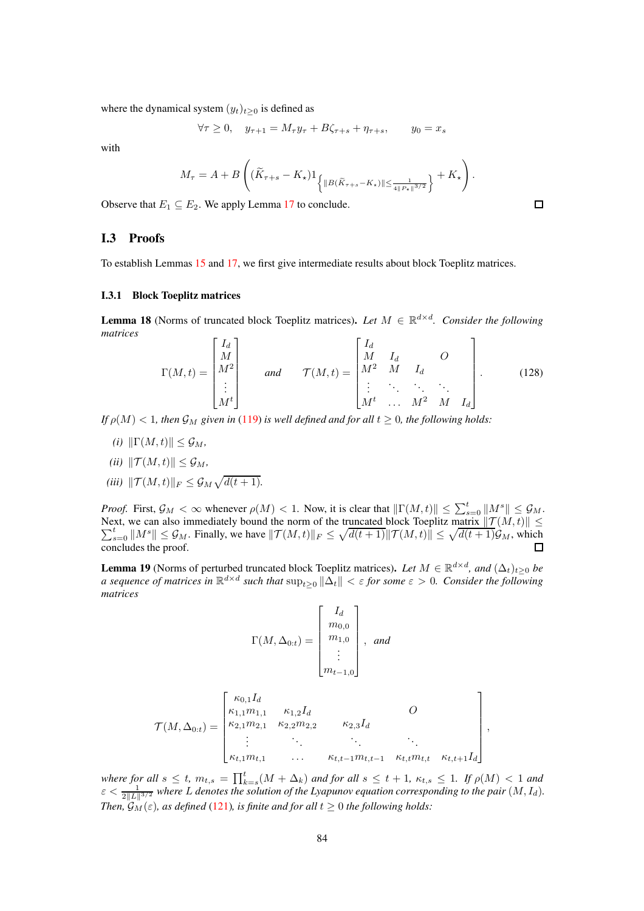where the dynamical system  $(y_t)_{t\geq 0}$  is defined as

$$
\forall \tau \ge 0, \quad y_{\tau+1} = M_{\tau} y_{\tau} + B \zeta_{\tau+s} + \eta_{\tau+s}, \qquad y_0 = x_s
$$

with

$$
M_\tau = A + B\left((\widetilde{K}_{\tau+s} - K_\star) 1_{\left\{\|B(\widetilde{K}_{\tau+s} - K_\star)\| \leq \frac{1}{4\|P_\star\|^{{3}/{2}}}\right\}} + K_\star\right).
$$

<span id="page-83-0"></span>Observe that  $E_1 \subseteq E_2$ . We apply Lemma [17](#page-81-0) to conclude.

#### I.3 Proofs

To establish Lemmas [15](#page-80-1) and [17,](#page-81-0) we first give intermediate results about block Toeplitz matrices.

#### I.3.1 Block Toeplitz matrices

<span id="page-83-1"></span>**Lemma 18** (Norms of truncated block Toeplitz matrices). Let  $M \in \mathbb{R}^{d \times d}$ . Consider the following *matrices*

$$
\Gamma(M,t) = \begin{bmatrix} I_d \\ M \\ M^2 \\ \vdots \\ M^t \end{bmatrix} \quad \text{and} \quad \mathcal{T}(M,t) = \begin{bmatrix} I_d & & & & \\ M & I_d & & & \\ M^2 & M & I_d & & \\ \vdots & \ddots & \ddots & \ddots & \\ M^t & \dots & M^2 & M & I_d \end{bmatrix} . \tag{128}
$$

*If*  $\rho(M) < 1$ , then  $\mathcal{G}_M$  given in [\(119\)](#page-80-3) is well defined and for all  $t \geq 0$ , the following holds:

- $(i)$   $\|\Gamma(M, t)\| \leq \mathcal{G}_M$ *,*
- *(ii)*  $\|\mathcal{T}(M, t)\| \leq \mathcal{G}_M$ *,*
- *(iii)*  $||\mathcal{T}(M, t)||_F \leq \mathcal{G}_M \sqrt{d(t + 1)}$ .

*Proof.* First,  $\mathcal{G}_M < \infty$  whenever  $\rho(M) < 1$ . Now, it is clear that  $\|\Gamma(M, t)\| \le \sum_{s=0}^t \|\underline{M}^s\| \le \mathcal{G}_M$ . Next, we can also immediately bound the norm of the truncated Next, we can also immediately bound the norm of the truncated block Toeplitz matrix  $||\mathcal{T}(M, t)|| \le \sum_{s=0}^{t} ||M^s|| \le \mathcal{G}_M$ . Finally, we have  $||\mathcal{T}(M, t)||_F \le \sqrt{d(t+1)} ||\mathcal{T}(M, t)|| \le \sqrt{d(t+1)}\mathcal{G}_M$ , which concludes the proof.

<span id="page-83-2"></span>**Lemma 19** (Norms of perturbed truncated block Toeplitz matrices). Let  $M \in \mathbb{R}^{d \times d}$ , and  $(\Delta_t)_{t \geq 0}$  be *a* sequence of matrices in  $\mathbb{R}^{d \times d}$  such that  $\sup_{t\geq 0} \|\Delta_t\| < \varepsilon$  for some  $\varepsilon > 0$ . Consider the following *matrices*

$$
\Gamma(M, \Delta_{0:t}) = \begin{bmatrix} I_d \\ m_{0,0} \\ m_{1,0} \\ \vdots \\ m_{t-1,0} \end{bmatrix}, \text{ and}
$$

$$
\mathcal{T}(M, \Delta_{0:t}) = \begin{bmatrix} \kappa_{0,1} I_d & & & & \\ \kappa_{1,1} m_{1,1} & \kappa_{1,2} I_d & & & \\ \kappa_{2,1} m_{2,1} & \kappa_{2,2} m_{2,2} & \kappa_{2,3} I_d & & \\ \vdots & \vdots & \ddots & \vdots & \vdots & \\ \kappa_{t,1} m_{t,1} & \ldots & \kappa_{t,t-1} m_{t,t-1} & \kappa_{t,t} m_{t,t} & \kappa_{t,t+1} I_d \end{bmatrix}
$$

*where for all*  $s \leq t$ ,  $m_{t,s} = \prod_{k=s}^{t} (M + \Delta_k)$  *and for all*  $s \leq t+1$ ,  $\kappa_{t,s} \leq 1$ . If  $\rho(M) < 1$  and  $\varepsilon < \frac{1}{2\|L\|^{3/2}}$  where L denotes the solution of the Lyapunov equation corresponding to the pair  $(M, I_d)$ . *Then,*  $\mathcal{G}_M(\varepsilon)$ *, as defined* [\(121\)](#page-80-4)*, is finite and for all*  $t \geq 0$  *the following holds:* 

 $\Box$ 

,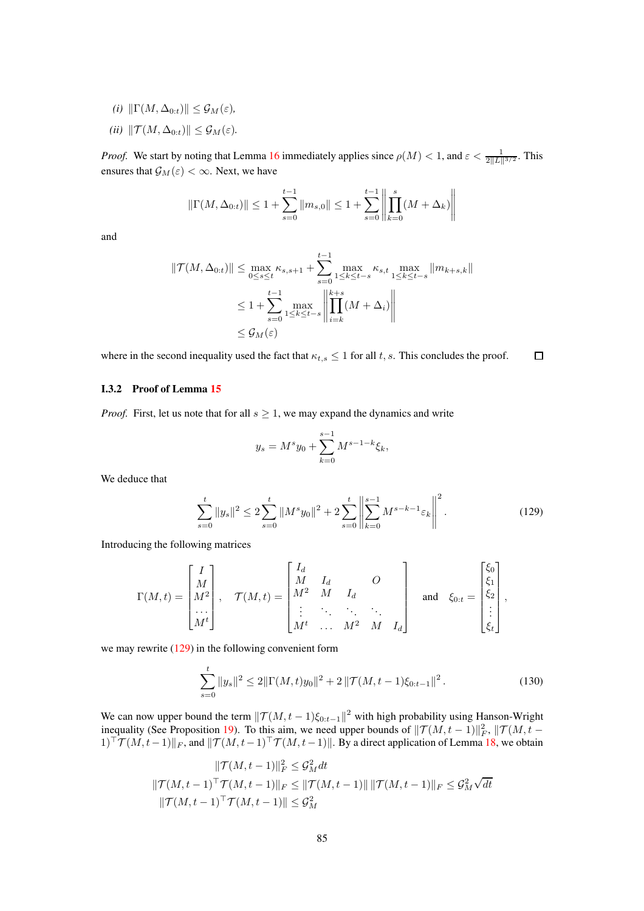- *(i)*  $\|\Gamma(M, \Delta_{0:t})\| \leq \mathcal{G}_M(\varepsilon)$ *,*
- *(ii)*  $\|\mathcal{T}(M, \Delta_{0:t})\| \leq \mathcal{G}_M(\varepsilon)$ .

*Proof.* We start by noting that Lemma [16](#page-81-1) immediately applies since  $\rho(M) < 1$ , and  $\varepsilon < \frac{1}{2||L||^{3/2}}$ . This ensures that  $\mathcal{G}_M(\varepsilon) < \infty$ . Next, we have

$$
\|\Gamma(M, \Delta_{0:t})\| \le 1 + \sum_{s=0}^{t-1} \|m_{s,0}\| \le 1 + \sum_{s=0}^{t-1} \left\| \prod_{k=0}^s (M + \Delta_k) \right\|
$$

and

$$
\|\mathcal{T}(M,\Delta_{0:t})\| \le \max_{0 \le s \le t} \kappa_{s,s+1} + \sum_{s=0}^{t-1} \max_{1 \le k \le t-s} \kappa_{s,t} \max_{1 \le k \le t-s} \|m_{k+s,k}\|
$$
  

$$
\le 1 + \sum_{s=0}^{t-1} \max_{1 \le k \le t-s} \left\| \prod_{i=k}^{k+s} (M+\Delta_i) \right\|
$$
  

$$
\le \mathcal{G}_M(\varepsilon)
$$

where in the second inequality used the fact that  $\kappa_{t,s} \leq 1$  for all t, s. This concludes the proof.  $\Box$ 

#### I.3.2 Proof of Lemma [15](#page-80-1)

*Proof.* First, let us note that for all  $s \geq 1$ , we may expand the dynamics and write

<span id="page-84-0"></span>
$$
y_s = M^s y_0 + \sum_{k=0}^{s-1} M^{s-1-k} \xi_k,
$$

We deduce that

$$
\sum_{s=0}^{t} \|y_s\|^2 \le 2 \sum_{s=0}^{t} \|M^s y_0\|^2 + 2 \sum_{s=0}^{t} \left\| \sum_{k=0}^{s-1} M^{s-k-1} \varepsilon_k \right\|^2.
$$
 (129)

Introducing the following matrices

$$
\Gamma(M,t) = \begin{bmatrix} I \\ M \\ M^2 \\ \cdots \\ M^t \end{bmatrix}, \quad \mathcal{T}(M,t) = \begin{bmatrix} I_d & & & & \\ M & I_d & & & \\ M^2 & M & I_d & & \\ \vdots & \ddots & \ddots & \ddots \\ M^t & \cdots & M^2 & M & I_d \end{bmatrix} \quad \text{and} \quad \xi_{0:t} = \begin{bmatrix} \xi_0 \\ \xi_1 \\ \xi_2 \\ \vdots \\ \xi_t \end{bmatrix},
$$

we may rewrite [\(129\)](#page-84-0) in the following convenient form

<span id="page-84-1"></span>
$$
\sum_{s=0}^{t} \|y_s\|^2 \le 2\|\Gamma(M,t)y_0\|^2 + 2\|\mathcal{T}(M,t-1)\xi_{0:t-1}\|^2.
$$
 (130)

We can now upper bound the term  $||\mathcal{T}(M, t-1)\xi_{0:t-1}||^2$  with high probability using Hanson-Wright inequality (See Proposition [19\)](#page-87-3). To this aim, we need upper bounds of  $||\mathcal{T}(M, t-1)||_F^2$ ,  $||\mathcal{T}(M, t-1)||_F^2$  $1$ )<sup>⊤</sup> $\mathcal{T}(M, t-1)\Vert_F$ , and  $\Vert \mathcal{T}(M, t-1)^\top \mathcal{T}(M, t-1)\Vert$ . By a direct application of Lemma [18,](#page-83-1) we obtain

$$
\|\mathcal{T}(M,t-1)\|_{F}^{2} \leq \mathcal{G}_{M}^{2} dt
$$
  

$$
\|\mathcal{T}(M,t-1)^{\top} \mathcal{T}(M,t-1)\|_{F} \leq \|\mathcal{T}(M,t-1)\| \|\mathcal{T}(M,t-1)\|_{F} \leq \mathcal{G}_{M}^{2} \sqrt{dt}
$$
  

$$
\|\mathcal{T}(M,t-1)^{\top} \mathcal{T}(M,t-1)\| \leq \mathcal{G}_{M}^{2}
$$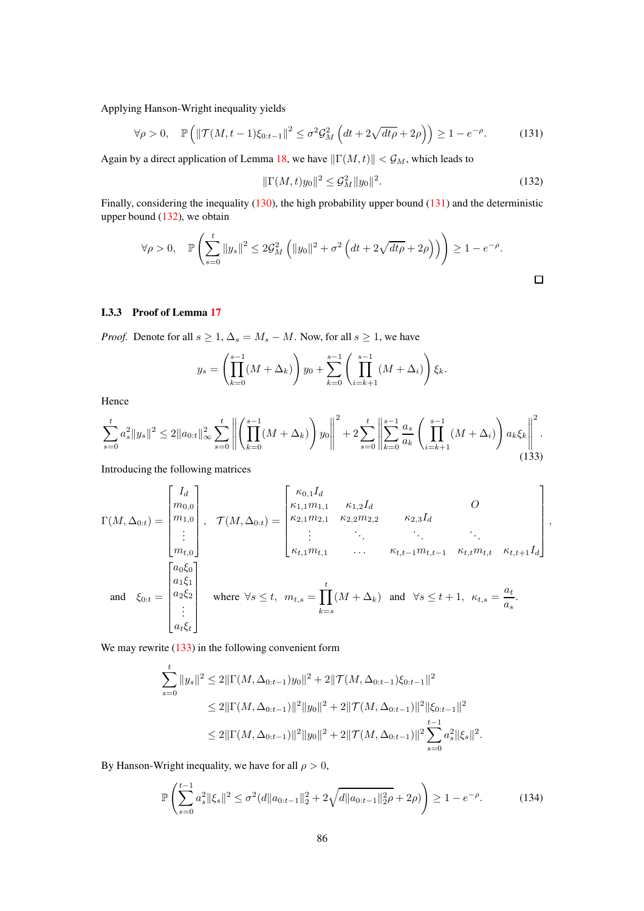Applying Hanson-Wright inequality yields

<span id="page-85-0"></span>
$$
\forall \rho > 0, \quad \mathbb{P}\left(\|\mathcal{T}(M, t-1)\xi_{0:t-1}\|^2 \le \sigma^2 \mathcal{G}_M^2 \left(dt + 2\sqrt{dt\rho} + 2\rho\right)\right) \ge 1 - e^{-\rho}.\tag{131}
$$

Again by a direct application of Lemma [18,](#page-83-1) we have  $\|\Gamma(M, t)\| < \mathcal{G}_M$ , which leads to

<span id="page-85-1"></span>
$$
\|\Gamma(M,t)y_0\|^2 \le \mathcal{G}_M^2 \|y_0\|^2. \tag{132}
$$

Finally, considering the inequality [\(130\)](#page-84-1), the high probability upper bound [\(131\)](#page-85-0) and the deterministic upper bound [\(132\)](#page-85-1), we obtain

$$
\forall \rho > 0, \quad \mathbb{P}\left(\sum_{s=0}^{t} ||y_s||^2 \le 2\mathcal{G}_M^2 \left(||y_0||^2 + \sigma^2 \left(dt + 2\sqrt{dt\rho} + 2\rho\right)\right)\right) \ge 1 - e^{-\rho}.
$$

#### I.3.3 Proof of Lemma [17](#page-81-0)

*Proof.* Denote for all  $s \geq 1$ ,  $\Delta_s = M_s - M$ . Now, for all  $s \geq 1$ , we have

$$
y_s = \left(\prod_{k=0}^{s-1} (M + \Delta_k)\right) y_0 + \sum_{k=0}^{s-1} \left(\prod_{i=k+1}^{s-1} (M + \Delta_i)\right) \xi_k.
$$

Hence

<span id="page-85-2"></span>
$$
\sum_{s=0}^{t} a_s^2 \|y_s\|^2 \le 2\|a_{0:t}\|_{\infty}^2 \sum_{s=0}^t \left\| \left( \prod_{k=0}^{s-1} (M + \Delta_k) \right) y_0 \right\|^2 + 2 \sum_{s=0}^t \left\| \sum_{k=0}^{s-1} \frac{a_s}{a_k} \left( \prod_{i=k+1}^{s-1} (M + \Delta_i) \right) a_k \xi_k \right\|^2.
$$
\n(133)

Introducing the following matrices

$$
\Gamma(M, \Delta_{0:t}) = \begin{bmatrix} I_d \\ m_{0,0} \\ m_{1,0} \\ \vdots \\ m_{t,0} \end{bmatrix}, \quad \mathcal{T}(M, \Delta_{0:t}) = \begin{bmatrix} \kappa_{0,1} I_d & & & & \\ \kappa_{1,1} m_{1,1} & \kappa_{1,2} I_d & & & & \\ \kappa_{2,1} m_{2,1} & \kappa_{2,2} m_{2,2} & \kappa_{2,3} I_d & & & \\ \vdots & \vdots & \ddots & \vdots & \ddots & \vdots \\ \kappa_{t,1} m_{t,1} & \cdots & \kappa_{t,t-1} m_{t,t-1} & \kappa_{t,t} m_{t,t} & \kappa_{t,t+1} I_d \end{bmatrix},
$$
\nand\n
$$
\xi_{0:t} = \begin{bmatrix} a_0 \xi_0 \\ a_1 \xi_1 \\ a_2 \xi_2 \\ \vdots \\ a_t \xi_t \end{bmatrix} \quad \text{where } \forall s \le t, \quad m_{t,s} = \prod_{k=s}^t (M + \Delta_k) \quad \text{and} \quad \forall s \le t+1, \quad \kappa_{t,s} = \frac{a_t}{a_s}.
$$

We may rewrite  $(133)$  in the following convenient form

$$
\sum_{s=0}^{t} \|y_s\|^2 \le 2\|\Gamma(M, \Delta_{0:t-1})y_0\|^2 + 2\|\mathcal{T}(M, \Delta_{0:t-1})\xi_{0:t-1}\|^2
$$
  

$$
\le 2\|\Gamma(M, \Delta_{0:t-1})\|^2\|y_0\|^2 + 2\|\mathcal{T}(M, \Delta_{0:t-1})\|^2\|\xi_{0:t-1}\|^2
$$
  

$$
\le 2\|\Gamma(M, \Delta_{0:t-1})\|^2\|y_0\|^2 + 2\|\mathcal{T}(M, \Delta_{0:t-1})\|^2\sum_{s=0}^{t-1} a_s^2\|\xi_s\|^2.
$$

By Hanson-Wright inequality, we have for all  $\rho > 0$ ,

$$
\mathbb{P}\left(\sum_{s=0}^{t-1} a_s^2 \|\xi_s\|^2 \le \sigma^2(d\|a_{0:t-1}\|_2^2 + 2\sqrt{d\|a_{0:t-1}\|_2^2\rho} + 2\rho)\right) \ge 1 - e^{-\rho}.\tag{134}
$$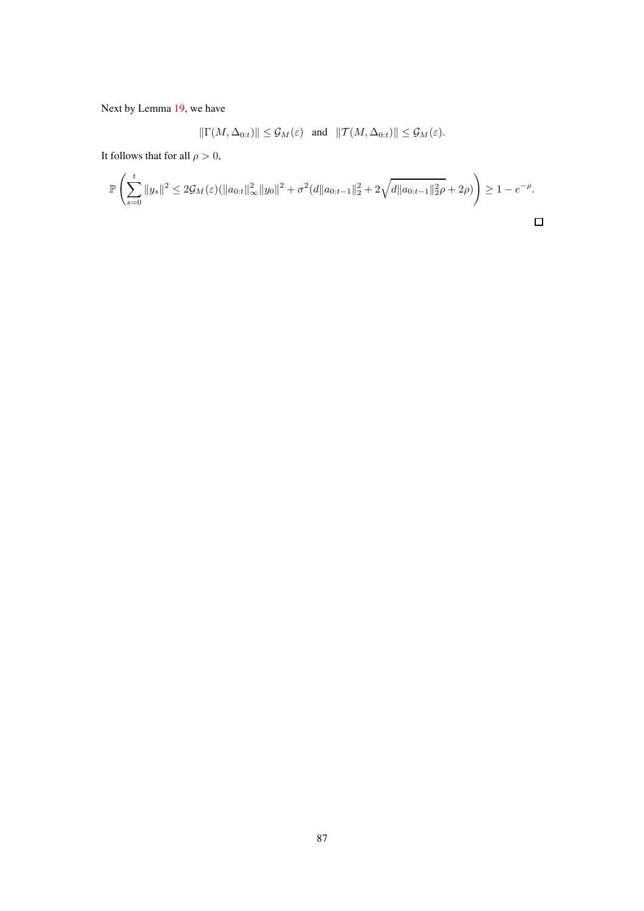Next by Lemma [19,](#page-83-2) we have

$$
\|\Gamma(M,\Delta_{0:t})\| \leq \mathcal{G}_M(\varepsilon) \quad \text{and} \quad \|\mathcal{T}(M,\Delta_{0:t})\| \leq \mathcal{G}_M(\varepsilon).
$$

It follows that for all  $\rho > 0$ ,

$$
\mathbb{P}\left(\sum_{s=0}^t \|y_s\|^2 \le 2\mathcal{G}_M(\varepsilon) (\|a_{0:t}\|_\infty^2 \|y_0\|^2 + \sigma^2(d\|a_{0:t-1}\|_2^2 + 2\sqrt{d\|a_{0:t-1}\|_2^2\rho} + 2\rho)\right) \ge 1 - e^{-\rho}.
$$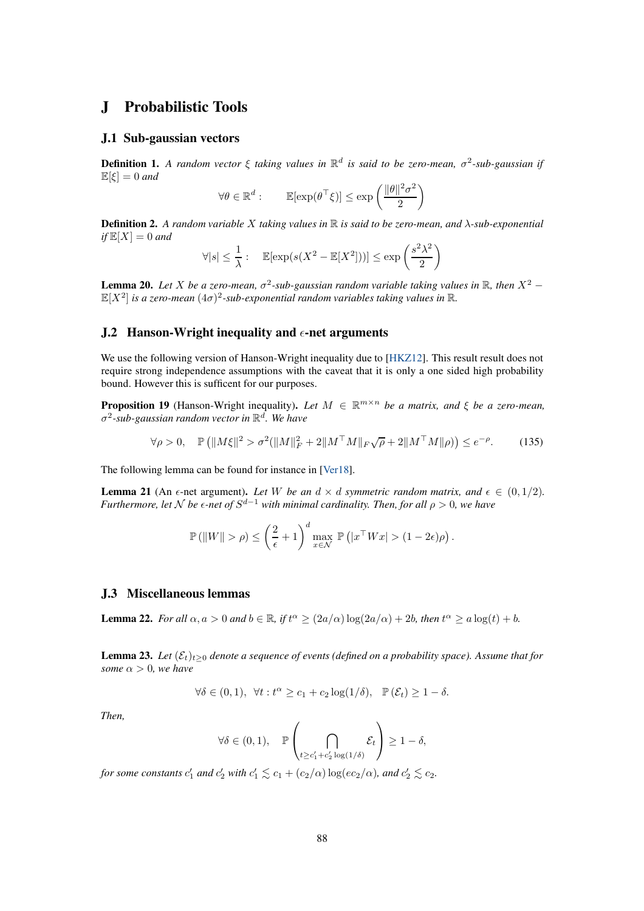## J Probabilistic Tools

## J.1 Sub-gaussian vectors

Definition 1. *A random vector* ξ *taking values in* R d *is said to be zero-mean,* σ 2 *-sub-gaussian if*  $\mathbb{E}[\xi] = 0$  and

$$
\forall \theta \in \mathbb{R}^d : \qquad \mathbb{E}[\exp(\theta^\top \xi)] \le \exp\left(\frac{\|\theta\|^2 \sigma^2}{2}\right)
$$

Definition 2. *A random variable* X *taking values in* R *is said to be zero-mean, and* λ*-sub-exponential*  $if \mathbb{E}[X] = 0$  *and* 

$$
\forall |s| \le \frac{1}{\lambda} : \quad \mathbb{E}[\exp(s(X^2 - \mathbb{E}[X^2]))] \le \exp\left(\frac{s^2 \lambda^2}{2}\right)
$$

<span id="page-87-1"></span>**Lemma 20.** Let X be a zero-mean,  $\sigma^2$ -sub-gaussian random variable taking values in  $\mathbb{R}$ , then  $X^2$  –  $\mathbb{E}[X^2]$  is a zero-mean  $(4\sigma)^2$ -sub-exponential random variables taking values in  $\mathbb{R}$ .

## J.2 Hanson-Wright inequality and  $\epsilon$ -net arguments

We use the following version of Hanson-Wright inequality due to [\[HKZ12\]](#page-10-5). This result result does not require strong independence assumptions with the caveat that it is only a one sided high probability bound. However this is sufficent for our purposes.

<span id="page-87-3"></span>**Proposition 19** (Hanson-Wright inequality). Let  $M \in \mathbb{R}^{m \times n}$  be a matrix, and  $\xi$  be a zero-mean, σ 2 *-sub-gaussian random vector in* R d *. We have*

$$
\forall \rho > 0, \quad \mathbb{P}\left(\|M\xi\|^2 > \sigma^2(\|M\|_F^2 + 2\|M^\top M\|_F\sqrt{\rho} + 2\|M^\top M\|\rho)\right) \le e^{-\rho}.\tag{135}
$$

The following lemma can be found for instance in [\[Ver18\]](#page-11-2).

<span id="page-87-2"></span>**Lemma 21** (An  $\epsilon$ -net argument). Let W be an  $d \times d$  symmetric random matrix, and  $\epsilon \in (0, 1/2)$ . *Furthermore, let*  $\mathcal N$  *be*  $\epsilon$ -net of  $S^{d-1}$  *with minimal cardinality. Then, for all*  $\rho > 0$ *, we have* 

$$
\mathbb{P}\left(\|W\|>\rho\right)\leq\left(\frac{2}{\epsilon}+1\right)^{d}\max_{x\in\mathcal{N}}\,\mathbb{P}\left(|x^{\top}Wx|>(1-2\epsilon)\rho\right).
$$

#### J.3 Miscellaneous lemmas

<span id="page-87-0"></span>**Lemma 22.** For all  $\alpha, a > 0$  and  $b \in \mathbb{R}$ , if  $t^{\alpha} \geq (2a/\alpha) \log(2a/\alpha) + 2b$ , then  $t^{\alpha} \geq a \log(t) + b$ .

<span id="page-87-4"></span>**Lemma 23.** Let  $(\mathcal{E}_t)_{t>0}$  denote a sequence of events (defined on a probability space). Assume that for *some*  $\alpha > 0$ *, we have* 

$$
\forall \delta \in (0,1), \ \forall t: t^{\alpha} \geq c_1 + c_2 \log(1/\delta), \ \mathbb{P}(\mathcal{E}_t) \geq 1 - \delta.
$$

*Then,*

$$
\forall \delta \in (0,1), \quad \mathbb{P}\left(\bigcap_{t \geq c'_1 + c'_2 \log(1/\delta)} \mathcal{E}_t\right) \geq 1 - \delta,
$$

*for some constants*  $c'_1$  *and*  $c'_2$  *with*  $c'_1 \lesssim c_1 + (c_2/\alpha) \log(e c_2/\alpha)$ *, and*  $c'_2 \lesssim c_2$ *.*